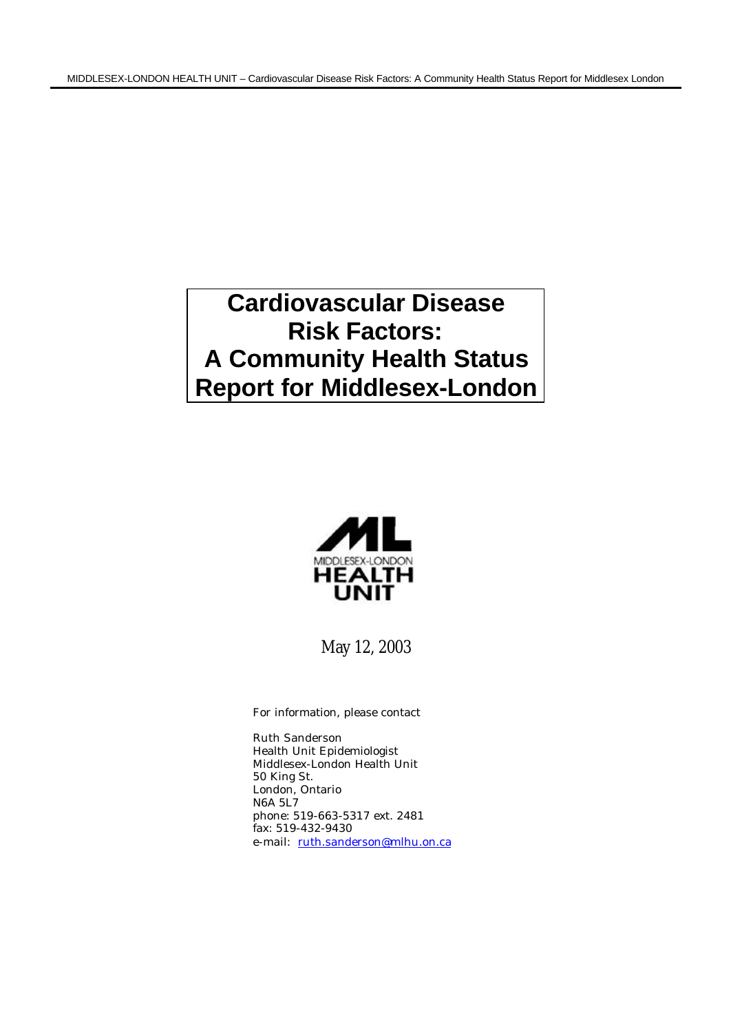# **Cardiovascular Disease Risk Factors: A Community Health Status Report for Middlesex-London**



May 12, 2003

For information, please contact

Ruth Sanderson Health Unit Epidemiologist Middlesex-London Health Unit 50 King St. London, Ontario N6A 5L7 phone: 519-663-5317 ext. 2481 fax: 519-432-9430 e-mail: ruth.sanderson@mlhu.on.ca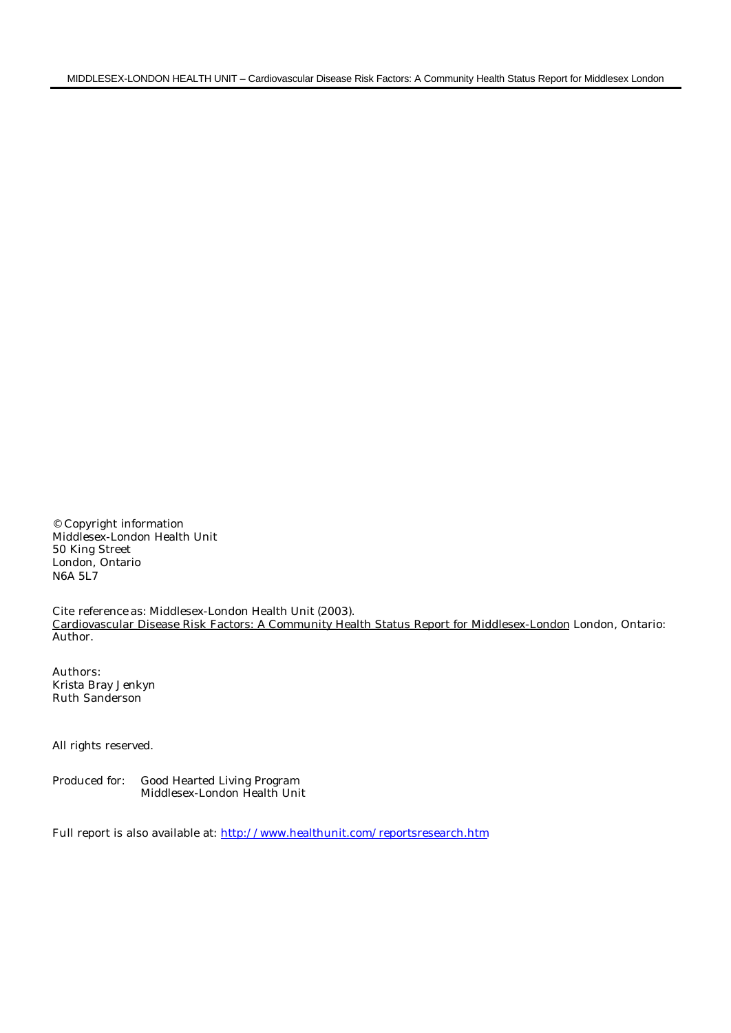© Copyright information Middlesex-London Health Unit 50 King Street London, Ontario N6A 5L7

Cite reference as: Middlesex-London Health Unit (2003). Cardiovascular Disease Risk Factors: A Community Health Status Report for Middlesex-London London, Ontario: Author.

Authors: Krista Bray Jenkyn Ruth Sanderson

All rights reserved.

Produced for: Good Hearted Living Program Middlesex-London Health Unit

Full report is also available at: http://www.healthunit.com/reportsresearch.htm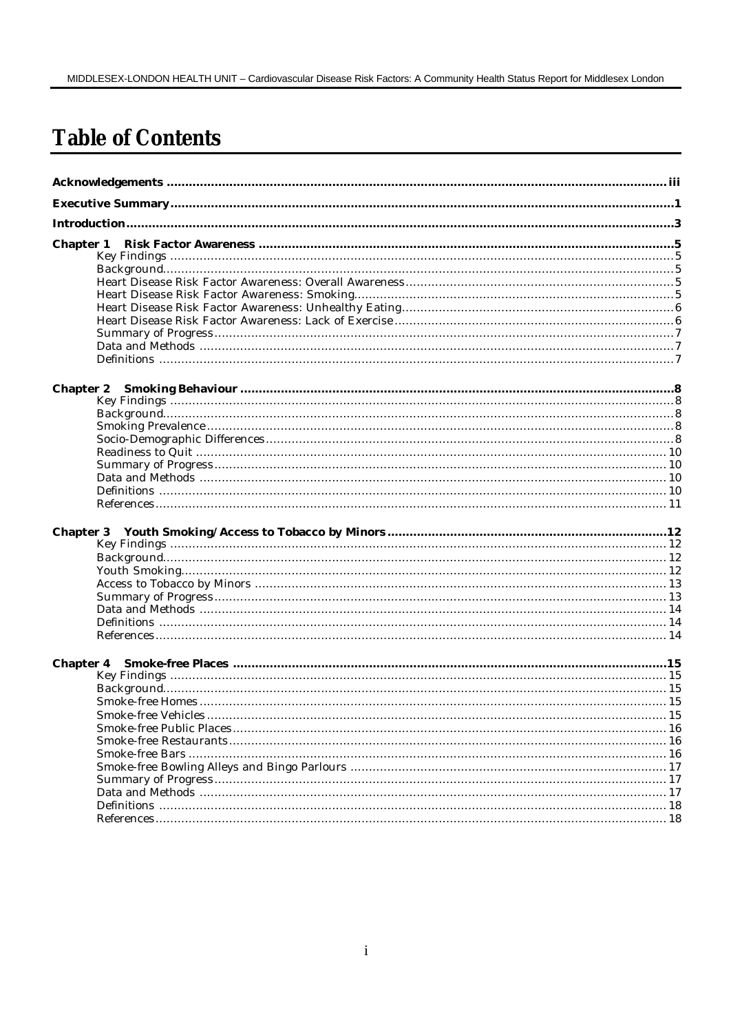# **Table of Contents**

| <b>Chapter 2</b> |  |
|------------------|--|
|                  |  |
|                  |  |
|                  |  |
|                  |  |
|                  |  |
|                  |  |
|                  |  |
|                  |  |
|                  |  |
| <b>Chapter 3</b> |  |
|                  |  |
|                  |  |
|                  |  |
|                  |  |
|                  |  |
|                  |  |
|                  |  |
|                  |  |
|                  |  |
| <b>Chapter 4</b> |  |
|                  |  |
|                  |  |
|                  |  |
|                  |  |
|                  |  |
|                  |  |
|                  |  |
|                  |  |
|                  |  |
|                  |  |
|                  |  |
|                  |  |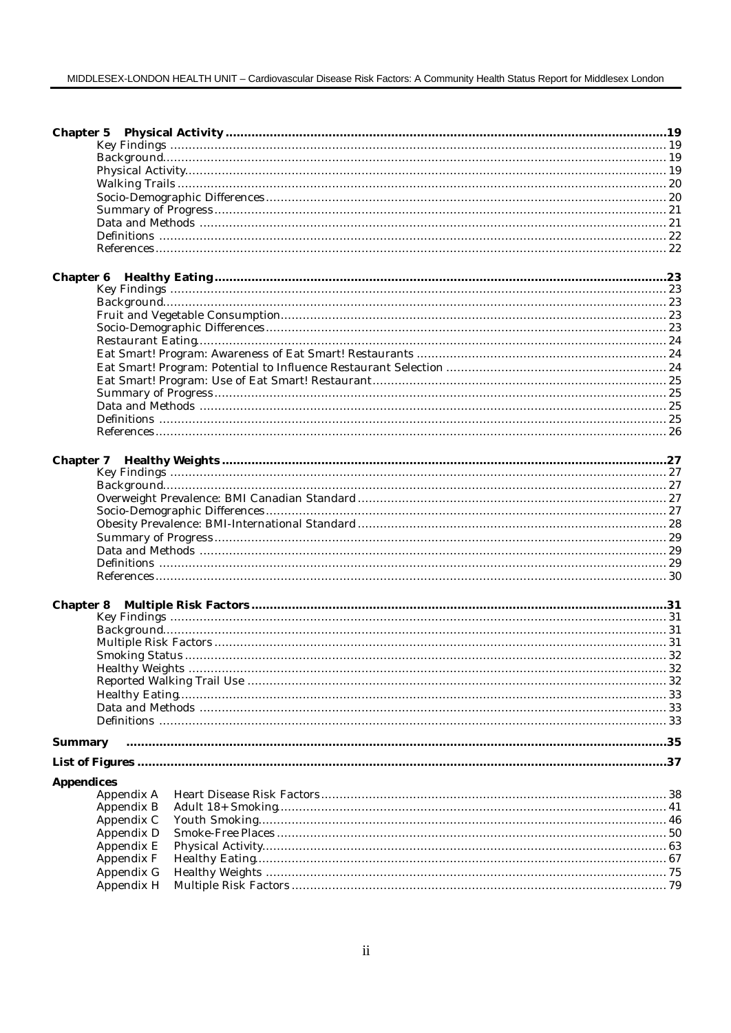#### MIDDLESEX-LONDON HEALTH UNIT - Cardiovascular Disease Risk Factors: A Community Health Status Report for Middlesex London

| <b>Chapter 6</b>  |  |
|-------------------|--|
|                   |  |
|                   |  |
|                   |  |
|                   |  |
|                   |  |
|                   |  |
|                   |  |
|                   |  |
|                   |  |
|                   |  |
|                   |  |
|                   |  |
| <b>Chapter 7</b>  |  |
|                   |  |
|                   |  |
|                   |  |
|                   |  |
|                   |  |
|                   |  |
|                   |  |
|                   |  |
|                   |  |
| <b>Chapter 8</b>  |  |
|                   |  |
|                   |  |
|                   |  |
|                   |  |
|                   |  |
|                   |  |
|                   |  |
|                   |  |
|                   |  |
|                   |  |
| <b>Summary</b>    |  |
|                   |  |
| <b>Appendices</b> |  |
| Appendix A        |  |
| Appendix B        |  |
| Appendix C        |  |
| Appendix D        |  |
| Appendix E        |  |
| Appendix F        |  |
| Appendix G        |  |
| Appendix H        |  |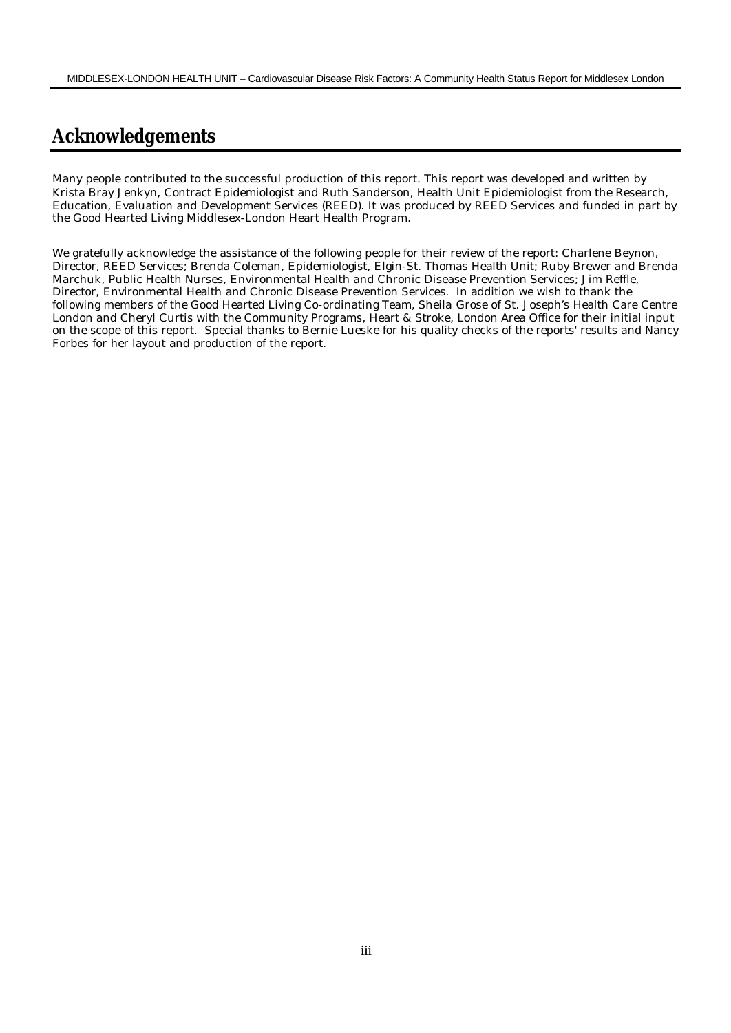# **Acknowledgements**

Many people contributed to the successful production of this report. This report was developed and written by Krista Bray Jenkyn, Contract Epidemiologist and Ruth Sanderson, Health Unit Epidemiologist from the Research, Education, Evaluation and Development Services (REED). It was produced by REED Services and funded in part by the Good Hearted Living Middlesex-London Heart Health Program.

We gratefully acknowledge the assistance of the following people for their review of the report: Charlene Beynon, Director, REED Services; Brenda Coleman, Epidemiologist, Elgin-St. Thomas Health Unit; Ruby Brewer and Brenda Marchuk, Public Health Nurses, Environmental Health and Chronic Disease Prevention Services; Jim Reffle, Director, Environmental Health and Chronic Disease Prevention Services. In addition we wish to thank the following members of the Good Hearted Living Co-ordinating Team, Sheila Grose of St. Joseph's Health Care Centre London and Cheryl Curtis with the Community Programs, Heart & Stroke, London Area Office for their initial input on the scope of this report. Special thanks to Bernie Lueske for his quality checks of the reports' results and Nancy Forbes for her layout and production of the report.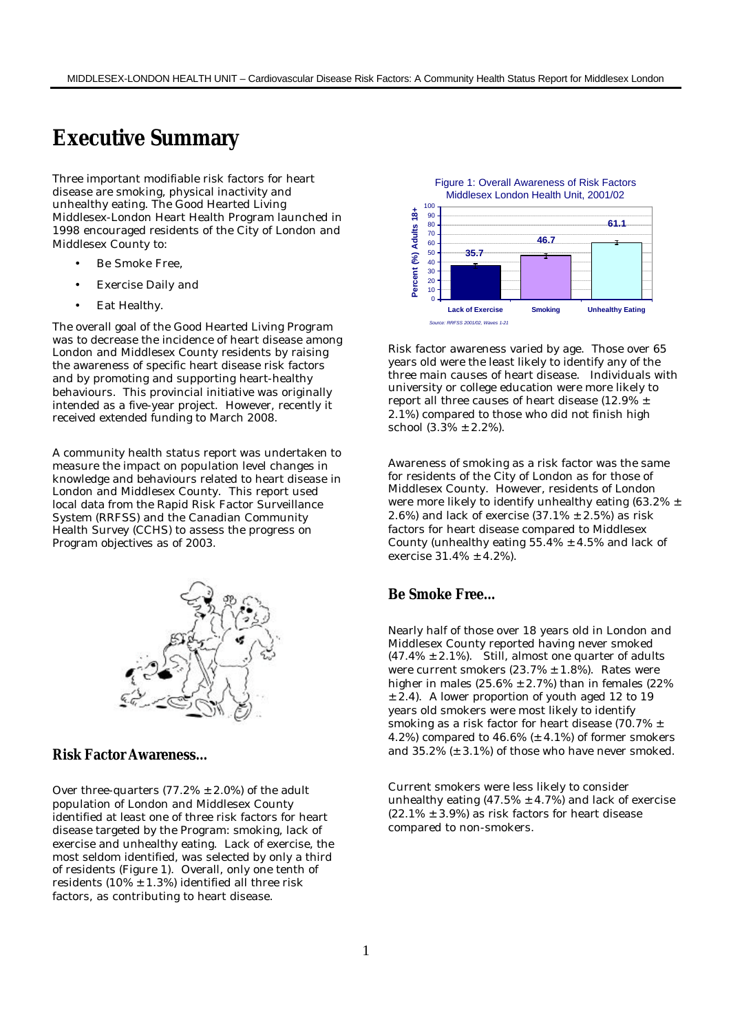# **Executive Summary**

Three important modifiable risk factors for heart disease are smoking, physical inactivity and unhealthy eating. The Good Hearted Living Middlesex-London Heart Health Program launched in 1998 encouraged residents of the City of London and Middlesex County to:

- Be Smoke Free,
- Exercise Daily and
- Eat Healthy.

The overall goal of the Good Hearted Living Program was to decrease the incidence of heart disease among London and Middlesex County residents by raising the awareness of specific heart disease risk factors and by promoting and supporting heart-healthy behaviours. This provincial initiative was originally intended as a five-year project. However, recently it received extended funding to March 2008.

A community health status report was undertaken to measure the impact on population level changes in knowledge and behaviours related to heart disease in London and Middlesex County. This report used local data from the Rapid Risk Factor Surveillance System (RRFSS) and the Canadian Community Health Survey (CCHS) to assess the progress on Program objectives as of 2003.



#### **Risk Factor Awareness…**

Over three-quarters  $(77.2% \pm 2.0%)$  of the adult population of London and Middlesex County identified at least one of three risk factors for heart disease targeted by the Program: smoking, lack of exercise and unhealthy eating. Lack of exercise, the most seldom identified, was selected by only a third of residents (Figure 1). Overall, only one tenth of residents (10%  $\pm$  1.3%) identified all three risk factors, as contributing to heart disease.



Risk factor awareness varied by age. Those over 65 years old were the least likely to identify any of the three main causes of heart disease. Individuals with university or college education were more likely to report all three causes of heart disease (12.9% ± 2.1%) compared to those who did not finish high school  $(3.3\% \pm 2.2\%)$ .

Awareness of smoking as a risk factor was the same for residents of the City of London as for those of Middlesex County. However, residents of London were more likely to identify unhealthy eating (63.2%  $\pm$ 2.6%) and lack of exercise  $(37.1\% \pm 2.5\%)$  as risk factors for heart disease compared to Middlesex County (unhealthy eating  $55.4\% \pm 4.5\%$  and lack of exercise 31.4% ± 4.2%).

## **Be Smoke Free…**

Nearly half of those over 18 years old in London and Middlesex County reported having never smoked  $(47.4\% \pm 2.1\%)$ . Still, almost one quarter of adults were current smokers  $(23.7\% \pm 1.8\%)$ . Rates were higher in males  $(25.6\% \pm 2.7\%)$  than in females  $(22\%$  $\pm$  2.4). A lower proportion of youth aged 12 to 19 years old smokers were most likely to identify smoking as a risk factor for heart disease (70.7% ± 4.2%) compared to  $46.6\%$  ( $\pm$  4.1%) of former smokers and 35.2% (± 3.1%) of those who have never smoked.

Current smokers were less likely to consider unhealthy eating  $(47.5\% \pm 4.7\%)$  and lack of exercise  $(22.1\% \pm 3.9\%)$  as risk factors for heart disease compared to non-smokers.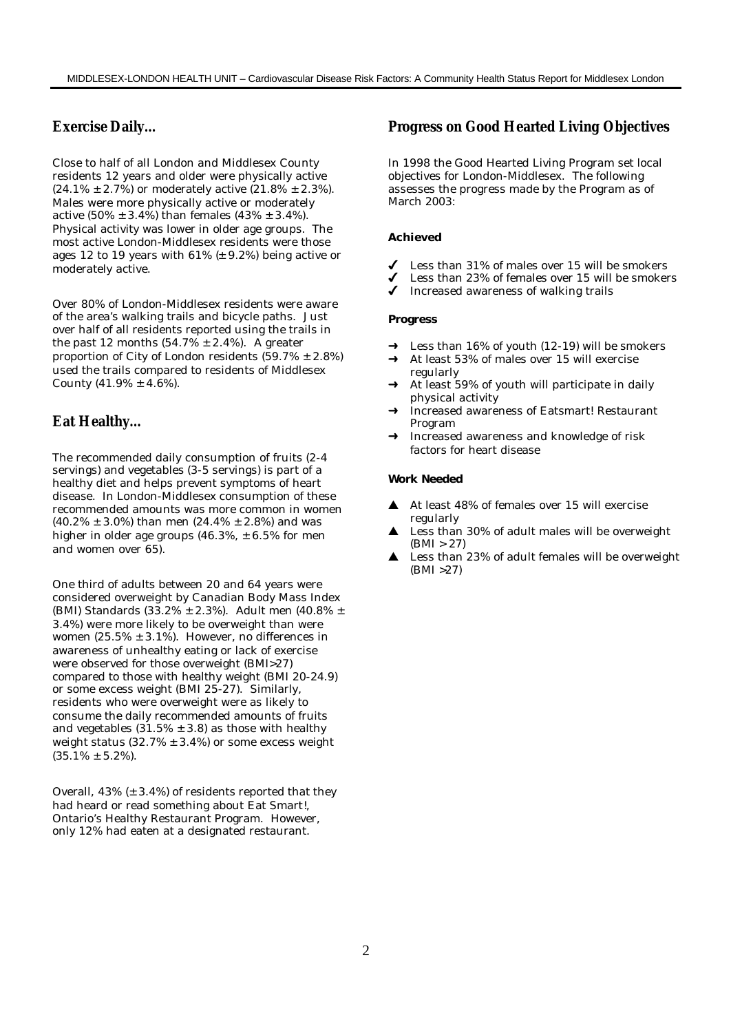# **Exercise Daily…**

Close to half of all London and Middlesex County residents 12 years and older were physically active  $(24.1\% \pm 2.7\%)$  or moderately active  $(21.8\% \pm 2.3\%).$ Males were more physically active or moderately active  $(50\% \pm 3.4\%)$  than females  $(43\% \pm 3.4\%)$ . Physical activity was lower in older age groups. The most active London-Middlesex residents were those ages 12 to 19 years with  $61\%$  ( $\pm$  9.2%) being active or moderately active.

Over 80% of London-Middlesex residents were aware of the area's walking trails and bicycle paths. Just over half of all residents reported using the trails in the past 12 months  $(54.7\% \pm 2.4\%)$ . A greater proportion of City of London residents  $(59.7% \pm 2.8%)$ used the trails compared to residents of Middlesex County  $(41.9% \pm 4.6%)$ .

# **Eat Healthy…**

The recommended daily consumption of fruits (2-4 servings) and vegetables (3-5 servings) is part of a healthy diet and helps prevent symptoms of heart disease. In London-Middlesex consumption of these recommended amounts was more common in women  $(40.2\% \pm 3.0\%)$  than men  $(24.4\% \pm 2.8\%)$  and was higher in older age groups  $(46.3\% , \pm 6.5\%$  for men and women over 65).

One third of adults between 20 and 64 years were considered overweight by Canadian Body Mass Index (BMI) Standards (33.2% ± 2.3%). Adult men (40.8% ± 3.4%) were more likely to be overweight than were women  $(25.5\% \pm 3.1\%)$ . However, no differences in awareness of unhealthy eating or lack of exercise were observed for those overweight (BMI>27) compared to those with healthy weight (BMI 20-24.9) or some excess weight (BMI 25-27). Similarly, residents who were overweight were as likely to consume the daily recommended amounts of fruits and vegetables  $(31.5% \pm 3.8)$  as those with healthy weight status  $(32.7\% \pm 3.4\%)$  or some excess weight  $(35.1\% \pm 5.2\%).$ 

Overall,  $43\%$  ( $\pm$  3.4%) of residents reported that they had heard or read something about Eat Smart!, Ontario's Healthy Restaurant Program. However, only 12% had eaten at a designated restaurant.

# **Progress on Good Hearted Living Objectives**

In 1998 the Good Hearted Living Program set local objectives for London-Middlesex. The following assesses the progress made by the Program as of March 2003:

#### **Achieved**

- Less than 31% of males over 15 will be smokers
- U Less than 23% of females over 15 will be smokers<br>U Increased awareness of walking trails
- 4 Increased awareness of walking trails

#### **Progress**

- Less than  $16\%$  of youth  $(12-19)$  will be smokers
- At least 53% of males over 15 will exercise regularly
- At least 59% of youth will participate in daily physical activity
- Increased awareness of Eatsmart! Restaurant Program
- Increased awareness and knowledge of risk factors for heart disease

#### **Work Needed**

- $\triangle$  At least 48% of females over 15 will exercise regularly
- $\triangle$  Less than 30% of adult males will be overweight  $(BMI > 27)$
- $\triangle$  Less than 23% of adult females will be overweight (BMI >27)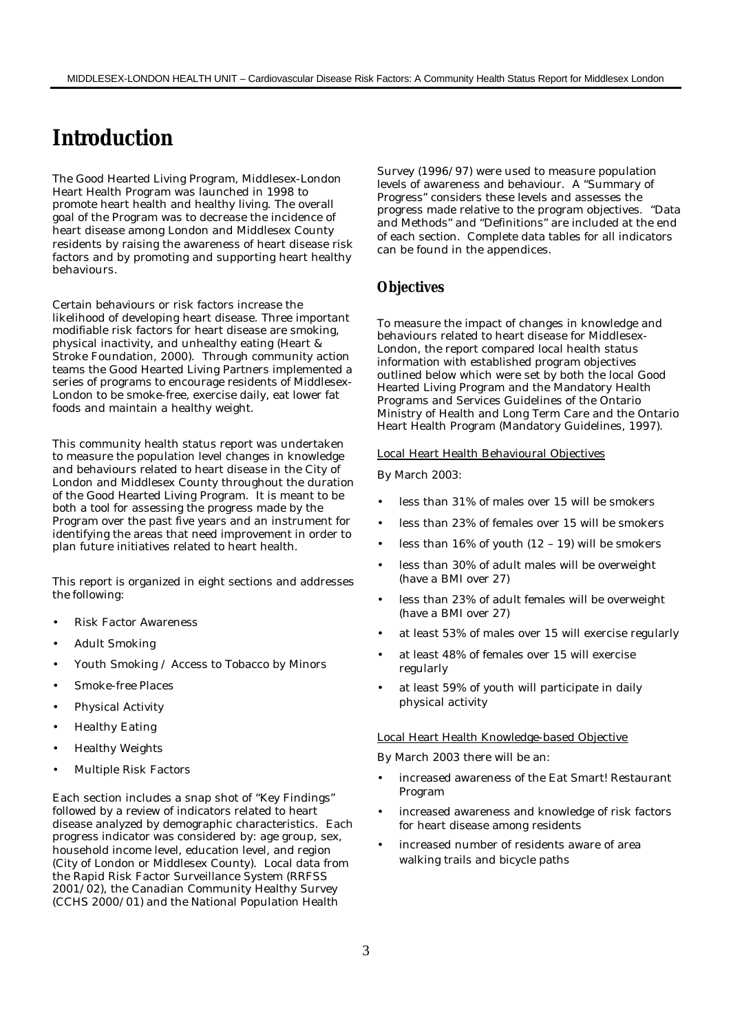# **Introduction**

The Good Hearted Living Program, Middlesex-London Heart Health Program was launched in 1998 to promote heart health and healthy living. The overall goal of the Program was to decrease the incidence of heart disease among London and Middlesex County residents by raising the awareness of heart disease risk factors and by promoting and supporting heart healthy behaviours.

Certain behaviours or risk factors increase the likelihood of developing heart disease. Three important modifiable risk factors for heart disease are smoking, physical inactivity, and unhealthy eating (Heart & Stroke Foundation, 2000). Through community action teams the Good Hearted Living Partners implemented a series of programs to encourage residents of Middlesex-London to be smoke-free, exercise daily, eat lower fat foods and maintain a healthy weight.

This community health status report was undertaken to measure the population level changes in knowledge and behaviours related to heart disease in the City of London and Middlesex County throughout the duration of the Good Hearted Living Program. It is meant to be both a tool for assessing the progress made by the Program over the past five years and an instrument for identifying the areas that need improvement in order to plan future initiatives related to heart health.

This report is organized in eight sections and addresses the following:

- Risk Factor Awareness
- Adult Smoking
- Youth Smoking / Access to Tobacco by Minors
- Smoke-free Places
- Physical Activity
- Healthy Eating
- Healthy Weights
- Multiple Risk Factors

Each section includes a snap shot of "Key Findings" followed by a review of indicators related to heart disease analyzed by demographic characteristics. Each progress indicator was considered by: age group, sex, household income level, education level, and region (City of London or Middlesex County). Local data from the Rapid Risk Factor Surveillance System (RRFSS 2001/02), the Canadian Community Healthy Survey (CCHS 2000/01) and the National Population Health

Survey (1996/97) were used to measure population levels of awareness and behaviour. A "Summary of Progress" considers these levels and assesses the progress made relative to the program objectives. "Data and Methods" and "Definitions" are included at the end of each section. Complete data tables for all indicators can be found in the appendices.

#### **Objectives**

To measure the impact of changes in knowledge and behaviours related to heart disease for Middlesex-London, the report compared local health status information with established program objectives outlined below which were set by both the local Good Hearted Living Program and the Mandatory Health Programs and Services Guidelines of the Ontario Ministry of Health and Long Term Care and the Ontario Heart Health Program (Mandatory Guidelines, 1997).

#### Local Heart Health Behavioural Objectives

By March 2003:

- less than 31% of males over 15 will be smokers
- less than 23% of females over 15 will be smokers
- less than  $16\%$  of youth  $(12 19)$  will be smokers
- less than 30% of adult males will be overweight (have a BMI over 27)
- less than 23% of adult females will be overweight (have a BMI over 27)
- at least 53% of males over 15 will exercise regularly
- at least 48% of females over 15 will exercise regularly
- at least 59% of youth will participate in daily physical activity

#### Local Heart Health Knowledge-based Objective

By March 2003 there will be an:

- increased awareness of the Eat Smart! Restaurant Program
- increased awareness and knowledge of risk factors for heart disease among residents
- increased number of residents aware of area walking trails and bicycle paths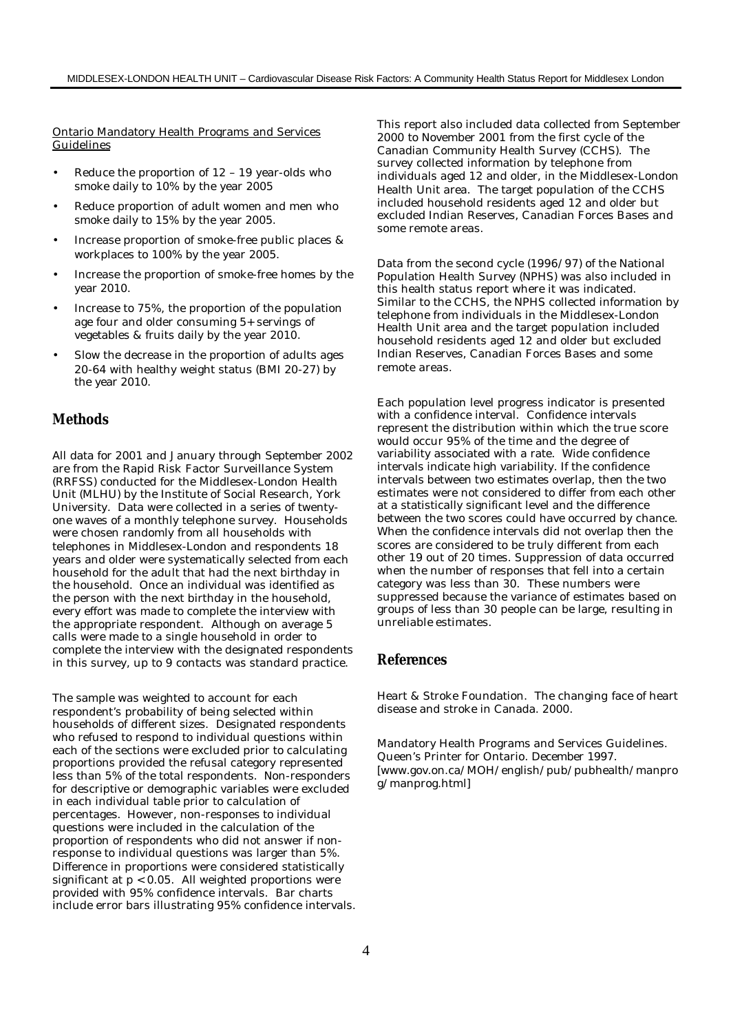Ontario Mandatory Health Programs and Services Guidelines

- Reduce the proportion of  $12 19$  year-olds who smoke daily to 10% by the year 2005
- Reduce proportion of adult women and men who smoke daily to 15% by the year 2005.
- Increase proportion of smoke-free public places & workplaces to 100% by the year 2005.
- Increase the proportion of smoke-free homes by the year 2010.
- Increase to 75%, the proportion of the population age four and older consuming 5+ servings of vegetables & fruits daily by the year 2010.
- Slow the decrease in the proportion of adults ages 20-64 with healthy weight status (BMI 20-27) by the year 2010.

## **Methods**

All data for 2001 and January through September 2002 are from the Rapid Risk Factor Surveillance System (RRFSS) conducted for the Middlesex-London Health Unit (MLHU) by the Institute of Social Research, York University. Data were collected in a series of twentyone waves of a monthly telephone survey. Households were chosen randomly from all households with telephones in Middlesex-London and respondents 18 years and older were systematically selected from each household for the adult that had the next birthday in the household. Once an individual was identified as the person with the next birthday in the household, every effort was made to complete the interview with the appropriate respondent. Although on average 5 calls were made to a single household in order to complete the interview with the designated respondents in this survey, up to 9 contacts was standard practice.

The sample was weighted to account for each respondent's probability of being selected within households of different sizes. Designated respondents who refused to respond to individual questions within each of the sections were excluded prior to calculating proportions provided the refusal category represented less than 5% of the total respondents. Non-responders for descriptive or demographic variables were excluded in each individual table prior to calculation of percentages. However, non-responses to individual questions were included in the calculation of the proportion of respondents who did not answer if nonresponse to individual questions was larger than 5%. Difference in proportions were considered statistically significant at  $p < 0.05$ . All weighted proportions were provided with 95% confidence intervals. Bar charts include error bars illustrating 95% confidence intervals.

This report also included data collected from September 2000 to November 2001 from the first cycle of the Canadian Community Health Survey (CCHS). The survey collected information by telephone from individuals aged 12 and older, in the Middlesex-London Health Unit area. The target population of the CCHS included household residents aged 12 and older but excluded Indian Reserves, Canadian Forces Bases and some remote areas.

Data from the second cycle (1996/97) of the National Population Health Survey (NPHS) was also included in this health status report where it was indicated. Similar to the CCHS, the NPHS collected information by telephone from individuals in the Middlesex-London Health Unit area and the target population included household residents aged 12 and older but excluded Indian Reserves, Canadian Forces Bases and some remote areas.

Each population level progress indicator is presented with a confidence interval. Confidence intervals represent the distribution within which the true score would occur 95% of the time and the degree of variability associated with a rate. Wide confidence intervals indicate high variability. If the confidence intervals between two estimates overlap, then the two estimates were not considered to differ from each other at a statistically significant level and the difference between the two scores could have occurred by chance. When the confidence intervals did not overlap then the scores are considered to be truly different from each other 19 out of 20 times. Suppression of data occurred when the number of responses that fell into a certain category was less than 30. These numbers were suppressed because the variance of estimates based on groups of less than 30 people can be large, resulting in unreliable estimates.

#### **References**

Heart & Stroke Foundation. The changing face of heart disease and stroke in Canada. 2000.

Mandatory Health Programs and Services Guidelines. Queen's Printer for Ontario. December 1997. [www.gov.on.ca/MOH/english/pub/pubhealth/manpro g/manprog.html]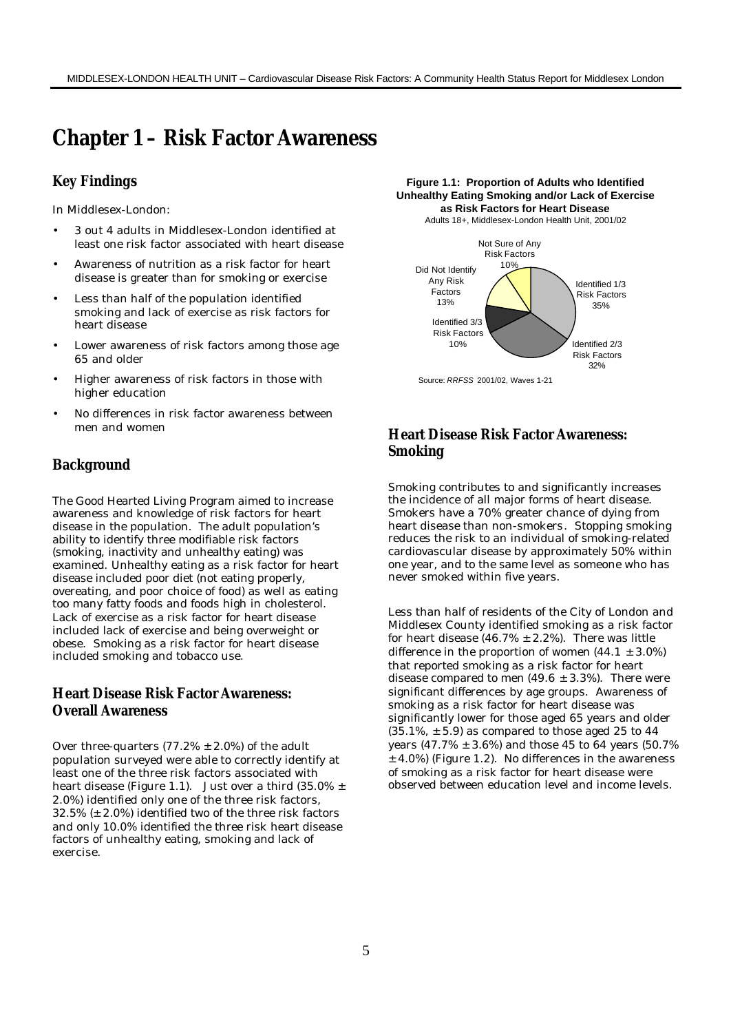# **Chapter 1 – Risk Factor Awareness**

## **Key Findings**

In Middlesex-London:

- 3 out 4 adults in Middlesex-London identified at least one risk factor associated with heart disease
- Awareness of nutrition as a risk factor for heart disease is greater than for smoking or exercise
- Less than half of the population identified smoking and lack of exercise as risk factors for heart disease
- Lower awareness of risk factors among those age 65 and older
- Higher awareness of risk factors in those with higher education
- No differences in risk factor awareness between men and women

## **Background**

The Good Hearted Living Program aimed to increase awareness and knowledge of risk factors for heart disease in the population. The adult population's ability to identify three modifiable risk factors (smoking, inactivity and unhealthy eating) was examined. Unhealthy eating as a risk factor for heart disease included poor diet (not eating properly, overeating, and poor choice of food) as well as eating too many fatty foods and foods high in cholesterol. Lack of exercise as a risk factor for heart disease included lack of exercise and being overweight or obese. Smoking as a risk factor for heart disease included smoking and tobacco use.

# **Heart Disease Risk Factor Awareness: Overall Awareness**

Over three-quarters  $(77.2% \pm 2.0%)$  of the adult population surveyed were able to correctly identify at least one of the three risk factors associated with heart disease (Figure 1.1). Just over a third  $(35.0\% \pm$ 2.0%) identified only one of the three risk factors, 32.5% (± 2.0%) identified two of the three risk factors and only 10.0% identified the three risk heart disease factors of unhealthy eating, smoking and lack of exercise.

**Figure 1.1: Proportion of Adults who Identified Unhealthy Eating Smoking and/or Lack of Exercise as Risk Factors for Heart Disease**





# **Heart Disease Risk Factor Awareness: Smoking**

Smoking contributes to and significantly increases the incidence of all major forms of heart disease. Smokers have a 70% greater chance of dying from heart disease than non-smokers. Stopping smoking reduces the risk to an individual of smoking-related cardiovascular disease by approximately 50% within one year, and to the same level as someone who has never smoked within five years.

Less than half of residents of the City of London and Middlesex County identified smoking as a risk factor for heart disease (46.7%  $\pm$  2.2%). There was little difference in the proportion of women  $(44.1 \pm 3.0\%)$ that reported smoking as a risk factor for heart disease compared to men  $(49.6 \pm 3.3\%)$ . There were significant differences by age groups. Awareness of smoking as a risk factor for heart disease was significantly lower for those aged 65 years and older  $(35.1\% , \pm 5.9)$  as compared to those aged 25 to 44 years (47.7% ± 3.6%) and those 45 to 64 years (50.7%  $±$  4.0%) (Figure 1.2). No differences in the awareness of smoking as a risk factor for heart disease were observed between education level and income levels.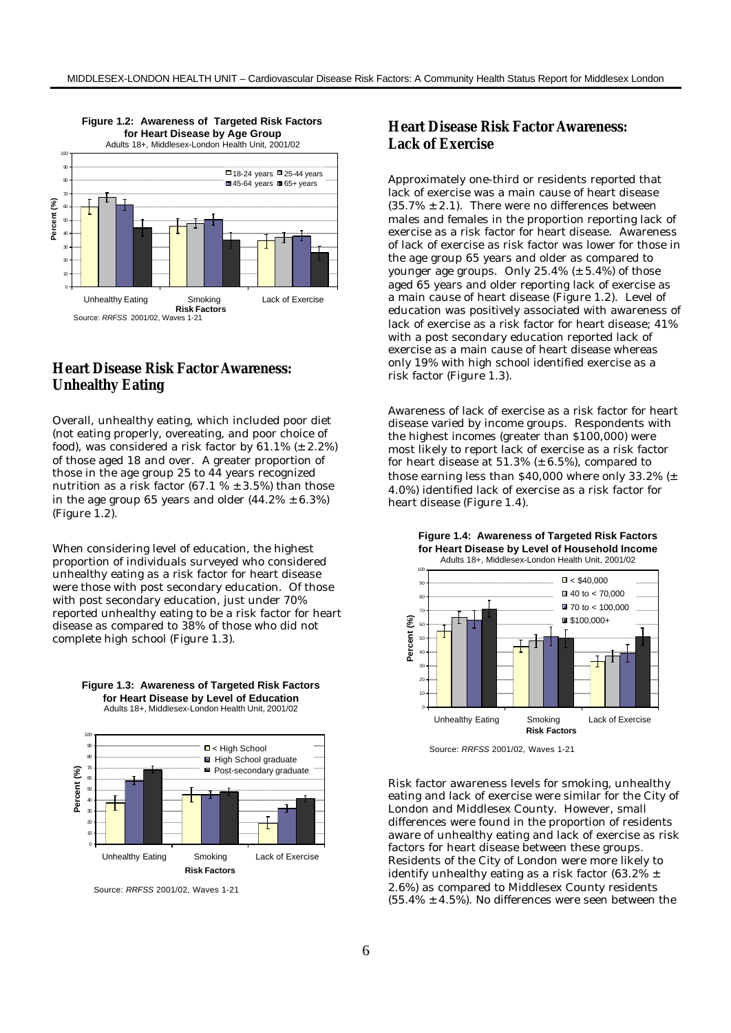

# **Heart Disease Risk Factor Awareness: Unhealthy Eating**

Overall, unhealthy eating, which included poor diet (not eating properly, overeating, and poor choice of food), was considered a risk factor by  $61.1\%$  ( $\pm 2.2\%$ ) of those aged 18 and over. A greater proportion of those in the age group 25 to 44 years recognized nutrition as a risk factor (67.1  $% \pm 3.5%$ ) than those in the age group 65 years and older  $(44.2\% \pm 6.3\%)$ (Figure 1.2).

When considering level of education, the highest proportion of individuals surveyed who considered unhealthy eating as a risk factor for heart disease were those with post secondary education. Of those with post secondary education, just under 70% reported unhealthy eating to be a risk factor for heart disease as compared to 38% of those who did not complete high school (Figure 1.3).



**Figure 1.3: Awareness of Targeted Risk Factors for Heart Disease by Level of Education**

Source: *RRFSS* 2001/02, Waves 1-21

# **Heart Disease Risk Factor Awareness: Lack of Exercise**

Approximately one-third or residents reported that lack of exercise was a main cause of heart disease  $(35.7\% \pm 2.1)$ . There were no differences between males and females in the proportion reporting lack of exercise as a risk factor for heart disease. Awareness of lack of exercise as risk factor was lower for those in the age group 65 years and older as compared to younger age groups. Only  $25.4\%$  ( $\pm$  5.4%) of those aged 65 years and older reporting lack of exercise as a main cause of heart disease (Figure 1.2). Level of education was positively associated with awareness of lack of exercise as a risk factor for heart disease; 41% with a post secondary education reported lack of exercise as a main cause of heart disease whereas only 19% with high school identified exercise as a risk factor (Figure 1.3).

Awareness of lack of exercise as a risk factor for heart disease varied by income groups. Respondents with the highest incomes (greater than \$100,000) were most likely to report lack of exercise as a risk factor for heart disease at  $51.3\%$  ( $\pm$  6.5%), compared to those earning less than \$40,000 where only 33.2% (± 4.0%) identified lack of exercise as a risk factor for heart disease (Figure 1.4).



Source: *RRFSS* 2001/02, Waves 1-21

Risk factor awareness levels for smoking, unhealthy eating and lack of exercise were similar for the City of London and Middlesex County. However, small differences were found in the proportion of residents aware of unhealthy eating and lack of exercise as risk factors for heart disease between these groups. Residents of the City of London were more likely to identify unhealthy eating as a risk factor  $(63.2\% \pm$ 2.6%) as compared to Middlesex County residents  $(55.4\% \pm 4.5\%)$ . No differences were seen between the

#### **Figure 1.4: Awareness of Targeted Risk Factors for Heart Disease by Level of Household Income**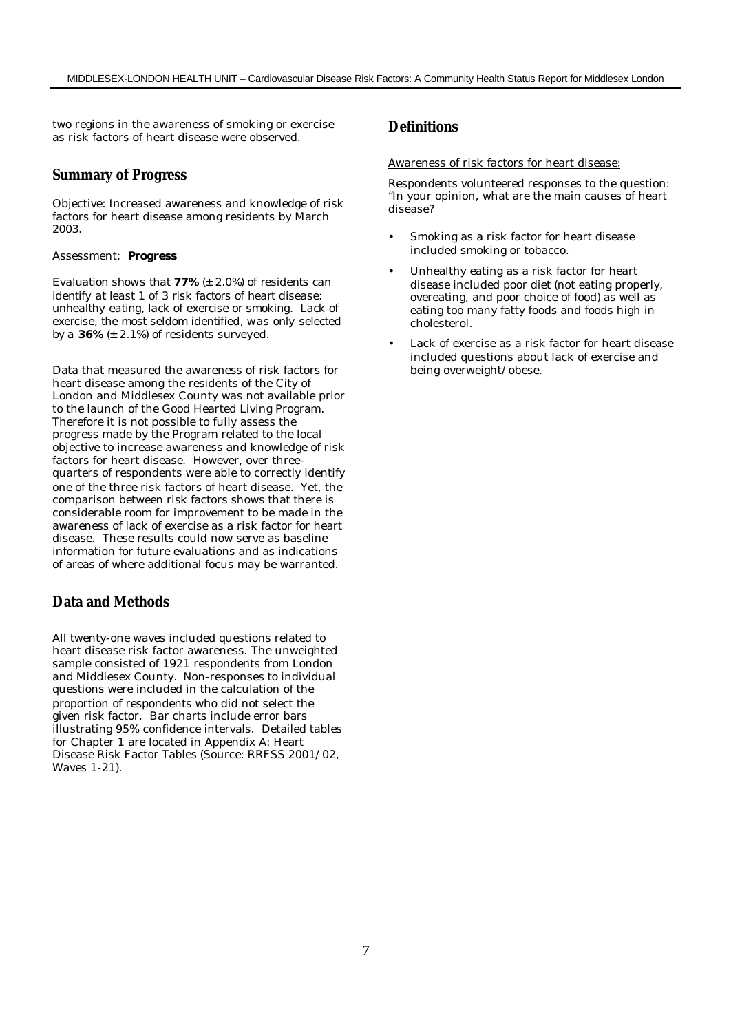two regions in the awareness of smoking or exercise as risk factors of heart disease were observed.

### **Summary of Progress**

Objective: Increased awareness and knowledge of risk factors for heart disease among residents by March 2003.

#### Assessment: *Progress*

*Evaluation shows that 77% (± 2.0%) of residents can identify at least 1 of 3 risk factors of heart disease: unhealthy eating, lack of exercise or smoking. Lack of exercise, the most seldom identified, was only selected by a 36% (± 2.1%) of residents surveyed.*

Data that measured the awareness of risk factors for heart disease among the residents of the City of London and Middlesex County was not available prior to the launch of the Good Hearted Living Program. Therefore it is not possible to fully assess the progress made by the Program related to the local objective to increase awareness and knowledge of risk factors for heart disease. However, over threequarters of respondents were able to correctly identify one of the three risk factors of heart disease. Yet, the comparison between risk factors shows that there is considerable room for improvement to be made in the awareness of lack of exercise as a risk factor for heart disease. These results could now serve as baseline information for future evaluations and as indications of areas of where additional focus may be warranted.

## **Data and Methods**

All twenty-one waves included questions related to heart disease risk factor awareness. The unweighted sample consisted of 1921 respondents from London and Middlesex County. Non-responses to individual questions were included in the calculation of the proportion of respondents who did not select the given risk factor. Bar charts include error bars illustrating 95% confidence intervals. Detailed tables for Chapter 1 are located in Appendix A: Heart Disease Risk Factor Tables (Source: RRFSS 2001/02, Waves 1-21).

# **Definitions**

#### Awareness of risk factors for heart disease:

Respondents volunteered responses to the question: "In your opinion, what are the main causes of heart disease?

- Smoking as a risk factor for heart disease included smoking or tobacco.
- Unhealthy eating as a risk factor for heart disease included poor diet (not eating properly, overeating, and poor choice of food) as well as eating too many fatty foods and foods high in cholesterol.
- Lack of exercise as a risk factor for heart disease included questions about lack of exercise and being overweight/obese.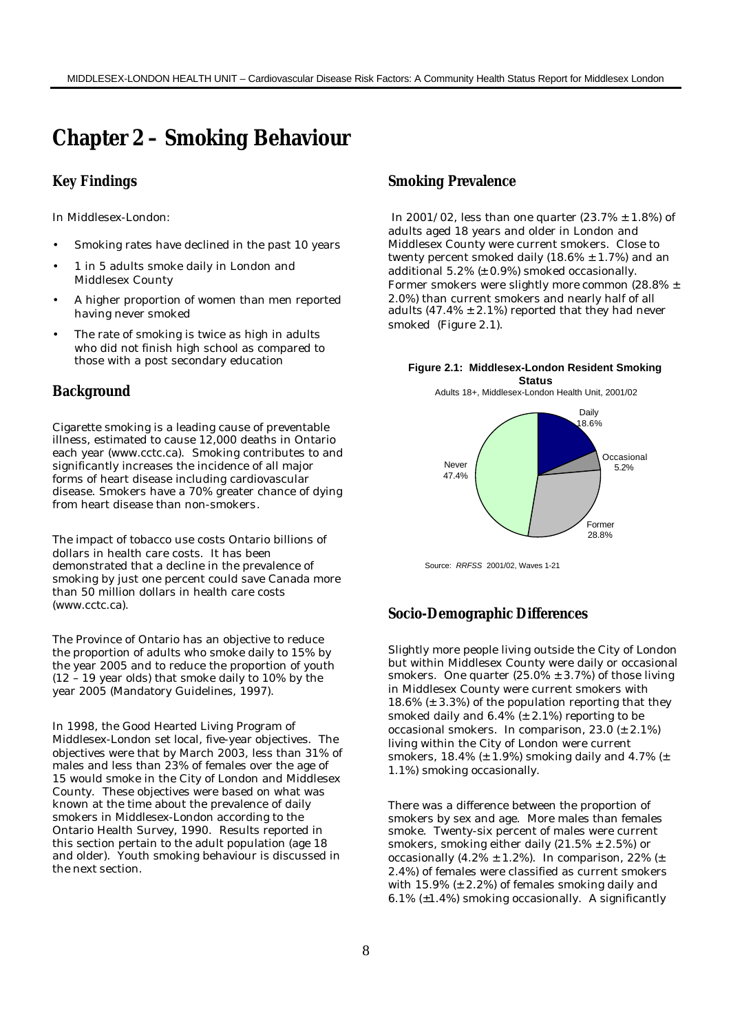# **Chapter 2 – Smoking Behaviour**

### **Key Findings**

In Middlesex-London:

- Smoking rates have declined in the past 10 years
- 1 in 5 adults smoke daily in London and Middlesex County
- A higher proportion of women than men reported having never smoked
- The rate of smoking is twice as high in adults who did not finish high school as compared to those with a post secondary education

#### **Background**

Cigarette smoking is a leading cause of preventable illness, estimated to cause 12,000 deaths in Ontario each year (www.cctc.ca). Smoking contributes to and significantly increases the incidence of all major forms of heart disease including cardiovascular disease. Smokers have a 70% greater chance of dying from heart disease than non-smokers.

The impact of tobacco use costs Ontario billions of dollars in health care costs. It has been demonstrated that a decline in the prevalence of smoking by just one percent could save Canada more than 50 million dollars in health care costs (www.cctc.ca).

The Province of Ontario has an objective to reduce the proportion of adults who smoke daily to 15% by the year 2005 and to reduce the proportion of youth (12 – 19 year olds) that smoke daily to 10% by the year 2005 (Mandatory Guidelines, 1997).

In 1998, the Good Hearted Living Program of Middlesex-London set local, five-year objectives. The objectives were that by March 2003, less than 31% of males and less than 23% of females over the age of 15 would smoke in the City of London and Middlesex County. These objectives were based on what was known at the time about the prevalence of daily smokers in Middlesex-London according to the Ontario Health Survey, 1990. Results reported in this section pertain to the adult population (age 18 and older). Youth smoking behaviour is discussed in the next section.

# **Smoking Prevalence**

 In 2001/02, less than one quarter (23.7% ± 1.8%) of adults aged 18 years and older in London and Middlesex County were current smokers. Close to twenty percent smoked daily  $(18.6\% \pm 1.7\%)$  and an additional  $5.2\%$   $(± 0.9\%)$  smoked occasionally. Former smokers were slightly more common (28.8% ± 2.0%) than current smokers and nearly half of all adults (47.4%  $\pm$  2.1%) reported that they had never smoked (Figure 2.1).

#### **Figure 2.1: Middlesex-London Resident Smoking Status**

Adults 18+, Middlesex-London Health Unit, 2001/02



Source: *RRFSS* 2001/02, Waves 1-21

#### **Socio-Demographic Differences**

Slightly more people living outside the City of London but within Middlesex County were daily or occasional smokers. One quarter  $(25.0\% \pm 3.7\%)$  of those living in Middlesex County were current smokers with 18.6% (± 3.3%) of the population reporting that they smoked daily and 6.4% (± 2.1%) reporting to be occasional smokers. In comparison, 23.0 (± 2.1%) living within the City of London were current smokers,  $18.4\%$  ( $\pm$  1.9%) smoking daily and 4.7% ( $\pm$ 1.1%) smoking occasionally.

There was a difference between the proportion of smokers by sex and age. More males than females smoke. Twenty-six percent of males were current smokers, smoking either daily (21.5%  $\pm$  2.5%) or occasionally  $(4.2\% \pm 1.2\%)$ . In comparison, 22%  $(\pm$ 2.4%) of females were classified as current smokers with  $15.9\%$  ( $\pm$  2.2%) of females smoking daily and  $6.1\%$  ( $\pm 1.4\%$ ) smoking occasionally. A significantly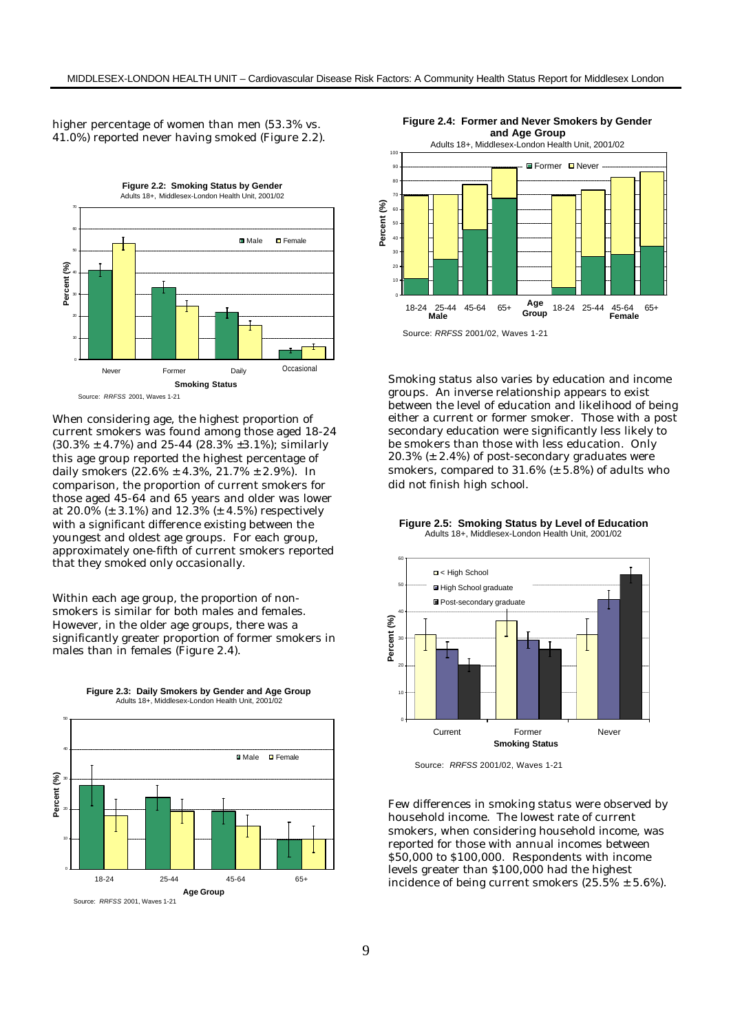higher percentage of women than men (53.3% vs. 41.0%) reported never having smoked (Figure 2.2).



When considering age, the highest proportion of current smokers was found among those aged 18-24 (30.3% ± 4.7%) and 25-44 (28.3% ±3.1%); similarly this age group reported the highest percentage of daily smokers  $(22.6\% \pm 4.3\%, 21.7\% \pm 2.9\%).$  In comparison, the proportion of current smokers for those aged 45-64 and 65 years and older was lower at 20.0% (± 3.1%) and 12.3% (± 4.5%) respectively with a significant difference existing between the youngest and oldest age groups. For each group, approximately one-fifth of current smokers reported that they smoked only occasionally.

Within each age group, the proportion of nonsmokers is similar for both males and females. However, in the older age groups, there was a significantly greater proportion of former smokers in males than in females (Figure 2.4).



**Figure 2.3: Daily Smokers by Gender and Age Group** Adults 18+, Middlesex-London Health Unit, 2001/02



Smoking status also varies by education and income groups. An inverse relationship appears to exist between the level of education and likelihood of being either a current or former smoker. Those with a post secondary education were significantly less likely to be smokers than those with less education. Only

20.3% (± 2.4%) of post-secondary graduates were smokers, compared to  $31.6\%$  ( $\pm$  5.8%) of adults who did not finish high school.

**Figure 2.5: Smoking Status by Level of Education** Adults 18+, Middlesex-London Health Unit, 2001/02



Source: *RRFSS* 2001/02, Waves 1-21

Few differences in smoking status were observed by household income. The lowest rate of current smokers, when considering household income, was reported for those with annual incomes between \$50,000 to \$100,000. Respondents with income levels greater than \$100,000 had the highest incidence of being current smokers  $(25.5\% \pm 5.6\%).$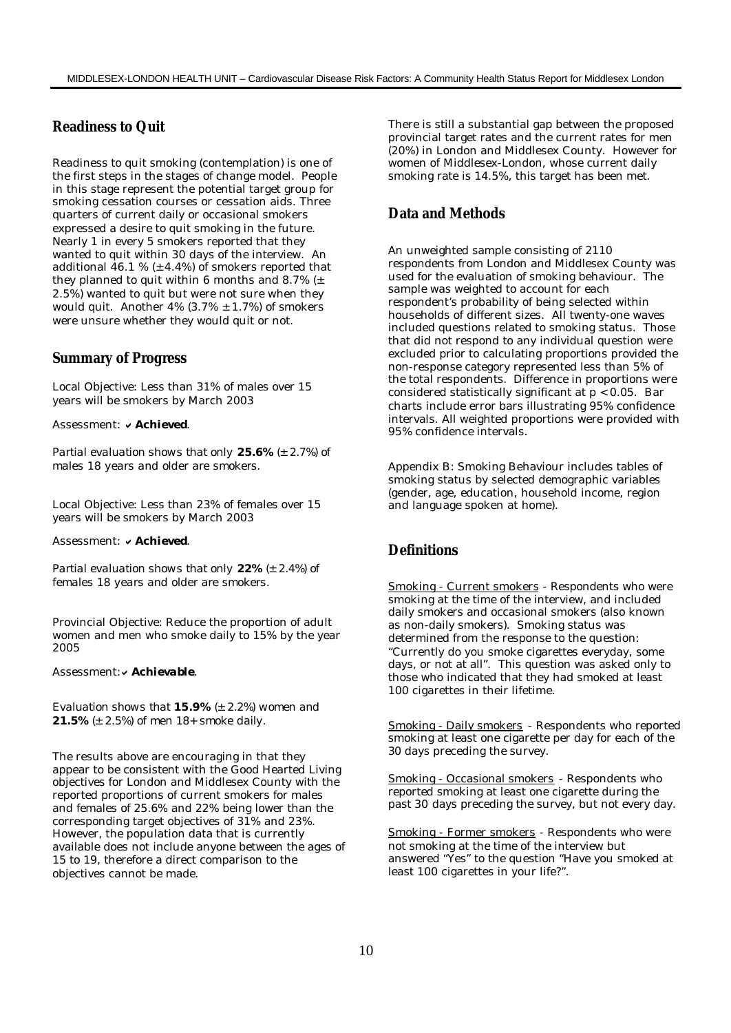## **Readiness to Quit**

Readiness to quit smoking (contemplation) is one of the first steps in the stages of change model. People in this stage represent the potential target group for smoking cessation courses or cessation aids. Three quarters of current daily or occasional smokers expressed a desire to quit smoking in the future. Nearly 1 in every 5 smokers reported that they wanted to quit within 30 days of the interview. An additional 46.1 %  $(\pm 4.4\%)$  of smokers reported that they planned to quit within 6 months and 8.7%  $(\pm$ 2.5%) wanted to quit but were not sure when they would quit. Another  $4\%$  (3.7%  $\pm$  1.7%) of smokers were unsure whether they would quit or not.

#### **Summary of Progress**

Local Objective: Less than 31% of males over 15 years will be smokers by March 2003

Assessment: v Achieved.

*Partial evaluation shows that only 25.6% (± 2.7%) of males 18 years and older are smokers.*

Local Objective: Less than 23% of females over 15 years will be smokers by March 2003

Assessment: v Achieved.

*Partial evaluation shows that only 22% (± 2.4%) of females 18 years and older are smokers.*

Provincial Objective: Reduce the proportion of adult women and men who smoke daily to 15% by the year 2005

Assessment: v Achievable.

*Evaluation shows that 15.9% (± 2.2%) women and 21.5% (± 2.5%) of men 18+ smoke daily.*

The results above are encouraging in that they appear to be consistent with the Good Hearted Living objectives for London and Middlesex County with the reported proportions of current smokers for males and females of 25.6% and 22% being lower than the corresponding target objectives of 31% and 23%. However, the population data that is currently available does not include anyone between the ages of 15 to 19, therefore a direct comparison to the objectives cannot be made.

There is still a substantial gap between the proposed provincial target rates and the current rates for men (20%) in London and Middlesex County. However for women of Middlesex-London, whose current daily smoking rate is 14.5%, this target has been met.

## **Data and Methods**

An unweighted sample consisting of 2110 respondents from London and Middlesex County was used for the evaluation of smoking behaviour. The sample was weighted to account for each respondent's probability of being selected within households of different sizes. All twenty-one waves included questions related to smoking status. Those that did not respond to any individual question were excluded prior to calculating proportions provided the non-response category represented less than 5% of the total respondents. Difference in proportions were considered statistically significant at  $p < 0.05$ . Bar charts include error bars illustrating 95% confidence intervals. All weighted proportions were provided with 95% confidence intervals.

Appendix B: Smoking Behaviour includes tables of smoking status by selected demographic variables (gender, age, education, household income, region and language spoken at home).

## **Definitions**

Smoking - Current smokers - Respondents who were smoking at the time of the interview, and included daily smokers and occasional smokers (also known as non-daily smokers). Smoking status was determined from the response to the question: "Currently do you smoke cigarettes everyday, some days, or not at all". This question was asked only to those who indicated that they had smoked at least 100 cigarettes in their lifetime.

Smoking - Daily smokers - Respondents who reported smoking at least one cigarette per day for each of the 30 days preceding the survey.

Smoking - Occasional smokers - Respondents who reported smoking at least one cigarette during the past 30 days preceding the survey, but not every day.

Smoking - Former smokers - Respondents who were not smoking at the time of the interview but answered "Yes" to the question "Have you smoked at least 100 cigarettes in your life?".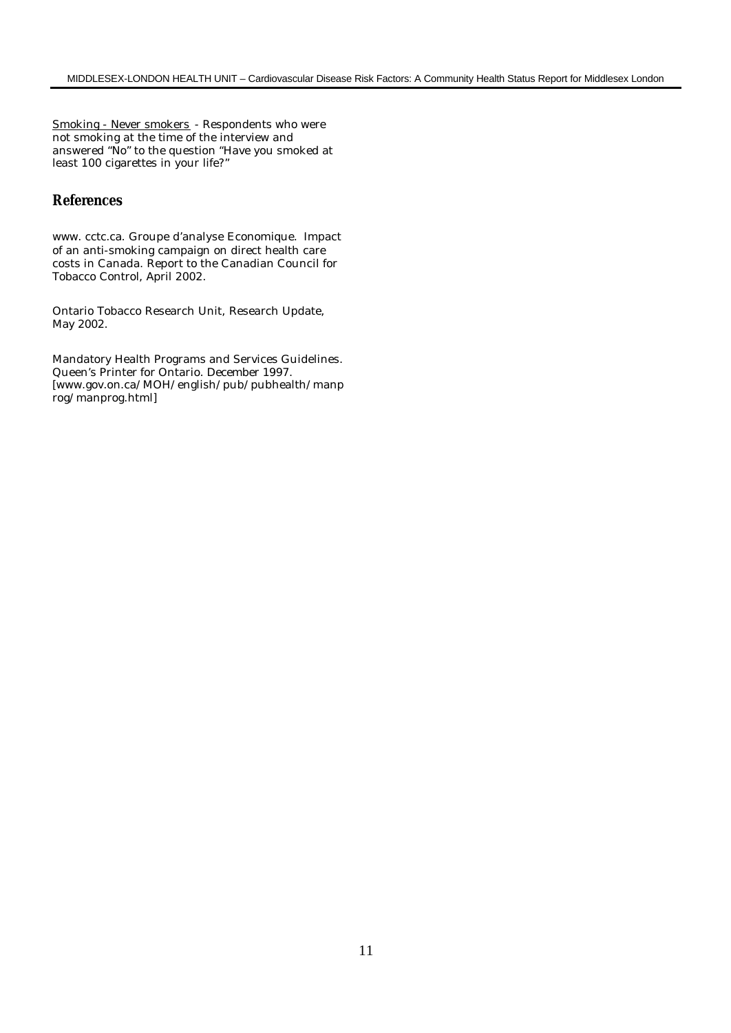Smoking - Never smokers - Respondents who were not smoking at the time of the interview and answered "No" to the question "Have you smoked at least 100 cigarettes in your life?"

## **References**

www. cctc.ca. Groupe d'analyse Economique. Impact of an anti-smoking campaign on direct health care costs in Canada. Report to the Canadian Council for Tobacco Control, April 2002.

Ontario Tobacco Research Unit, Research Update, May 2002.

Mandatory Health Programs and Services Guidelines. Queen's Printer for Ontario. December 1997. [www.gov.on.ca/MOH/english/pub/pubhealth/manp rog/manprog.html]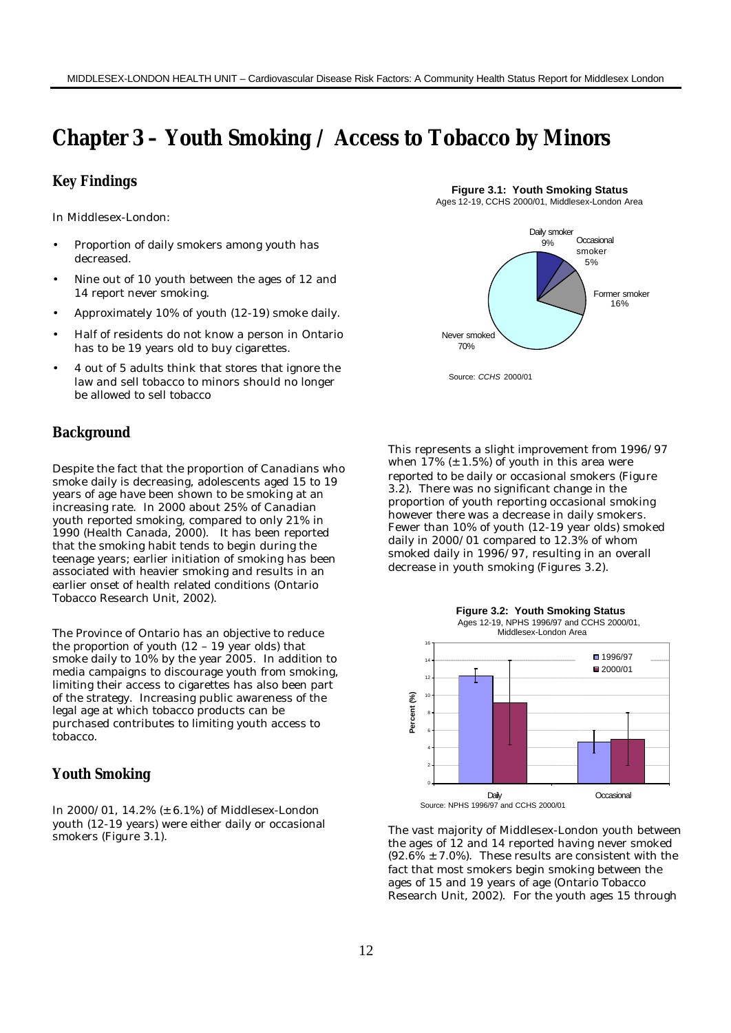# **Chapter 3 – Youth Smoking / Access to Tobacco by Minors**

#### **Key Findings**

In Middlesex-London:

- Proportion of daily smokers among youth has decreased.
- Nine out of 10 youth between the ages of 12 and 14 report never smoking.
- Approximately 10% of youth (12-19) smoke daily.
- Half of residents do not know a person in Ontario has to be 19 years old to buy cigarettes.
- 4 out of 5 adults think that stores that ignore the law and sell tobacco to minors should no longer be allowed to sell tobacco

## **Background**

Despite the fact that the proportion of Canadians who smoke daily is decreasing, adolescents aged 15 to 19 years of age have been shown to be smoking at an increasing rate. In 2000 about 25% of Canadian youth reported smoking, compared to only 21% in 1990 (Health Canada, 2000). It has been reported that the smoking habit tends to begin during the teenage years; earlier initiation of smoking has been associated with heavier smoking and results in an earlier onset of health related conditions (Ontario Tobacco Research Unit, 2002).

The Province of Ontario has an objective to reduce the proportion of youth (12 – 19 year olds) that smoke daily to 10% by the year 2005. In addition to media campaigns to discourage youth from smoking, limiting their access to cigarettes has also been part of the strategy. Increasing public awareness of the legal age at which tobacco products can be purchased contributes to limiting youth access to tobacco.

# **Youth Smoking**

In 2000/01, 14.2% (± 6.1%) of Middlesex-London youth (12-19 years) were either daily or occasional smokers (Figure 3.1).

**Figure 3.1: Youth Smoking Status** Ages 12-19, CCHS 2000/01, Middlesex-London Area



This represents a slight improvement from 1996/97 when  $17\%$  ( $\pm$  1.5%) of youth in this area were reported to be daily or occasional smokers (Figure 3.2). There was no significant change in the proportion of youth reporting occasional smoking however there was a decrease in daily smokers. Fewer than 10% of youth (12-19 year olds) smoked daily in 2000/01 compared to 12.3% of whom smoked daily in 1996/97, resulting in an overall decrease in youth smoking (Figures 3.2).



The vast majority of Middlesex-London youth between the ages of 12 and 14 reported having never smoked  $(92.6\% \pm 7.0\%)$ . These results are consistent with the fact that most smokers begin smoking between the ages of 15 and 19 years of age (Ontario Tobacco Research Unit, 2002). For the youth ages 15 through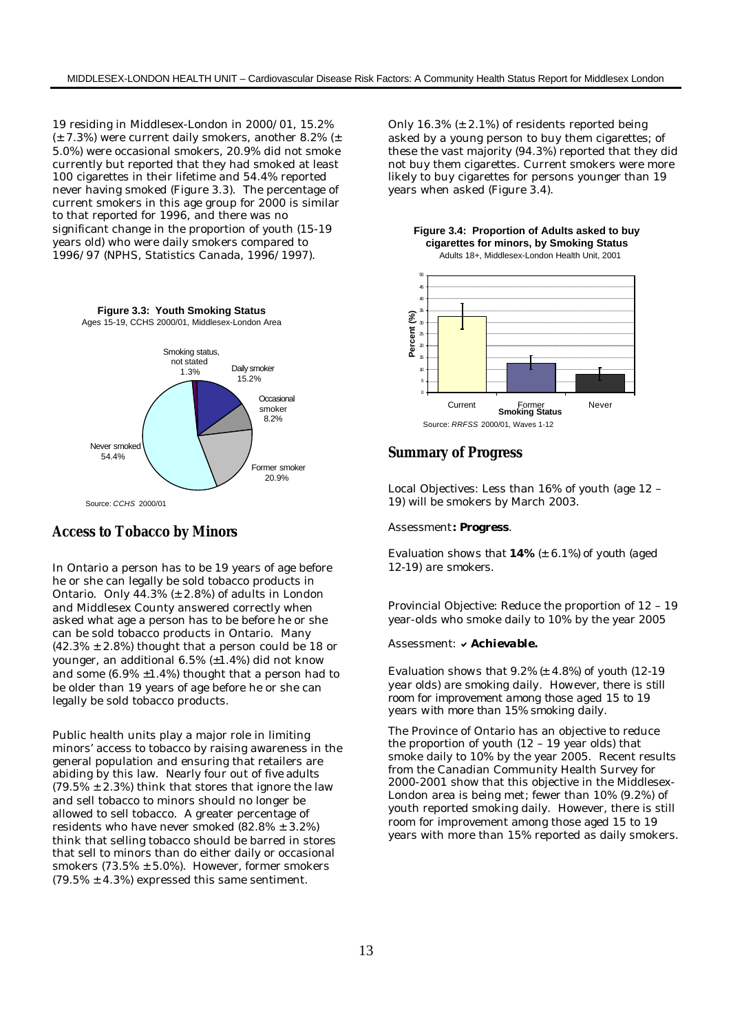19 residing in Middlesex-London in 2000/01, 15.2% (± 7.3%) were current daily smokers, another 8.2% (± 5.0%) were occasional smokers, 20.9% did not smoke currently but reported that they had smoked at least 100 cigarettes in their lifetime and 54.4% reported never having smoked (Figure 3.3). The percentage of current smokers in this age group for 2000 is similar to that reported for 1996, and there was no significant change in the proportion of youth (15-19 years old) who were daily smokers compared to 1996/97 (NPHS, Statistics Canada, 1996/1997).



#### **Access to Tobacco by Minors**

In Ontario a person has to be 19 years of age before he or she can legally be sold tobacco products in Ontario. Only  $44.3\%$  ( $\pm 2.8\%$ ) of adults in London and Middlesex County answered correctly when asked what age a person has to be before he or she can be sold tobacco products in Ontario. Many  $(42.3\% \pm 2.8\%)$  thought that a person could be 18 or younger, an additional 6.5% (±1.4%) did not know and some  $(6.9\% \pm 1.4\%)$  thought that a person had to be older than 19 years of age before he or she can legally be sold tobacco products.

Public health units play a major role in limiting minors' access to tobacco by raising awareness in the general population and ensuring that retailers are abiding by this law. Nearly four out of five adults  $(79.5\% \pm 2.3\%)$  think that stores that ignore the law and sell tobacco to minors should no longer be allowed to sell tobacco. A greater percentage of residents who have never smoked  $(82.8\% \pm 3.2\%)$ think that selling tobacco should be barred in stores that sell to minors than do either daily or occasional smokers  $(73.5\% \pm 5.0\%)$ . However, former smokers  $(79.5\% \pm 4.3\%)$  expressed this same sentiment.

Only 16.3%  $(\pm 2.1\%)$  of residents reported being asked by a young person to buy them cigarettes; of these the vast majority (94.3%) reported that they did not buy them cigarettes. Current smokers were more likely to buy cigarettes for persons younger than 19 years when asked (Figure 3.4).





## **Summary of Progress**

Local Objectives: Less than 16% of youth (age 12 – 19) will be smokers by March 2003.

#### Assessment*: Progress.*

*Evaluation shows that 14% (± 6.1%) of youth (aged 12-19) are smokers.*

Provincial Objective: Reduce the proportion of 12 – 19 year-olds who smoke daily to 10% by the year 2005

#### Assessment: v Achievable.

*Evaluation shows that 9.2% (± 4.8%) of youth (12-19 year olds) are smoking daily. However, there is still room for improvement among those aged 15 to 19 years with more than 15% smoking daily.*

The Province of Ontario has an objective to reduce the proportion of youth (12 – 19 year olds) that smoke daily to 10% by the year 2005. Recent results from the Canadian Community Health Survey for 2000-2001 show that this objective in the Middlesex-London area is being met; fewer than 10% (9.2%) of youth reported smoking daily. However, there is still room for improvement among those aged 15 to 19 years with more than 15% reported as daily smokers.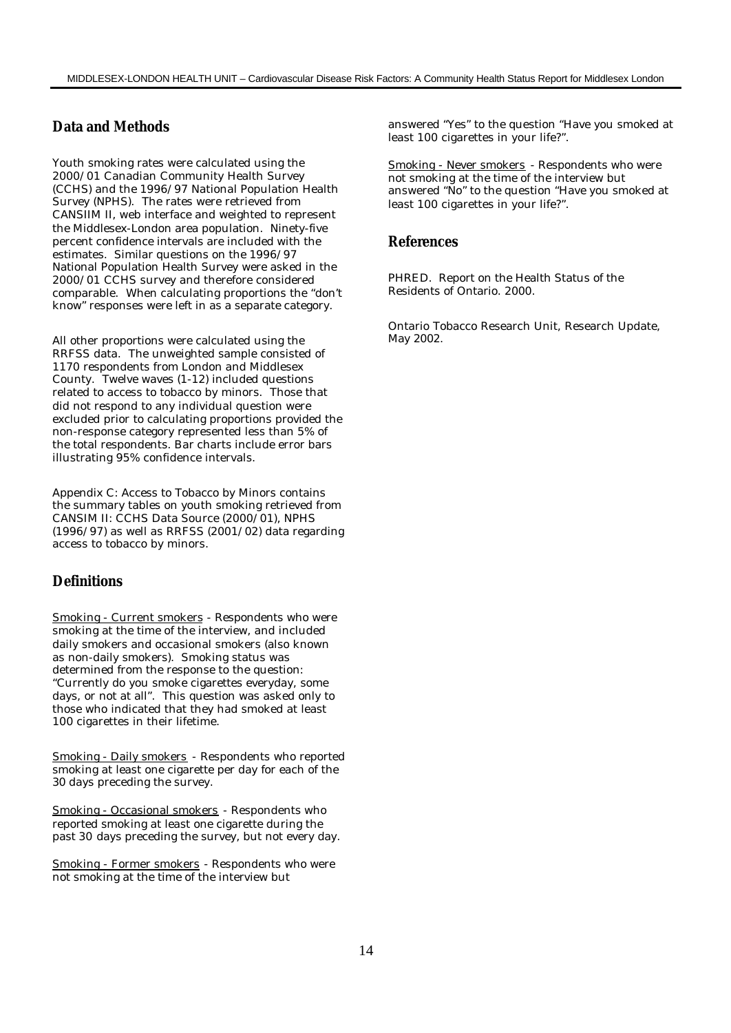# **Data and Methods**

Youth smoking rates were calculated using the 2000/01 Canadian Community Health Survey (CCHS) and the 1996/97 National Population Health Survey (NPHS). The rates were retrieved from CANSIIM II, web interface and weighted to represent the Middlesex-London area population. Ninety-five percent confidence intervals are included with the estimates. Similar questions on the 1996/97 National Population Health Survey were asked in the 2000/01 CCHS survey and therefore considered comparable. When calculating proportions the "don't know" responses were left in as a separate category.

All other proportions were calculated using the RRFSS data. The unweighted sample consisted of 1170 respondents from London and Middlesex County. Twelve waves (1-12) included questions related to access to tobacco by minors. Those that did not respond to any individual question were excluded prior to calculating proportions provided the non-response category represented less than 5% of the total respondents. Bar charts include error bars illustrating 95% confidence intervals.

Appendix C: Access to Tobacco by Minors contains the summary tables on youth smoking retrieved from CANSIM II: CCHS Data Source (2000/01), NPHS (1996/97) as well as RRFSS (2001/02) data regarding access to tobacco by minors.

# **Definitions**

Smoking - Current smokers - Respondents who were smoking at the time of the interview, and included daily smokers and occasional smokers (also known as non-daily smokers). Smoking status was determined from the response to the question: "Currently do you smoke cigarettes everyday, some days, or not at all". This question was asked only to those who indicated that they had smoked at least 100 cigarettes in their lifetime.

Smoking - Daily smokers - Respondents who reported smoking at least one cigarette per day for each of the 30 days preceding the survey.

Smoking - Occasional smokers - Respondents who reported smoking at least one cigarette during the past 30 days preceding the survey, but not every day.

Smoking - Former smokers - Respondents who were not smoking at the time of the interview but

answered "Yes" to the question "Have you smoked at least 100 cigarettes in your life?".

Smoking - Never smokers - Respondents who were not smoking at the time of the interview but answered "No" to the question "Have you smoked at least 100 cigarettes in your life?".

## **References**

PHRED. Report on the Health Status of the Residents of Ontario. 2000.

Ontario Tobacco Research Unit, Research Update, May 2002.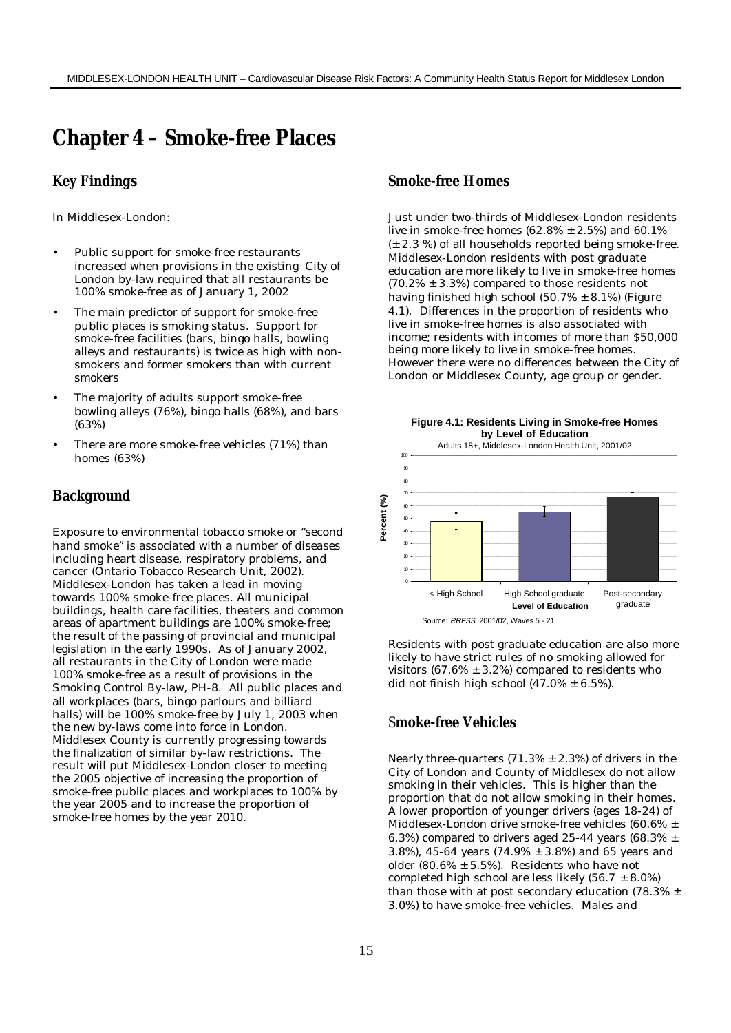# **Chapter 4 – Smoke-free Places**

## **Key Findings**

In Middlesex-London:

- Public support for smoke-free restaurants increased when provisions in the existing City of London by-law required that all restaurants be 100% smoke-free as of January 1, 2002
- The main predictor of support for smoke-free public places is smoking status. Support for smoke-free facilities (bars, bingo halls, bowling alleys and restaurants) is twice as high with nonsmokers and former smokers than with current smokers
- The majority of adults support smoke-free bowling alleys (76%), bingo halls (68%), and bars (63%)
- There are more smoke-free vehicles (71%) than homes (63%)

## **Background**

Exposure to environmental tobacco smoke or "second hand smoke" is associated with a number of diseases including heart disease, respiratory problems, and cancer (Ontario Tobacco Research Unit, 2002). Middlesex-London has taken a lead in moving towards 100% smoke-free places. All municipal buildings, health care facilities, theaters and common areas of apartment buildings are 100% smoke-free; the result of the passing of provincial and municipal legislation in the early 1990s. As of January 2002, all restaurants in the City of London were made 100% smoke-free as a result of provisions in the Smoking Control By-law, PH-8. All public places and all workplaces (bars, bingo parlours and billiard halls) will be 100% smoke-free by July 1, 2003 when the new by-laws come into force in London. Middlesex County is currently progressing towards the finalization of similar by-law restrictions. The result will put Middlesex-London closer to meeting the 2005 objective of increasing the proportion of smoke-free public places and workplaces to 100% by the year 2005 and to increase the proportion of smoke-free homes by the year 2010.

# **Smoke-free Homes**

Just under two-thirds of Middlesex-London residents live in smoke-free homes  $(62.8\% \pm 2.5\%)$  and  $60.1\%$ (± 2.3 %) of all households reported being smoke-free. Middlesex-London residents with post graduate education are more likely to live in smoke-free homes  $(70.2\% \pm 3.3\%)$  compared to those residents not having finished high school  $(50.7% \pm 8.1%)$  (Figure 4.1). Differences in the proportion of residents who live in smoke-free homes is also associated with income; residents with incomes of more than \$50,000 being more likely to live in smoke-free homes. However there were no differences between the City of London or Middlesex County, age group or gender.



Residents with post graduate education are also more likely to have strict rules of no smoking allowed for visitors  $(67.6\% \pm 3.2\%)$  compared to residents who did not finish high school  $(47.0\% \pm 6.5\%)$ .

# S**moke-free Vehicles**

Nearly three-quarters  $(71.3% \pm 2.3%)$  of drivers in the City of London and County of Middlesex do not allow smoking in their vehicles. This is higher than the proportion that do not allow smoking in their homes. A lower proportion of younger drivers (ages 18-24) of Middlesex-London drive smoke-free vehicles (60.6% ± 6.3%) compared to drivers aged 25-44 years (68.3%  $\pm$ 3.8%), 45-64 years (74.9% ± 3.8%) and 65 years and older (80.6%  $\pm$  5.5%). Residents who have not completed high school are less likely  $(56.7 \pm 8.0\%)$ than those with at post secondary education (78.3% ± 3.0%) to have smoke-free vehicles. Males and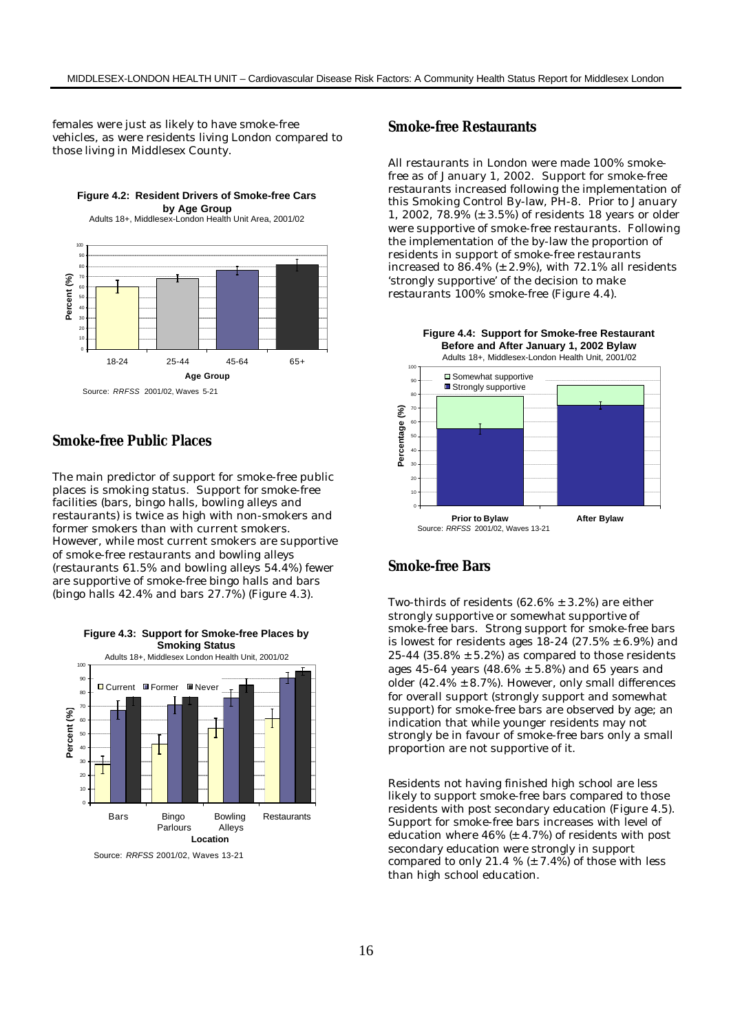females were just as likely to have smoke-free vehicles, as were residents living London compared to those living in Middlesex County.



## **Smoke-free Public Places**

The main predictor of support for smoke-free public places is smoking status. Support for smoke-free facilities (bars, bingo halls, bowling alleys and restaurants) is twice as high with non-smokers and former smokers than with current smokers. However, while most current smokers are supportive of smoke-free restaurants and bowling alleys (restaurants 61.5% and bowling alleys 54.4%) fewer are supportive of smoke-free bingo halls and bars (bingo halls 42.4% and bars 27.7%) (Figure 4.3).



Source: *RRFSS* 2001/02, Waves 13-21

#### **Smoke-free Restaurants**

All restaurants in London were made 100% smokefree as of January 1, 2002. Support for smoke-free restaurants increased following the implementation of this Smoking Control By-law, PH-8. Prior to January 1, 2002, 78.9% (± 3.5%) of residents 18 years or older were supportive of smoke-free restaurants. Following the implementation of the by-law the proportion of residents in support of smoke-free restaurants increased to  $86.4\%$  ( $\pm$  2.9%), with 72.1% all residents 'strongly supportive' of the decision to make restaurants 100% smoke-free (Figure 4.4).



## **Smoke-free Bars**

Two-thirds of residents  $(62.6\% \pm 3.2\%)$  are either strongly supportive or somewhat supportive of smoke-free bars. Strong support for smoke-free bars is lowest for residents ages  $18-24$  (27.5%  $\pm$  6.9%) and 25-44 (35.8%  $\pm$  5.2%) as compared to those residents ages 45-64 years (48.6%  $\pm$  5.8%) and 65 years and older (42.4%  $\pm$  8.7%). However, only small differences for overall support (strongly support and somewhat support) for smoke-free bars are observed by age; an indication that while younger residents may not strongly be in favour of smoke-free bars only a small proportion are not supportive of it.

Residents not having finished high school are less likely to support smoke-free bars compared to those residents with post secondary education (Figure 4.5). Support for smoke-free bars increases with level of education where  $46\%$  ( $\pm$  4.7%) of residents with post secondary education were strongly in support compared to only 21.4 %  $(\pm 7.4%)$  of those with less than high school education.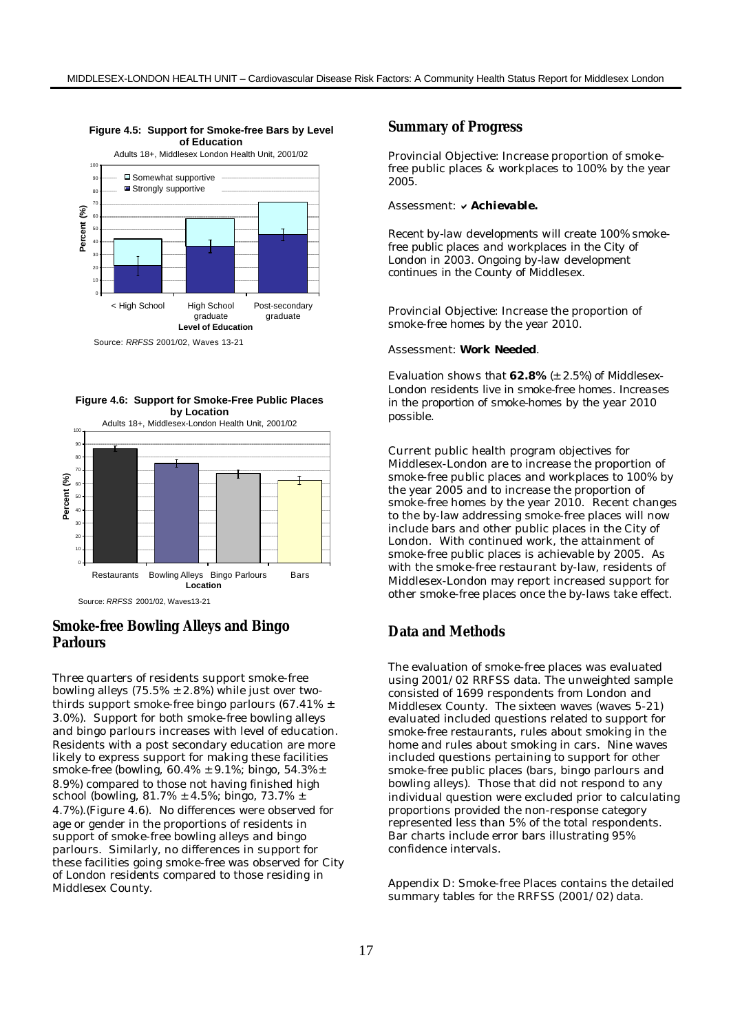

Source: *RRFSS* 2001/02, Waves 13-21





# **Smoke-free Bowling Alleys and Bingo Parlours**

Three quarters of residents support smoke-free bowling alleys  $(75.5\% \pm 2.8\%)$  while just over twothirds support smoke-free bingo parlours (67.41% ± 3.0%). Support for both smoke-free bowling alleys and bingo parlours increases with level of education. Residents with a post secondary education are more likely to express support for making these facilities smoke-free (bowling,  $60.4\% \pm 9.1\%$ ; bingo,  $54.3\% \pm$ 8.9%) compared to those not having finished high school (bowling, 81.7% ± 4.5%; bingo, 73.7% ± 4.7%).(Figure 4.6). No differences were observed for age or gender in the proportions of residents in support of smoke-free bowling alleys and bingo parlours. Similarly, no differences in support for these facilities going smoke-free was observed for City of London residents compared to those residing in Middlesex County.

#### **Summary of Progress**

Provincial Objective: Increase proportion of smokefree public places & workplaces to 100% by the year 2005.

#### Assessment: v Achievable.

*Recent by-law developments will create 100% smokefree public places and workplaces in the City of London in 2003. Ongoing by-law development continues in the County of Middlesex.*

Provincial Objective: Increase the proportion of smoke-free homes by the year 2010.

#### Assessment: *Work Needed.*

*Evaluation shows that 62.8% (± 2.5%) of Middlesex-London residents live in smoke-free homes. Increases in the proportion of smoke-homes by the year 2010 possible.*

Current public health program objectives for Middlesex-London are to increase the proportion of smoke-free public places and workplaces to 100% by the year 2005 and to increase the proportion of smoke-free homes by the year 2010. Recent changes to the by-law addressing smoke-free places will now include bars and other public places in the City of London. With continued work, the attainment of smoke-free public places is achievable by 2005. As with the smoke-free restaurant by-law, residents of Middlesex-London may report increased support for other smoke-free places once the by-laws take effect.

#### **Data and Methods**

The evaluation of smoke-free places was evaluated using 2001/02 RRFSS data. The unweighted sample consisted of 1699 respondents from London and Middlesex County. The sixteen waves (waves 5-21) evaluated included questions related to support for smoke-free restaurants, rules about smoking in the home and rules about smoking in cars. Nine waves included questions pertaining to support for other smoke-free public places (bars, bingo parlours and bowling alleys). Those that did not respond to any individual question were excluded prior to calculating proportions provided the non-response category represented less than 5% of the total respondents. Bar charts include error bars illustrating 95% confidence intervals.

Appendix D: Smoke-free Places contains the detailed summary tables for the RRFSS (2001/02) data.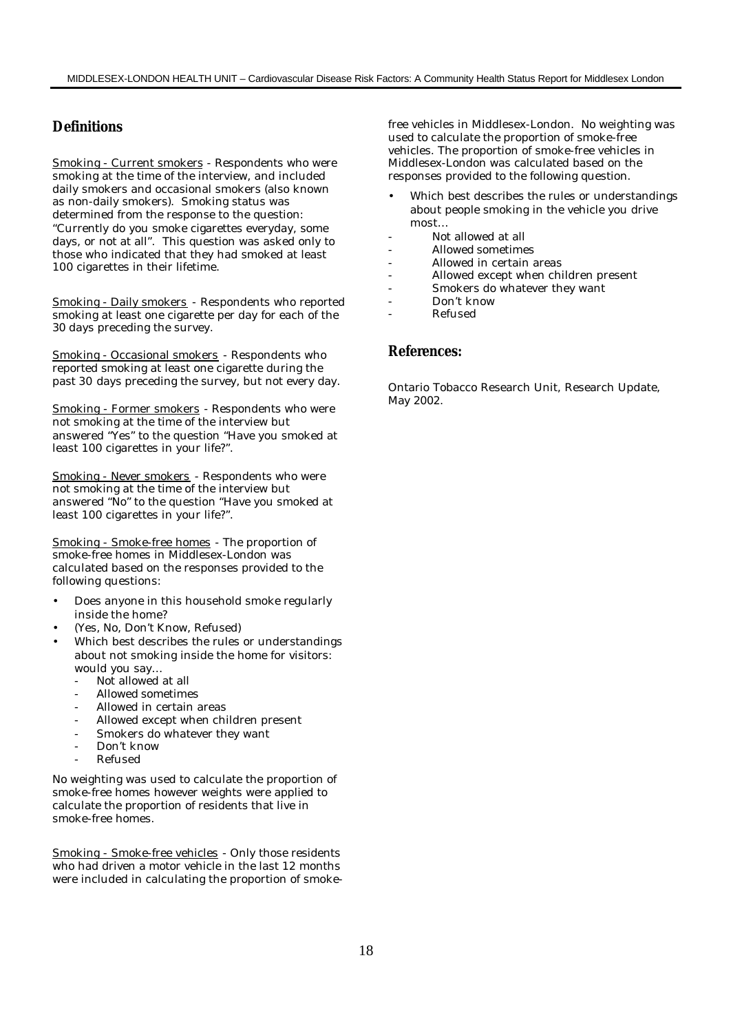# **Definitions**

Smoking - Current smokers - Respondents who were smoking at the time of the interview, and included daily smokers and occasional smokers (also known as non-daily smokers). Smoking status was determined from the response to the question: "Currently do you smoke cigarettes everyday, some days, or not at all". This question was asked only to those who indicated that they had smoked at least 100 cigarettes in their lifetime.

Smoking - Daily smokers - Respondents who reported smoking at least one cigarette per day for each of the 30 days preceding the survey.

Smoking - Occasional smokers - Respondents who reported smoking at least one cigarette during the past 30 days preceding the survey, but not every day.

Smoking - Former smokers - Respondents who were not smoking at the time of the interview but answered "Yes" to the question "Have you smoked at least 100 cigarettes in your life?".

Smoking - Never smokers - Respondents who were not smoking at the time of the interview but answered "No" to the question "Have you smoked at least 100 cigarettes in your life?".

Smoking - Smoke-free homes - The proportion of smoke-free homes in Middlesex-London was calculated based on the responses provided to the following questions:

- Does anyone in this household smoke regularly inside the home?
- (Yes, No, Don't Know, Refused)
- Which best describes the rules or understandings about not smoking inside the home for visitors: would you say…
	- Not allowed at all
	- Allowed sometimes
	- Allowed in certain areas
	- Allowed except when children present
	- Smokers do whatever they want
	- Don't know
	- Refused

No weighting was used to calculate the proportion of smoke-free homes however weights were applied to calculate the proportion of residents that live in smoke-free homes.

Smoking - Smoke-free vehicles - Only those residents who had driven a motor vehicle in the last 12 months were included in calculating the proportion of smokefree vehicles in Middlesex-London. No weighting was used to calculate the proportion of smoke-free vehicles. The proportion of smoke-free vehicles in Middlesex-London was calculated based on the responses provided to the following question.

- Which best describes the rules or understandings about people smoking in the vehicle you drive most…
- Not allowed at all
- Allowed sometimes
- Allowed in certain areas
- Allowed except when children present
- Smokers do whatever they want
	- Don't know
- Refused

#### **References:**

Ontario Tobacco Research Unit, Research Update, May 2002.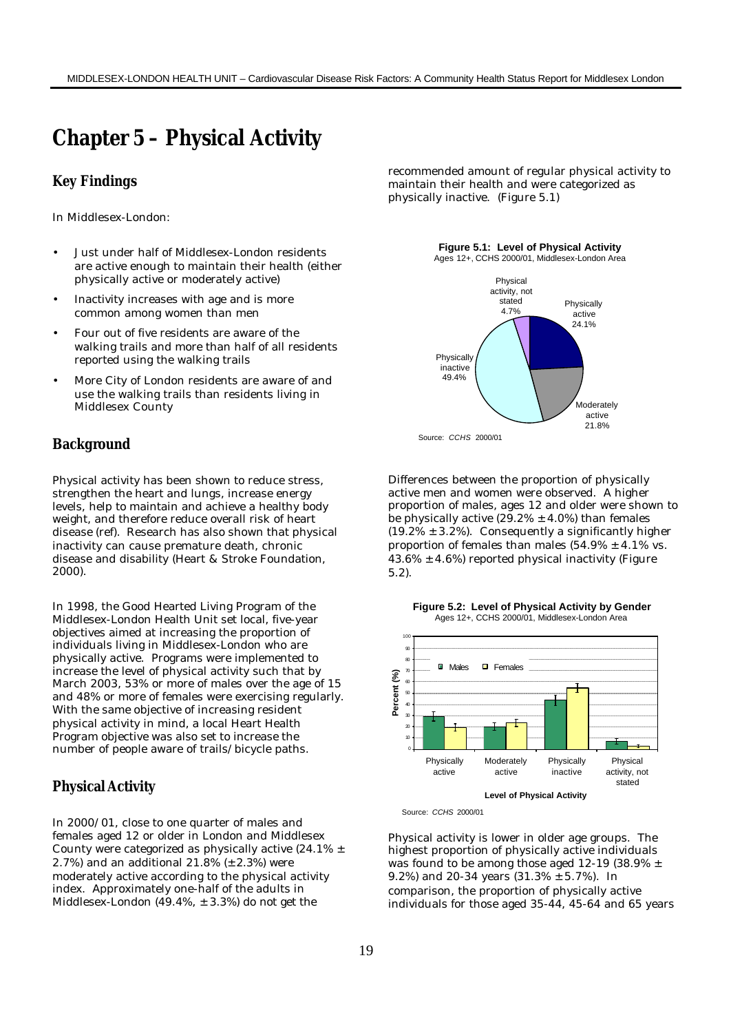# **Chapter 5 – Physical Activity**

### **Key Findings**

In Middlesex-London:

- Just under half of Middlesex-London residents are active enough to maintain their health (either physically active or moderately active)
- Inactivity increases with age and is more common among women than men
- Four out of five residents are aware of the walking trails and more than half of all residents reported using the walking trails
- More City of London residents are aware of and use the walking trails than residents living in Middlesex County

#### **Background**

Physical activity has been shown to reduce stress, strengthen the heart and lungs, increase energy levels, help to maintain and achieve a healthy body weight, and therefore reduce overall risk of heart disease (ref). Research has also shown that physical inactivity can cause premature death, chronic disease and disability (Heart & Stroke Foundation, 2000).

In 1998, the Good Hearted Living Program of the Middlesex-London Health Unit set local, five-year objectives aimed at increasing the proportion of individuals living in Middlesex-London who are physically active. Programs were implemented to increase the level of physical activity such that by March 2003, 53% or more of males over the age of 15 and 48% or more of females were exercising regularly. With the same objective of increasing resident physical activity in mind, a local Heart Health Program objective was also set to increase the number of people aware of trails/bicycle paths.

## **Physical Activity**

In 2000/01, close to one quarter of males and females aged 12 or older in London and Middlesex County were categorized as physically active (24.1%  $\pm$ 2.7%) and an additional  $21.8\%$  ( $\pm$  2.3%) were moderately active according to the physical activity index. Approximately one-half of the adults in Middlesex-London (49.4%, ± 3.3%) do not get the

recommended amount of regular physical activity to maintain their health and were categorized as physically inactive. (Figure 5.1)

**Figure 5.1: Level of Physical Activity** 



Source: *CCHS* 2000/01

Differences between the proportion of physically active men and women were observed. A higher proportion of males, ages 12 and older were shown to be physically active  $(29.2% \pm 4.0%)$  than females  $(19.2\% \pm 3.2\%)$ . Consequently a significantly higher proportion of females than males  $(54.9\% \pm 4.1\% \text{ vs.})$  $43.6\% \pm 4.6\%$ ) reported physical inactivity (Figure 5.2).

**Figure 5.2: Level of Physical Activity by Gender** Ages 12+, CCHS 2000/01, Middlesex-London Area



Source: *CCHS* 2000/01

Physical activity is lower in older age groups. The highest proportion of physically active individuals was found to be among those aged 12-19 (38.9%  $\pm$ 9.2%) and 20-34 years (31.3% ± 5.7%). In comparison, the proportion of physically active individuals for those aged 35-44, 45-64 and 65 years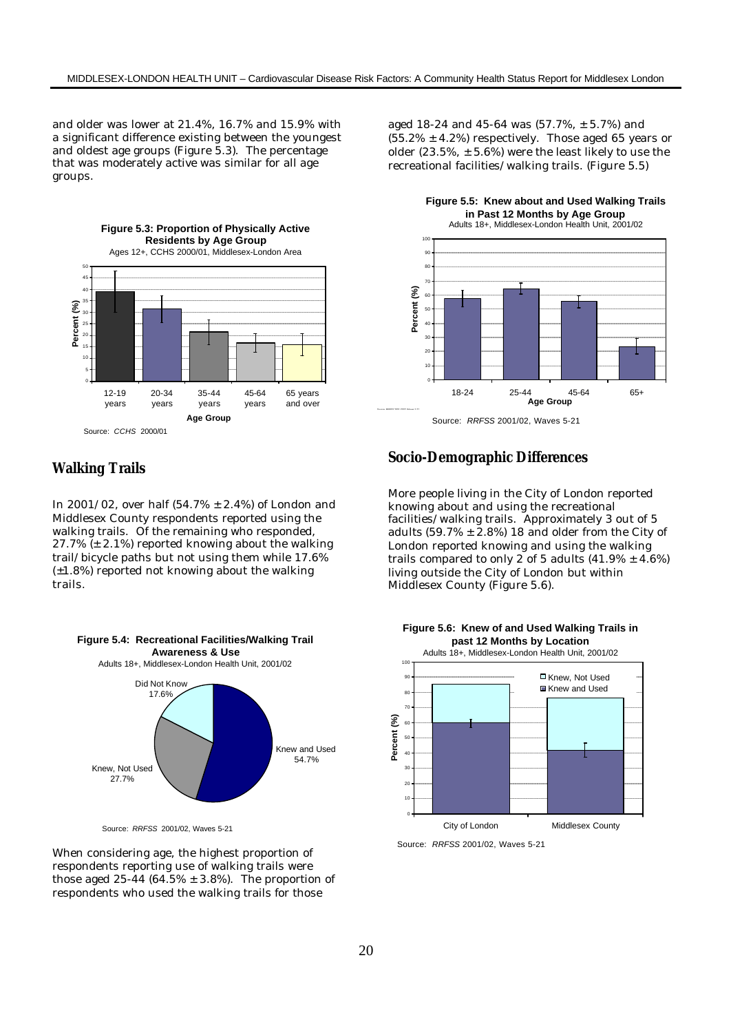and older was lower at 21.4%, 16.7% and 15.9% with a significant difference existing between the youngest and oldest age groups (Figure 5.3). The percentage that was moderately active was similar for all age groups.



## **Walking Trails**

In 2001/02, over half  $(54.7% \pm 2.4%)$  of London and Middlesex County respondents reported using the walking trails. Of the remaining who responded,  $27.7\%$  ( $\pm$  2.1%) reported knowing about the walking trail/bicycle paths but not using them while 17.6% (±1.8%) reported not knowing about the walking trails.



Source: *RRFSS* 2001/02, Waves 5-21

When considering age, the highest proportion of respondents reporting use of walking trails were those aged  $25-44$  (64.5%  $\pm$  3.8%). The proportion of respondents who used the walking trails for those

aged 18-24 and 45-64 was (57.7%, ± 5.7%) and  $(55.2\% \pm 4.2\%)$  respectively. Those aged 65 years or older (23.5%,  $\pm$  5.6%) were the least likely to use the recreational facilities/walking trails. (Figure 5.5)

> **Figure 5.5: Knew about and Used Walking Trails in Past 12 Months by Age Group**



Source: *RRFSS* 2001/02, Waves 5-21

## **Socio-Demographic Differences**

More people living in the City of London reported knowing about and using the recreational facilities/walking trails. Approximately 3 out of 5 adults  $(59.7\% \pm 2.8\%)$  18 and older from the City of London reported knowing and using the walking trails compared to only 2 of 5 adults  $(41.9\% \pm 4.6\%)$ living outside the City of London but within Middlesex County (Figure 5.6).





Source: *RRFSS* 2001/02, Waves 5-21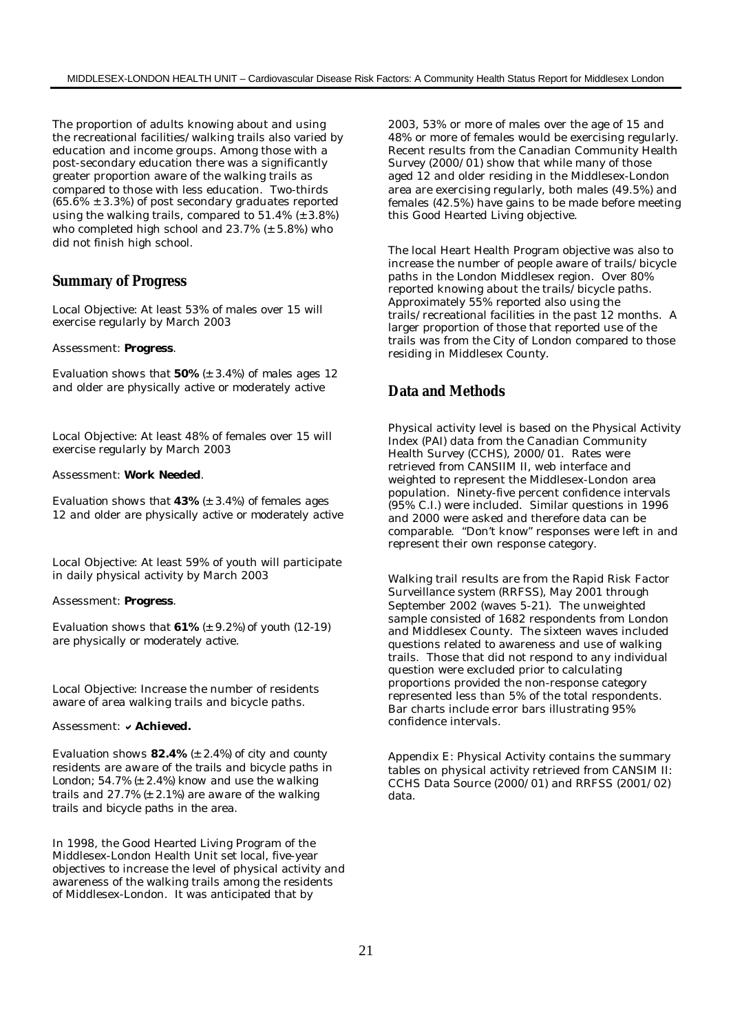The proportion of adults knowing about and using the recreational facilities/walking trails also varied by education and income groups. Among those with a post-secondary education there was a significantly greater proportion aware of the walking trails as compared to those with less education. Two-thirds  $(65.6\% \pm 3.3\%)$  of post secondary graduates reported using the walking trails, compared to 51.4% (± 3.8%) who completed high school and  $23.7\%$  ( $\pm$  5.8%) who did not finish high school.

#### **Summary of Progress**

Local Objective: At least 53% of males over 15 will exercise regularly by March 2003

#### Assessment: *Progress.*

*Evaluation shows that 50% (± 3.4%) of males ages 12 and older are physically active or moderately active*

Local Objective: At least 48% of females over 15 will exercise regularly by March 2003

#### Assessment: *Work Needed.*

*Evaluation shows that 43% (± 3.4%) of females ages 12 and older are physically active or moderately active*

Local Objective: At least 59% of youth will participate in daily physical activity by March 2003

#### Assessment: *Progress.*

*Evaluation shows that 61% (± 9.2%) of youth (12-19) are physically or moderately active.*

Local Objective: Increase the number of residents aware of area walking trails and bicycle paths.

#### Assessment: **v** Achieved.

*Evaluation shows 82.4% (± 2.4%) of city and county residents are aware of the trails and bicycle paths in London; 54.7% (± 2.4%) know and use the walking trails and 27.7% (± 2.1%) are aware of the walking trails and bicycle paths in the area.*

In 1998, the Good Hearted Living Program of the Middlesex-London Health Unit set local, five-year objectives to increase the level of physical activity and awareness of the walking trails among the residents of Middlesex-London. It was anticipated that by

2003, 53% or more of males over the age of 15 and 48% or more of females would be exercising regularly. Recent results from the Canadian Community Health Survey (2000/01) show that while many of those aged 12 and older residing in the Middlesex-London area are exercising regularly, both males (49.5%) and females (42.5%) have gains to be made before meeting this Good Hearted Living objective.

The local Heart Health Program objective was also to increase the number of people aware of trails/bicycle paths in the London Middlesex region. Over 80% reported knowing about the trails/bicycle paths. Approximately 55% reported also using the trails/recreational facilities in the past 12 months. A larger proportion of those that reported use of the trails was from the City of London compared to those residing in Middlesex County.

### **Data and Methods**

Physical activity level is based on the Physical Activity Index (PAI) data from the Canadian Community Health Survey (CCHS), 2000/01. Rates were retrieved from CANSIIM II, web interface and weighted to represent the Middlesex-London area population. Ninety-five percent confidence intervals (95% C.I.) were included. Similar questions in 1996 and 2000 were asked and therefore data can be comparable. "Don't know" responses were left in and represent their own response category.

Walking trail results are from the Rapid Risk Factor Surveillance system (RRFSS), May 2001 through September 2002 (waves 5-21). The unweighted sample consisted of 1682 respondents from London and Middlesex County. The sixteen waves included questions related to awareness and use of walking trails. Those that did not respond to any individual question were excluded prior to calculating proportions provided the non-response category represented less than 5% of the total respondents. Bar charts include error bars illustrating 95% confidence intervals.

Appendix E: Physical Activity contains the summary tables on physical activity retrieved from CANSIM II: CCHS Data Source (2000/01) and RRFSS (2001/02) data.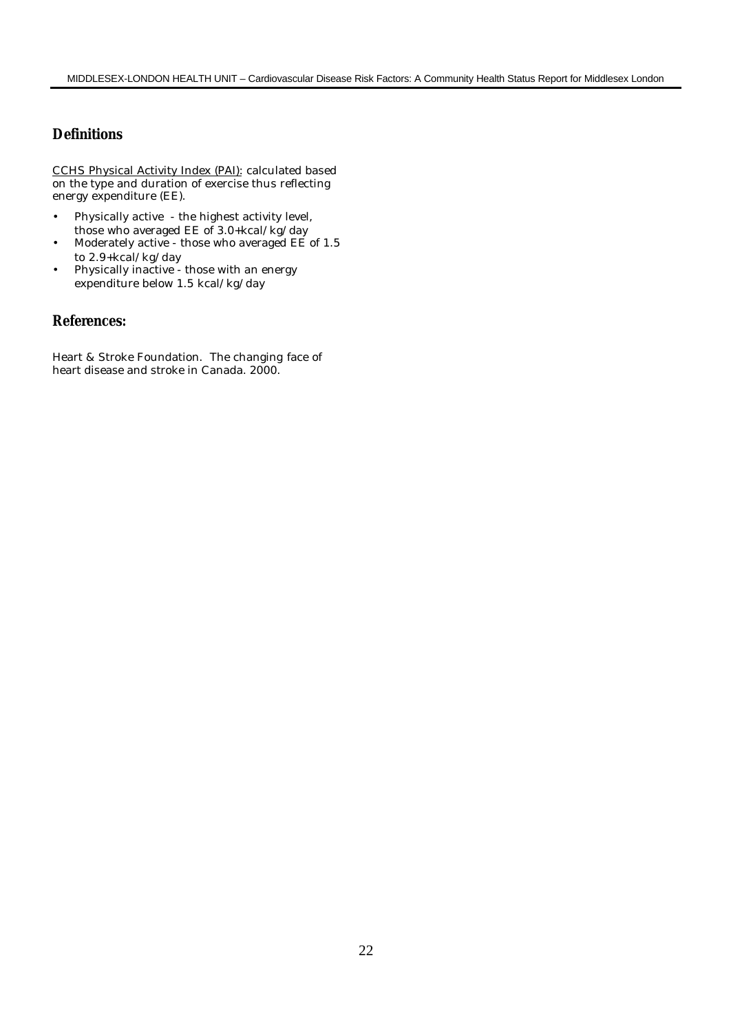# **Definitions**

CCHS Physical Activity Index (PAI): calculated based on the type and duration of exercise thus reflecting energy expenditure (EE).

- Physically active the highest activity level, those who averaged EE of 3.0+kcal/kg/day
- Moderately active those who averaged EE of 1.5 to 2.9+kcal/kg/day
- Physically inactive those with an energy expenditure below 1.5 kcal/kg/day

# **References:**

Heart & Stroke Foundation. The changing face of heart disease and stroke in Canada. 2000.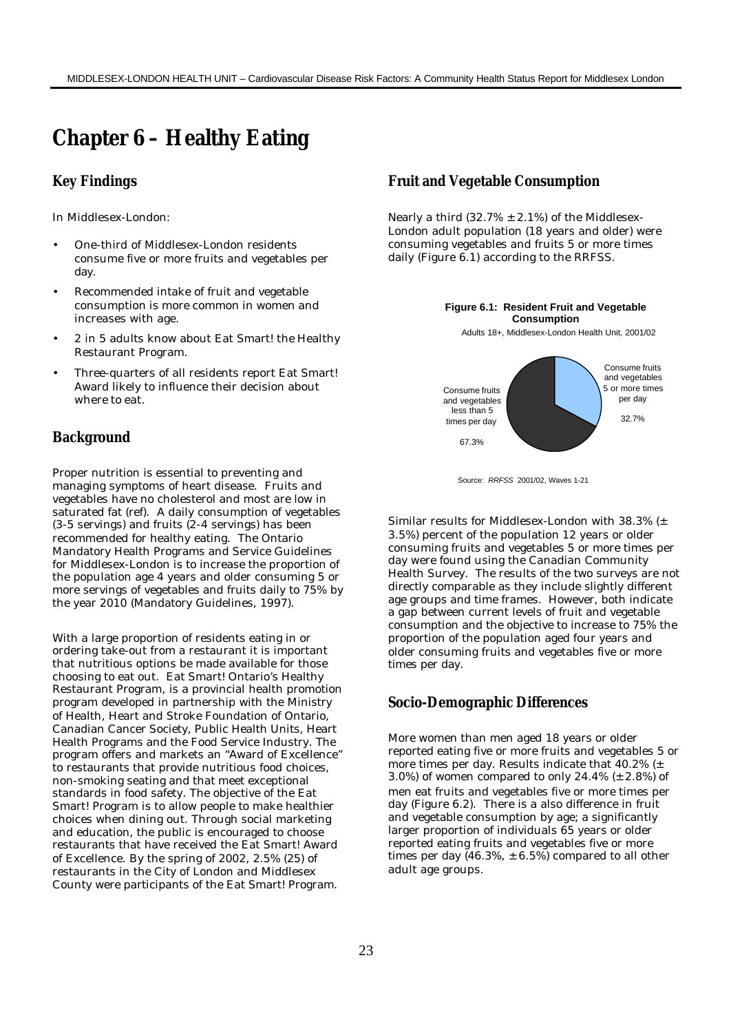# **Chapter 6 – Healthy Eating**

### **Key Findings**

In Middlesex-London:

- One-third of Middlesex-London residents consume five or more fruits and vegetables per day.
- Recommended intake of fruit and vegetable consumption is more common in women and increases with age.
- 2 in 5 adults know about Eat Smart! the Healthy Restaurant Program.
- Three-quarters of all residents report Eat Smart! Award likely to influence their decision about where to eat.

## **Background**

Proper nutrition is essential to preventing and managing symptoms of heart disease. Fruits and vegetables have no cholesterol and most are low in saturated fat (ref). A daily consumption of vegetables (3-5 servings) and fruits (2-4 servings) has been recommended for healthy eating. The Ontario Mandatory Health Programs and Service Guidelines for Middlesex-London is to increase the proportion of the population age 4 years and older consuming 5 or more servings of vegetables and fruits daily to 75% by the year 2010 (Mandatory Guidelines, 1997).

With a large proportion of residents eating in or ordering take-out from a restaurant it is important that nutritious options be made available for those choosing to eat out. Eat Smart! Ontario's Healthy Restaurant Program, is a provincial health promotion program developed in partnership with the Ministry of Health, Heart and Stroke Foundation of Ontario, Canadian Cancer Society, Public Health Units, Heart Health Programs and the Food Service Industry. The program offers and markets an "Award of Excellence" to restaurants that provide nutritious food choices, non-smoking seating and that meet exceptional standards in food safety. The objective of the Eat Smart! Program is to allow people to make healthier choices when dining out. Through social marketing and education, the public is encouraged to choose restaurants that have received the Eat Smart! Award of Excellence. By the spring of 2002, 2.5% (25) of restaurants in the City of London and Middlesex County were participants of the Eat Smart! Program.

# **Fruit and Vegetable Consumption**

Nearly a third  $(32.7\% \pm 2.1\%)$  of the Middlesex-London adult population (18 years and older) were consuming vegetables and fruits 5 or more times daily (Figure 6.1) according to the RRFSS.



Source: *RRFSS* 2001/02, Waves 1-21

Similar results for Middlesex-London with 38.3% (± 3.5%) percent of the population 12 years or older consuming fruits and vegetables 5 or more times per day were found using the Canadian Community Health Survey. The results of the two surveys are not directly comparable as they include slightly different age groups and time frames. However, both indicate a gap between current levels of fruit and vegetable consumption and the objective to increase to 75% the proportion of the population aged four years and older consuming fruits and vegetables five or more times per day.

#### **Socio-Demographic Differences**

More women than men aged 18 years or older reported eating five or more fruits and vegetables 5 or more times per day. Results indicate that 40.2% (± 3.0%) of women compared to only 24.4%  $(\pm 2.8\%)$  of men eat fruits and vegetables five or more times per day (Figure 6.2). There is a also difference in fruit and vegetable consumption by age; a significantly larger proportion of individuals 65 years or older reported eating fruits and vegetables five or more times per day  $(46.3\%, \pm 6.5\%)$  compared to all other adult age groups.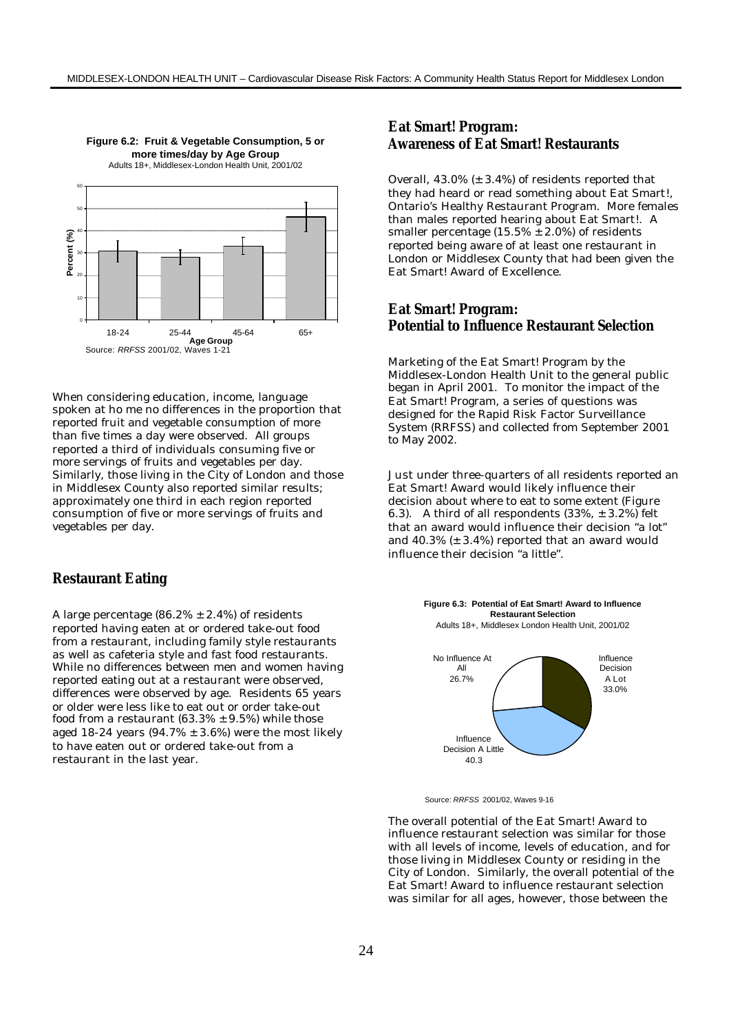

**Figure 6.2: Fruit & Vegetable Consumption, 5 or** 

When considering education, income, language spoken at ho me no differences in the proportion that reported fruit and vegetable consumption of more than five times a day were observed. All groups reported a third of individuals consuming five or more servings of fruits and vegetables per day. Similarly, those living in the City of London and those in Middlesex County also reported similar results; approximately one third in each region reported consumption of five or more servings of fruits and vegetables per day.

#### **Restaurant Eating**

A large percentage  $(86.2\% \pm 2.4\%)$  of residents reported having eaten at or ordered take-out food from a restaurant, including family style restaurants as well as cafeteria style and fast food restaurants. While no differences between men and women having reported eating out at a restaurant were observed, differences were observed by age. Residents 65 years or older were less like to eat out or order take-out food from a restaurant (63.3%  $\pm$  9.5%) while those aged 18-24 years  $(94.7\% \pm 3.6\%)$  were the most likely to have eaten out or ordered take-out from a restaurant in the last year.

# **Eat Smart! Program: Awareness of Eat Smart! Restaurants**

Overall, 43.0% (± 3.4%) of residents reported that they had heard or read something about Eat Smart!, Ontario's Healthy Restaurant Program. More females than males reported hearing about Eat Smart!. A smaller percentage  $(15.5\% \pm 2.0\%)$  of residents reported being aware of at least one restaurant in London or Middlesex County that had been given the Eat Smart! Award of Excellence.

#### **Eat Smart! Program: Potential to Influence Restaurant Selection**

Marketing of the Eat Smart! Program by the Middlesex-London Health Unit to the general public began in April 2001. To monitor the impact of the Eat Smart! Program, a series of questions was designed for the Rapid Risk Factor Surveillance System (RRFSS) and collected from September 2001 to May 2002.

Just under three-quarters of all residents reported an Eat Smart! Award would likely influence their decision about where to eat to some extent (Figure 6.3). A third of all respondents  $(33\%, \pm 3.2\%)$  felt that an award would influence their decision "a lot" and 40.3% (± 3.4%) reported that an award would influence their decision "a little".

> **Figure 6.3: Potential of Eat Smart! Award to Influence Restaurant Selection**



Source: *RRFSS* 2001/02, Waves 9-16

The overall potential of the Eat Smart! Award to influence restaurant selection was similar for those with all levels of income, levels of education, and for those living in Middlesex County or residing in the City of London. Similarly, the overall potential of the Eat Smart! Award to influence restaurant selection was similar for all ages, however, those between the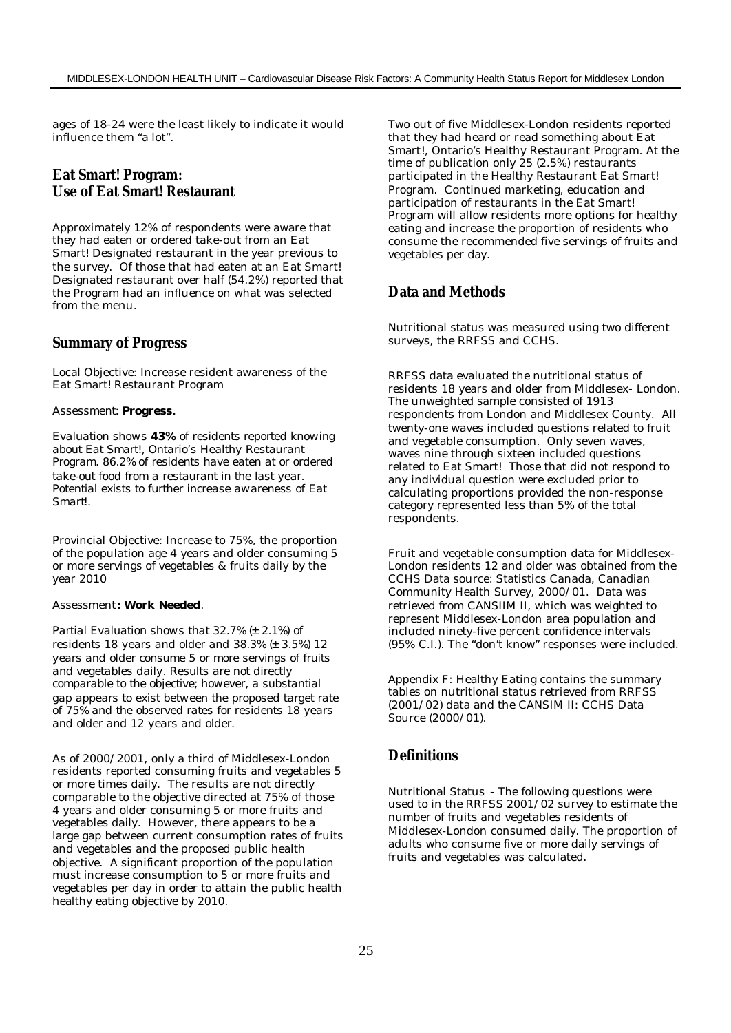ages of 18-24 were the least likely to indicate it would influence them "a lot".

# **Eat Smart! Program: Use of Eat Smart! Restaurant**

Approximately 12% of respondents were aware that they had eaten or ordered take-out from an Eat Smart! Designated restaurant in the year previous to the survey. Of those that had eaten at an Eat Smart! Designated restaurant over half (54.2%) reported that the Program had an influence on what was selected from the menu.

#### **Summary of Progress**

Local Objective: Increase resident awareness of the Eat Smart! Restaurant Program

#### *Assessment: Progress.*

*Evaluation shows 43% of residents reported knowing about Eat Smart!, Ontario's Healthy Restaurant Program. 86.2% of residents have eaten at or ordered take-out food from a restaurant in the last year. Potential exists to further increase awareness of Eat Smart!.*

Provincial Objective: Increase to 75%, the proportion of the population age 4 years and older consuming 5 or more servings of vegetables & fruits daily by the year 2010

#### Assessment*: Work Needed.*

*Partial Evaluation shows that 32.7% (± 2.1%) of residents 18 years and older and 38.3% (± 3.5%) 12 years and older consume 5 or more servings of fruits and vegetables daily. Results are not directly comparable to the objective; however, a substantial gap appears to exist between the proposed target rate of 75% and the observed rates for residents 18 years and older and 12 years and older.*

As of 2000/2001, only a third of Middlesex-London residents reported consuming fruits and vegetables 5 or more times daily. The results are not directly comparable to the objective directed at 75% of those 4 years and older consuming 5 or more fruits and vegetables daily. However, there appears to be a large gap between current consumption rates of fruits and vegetables and the proposed public health objective. A significant proportion of the population must increase consumption to 5 or more fruits and vegetables per day in order to attain the public health healthy eating objective by 2010.

Two out of five Middlesex-London residents reported that they had heard or read something about Eat Smart!, Ontario's Healthy Restaurant Program. At the time of publication only 25 (2.5%) restaurants participated in the Healthy Restaurant Eat Smart! Program. Continued marketing, education and participation of restaurants in the Eat Smart! Program will allow residents more options for healthy eating and increase the proportion of residents who consume the recommended five servings of fruits and vegetables per day.

#### **Data and Methods**

Nutritional status was measured using two different surveys, the RRFSS and CCHS.

RRFSS data evaluated the nutritional status of residents 18 years and older from Middlesex- London. The unweighted sample consisted of 1913 respondents from London and Middlesex County. All twenty-one waves included questions related to fruit and vegetable consumption. Only seven waves, waves nine through sixteen included questions related to Eat Smart! Those that did not respond to any individual question were excluded prior to calculating proportions provided the non-response category represented less than 5% of the total respondents.

Fruit and vegetable consumption data for Middlesex-London residents 12 and older was obtained from the CCHS Data source: Statistics Canada, Canadian Community Health Survey, 2000/01. Data was retrieved from CANSIIM II, which was weighted to represent Middlesex-London area population and included ninety-five percent confidence intervals (95% C.I.). The "don't know" responses were included.

Appendix F: Healthy Eating contains the summary tables on nutritional status retrieved from RRFSS (2001/02) data and the CANSIM II: CCHS Data Source (2000/01).

### **Definitions**

Nutritional Status - The following questions were used to in the RRFSS 2001/02 survey to estimate the number of fruits and vegetables residents of Middlesex-London consumed daily. The proportion of adults who consume five or more daily servings of fruits and vegetables was calculated.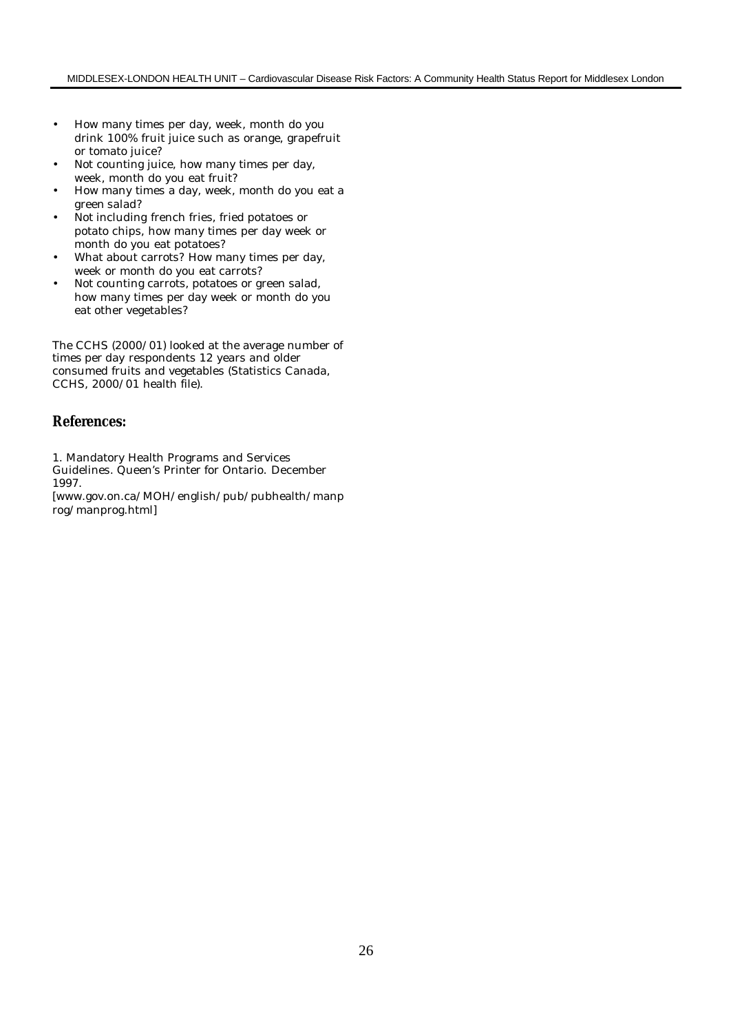- How many times per day, week, month do you drink 100% fruit juice such as orange, grapefruit or tomato juice?
- Not counting juice, how many times per day, week, month do you eat fruit?
- How many times a day, week, month do you eat a green salad?
- Not including french fries, fried potatoes or potato chips, how many times per day week or month do you eat potatoes?
- What about carrots? How many times per day, week or month do you eat carrots?
- Not counting carrots, potatoes or green salad, how many times per day week or month do you eat other vegetables?

The CCHS (2000/01) looked at the average number of times per day respondents 12 years and older consumed fruits and vegetables (Statistics Canada, CCHS, 2000/01 health file).

# **References:**

1. Mandatory Health Programs and Services

Guidelines. Queen's Printer for Ontario. December 1997.

[www.gov.on.ca/MOH/english/pub/pubhealth/manp rog/manprog.html]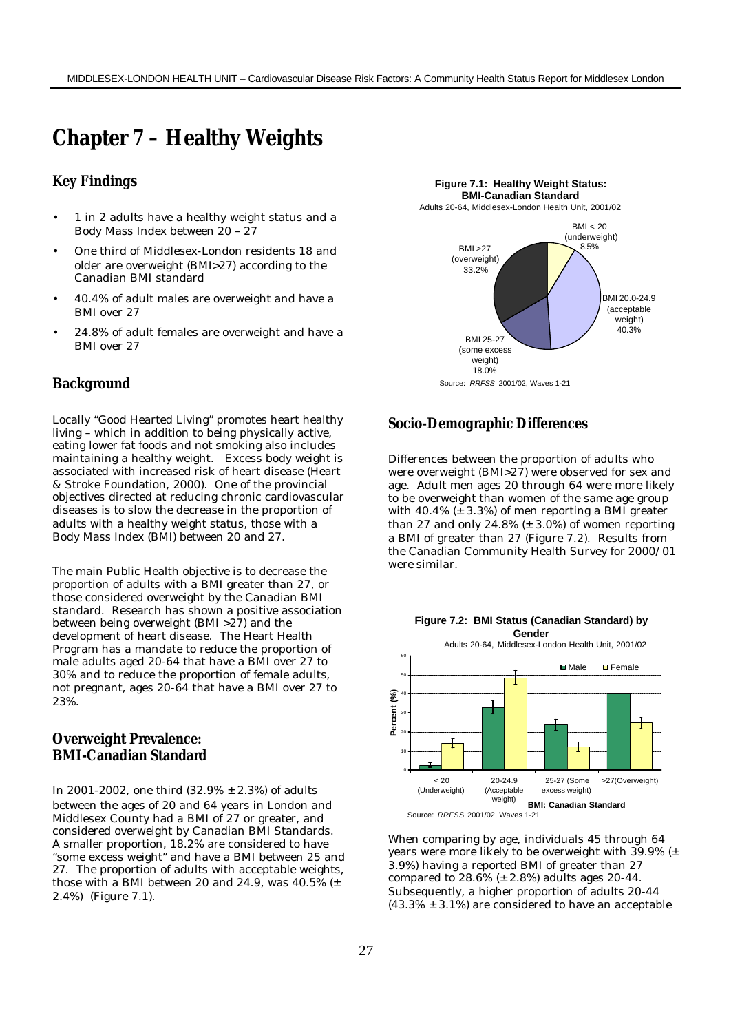# **Chapter 7 – Healthy Weights**

## **Key Findings**

- 1 in 2 adults have a healthy weight status and a Body Mass Index between 20 – 27
- One third of Middlesex-London residents 18 and older are overweight (BMI>27) according to the Canadian BMI standard
- 40.4% of adult males are overweight and have a BMI over 27
- 24.8% of adult females are overweight and have a BMI over 27

## **Background**

Locally "Good Hearted Living" promotes heart healthy living – which in addition to being physically active, eating lower fat foods and not smoking also includes maintaining a healthy weight. Excess body weight is associated with increased risk of heart disease (Heart & Stroke Foundation, 2000). One of the provincial objectives directed at reducing chronic cardiovascular diseases is to slow the decrease in the proportion of adults with a healthy weight status, those with a Body Mass Index (BMI) between 20 and 27.

The main Public Health objective is to decrease the proportion of adults with a BMI greater than 27, or those considered overweight by the Canadian BMI standard. Research has shown a positive association between being overweight (BMI >27) and the development of heart disease. The Heart Health Program has a mandate to reduce the proportion of male adults aged 20-64 that have a BMI over 27 to 30% and to reduce the proportion of female adults, not pregnant, ages 20-64 that have a BMI over 27 to 23%.

## **Overweight Prevalence: BMI-Canadian Standard**

In 2001-2002, one third (32.9% ± 2.3%) of adults between the ages of 20 and 64 years in London and Middlesex County had a BMI of 27 or greater, and considered overweight by Canadian BMI Standards. A smaller proportion, 18.2% are considered to have "some excess weight" and have a BMI between 25 and 27.The proportion of adults with acceptable weights, those with a BMI between 20 and 24.9, was  $40.5\%$  ( $\pm$ 2.4%) (Figure 7.1).



## **Socio-Demographic Differences**

Differences between the proportion of adults who were overweight (BMI>27) were observed for sex and age. Adult men ages 20 through 64 were more likely to be overweight than women of the same age group with  $40.4\%$  ( $\pm$  3.3%) of men reporting a BMI greater than 27 and only 24.8%  $(\pm 3.0%)$  of women reporting a BMI of greater than 27 (Figure 7.2). Results from the Canadian Community Health Survey for 2000/01 were similar.



When comparing by age, individuals 45 through 64 years were more likely to be overweight with 39.9% (± 3.9%) having a reported BMI of greater than 27 compared to  $28.6\%$  ( $\pm$  2.8%) adults ages 20-44. Subsequently, a higher proportion of adults 20-44  $(43.3\% \pm 3.1\%)$  are considered to have an acceptable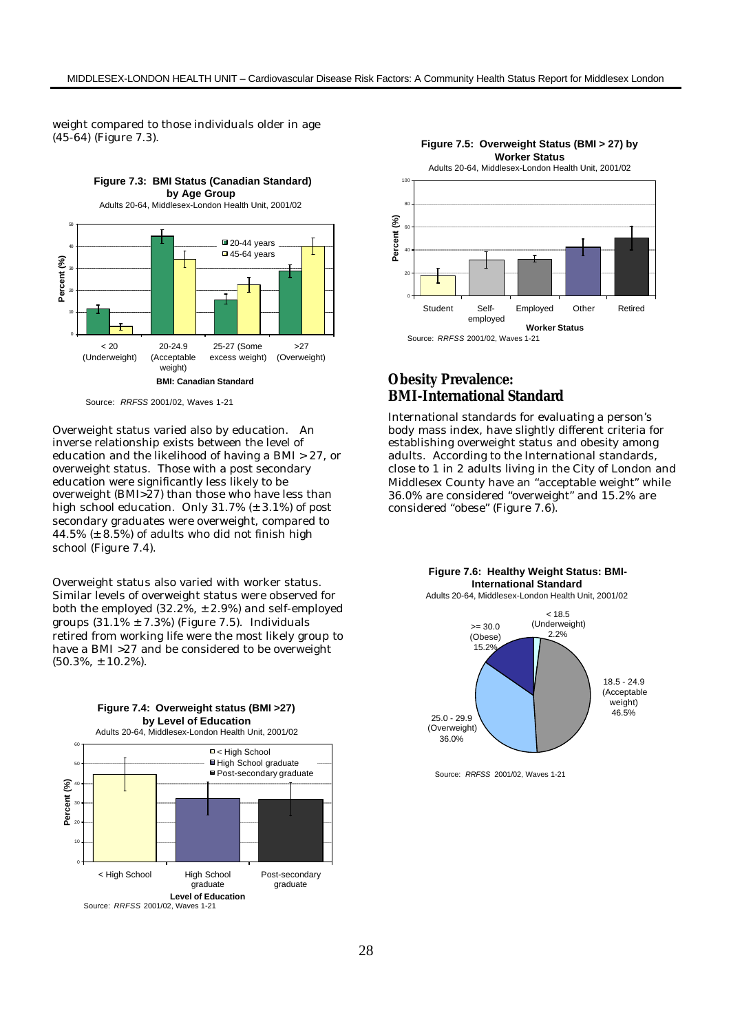weight compared to those individuals older in age (45-64) (Figure 7.3).



Source: *RRFSS* 2001/02, Waves 1-21

Overweight status varied also by education. An inverse relationship exists between the level of education and the likelihood of having a BMI > 27, or overweight status. Those with a post secondary education were significantly less likely to be overweight (BMI>27) than those who have less than high school education. Only 31.7% (± 3.1%) of post secondary graduates were overweight, compared to 44.5% (± 8.5%) of adults who did not finish high school (Figure 7.4).

Overweight status also varied with worker status. Similar levels of overweight status were observed for both the employed  $(32.2\% , \pm 2.9\%)$  and self-employed groups  $(31.1\% \pm 7.3\%)$  (Figure 7.5). Individuals retired from working life were the most likely group to have a BMI >27 and be considered to be overweight (50.3%, ± 10.2%).

**Figure 7.4: Overweight status (BMI >27)**





## **Obesity Prevalence: BMI-International Standard**

International standards for evaluating a person's body mass index, have slightly different criteria for establishing overweight status and obesity among adults. According to the International standards, close to 1 in 2 adults living in the City of London and Middlesex County have an "acceptable weight" while 36.0% are considered "overweight" and 15.2% are considered "obese" (Figure 7.6).



Source: *RRFSS* 2001/02, Waves 1-21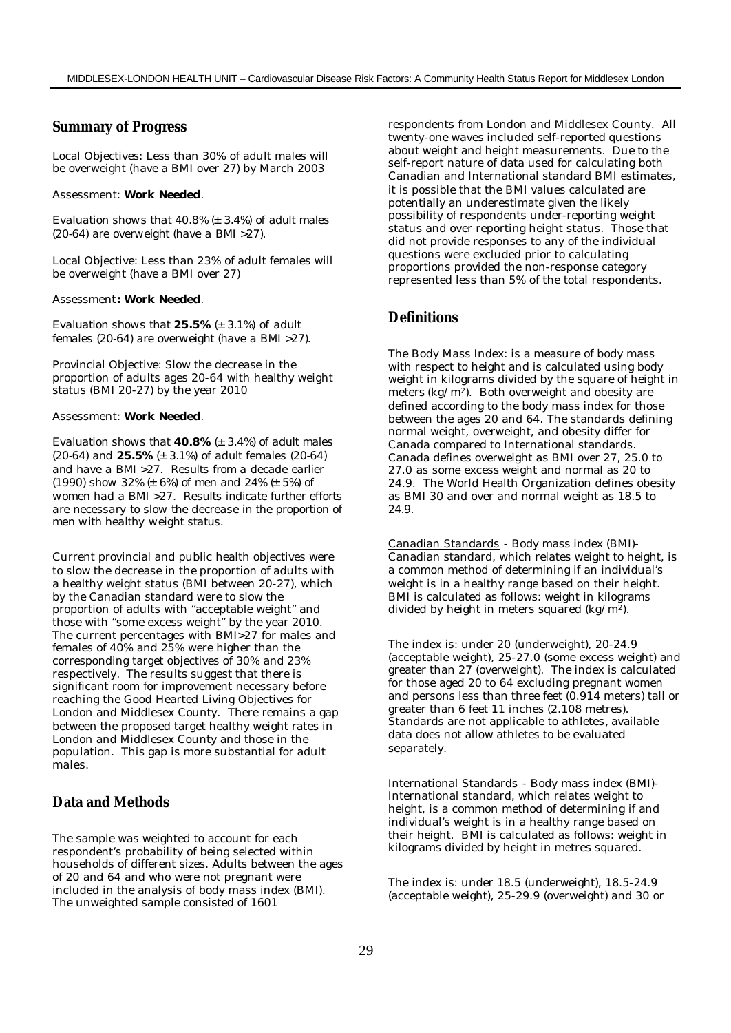## **Summary of Progress**

Local Objectives: Less than 30% of adult males will be overweight (have a BMI over 27) by March 2003

#### Assessment: *Work Needed.*

*Evaluation shows that 40.8% (± 3.4%) of adult males (20-64) are overweight (have a BMI >27).*

Local Objective: Less than 23% of adult females will be overweight (have a BMI over 27)

#### Assessment*: Work Needed.*

*Evaluation shows that 25.5% (± 3.1%) of adult females (20-64) are overweight (have a BMI >27).*

Provincial Objective: Slow the decrease in the proportion of adults ages 20-64 with healthy weight status (BMI 20-27) by the year 2010

#### Assessment: *Work Needed.*

*Evaluation shows that 40.8% (± 3.4%) of adult males (20-64) and 25.5% (± 3.1%) of adult females (20-64) and have a BMI >27. Results from a decade earlier (1990) show 32% (± 6%) of men and 24% (± 5%) of women had a BMI >27. Results indicate further efforts are necessary to slow the decrease in the proportion of men with healthy weight status.*

Current provincial and public health objectives were to slow the decrease in the proportion of adults with a healthy weight status (BMI between 20-27), which by the Canadian standard were to slow the proportion of adults with "acceptable weight" and those with "some excess weight" by the year 2010. The current percentages with BMI>27 for males and females of 40% and 25% were higher than the corresponding target objectives of 30% and 23% respectively. The results suggest that there is significant room for improvement necessary before reaching the Good Hearted Living Objectives for London and Middlesex County. There remains a gap between the proposed target healthy weight rates in London and Middlesex County and those in the population. This gap is more substantial for adult males.

## **Data and Methods**

The sample was weighted to account for each respondent's probability of being selected within households of different sizes. Adults between the ages of 20 and 64 and who were not pregnant were included in the analysis of body mass index (BMI). The unweighted sample consisted of 1601

respondents from London and Middlesex County. All twenty-one waves included self-reported questions about weight and height measurements. Due to the self-report nature of data used for calculating both Canadian and International standard BMI estimates, it is possible that the BMI values calculated are potentially an underestimate given the likely possibility of respondents under-reporting weight status and over reporting height status. Those that did not provide responses to any of the individual questions were excluded prior to calculating proportions provided the non-response category represented less than 5% of the total respondents.

### **Definitions**

The Body Mass Index: is a measure of body mass with respect to height and is calculated using body weight in kilograms divided by the square of height in meters (kg/m2). Both overweight and obesity are defined according to the body mass index for those between the ages 20 and 64. The standards defining normal weight, overweight, and obesity differ for Canada compared to International standards. Canada defines overweight as BMI over 27, 25.0 to 27.0 as some excess weight and normal as 20 to 24.9. The World Health Organization defines obesity as BMI 30 and over and normal weight as 18.5 to 24.9.

Canadian Standards - Body mass index (BMI)- Canadian standard, which relates weight to height, is a common method of determining if an individual's weight is in a healthy range based on their height. BMI is calculated as follows: weight in kilograms divided by height in meters squared (kg/m2).

The index is: under 20 (underweight), 20-24.9 (acceptable weight), 25-27.0 (some excess weight) and greater than 27 (overweight). The index is calculated for those aged 20 to 64 excluding pregnant women and persons less than three feet (0.914 meters) tall or greater than 6 feet 11 inches (2.108 metres). Standards are not applicable to athletes, available data does not allow athletes to be evaluated separately.

International Standards - Body mass index (BMI)- International standard, which relates weight to height, is a common method of determining if and individual's weight is in a healthy range based on their height. BMI is calculated as follows: weight in kilograms divided by height in metres squared.

The index is: under 18.5 (underweight), 18.5-24.9 (acceptable weight), 25-29.9 (overweight) and 30 or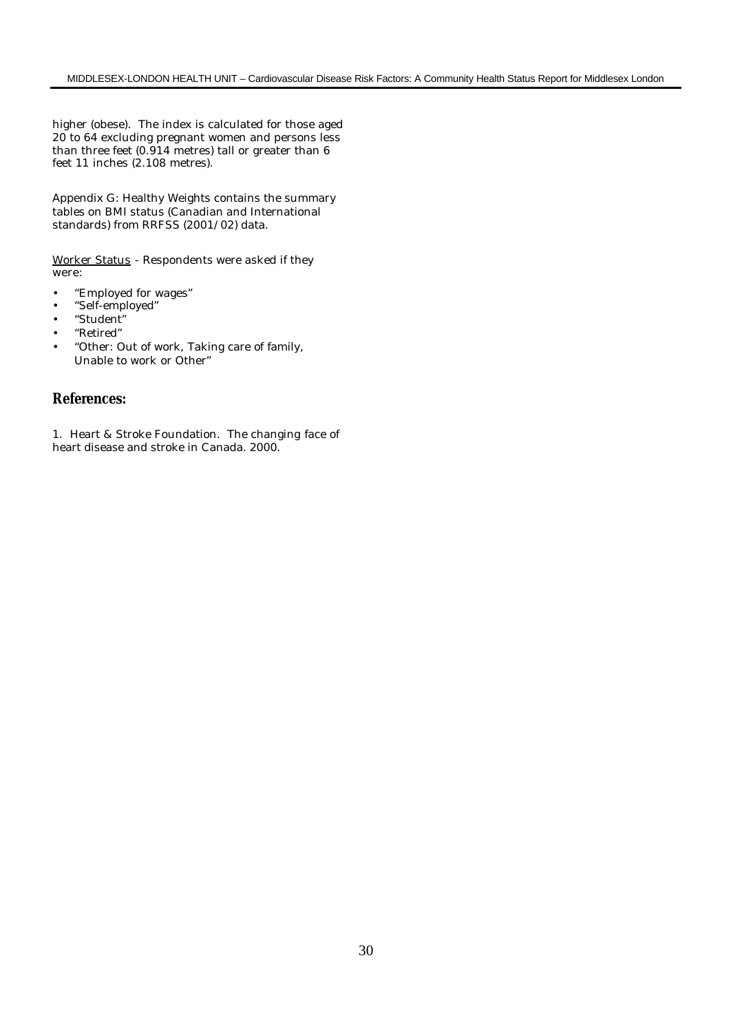higher (obese). The index is calculated for those aged 20 to 64 excluding pregnant women and persons less than three feet (0.914 metres) tall or greater than 6 feet 11 inches (2.108 metres).

Appendix G: Healthy Weights contains the summary tables on BMI status (Canadian and International standards) from RRFSS (2001/02) data.

Worker Status - Respondents were asked if they were:

- "Employed for wages"
- "Self-employed"
- "Student"
- "Retired"
- "Other: Out of work, Taking care of family, Unable to work or Other"

# **References:**

1. Heart & Stroke Foundation. The changing face of heart disease and stroke in Canada. 2000.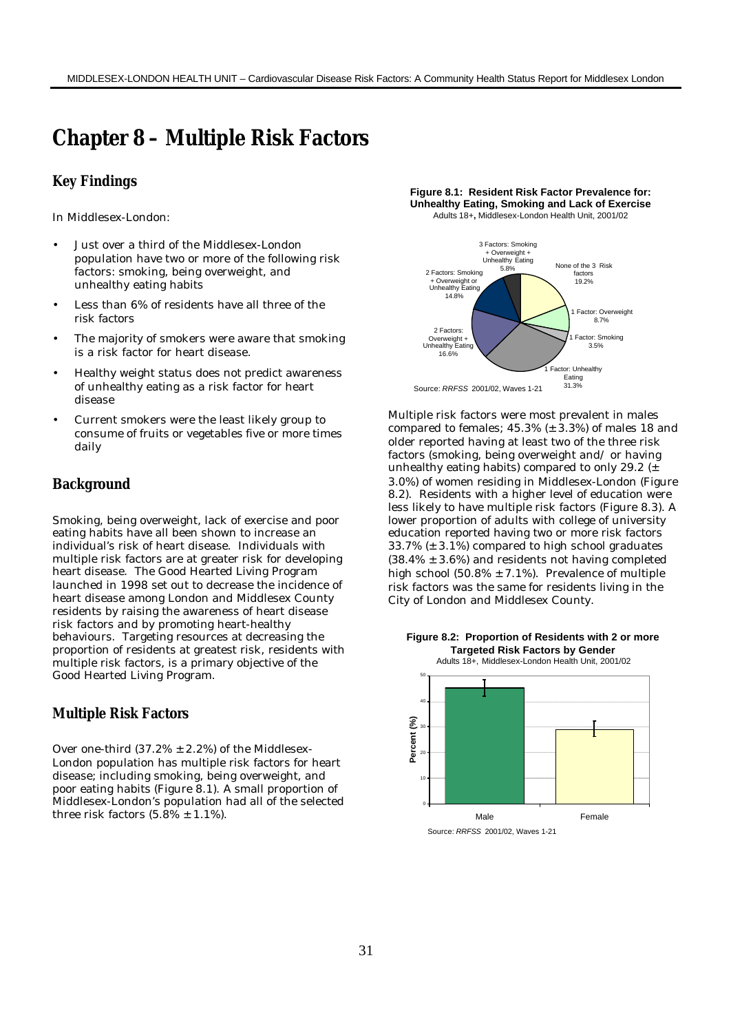# **Chapter 8 – Multiple Risk Factors**

### **Key Findings**

In Middlesex-London:

- Just over a third of the Middlesex-London population have two or more of the following risk factors: smoking, being overweight, and unhealthy eating habits
- Less than 6% of residents have all three of the risk factors
- The majority of smokers were aware that smoking is a risk factor for heart disease.
- Healthy weight status does not predict awareness of unhealthy eating as a risk factor for heart disease
- Current smokers were the least likely group to consume of fruits or vegetables five or more times daily

#### **Background**

Smoking, being overweight, lack of exercise and poor eating habits have all been shown to increase an individual's risk of heart disease. Individuals with multiple risk factors are at greater risk for developing heart disease. The Good Hearted Living Program launched in 1998 set out to decrease the incidence of heart disease among London and Middlesex County residents by raising the awareness of heart disease risk factors and by promoting heart-healthy behaviours. Targeting resources at decreasing the proportion of residents at greatest risk, residents with multiple risk factors, is a primary objective of the Good Hearted Living Program.

#### **Multiple Risk Factors**

Over one-third  $(37.2\% \pm 2.2\%)$  of the Middlesex-London population has multiple risk factors for heart disease; including smoking, being overweight, and poor eating habits (Figure 8.1). A small proportion of Middlesex-London's population had all of the selected three risk factors  $(5.8\% \pm 1.1\%)$ .

**Figure 8.1: Resident Risk Factor Prevalence for: Unhealthy Eating, Smoking and Lack of Exercise**  Adults 18+**,** Middlesex-London Health Unit, 2001/02



Multiple risk factors were most prevalent in males compared to females; 45.3% (± 3.3%) of males 18 and older reported having at least two of the three risk factors (smoking, being overweight and/ or having unhealthy eating habits) compared to only 29.2 (± 3.0%) of women residing in Middlesex-London (Figure 8.2). Residents with a higher level of education were less likely to have multiple risk factors (Figure 8.3). A lower proportion of adults with college of university education reported having two or more risk factors 33.7% (± 3.1%) compared to high school graduates  $(38.4\% \pm 3.6\%)$  and residents not having completed high school  $(50.8\% \pm 7.1\%)$ . Prevalence of multiple risk factors was the same for residents living in the City of London and Middlesex County.

**Figure 8.2: Proportion of Residents with 2 or more** 

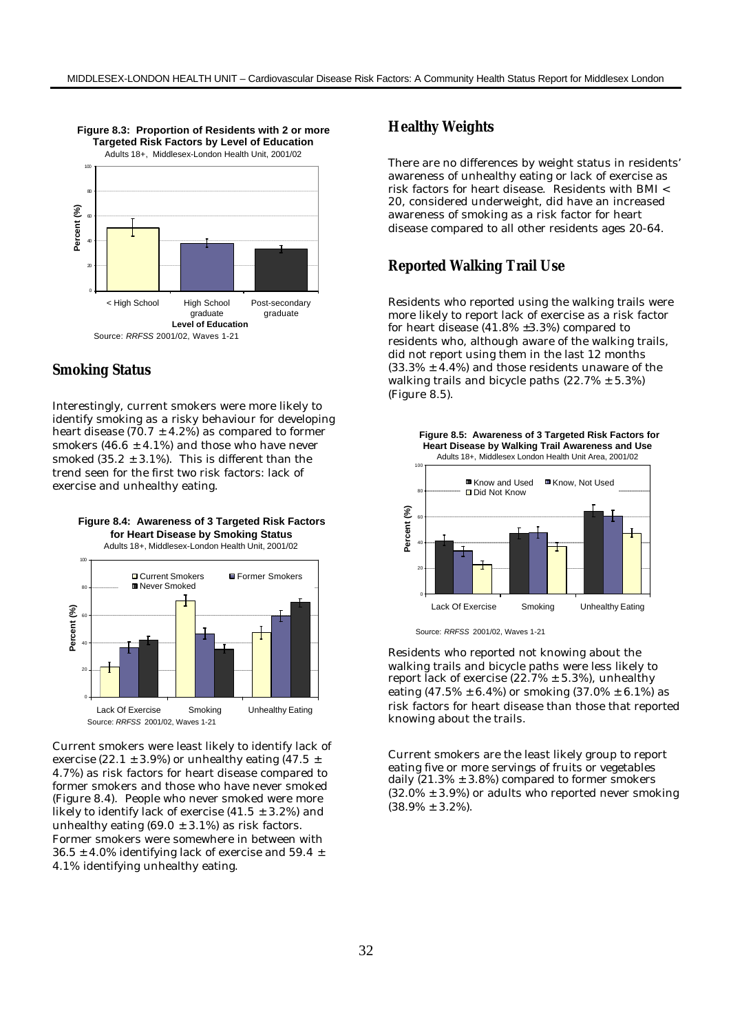

## **Smoking Status**

Interestingly, current smokers were more likely to identify smoking as a risky behaviour for developing heart disease (70.7  $\pm$  4.2%) as compared to former smokers (46.6  $\pm$  4.1%) and those who have never smoked  $(35.2 \pm 3.1\%)$ . This is different than the trend seen for the first two risk factors: lack of exercise and unhealthy eating.



# Lack Of Exercise Smoking Unhealthy Eating Source: *RRFSS* 2001/02, Waves 1-21

Current smokers were least likely to identify lack of exercise (22.1  $\pm$  3.9%) or unhealthy eating (47.5  $\pm$ 4.7%) as risk factors for heart disease compared to former smokers and those who have never smoked (Figure 8.4). People who never smoked were more likely to identify lack of exercise  $(41.5 \pm 3.2\%)$  and unhealthy eating  $(69.0 \pm 3.1\%)$  as risk factors. Former smokers were somewhere in between with  $36.5 \pm 4.0\%$  identifying lack of exercise and  $59.4 \pm 1.0\%$ 4.1% identifying unhealthy eating.

## **Healthy Weights**

There are no differences by weight status in residents' awareness of unhealthy eating or lack of exercise as risk factors for heart disease. Residents with BMI < 20, considered underweight, did have an increased awareness of smoking as a risk factor for heart disease compared to all other residents ages 20-64.

## **Reported Walking Trail Use**

Residents who reported using the walking trails were more likely to report lack of exercise as a risk factor for heart disease (41.8% ±3.3%) compared to residents who, although aware of the walking trails, did not report using them in the last 12 months  $(33.3\% \pm 4.4\%)$  and those residents unaware of the walking trails and bicycle paths  $(22.7\% \pm 5.3\%)$ (Figure 8.5).



Source: *RRFSS* 2001/02, Waves 1-21

Residents who reported not knowing about the walking trails and bicycle paths were less likely to report lack of exercise  $(22.7\% \pm 5.3\%)$ , unhealthy eating  $(47.5\% \pm 6.4\%)$  or smoking  $(37.0\% \pm 6.1\%)$  as risk factors for heart disease than those that reported knowing about the trails.

Current smokers are the least likely group to report eating five or more servings of fruits or vegetables daily  $(21.3\% \pm 3.8\%)$  compared to former smokers  $(32.0\% \pm 3.9\%)$  or adults who reported never smoking  $(38.9\% \pm 3.2\%).$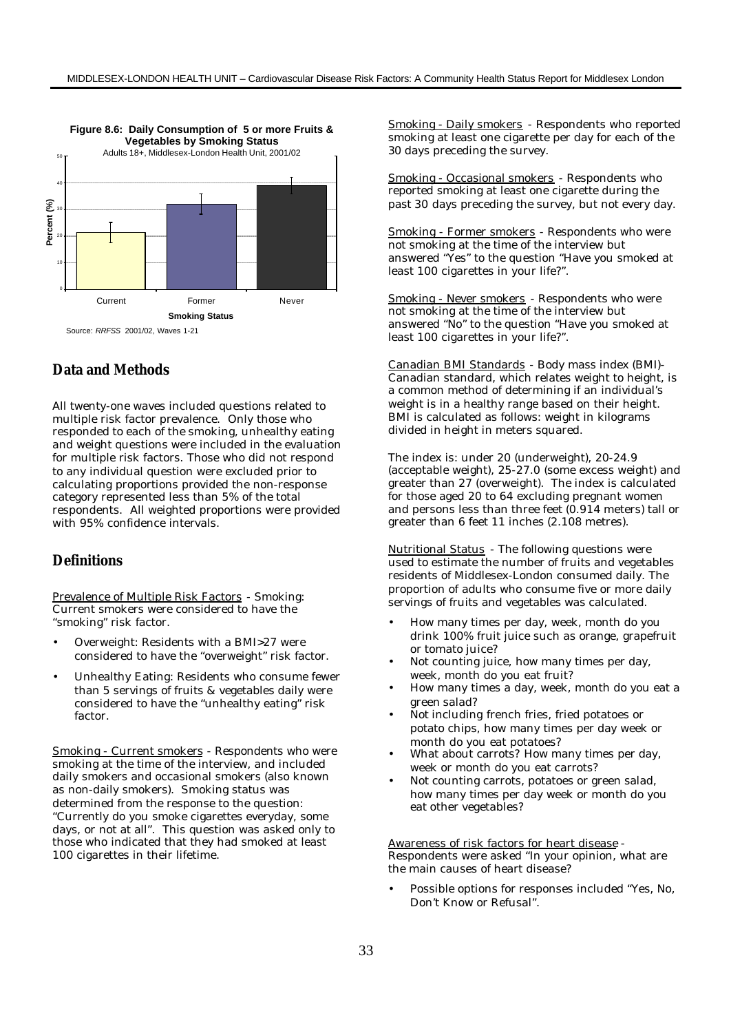

## **Data and Methods**

All twenty-one waves included questions related to multiple risk factor prevalence. Only those who responded to each of the smoking, unhealthy eating and weight questions were included in the evaluation for multiple risk factors. Those who did not respond to any individual question were excluded prior to calculating proportions provided the non-response category represented less than 5% of the total respondents. All weighted proportions were provided with 95% confidence intervals.

## **Definitions**

Prevalence of Multiple Risk Factors - Smoking: Current smokers were considered to have the "smoking" risk factor.

- Overweight: Residents with a BMI>27 were considered to have the "overweight" risk factor.
- Unhealthy Eating: Residents who consume fewer than 5 servings of fruits & vegetables daily were considered to have the "unhealthy eating" risk factor.

Smoking - Current smokers - Respondents who were smoking at the time of the interview, and included daily smokers and occasional smokers (also known as non-daily smokers). Smoking status was determined from the response to the question: "Currently do you smoke cigarettes everyday, some days, or not at all". This question was asked only to those who indicated that they had smoked at least 100 cigarettes in their lifetime.

Smoking - Daily smokers - Respondents who reported smoking at least one cigarette per day for each of the 30 days preceding the survey.

Smoking - Occasional smokers - Respondents who reported smoking at least one cigarette during the past 30 days preceding the survey, but not every day.

Smoking - Former smokers - Respondents who were not smoking at the time of the interview but answered "Yes" to the question "Have you smoked at least 100 cigarettes in your life?".

Smoking - Never smokers - Respondents who were not smoking at the time of the interview but answered "No" to the question "Have you smoked at least 100 cigarettes in your life?".

Canadian BMI Standards - Body mass index (BMI)- Canadian standard, which relates weight to height, is a common method of determining if an individual's weight is in a healthy range based on their height. BMI is calculated as follows: weight in kilograms divided in height in meters squared.

The index is: under 20 (underweight), 20-24.9 (acceptable weight), 25-27.0 (some excess weight) and greater than 27 (overweight). The index is calculated for those aged 20 to 64 excluding pregnant women and persons less than three feet (0.914 meters) tall or greater than 6 feet 11 inches (2.108 metres).

Nutritional Status - The following questions were used to estimate the number of fruits and vegetables residents of Middlesex-London consumed daily. The proportion of adults who consume five or more daily servings of fruits and vegetables was calculated.

- How many times per day, week, month do you drink 100% fruit juice such as orange, grapefruit or tomato juice?
- Not counting juice, how many times per day, week, month do you eat fruit?
- How many times a day, week, month do you eat a green salad?
- Not including french fries, fried potatoes or potato chips, how many times per day week or month do you eat potatoes?
- What about carrots? How many times per day, week or month do you eat carrots?
- Not counting carrots, potatoes or green salad, how many times per day week or month do you eat other vegetables?

Awareness of risk factors for heart disease - Respondents were asked "In your opinion, what are the main causes of heart disease?

• Possible options for responses included "Yes, No, Don't Know or Refusal".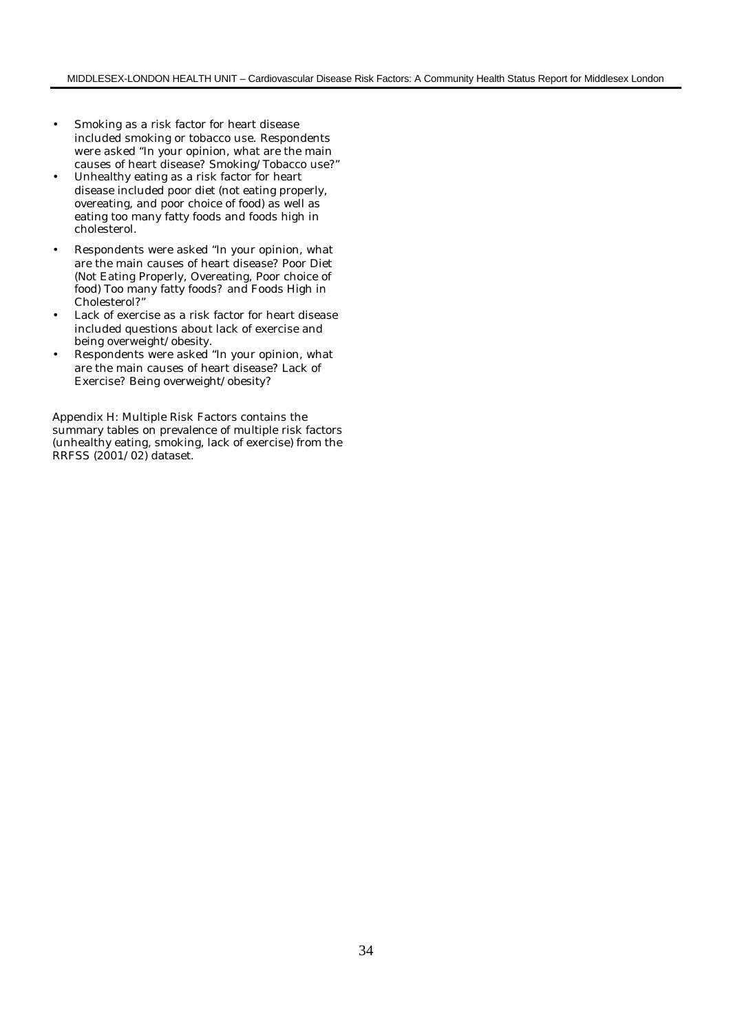- Smoking as a risk factor for heart disease included smoking or tobacco use. Respondents were asked "In your opinion, what are the main causes of heart disease? Smoking/Tobacco use?"
- Unhealthy eating as a risk factor for heart disease included poor diet (not eating properly, overeating, and poor choice of food) as well as eating too many fatty foods and foods high in cholesterol.
- Respondents were asked "In your opinion, what are the main causes of heart disease? Poor Diet (Not Eating Properly, Overeating, Poor choice of food) Too many fatty foods? and Foods High in Cholesterol?"
- Lack of exercise as a risk factor for heart disease included questions about lack of exercise and being overweight/obesity.
- Respondents were asked "In your opinion, what are the main causes of heart disease? Lack of Exercise? Being overweight/obesity?

Appendix H: Multiple Risk Factors contains the summary tables on prevalence of multiple risk factors (unhealthy eating, smoking, lack of exercise) from the RRFSS (2001/02) dataset.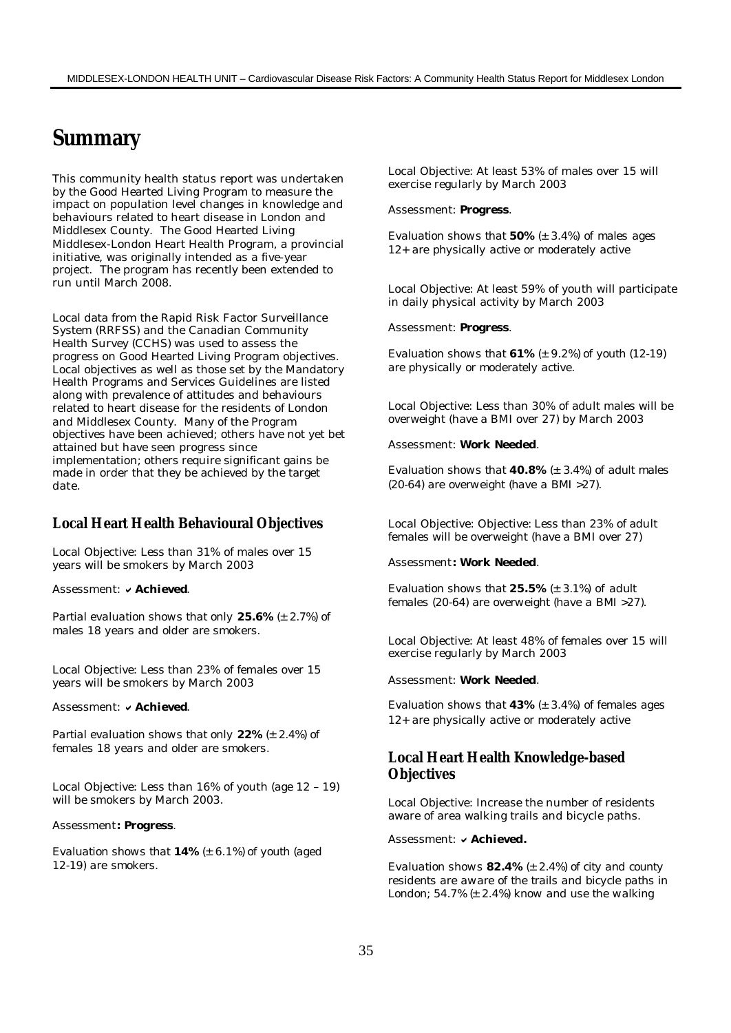# **Summary**

This community health status report was undertaken by the Good Hearted Living Program to measure the impact on population level changes in knowledge and behaviours related to heart disease in London and Middlesex County. The Good Hearted Living Middlesex-London Heart Health Program, a provincial initiative, was originally intended as a five-year project. The program has recently been extended to run until March 2008.

Local data from the Rapid Risk Factor Surveillance System (RRFSS) and the Canadian Community Health Survey (CCHS) was used to assess the progress on Good Hearted Living Program objectives. Local objectives as well as those set by the Mandatory Health Programs and Services Guidelines are listed along with prevalence of attitudes and behaviours related to heart disease for the residents of London and Middlesex County. Many of the Program objectives have been achieved; others have not yet bet attained but have seen progress since implementation; others require significant gains be made in order that they be achieved by the target date.

### **Local Heart Health Behavioural Objectives**

Local Objective: Less than 31% of males over 15 years will be smokers by March 2003

#### Assessment: v Achieved.

*Partial evaluation shows that only 25.6% (± 2.7%) of males 18 years and older are smokers.*

Local Objective: Less than 23% of females over 15 years will be smokers by March 2003

#### Assessment: **v** Achieved

*Partial evaluation shows that only 22% (± 2.4%) of females 18 years and older are smokers.*

Local Objective: Less than 16% of youth (age 12 – 19) will be smokers by March 2003.

#### Assessment*: Progress.*

*Evaluation shows that 14% (± 6.1%) of youth (aged 12-19) are smokers.*

Local Objective: At least 53% of males over 15 will exercise regularly by March 2003

#### Assessment: *Progress.*

*Evaluation shows that 50% (± 3.4%) of males ages 12+ are physically active or moderately active*

Local Objective: At least 59% of youth will participate in daily physical activity by March 2003

#### Assessment: *Progress.*

*Evaluation shows that 61% (± 9.2%) of youth (12-19) are physically or moderately active.*

Local Objective: Less than 30% of adult males will be overweight (have a BMI over 27) by March 2003

#### Assessment: *Work Needed.*

*Evaluation shows that 40.8% (± 3.4%) of adult males (20-64) are overweight (have a BMI >27).*

Local Objective: Objective: Less than 23% of adult females will be overweight (have a BMI over 27)

#### Assessment*: Work Needed.*

*Evaluation shows that 25.5% (± 3.1%) of adult females (20-64) are overweight (have a BMI >27).*

Local Objective: At least 48% of females over 15 will exercise regularly by March 2003

#### Assessment: *Work Needed.*

*Evaluation shows that 43% (± 3.4%) of females ages 12+ are physically active or moderately active*

## **Local Heart Health Knowledge-based Objectives**

Local Objective: Increase the number of residents aware of area walking trails and bicycle paths.

#### Assessment: v Achieved.

*Evaluation shows 82.4% (± 2.4%) of city and county residents are aware of the trails and bicycle paths in London; 54.7% (± 2.4%) know and use the walking*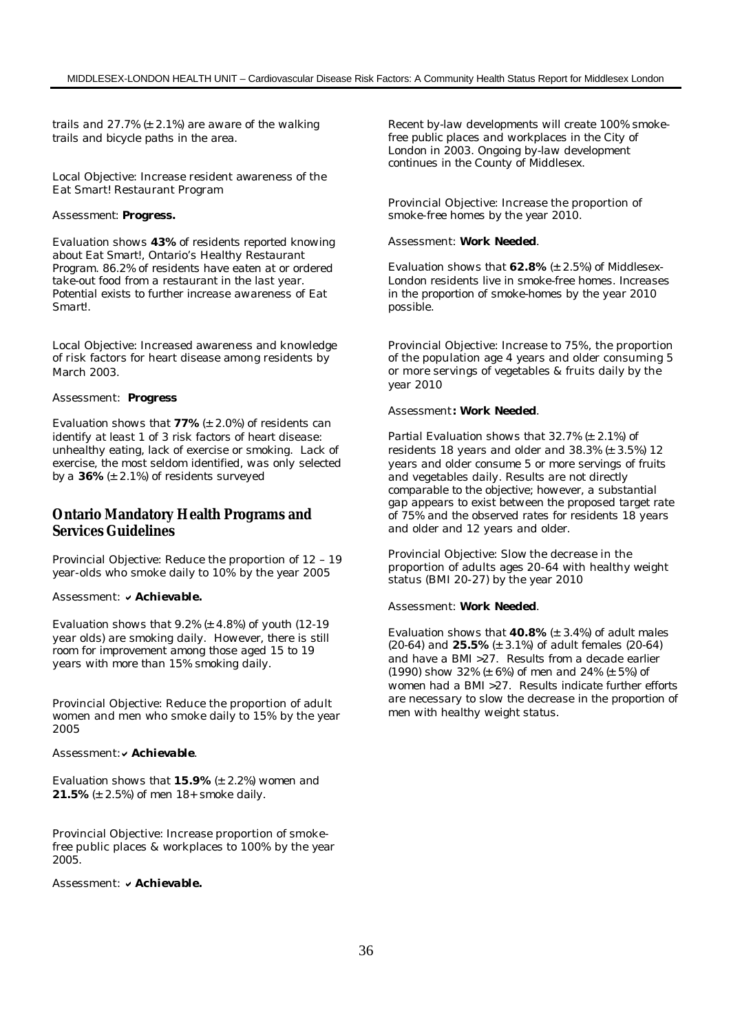*trails and 27.7% (± 2.1%) are aware of the walking trails and bicycle paths in the area.*

Local Objective: Increase resident awareness of the Eat Smart! Restaurant Program

#### *Assessment: Progress.*

*Evaluation shows 43% of residents reported knowing about Eat Smart!, Ontario's Healthy Restaurant Program. 86.2% of residents have eaten at or ordered take-out food from a restaurant in the last year. Potential exists to further increase awareness of Eat Smart!.*

Local Objective: Increased awareness and knowledge of risk factors for heart disease among residents by March 2003.

#### Assessment: *Progress*

*Evaluation shows that 77% (± 2.0%) of residents can identify at least 1 of 3 risk factors of heart disease: unhealthy eating, lack of exercise or smoking. Lack of exercise, the most seldom identified, was only selected by a 36% (± 2.1%) of residents surveyed*

## **Ontario Mandatory Health Programs and Services Guidelines**

Provincial Objective: Reduce the proportion of 12 – 19 year-olds who smoke daily to 10% by the year 2005

### Assessment: v Achievable.

*Evaluation shows that 9.2% (± 4.8%) of youth (12-19 year olds) are smoking daily. However, there is still room for improvement among those aged 15 to 19 years with more than 15% smoking daily.*

Provincial Objective: Reduce the proportion of adult women and men who smoke daily to 15% by the year 2005

#### Assessment: v Achievable.

*Evaluation shows that 15.9% (± 2.2%) women and 21.5% (± 2.5%) of men 18+ smoke daily.*

Provincial Objective: Increase proportion of smokefree public places & workplaces to 100% by the year 2005.

#### Assessment: v Achievable.

*Recent by-law developments will create 100% smokefree public places and workplaces in the City of London in 2003. Ongoing by-law development continues in the County of Middlesex.*

Provincial Objective: Increase the proportion of smoke-free homes by the year 2010.

#### Assessment: *Work Needed.*

*Evaluation shows that 62.8% (± 2.5%) of Middlesex-London residents live in smoke-free homes. Increases in the proportion of smoke-homes by the year 2010 possible.*

Provincial Objective: Increase to 75%, the proportion of the population age 4 years and older consuming 5 or more servings of vegetables & fruits daily by the year 2010

#### Assessment*: Work Needed.*

*Partial Evaluation shows that 32.7% (± 2.1%) of residents 18 years and older and 38.3% (± 3.5%) 12 years and older consume 5 or more servings of fruits and vegetables daily. Results are not directly comparable to the objective; however, a substantial gap appears to exist between the proposed target rate of 75% and the observed rates for residents 18 years and older and 12 years and older.*

Provincial Objective: Slow the decrease in the proportion of adults ages 20-64 with healthy weight status (BMI 20-27) by the year 2010

#### Assessment: *Work Needed.*

*Evaluation shows that 40.8% (± 3.4%) of adult males (20-64) and 25.5% (± 3.1%) of adult females (20-64) and have a BMI >27. Results from a decade earlier (1990) show 32% (± 6%) of men and 24% (± 5%) of women had a BMI >27. Results indicate further efforts are necessary to slow the decrease in the proportion of men with healthy weight status.*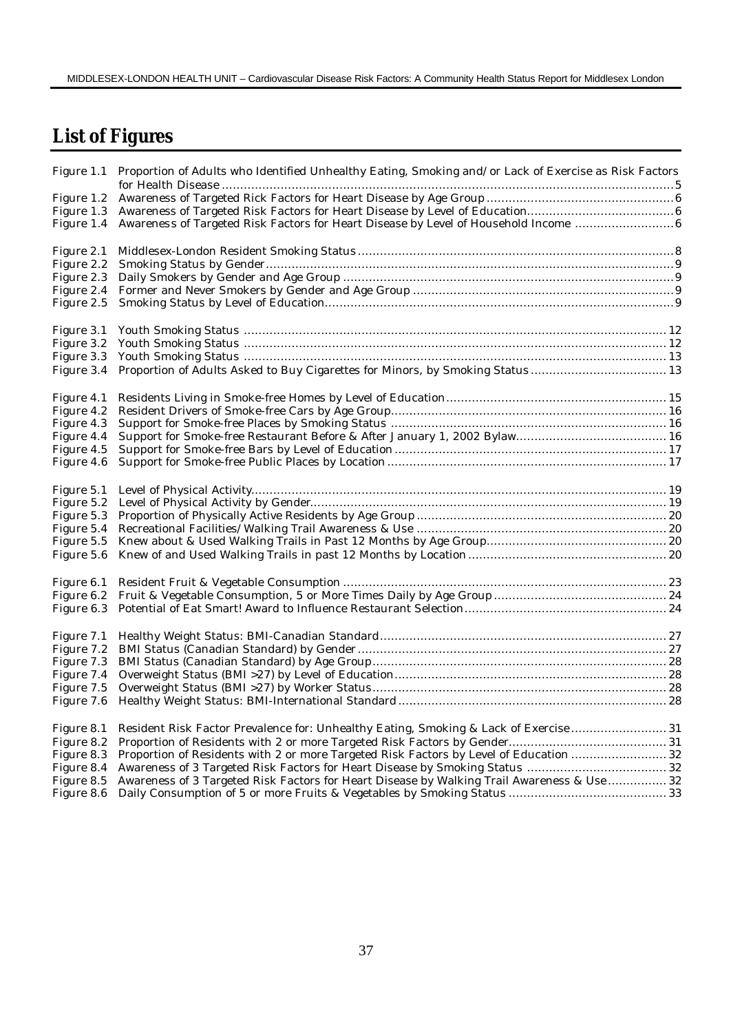# **List of Figures**

|            | Figure 1.1 Proportion of Adults who Identified Unhealthy Eating, Smoking and/or Lack of Exercise as Risk Factors |  |
|------------|------------------------------------------------------------------------------------------------------------------|--|
|            |                                                                                                                  |  |
| Figure 1.3 |                                                                                                                  |  |
|            |                                                                                                                  |  |
|            |                                                                                                                  |  |
| Figure 2.1 |                                                                                                                  |  |
| Figure 2.2 |                                                                                                                  |  |
| Figure 2.3 |                                                                                                                  |  |
| Figure 2.4 |                                                                                                                  |  |
| Figure 2.5 |                                                                                                                  |  |
| Figure 3.1 |                                                                                                                  |  |
| Figure 3.2 |                                                                                                                  |  |
| Figure 3.3 |                                                                                                                  |  |
| Figure 3.4 | Proportion of Adults Asked to Buy Cigarettes for Minors, by Smoking Status  13                                   |  |
| Figure 4.1 |                                                                                                                  |  |
| Figure 4.2 |                                                                                                                  |  |
| Figure 4.3 |                                                                                                                  |  |
| Figure 4.4 |                                                                                                                  |  |
| Figure 4.5 |                                                                                                                  |  |
| Figure 4.6 |                                                                                                                  |  |
| Figure 5.1 |                                                                                                                  |  |
|            |                                                                                                                  |  |
|            |                                                                                                                  |  |
|            |                                                                                                                  |  |
|            |                                                                                                                  |  |
|            |                                                                                                                  |  |
| Figure 6.1 |                                                                                                                  |  |
|            |                                                                                                                  |  |
|            |                                                                                                                  |  |
|            |                                                                                                                  |  |
|            |                                                                                                                  |  |
|            |                                                                                                                  |  |
| Figure 7.4 |                                                                                                                  |  |
| Figure 7.5 |                                                                                                                  |  |
| Figure 7.6 |                                                                                                                  |  |
|            |                                                                                                                  |  |
| Figure 8.1 | Resident Risk Factor Prevalence for: Unhealthy Eating, Smoking & Lack of Exercise 31                             |  |
|            |                                                                                                                  |  |
| Figure 8.3 | Proportion of Residents with 2 or more Targeted Risk Factors by Level of Education  32                           |  |
| Figure 8.4 |                                                                                                                  |  |
| Figure 8.5 | Awareness of 3 Targeted Risk Factors for Heart Disease by Walking Trail Awareness & Use  32                      |  |
|            |                                                                                                                  |  |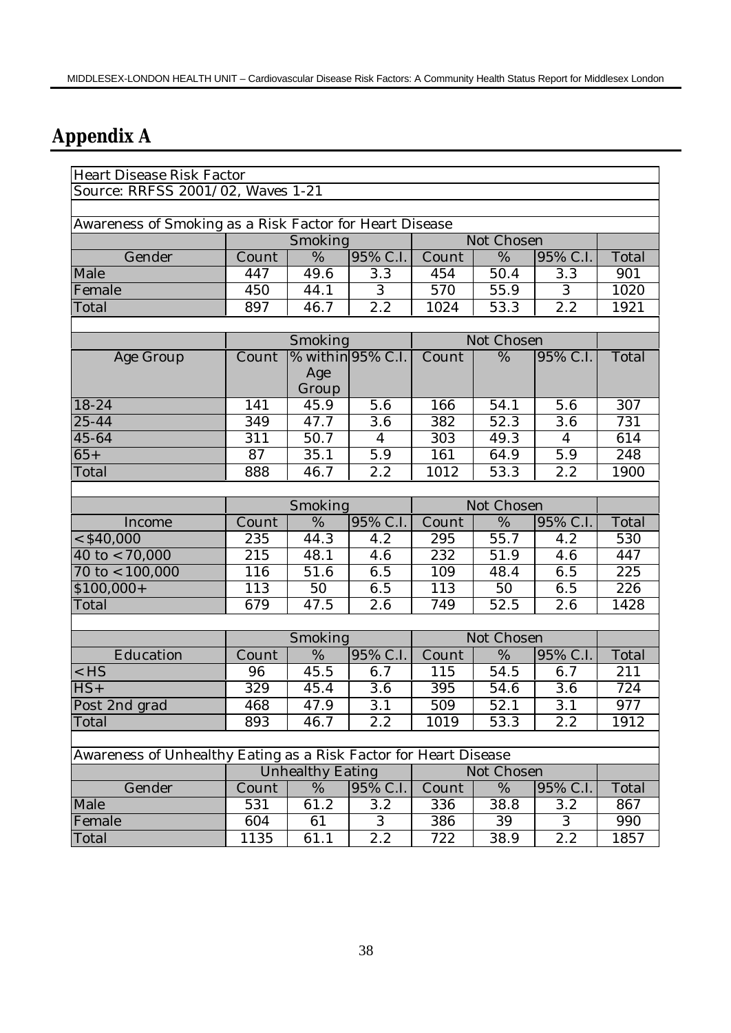# **Appendix A**

| Heart Disease Risk Factor                                        |                  |                         |                   |                  |            |                  |       |  |  |  |
|------------------------------------------------------------------|------------------|-------------------------|-------------------|------------------|------------|------------------|-------|--|--|--|
| Source: RRFSS 2001/02, Waves 1-21                                |                  |                         |                   |                  |            |                  |       |  |  |  |
|                                                                  |                  |                         |                   |                  |            |                  |       |  |  |  |
| Awareness of Smoking as a Risk Factor for Heart Disease          |                  |                         |                   |                  |            |                  |       |  |  |  |
|                                                                  |                  | Smoking                 |                   |                  | Not Chosen |                  |       |  |  |  |
| Gender                                                           | Count            | $\overline{\%}$         | 95% C.I.          | Count            | %          | 95% C.I.         | Total |  |  |  |
| Male                                                             | 447              | 49.6                    | 3.3               | 454              | 50.4       | 3.3              | 901   |  |  |  |
| Female                                                           | 450              | 44.1                    | $\overline{3}$    | $\overline{570}$ | 55.9       | 3                | 1020  |  |  |  |
| Total                                                            | 897              | 46.7                    | 2.2               | 1024             | 53.3       | 2.2              | 1921  |  |  |  |
|                                                                  |                  |                         |                   |                  |            |                  |       |  |  |  |
|                                                                  | Smoking          |                         |                   | Not Chosen       |            |                  |       |  |  |  |
| Age Group                                                        | Count            |                         | % within 95% C.I. | Count            | %          | 95% C.I.         | Total |  |  |  |
|                                                                  |                  | Age                     |                   |                  |            |                  |       |  |  |  |
|                                                                  |                  | Group                   |                   |                  |            |                  |       |  |  |  |
| 18-24                                                            | 141              | 45.9                    | 5.6               | 166              | 54.1       | 5.6              | 307   |  |  |  |
| $25 - 44$                                                        | 349              | 47.7                    | $\overline{3.6}$  | 382              | 52.3       | 3.6              | 731   |  |  |  |
| 45-64                                                            | 311              | 50.7                    | $\overline{4}$    | 303              | 49.3       | 4                | 614   |  |  |  |
| $65+$                                                            | $\overline{87}$  | 35.1                    | 5.9               | 161              | 64.9       | 5.9              | 248   |  |  |  |
| Total                                                            | 888              | 46.7                    | 2.2               | 1012             | 53.3       | 2.2              | 1900  |  |  |  |
|                                                                  |                  |                         |                   |                  |            |                  |       |  |  |  |
|                                                                  |                  | Smoking                 |                   | Not Chosen       |            |                  |       |  |  |  |
| Income                                                           | Count            | $\overline{\%}$         | 95% C.I.          | Count            | %          | 95% C.I.         | Total |  |  |  |
| $<$ \$40,000                                                     | $\overline{235}$ | 44.3                    | $4.\overline{2}$  | 295              | 55.7       | 4.2              | 530   |  |  |  |
| 40 to $< 70,000$                                                 | 215              | 48.1                    | 4.6               | 232              | 51.9       | 4.6              | 447   |  |  |  |
| $70$ to $< 100,000$                                              | 116              | 51.6                    | 6.5               | 109              | 48.4       | 6.5              | 225   |  |  |  |
| $$100,000+$                                                      | 113              | 50                      | 6.5               | 113              | 50         | 6.5              | 226   |  |  |  |
| Total                                                            | 679              | 47.5                    | 2.6               | 749              | 52.5       | $\overline{2.6}$ | 1428  |  |  |  |
|                                                                  |                  |                         |                   |                  |            |                  |       |  |  |  |
|                                                                  |                  | Smoking                 |                   |                  | Not Chosen |                  |       |  |  |  |
| Education                                                        | Count            | %                       | 95% C.I.          | Count            | %          | 95% C.I.         | Total |  |  |  |
| $<$ HS                                                           | 96               | 45.5                    | 6.7               | 115              | 54.5       | 6.7              | 211   |  |  |  |
| $HS+$                                                            | 329              | 45.4                    | 3.6               | 395              | 54.6       | 3.6              | 724   |  |  |  |
| Post 2nd grad                                                    | 468              | 47.9                    | $\overline{3.1}$  | 509              | 52.1       | $\overline{3.1}$ | 977   |  |  |  |
| Total                                                            | 893              | 46.7                    | 2.2               | 1019             | 53.3       | 2.2              | 1912  |  |  |  |
|                                                                  |                  |                         |                   |                  |            |                  |       |  |  |  |
| Awareness of Unhealthy Eating as a Risk Factor for Heart Disease |                  |                         |                   |                  |            |                  |       |  |  |  |
|                                                                  |                  | <b>Unhealthy Eating</b> |                   |                  | Not Chosen |                  |       |  |  |  |
| Gender                                                           | Count            | $\%$                    | 95% C.I.          | Count            | %          | 95% C.I.         | Total |  |  |  |
| Male                                                             | 531              | 61.2                    | 3.2               | 336              | 38.8       | 3.2              | 867   |  |  |  |
| Female                                                           | 604              | 61                      | 3                 | 386              | 39         | 3                | 990   |  |  |  |
| Total                                                            | 1135             | 61.1                    | 2.2               | 722              | 38.9       | 2.2              | 1857  |  |  |  |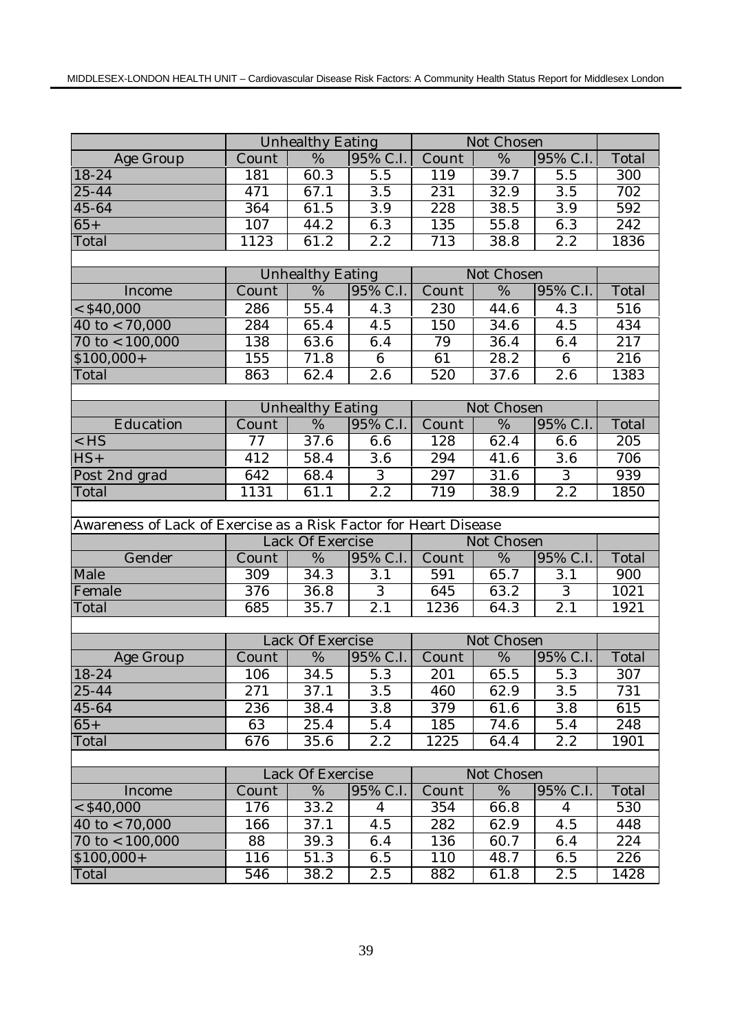|                                                                  |       | <b>Unhealthy Eating</b> |                  |                  | Not Chosen         |                  |                  |
|------------------------------------------------------------------|-------|-------------------------|------------------|------------------|--------------------|------------------|------------------|
| Age Group                                                        | Count | %                       | 95% C.I.         | Count            | %                  | 95% C.I.         | Total            |
| 18-24                                                            | 181   | 60.3                    | $\overline{5.5}$ | 119              | 39.7               | 5.5              | 300              |
| 25-44                                                            | 471   | 67.1                    | $\overline{3.5}$ | 231              | 32.9               | 3.5              | 702              |
| 45-64                                                            | 364   | 61.5                    | 3.9              | 228              | 38.5               | $\overline{3.9}$ | $\overline{592}$ |
| $65+$                                                            | 107   | 44.2                    | 6.3              | 135              | 55.8               | 6.3              | $\overline{242}$ |
| Total                                                            | 1123  | 61.2                    | 2.2              | $\overline{713}$ | 38.8               | $\overline{2.2}$ | 1836             |
|                                                                  |       |                         |                  |                  |                    |                  |                  |
|                                                                  |       | <b>Unhealthy Eating</b> |                  |                  | Not Chosen         |                  |                  |
| Income                                                           | Count | %                       | 95% C.I.         | Count            | $\overline{\%}$    | 95% C.I.         | Total            |
| $<$ \$40,000                                                     | 286   | 55.4                    | 4.3              | 230              | 44.6               | 4.3              | 516              |
| 40 to $< 70,000$                                                 | 284   | 65.4                    | 4.5              | 150              | 34.6               | $4.\overline{5}$ | 434              |
| $70$ to $< 100,000$                                              | 138   | 63.6                    | 6.4              | 79               | 36.4               | 6.4              | 217              |
| $$100,000+$                                                      | 155   | 71.8                    | $\overline{6}$   | 61               | 28.2               | 6                | 216              |
| Total                                                            | 863   | 62.4                    | 2.6              | 520              | 37.6               | 2.6              | 1383             |
|                                                                  |       |                         |                  |                  |                    |                  |                  |
|                                                                  |       | <b>Unhealthy Eating</b> |                  |                  | Not Chosen         |                  |                  |
| Education                                                        | Count | %                       | 95% C.I.         | Count            | %                  | 95% C.I.         | Total            |
| $<$ HS                                                           | 77    | 37.6                    | 6.6              | 128              | 62.4               | 6.6              | 205              |
| $HS+$                                                            | 412   | 58.4                    | 3.6              | 294              | 41.6               | 3.6              | 706              |
| Post 2nd grad                                                    | 642   | 68.4                    | $\overline{3}$   | 297              | $\overline{31}$ .6 | $\overline{3}$   | 939              |
| Total                                                            | 1131  | 61.1                    | $\overline{2.2}$ | 719              | 38.9               | 2.2              | 1850             |
|                                                                  |       |                         |                  |                  |                    |                  |                  |
| Awareness of Lack of Exercise as a Risk Factor for Heart Disease |       |                         |                  |                  |                    |                  |                  |
|                                                                  |       | Lack Of Exercise        |                  |                  | Not Chosen         |                  |                  |
| Gender                                                           | Count | $\%$                    | 95% C.I.         | Count            | %                  | 95% C.I.         | Total            |
| Male                                                             | 309   | 34.3                    | 3.1              | 591              | 65.7               | 3.1              | 900              |
| Female                                                           | 376   | 36.8                    | $\overline{3}$   | 645              | 63.2               | $\overline{3}$   | 1021             |
| Total                                                            | 685   | $\overline{35.7}$       | $\overline{2.1}$ | 1236             | 64.3               | $\overline{2.1}$ | 1921             |
|                                                                  |       |                         |                  |                  |                    |                  |                  |
|                                                                  |       | <b>Lack Of Exercise</b> |                  |                  | Not Chosen         |                  |                  |
| Age Group                                                        | Count | $\frac{9}{6}$           | 95% C.I.         | Count            | $\overline{\%}$    | 95% C.I.         | Total            |
| 18-24                                                            | 106   | 34.5                    | 5.3              | 201              | 65.5               | 5.3              | 307              |
| $25 - 44$                                                        | 271   | 37.1                    | 3.5              | 460              | 62.9               | 3.5              | 731              |
| 45-64                                                            | 236   | 38.4                    | 3.8              | 379              | 61.6               | 3.8              | 615              |
| $65+$                                                            | 63    | 25.4                    | 5.4              | 185              | 74.6               | 5.4              | 248              |
| Total                                                            | 676   | 35.6                    | 2.2              | 1225             | 64.4               | 2.2              | 1901             |
|                                                                  |       |                         |                  |                  |                    |                  |                  |
|                                                                  |       | Lack Of Exercise        |                  |                  | Not Chosen         |                  |                  |
| Income                                                           | Count | %                       | 95% C.I.         | Count            | %                  | 95% C.I.         | Total            |
| $<$ \$40,000                                                     | 176   | 33.2                    | $\overline{4}$   | 354              | 66.8               | $\overline{4}$   | 530              |
| 40 to $< 70,000$                                                 | 166   | 37.1                    | 4.5              | 282              | 62.9               | 4.5              | 448              |
| $70 \text{ to} < 100,000$                                        | 88    | 39.3                    | 6.4              | 136              | 60.7               | 6.4              | 224              |
| $$100,000+$                                                      | 116   | 51.3                    | 6.5              | 110              | 48.7               | 6.5              | 226              |
| Total                                                            | 546   | 38.2                    | 2.5              | 882              | 61.8               | 2.5              | 1428             |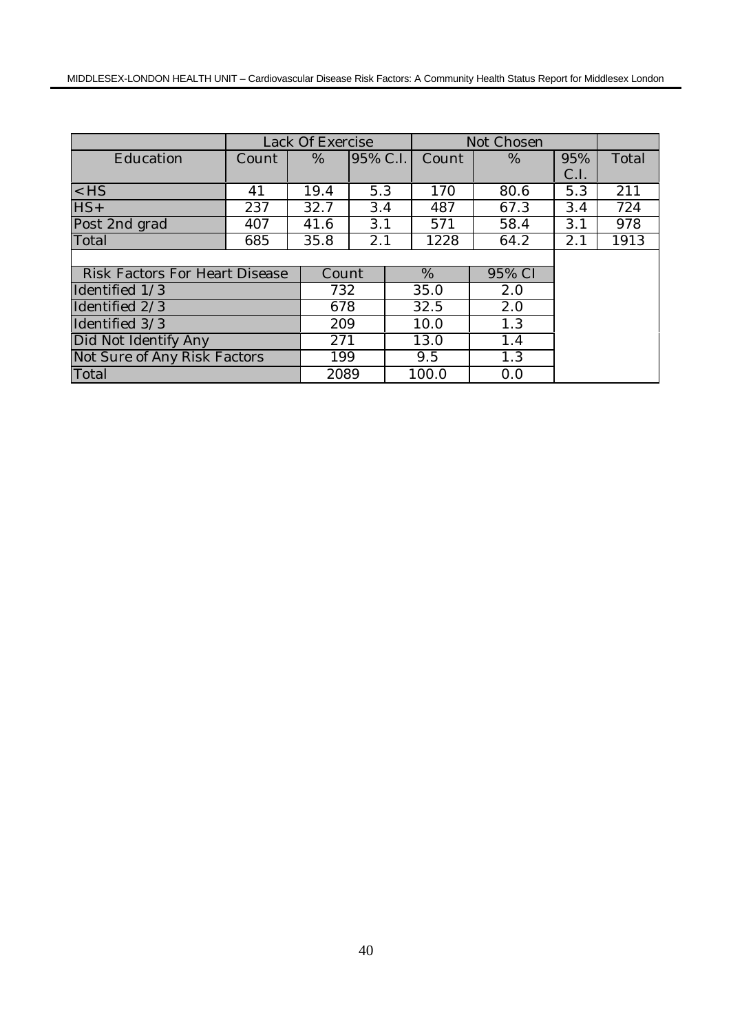|                                       | Lack Of Exercise |       |          |       | Not Chosen |      |       |
|---------------------------------------|------------------|-------|----------|-------|------------|------|-------|
| Education                             | Count            | %     | 95% C.I. | Count | $\%$       | 95%  | Total |
|                                       |                  |       |          |       |            | C.I. |       |
| $<$ HS                                | 41               | 19.4  | 5.3      | 170   | 80.6       | 5.3  | 211   |
| $HS+$                                 | 237              | 32.7  | 3.4      | 487   | 67.3       | 3.4  | 724   |
| Post 2nd grad                         | 407              | 41.6  | 3.1      | 571   | 58.4       | 3.1  | 978   |
| Total                                 | 685              | 35.8  | 2.1      | 1228  | 64.2       | 2.1  | 1913  |
|                                       |                  |       |          |       |            |      |       |
| <b>Risk Factors For Heart Disease</b> |                  | Count |          | %     | 95% CI     |      |       |
| Identified 1/3                        |                  | 732   |          | 35.0  | 2.0        |      |       |
| Identified 2/3                        |                  | 678   |          | 32.5  | 2.0        |      |       |
| Identified 3/3                        |                  | 209   |          | 10.0  | 1.3        |      |       |
| Did Not Identify Any                  |                  | 271   |          | 13.0  | 1.4        |      |       |
| Not Sure of Any Risk Factors          |                  |       | 199      |       | 1.3        |      |       |
| Total                                 |                  | 2089  |          | 100.0 | 0.0        |      |       |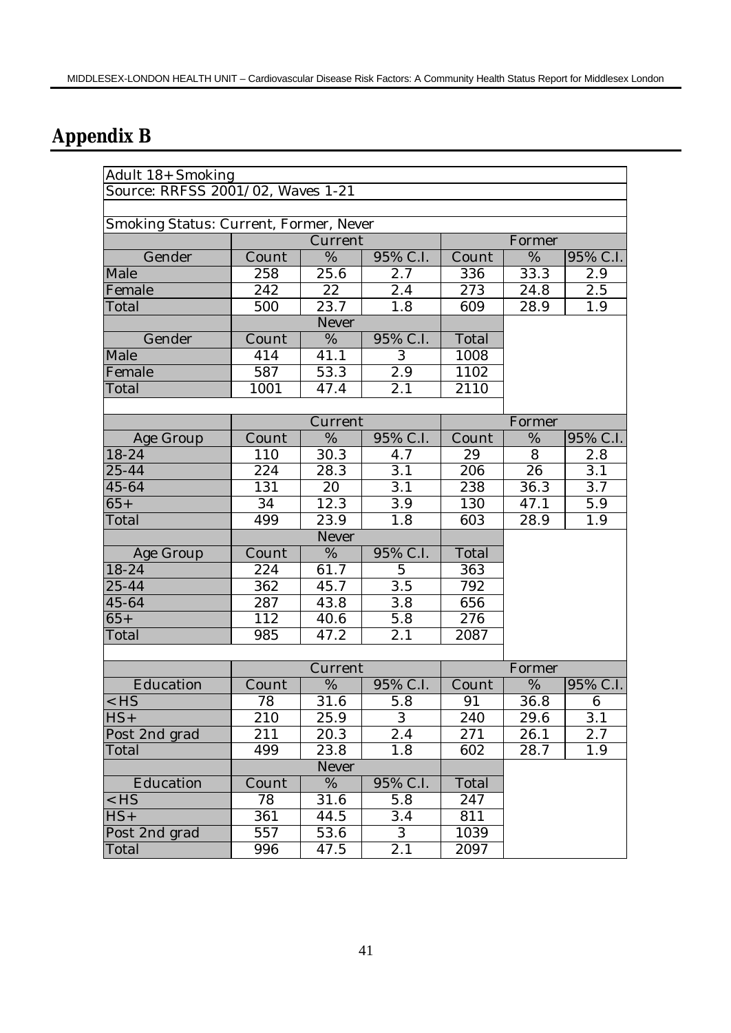# **Appendix B**

| Adult 18+ Smoking                      |                  |                   |                  |       |                 |                  |  |
|----------------------------------------|------------------|-------------------|------------------|-------|-----------------|------------------|--|
| Source: RRFSS 2001/02, Waves 1-21      |                  |                   |                  |       |                 |                  |  |
|                                        |                  |                   |                  |       |                 |                  |  |
| Smoking Status: Current, Former, Never |                  |                   |                  |       |                 |                  |  |
|                                        |                  | Current           |                  |       | Former          |                  |  |
| Gender                                 | Count            | %                 | 95% C.I.         | Count | %               | 95% C.I.         |  |
| Male                                   | 258              | 25.6              | 2.7              | 336   | 33.3            | 2.9              |  |
| Female                                 | 242              | 22                | 2.4              | 273   | 24.8            | 2.5              |  |
| Total                                  | 500              | 23.7              | 1.8              | 609   | 28.9            | 1.9              |  |
|                                        |                  | Never             |                  |       |                 |                  |  |
| Gender                                 | Count            | %                 | 95% C.I.         | Total |                 |                  |  |
| Male                                   | 414              | 41.1              | 3                | 1008  |                 |                  |  |
| Female                                 | 587              | 53.3              | $\overline{2.9}$ | 1102  |                 |                  |  |
| Total                                  | 1001             | 47.4              | 2.1              | 2110  |                 |                  |  |
|                                        |                  |                   |                  |       |                 |                  |  |
|                                        |                  | Current           |                  |       | Former          |                  |  |
| Age Group                              | Count            | %                 | 95% C.I.         | Count | %               | 95% C.I.         |  |
| 18-24                                  | 110              | 30.3              | 4.7              | 29    | 8               | 2.8              |  |
| 25-44                                  | 224              | 28.3              | $\overline{3.1}$ | 206   | $\overline{26}$ | $\overline{3.1}$ |  |
| 45-64                                  | 131              | 20                | 3.1              | 238   | 36.3            | $\overline{3.7}$ |  |
| $65+$                                  | 34               | 12.3              | $\overline{3.9}$ | 130   | 47.1            | 5.9              |  |
| Total                                  | 499              | 23.9              | 1.8              | 603   | 28.9            | 1.9              |  |
|                                        |                  | Never             |                  |       |                 |                  |  |
| Age Group                              | Count            | $\%$              | 95% C.I.         | Total |                 |                  |  |
| $18 - 24$                              | 224              | 61.7              | $\overline{5}$   | 363   |                 |                  |  |
| 25-44                                  | 362              | 45.7              | 3.5              | 792   |                 |                  |  |
| 45-64                                  | 287              | 43.8              | $3.8\,$          | 656   |                 |                  |  |
| $65+$                                  | $\overline{112}$ | $\overline{40.6}$ | $\overline{5.8}$ | 276   |                 |                  |  |
| Total                                  | 985              | 47.2              | $\overline{2}.1$ | 2087  |                 |                  |  |
|                                        |                  |                   |                  |       |                 |                  |  |
|                                        |                  | Current           |                  |       | Former          |                  |  |
| Education                              | Count            | $\overline{\%}$   | 95% C.I.         | Count | %               | 95% C.I.         |  |
| $<$ HS                                 | 78               | $\overline{3}1.6$ | 5.8              | 91    | 36.8            | 6                |  |
| $\overline{HS}$                        | 210              | 25.9              | $\,3$            | 240   | 29.6            | 3.1              |  |
| Post 2nd grad                          | 211              | 20.3              | 2.4              | 271   | 26.1            | 2.7              |  |
| Total                                  | 499              | 23.8              | 1.8              | 602   | 28.7            | 1.9              |  |
|                                        | Never            |                   |                  |       |                 |                  |  |
| Education                              | Count            | $\%$              | 95% C.I.         | Total |                 |                  |  |
| $<$ HS                                 | 78               | 31.6              | 5.8              | 247   |                 |                  |  |
| $HS+$                                  | 361              | 44.5              | 3.4              | 811   |                 |                  |  |
| Post 2nd grad                          | 557              | 53.6              | $\overline{3}$   | 1039  |                 |                  |  |
| Total                                  | 996              | 47.5              | 2.1              | 2097  |                 |                  |  |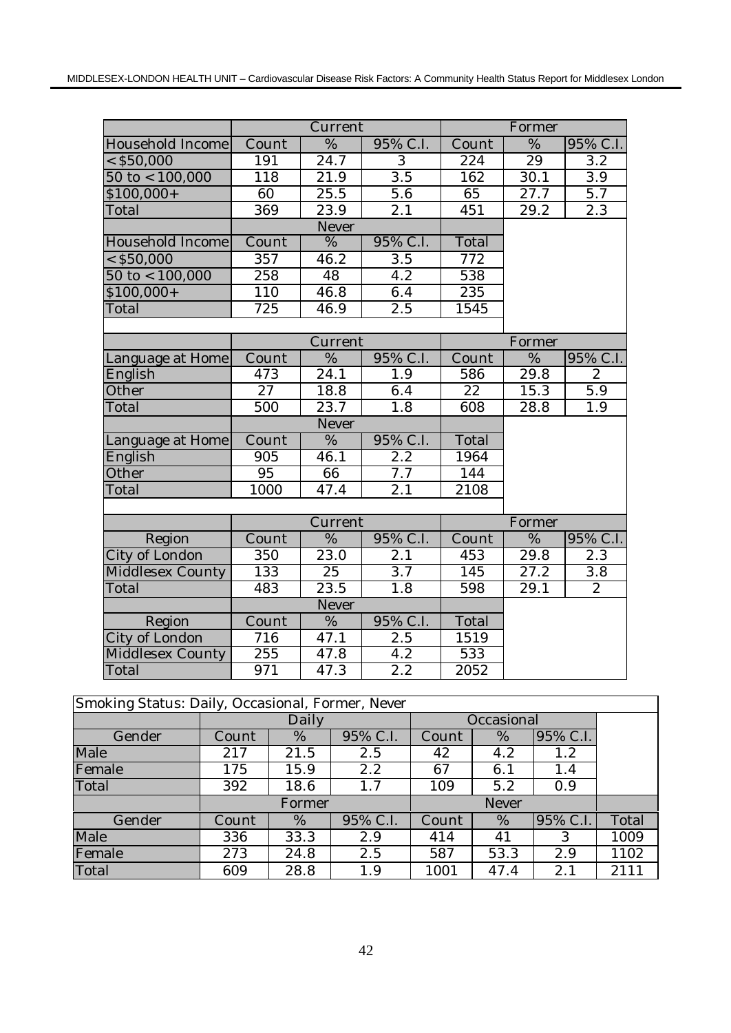|                           |                              | Current           |                  |                  | Former        |                  |
|---------------------------|------------------------------|-------------------|------------------|------------------|---------------|------------------|
| Household Income          | Count                        | %                 | 95% C.I.         | Count            | %             | 95% C.I.         |
| $<$ \$50,000              | 191                          | 24.7              | $\overline{3}$   | 224              | 29            | $\overline{3.2}$ |
| $50$ to $< 100,000$       | 118                          | 21.9              | 3.5              | 162              | 30.1          | 3.9              |
| $$100,000+$               | $\overline{60}$              | 25.5              | 5.6              | 65               | 27.7          | 5.7              |
| Total                     | 369                          | 23.9              | 2.1              | 451              | 29.2          | 2.3              |
|                           |                              | Never             |                  |                  |               |                  |
| Household Income          | Count                        | $\overline{\%}$   | 95% C.I.         | Total            |               |                  |
| $<$ \$50,000              | $\overline{357}$             | 46.2              | $\overline{3.5}$ | $\overline{772}$ |               |                  |
| $50 \text{ to} < 100,000$ | 258                          | 48                | $\overline{4.2}$ | 538              |               |                  |
| $$100,000+$               | 110                          | 46.8              | 6.4              | 235              |               |                  |
| Total                     | 725                          | 46.9              | 2.5              | 1545             |               |                  |
|                           |                              |                   |                  |                  |               |                  |
|                           |                              | Current           |                  |                  | Former        |                  |
| Language at Home          | Count                        | %                 | 95% C.I.         | Count            | $\%$          | 95% C.I.         |
| English                   | 473                          | $\overline{24.1}$ | 1.9              | 586              | 29.8          | $\mathbf{2}$     |
| Other                     | $\overline{27}$              | 18.8              | 6.4              | $\overline{22}$  | 15.3          | $\overline{5.9}$ |
| Total                     | 500                          | 23.7              | $\overline{1.8}$ | 608              | 28.8          | 1.9              |
|                           |                              | Never             |                  |                  |               |                  |
| Language at Home          | Count                        | $\overline{\%}$   | 95% C.I.         | Total            |               |                  |
| English                   | 905                          | 46.1              | $\overline{2.2}$ | 1964             |               |                  |
| Other                     | 95                           | 66                | 7.7              | 144              |               |                  |
| Total                     | 1000                         | 47.4              | 2.1              | 2108             |               |                  |
|                           |                              |                   |                  |                  |               |                  |
|                           |                              | Current           |                  |                  | Former        |                  |
| Region                    | $\overline{\mathrm{C}}$ ount | $\frac{0}{6}$     | 95% C.I.         | Count            | $\frac{0}{6}$ | 95% C.I.         |
| City of London            | 350                          | 23.0              | $\overline{2.1}$ | 453              | 29.8          | $\overline{2.3}$ |
| Middlesex County          | 133                          | 25                | $\overline{3.7}$ | 145              | 27.2          | $\overline{3.8}$ |
| Total                     | 483                          | 23.5              | 1.8              | 598              | 29.1          | $\overline{2}$   |
|                           |                              | Never             |                  |                  |               |                  |
| Region                    | Count                        | %                 | 95% C.I.         | Total            |               |                  |
| City of London            | 716                          | 47.1              | 2.5              | 1519             |               |                  |
| <b>Middlesex County</b>   | 255                          | 47.8              | $\overline{4.2}$ | 533              |               |                  |
| Total                     | 971                          | $47.\overline{3}$ | 2.2              | 2052             |               |                  |

| Smoking Status: Daily, Occasional, Former, Never |       |        |          |            |      |          |       |  |
|--------------------------------------------------|-------|--------|----------|------------|------|----------|-------|--|
|                                                  | Daily |        |          | Occasional |      |          |       |  |
| Gender                                           | Count | %      | 95% C.I. | Count      | %    | 95% C.I. |       |  |
| Male                                             | 217   | 21.5   | 2.5      | 42         | 4.2  | 1.2      |       |  |
| Female                                           | 175   | 15.9   | 2.2      | 67         | 6.1  | 1.4      |       |  |
| Total                                            | 392   | 18.6   | 1.7      | 109        | 5.2  | 0.9      |       |  |
|                                                  |       | Former |          |            |      |          |       |  |
| Gender                                           | Count | %      | 95% C.I. | Count      | %    | 95% C.I. | Total |  |
| Male                                             | 336   | 33.3   | 2.9      | 414        | 41   | 3        | 1009  |  |
| Female                                           | 273   | 24.8   | 2.5      | 587        | 53.3 | 2.9      | 1102  |  |
| Total                                            | 609   | 28.8   | 1.9      | 1001       | 47.4 | 2.1      | 2111  |  |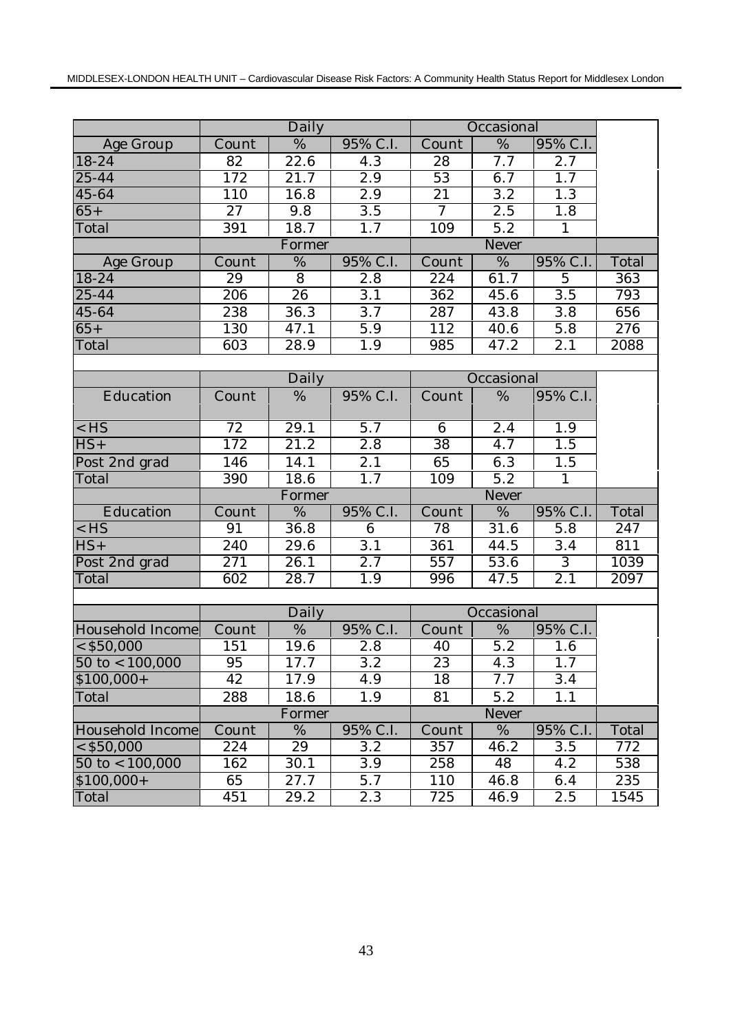|                           |                 | Daily             |                  |                 | Occasional        |                  |       |
|---------------------------|-----------------|-------------------|------------------|-----------------|-------------------|------------------|-------|
| Age Group                 | Count           | %                 | 95% C.I.         | Count           | %                 | 95% C.I.         |       |
| 18-24                     | 82              | 22.6              | 4.3              | 28              | 7.7               | 2.7              |       |
| $25 - 44$                 | 172             | $\overline{21.7}$ | 2.9              | 53              | 6.7               | 1.7              |       |
| 45-64                     | 110             | 16.8              | $\overline{2.9}$ | $\overline{21}$ | 3.2               | 1.3              |       |
| $65+$                     | $\overline{27}$ | 9.8               | 3.5              | $\overline{7}$  | 2.5               | 1.8              |       |
| Total                     | 391             | 18.7              | 1.7              | 109             | $\overline{5.2}$  | $\mathbf{1}$     |       |
|                           |                 | Former            |                  |                 |                   |                  |       |
| Age Group                 | Count           | %                 | 95% C.I.         | Count           | $\%$              | 95% C.I.         | Total |
| 18-24                     | 29              | 8                 | 2.8              | 224             | 61.7              | $\overline{5}$   | 363   |
| 25-44                     | 206             | 26                | $\overline{3.1}$ | 362             | 45.6              | $\overline{3.5}$ | 793   |
| 45-64                     | 238             | 36.3              | 3.7              | 287             | 43.8              | 3.8              | 656   |
| $65+$                     | 130             | 47.1              | 5.9              | 112             | 40.6              | 5.8              | 276   |
| Total                     | 603             | 28.9              | 1.9              | 985             | 47.2              | $\overline{2.1}$ | 2088  |
|                           |                 |                   |                  |                 |                   |                  |       |
|                           |                 | Daily             |                  |                 | Occasional        |                  |       |
| Education                 | Count           | %                 | 95% C.I.         | Count           | %                 | 95% C.I.         |       |
|                           |                 |                   |                  |                 |                   |                  |       |
| $<$ HS                    | 72              | 29.1              | 5.7              | 6               | 2.4               | 1.9              |       |
| $HS+$                     | 172             | 21.2              | $\overline{2.8}$ | $\overline{38}$ | 4.7               | 1.5              |       |
| Post 2nd grad             | 146             | 14.1              | 2.1              | 65              | 6.3               | 1.5              |       |
| Total                     | 390             | 18.6              | 1.7              | 109             | $\overline{5.2}$  | $\mathbf{1}$     |       |
|                           |                 | Former            |                  | Never           |                   |                  |       |
| Education                 | Count           | %                 | 95% C.I.         | Count           | %                 | 95% C.I.         | Total |
| $<$ HS                    | 91              | 36.8              | 6                | 78              | 31.6              | 5.8              | 247   |
| $HS+$                     | 240             | 29.6              | 3.1              | 361             | 44.5              | 3.4              | 811   |
| Post 2nd grad             | 271             | 26.1              | 2.7              | 557             | 53.6              | 3                | 1039  |
| Total                     | 602             | 28.7              | 1.9              | 996             | 47.5              | 2.1              | 2097  |
|                           |                 |                   |                  |                 |                   |                  |       |
|                           |                 | Daily             |                  |                 | Occasional        |                  |       |
| Household Income          | Count           | %                 | 95% C.I.         | Count           | %                 | 95% C.I.         |       |
| $<$ \$50,000              | 151             | 19.6              | $\overline{2.8}$ | 40              | $\overline{5}$ .2 | 1.6              |       |
| $50 \text{ to} < 100,000$ | 95              | 17.7              | $\overline{3.2}$ | $\overline{23}$ | 4.3               | 1.7              |       |
| $$100,000+$               | 42              | 17.9              | 4.9              | 18              | 7.7               | 3.4              |       |
| Total                     | 288             | 18.6              | 1.9              | 81              | 5.2               | 1.1              |       |
|                           |                 | Former            |                  |                 | Never             |                  |       |
| Household Income          | Count           | %                 | 95% C.I.         | Count           | %                 | 95% C.I.         | Total |
| $<$ \$50,000              | 224             | 29                | 3.2              | 357             | 46.2              | 3.5              | 772   |
| $50 \text{ to} < 100,000$ | 162             | 30.1              | 3.9              | 258             | 48                | 4.2              | 538   |
| $$100,000+$               | 65              | 27.7              | 5.7              | 110             | 46.8              | 6.4              | 235   |
| Total                     | 451             | 29.2              | 2.3              | 725             | 46.9              | 2.5              | 1545  |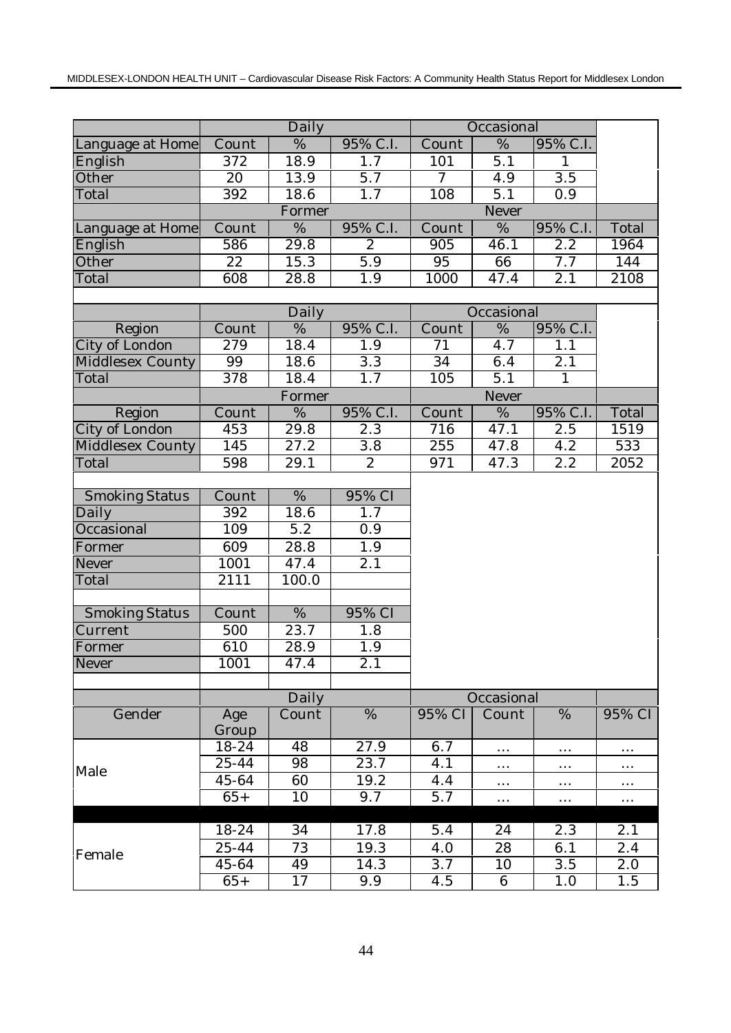|                       |                              | Daily             |                  |                  | Occasional       |                  |          |
|-----------------------|------------------------------|-------------------|------------------|------------------|------------------|------------------|----------|
| Language at Home      | $\overline{\text{Count}}$    | $\frac{0}{6}$     | 95% C.I.         | Count            | $\%$             | 95% C.I.         |          |
| English               | 372                          | 18.9              | 1.7              | 101              | 5.1              | $\mathbf{1}$     |          |
| Other                 | 20                           | 13.9              | $\overline{5.7}$ | $\tau$           | 4.9              | 3.5              |          |
| Total                 | $\overline{392}$             | 18.6              | $\overline{1.7}$ | 108              | $\overline{5.1}$ | $\overline{0.9}$ |          |
|                       |                              | Former            |                  |                  | Never            |                  |          |
| Language at Home      | Count                        | $\%$              | 95% C.I.         | Count            | %                | 95% C.I.         | Total    |
| English               | 586                          | 29.8              | $\overline{2}$   | $\overline{905}$ | 46.1             | $\overline{2.2}$ | 1964     |
| Other                 | $\overline{22}$              | 15.3              | $\overline{5.9}$ | $\overline{95}$  | 66               | 7.7              | 144      |
| Total                 | 608                          | 28.8              | 1.9              | 1000             | 47.4             | 2.1              | 2108     |
|                       |                              |                   |                  |                  |                  |                  |          |
|                       | Daily                        |                   |                  | Occasional       |                  |                  |          |
| Region                | Count                        | %                 | 95% C.I.         | Count            | %                | 95% C.I.         |          |
| City of London        | 279                          | 18.4              | 1.9              | 71               | 4.7              | 1.1              |          |
| Middlesex County      | 99                           | 18.6              | $\overline{3.3}$ | 34               | 6.4              | 2.1              |          |
| Total                 | 378                          | 18.4              | 1.7              | 105              | $\overline{5.1}$ | $\mathbf{1}$     |          |
|                       |                              | Former            |                  |                  | Never            |                  |          |
| Region                | Count                        | $\%$              | 95% C.I.         | Count            | %                | 95% C.I.         | Total    |
| <b>City of London</b> | 453                          | 29.8              | 2.3              | 716              | 47.1             | 2.5              | 1519     |
| Middlesex County      | 145                          | $\overline{27.2}$ | $\overline{3.8}$ | $\overline{255}$ | 47.8             | 4.2              | 533      |
| Total                 | 598                          | 29.1              | 2                | 971              | 47.3             | 2.2              | 2052     |
|                       |                              |                   |                  |                  |                  |                  |          |
| <b>Smoking Status</b> | Count                        | %                 | 95% CI           |                  |                  |                  |          |
| Daily                 | 392                          | 18.6              | 1.7              |                  |                  |                  |          |
| Occasional            | 109                          | 5.2               | 0.9              |                  |                  |                  |          |
| Former                | 609                          | 28.8              | 1.9              |                  |                  |                  |          |
| Never                 | 1001                         | 47.4              | $\overline{2.1}$ |                  |                  |                  |          |
| Total                 | 2111                         | 100.0             |                  |                  |                  |                  |          |
|                       |                              |                   |                  |                  |                  |                  |          |
| <b>Smoking Status</b> | $\overline{\mathrm{C}}$ ount | $\%$              | 95% CI           |                  |                  |                  |          |
| Current               | 500                          | 23.7              | 1.8              |                  |                  |                  |          |
| Former                | 610                          | 28.9              | 1.9              |                  |                  |                  |          |
| Never                 | 1001                         | 47.4              | 2.1              |                  |                  |                  |          |
|                       |                              |                   |                  |                  |                  |                  |          |
|                       |                              | Daily             |                  |                  | Occasional       |                  |          |
| Gender                | Age                          | Count             | $\%$             | 95% CI           | Count            | $\%$             | 95% CI   |
|                       | Group                        |                   |                  |                  |                  |                  |          |
|                       | 18-24                        | 48                | 27.9             | 6.7              | $\cdots$         | $\cdots$         | .        |
|                       | 25-44                        | 98                | 23.7             | 4.1              | $\ldots$         | $\cdots$         | $\cdots$ |
| Male                  | 45-64                        | 60                | 19.2             | 4.4              | $\cdots$         | $\cdots$         | $\cdots$ |
|                       | $65+$                        | 10                | 9.7              | 5.7              | $\cdots$         | $\cdots$         | $\cdots$ |
|                       |                              |                   |                  |                  |                  |                  |          |
|                       | 18-24                        | 34                | 17.8             | 5.4              | 24               | 2.3              | 2.1      |
|                       | 25-44                        | 73                | 19.3             | 4.0              | 28               | 6.1              | 2.4      |
| Female                | 45-64                        | 49                | 14.3             | $\overline{3.7}$ | 10               | 3.5              | 2.0      |
|                       | $65+$                        | 17                | 9.9              | 4.5              | 6                | 1.0              | 1.5      |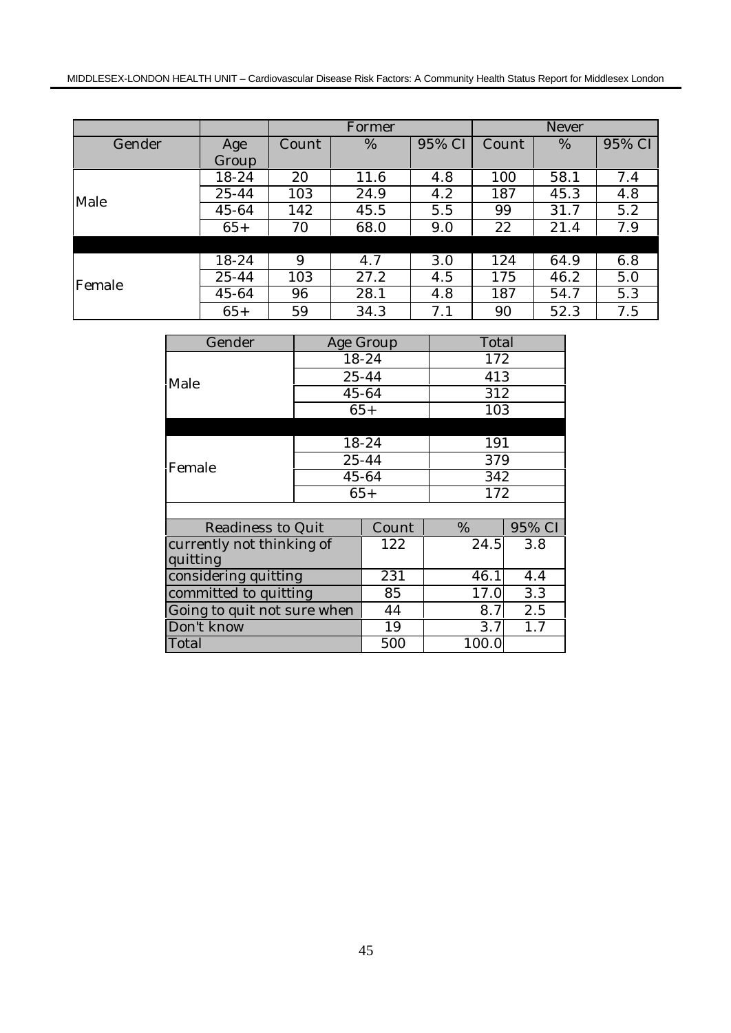|        |       |       | Former |        |       | Never |                        |  |
|--------|-------|-------|--------|--------|-------|-------|------------------------|--|
| Gender | Age   | Count | %      | 95% CI | Count | %     | $95\%$ $\overline{CI}$ |  |
|        | Group |       |        |        |       |       |                        |  |
|        | 18-24 | 20    | 11.6   | 4.8    | 100   | 58.1  | 7.4                    |  |
| Male   | 25-44 | 103   | 24.9   | 4.2    | 187   | 45.3  | 4.8                    |  |
|        | 45-64 | 142   | 45.5   | 5.5    | 99    | 31.7  | 5.2                    |  |
|        | $65+$ | 70    | 68.0   | 9.0    | 22    | 21.4  | 7.9                    |  |
|        |       |       |        |        |       |       |                        |  |
|        | 18-24 | 9     | 4.7    | 3.0    | 124   | 64.9  | 6.8                    |  |
| Female | 25-44 | 103   | 27.2   | 4.5    | 175   | 46.2  | 5.0                    |  |
|        | 45-64 | 96    | 28.1   | 4.8    | 187   | 54.7  | 5.3                    |  |
|        | $65+$ | 59    | 34.3   | 7.1    | 90    | 52.3  | 7.5                    |  |

| Gender                      |    | Age Group | Total |        |  |
|-----------------------------|----|-----------|-------|--------|--|
|                             |    | 18-24     | 172   |        |  |
| Male                        |    | $25 - 44$ | 413   |        |  |
|                             |    | 45-64     | 312   |        |  |
|                             |    | $65+$     | 103   |        |  |
|                             |    |           |       |        |  |
|                             |    | 18-24     | 191   |        |  |
| Female                      |    | 25-44     | 379   |        |  |
|                             |    | 45-64     |       | 342    |  |
|                             |    | $65+$     | 172   |        |  |
|                             |    |           |       |        |  |
| Readiness to Quit           |    | Count     | %     | 95% CI |  |
| currently not thinking of   |    | 122       | 24.5  | 3.8    |  |
| quitting                    |    |           |       |        |  |
| considering quitting        |    | 231       | 46.1  | 4.4    |  |
| committed to quitting       | 85 | 17.0      | 3.3   |        |  |
| Going to quit not sure when | 44 | 8.7       | 2.5   |        |  |
| Don't know                  | 19 | 3.7       | 1.7   |        |  |
| Total                       |    | 500       | 100.0 |        |  |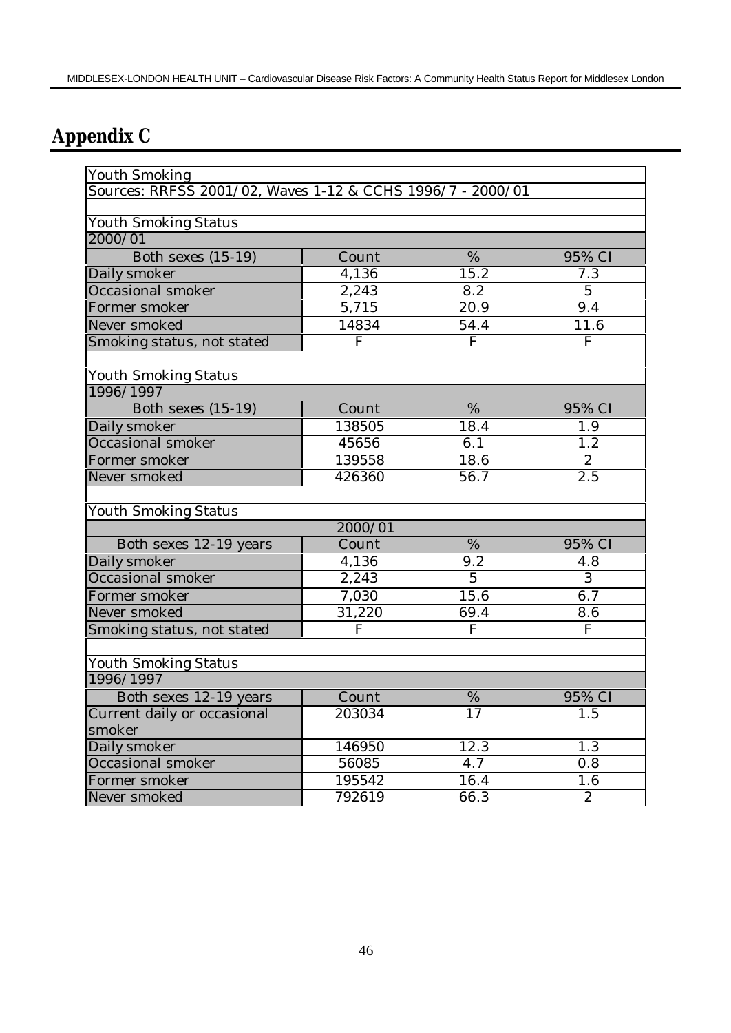# **Appendix C**

| <b>Youth Smoking</b>                                       |                |                   |                       |
|------------------------------------------------------------|----------------|-------------------|-----------------------|
| Sources: RRFSS 2001/02, Waves 1-12 & CCHS 1996/7 - 2000/01 |                |                   |                       |
|                                                            |                |                   |                       |
| <b>Youth Smoking Status</b>                                |                |                   |                       |
| 2000/01                                                    |                |                   |                       |
| Both sexes $(15-19)$                                       | Count          | %                 | 95% CI                |
| Daily smoker                                               | 4,136          | 15.2              | 7.3                   |
| Occasional smoker                                          | 2,243          | 8.2               | 5 <sup>5</sup>        |
| Former smoker                                              | 5,715          | $\overline{20.9}$ | 9.4                   |
| Never smoked                                               | 14834          | 54.4              | 11.6                  |
| Smoking status, not stated                                 | $\overline{F}$ | $\overline{F}$    | $\overline{F}$        |
| <b>Youth Smoking Status</b>                                |                |                   |                       |
| 1996/1997                                                  |                |                   |                       |
| <b>Both sexes (15-19)</b>                                  | Count          | $\frac{0}{6}$     | 95% CI                |
| Daily smoker                                               | 138505         | 18.4              | 1.9                   |
| Occasional smoker                                          | 45656          | 6.1               | $1.\overline{2}$      |
| Former smoker                                              | 139558         | 18.6              | 2                     |
| Never smoked                                               | 426360         | 56.7              | $\overline{2.5}$      |
|                                                            |                |                   |                       |
| <b>Youth Smoking Status</b>                                | 2000/01        |                   |                       |
|                                                            | Count          | %                 | 95% CI                |
| Both sexes 12-19 years                                     | 4,136          | $\overline{9.2}$  |                       |
| Daily smoker<br>Occasional smoker                          | 2,243          | $\overline{5}$    | 4.8<br>$\overline{3}$ |
|                                                            |                | 15.6              |                       |
| Former smoker                                              | 7,030          |                   | 6.7                   |
| Never smoked                                               | 31,220         | 69.4              | 8.6                   |
| Smoking status, not stated                                 | F              | ${\bf F}$         | $\mathbf F$           |
| <b>Youth Smoking Status</b>                                |                |                   |                       |
| 1996/1997                                                  |                |                   |                       |
| Both sexes 12-19 years                                     | Count          | $\frac{0}{6}$     | 95% CI                |
| Current daily or occasional                                | 203034         | $\overline{17}$   | 1.5                   |
| smoker                                                     |                |                   |                       |
| Daily smoker                                               | 146950         | 12.3              | 1.3                   |
| Occasional smoker                                          | 56085          | 4.7               | 0.8                   |
| Former smoker                                              | 195542         | 16.4              | 1.6                   |
| Never smoked                                               | 792619         | 66.3              | $\overline{2}$        |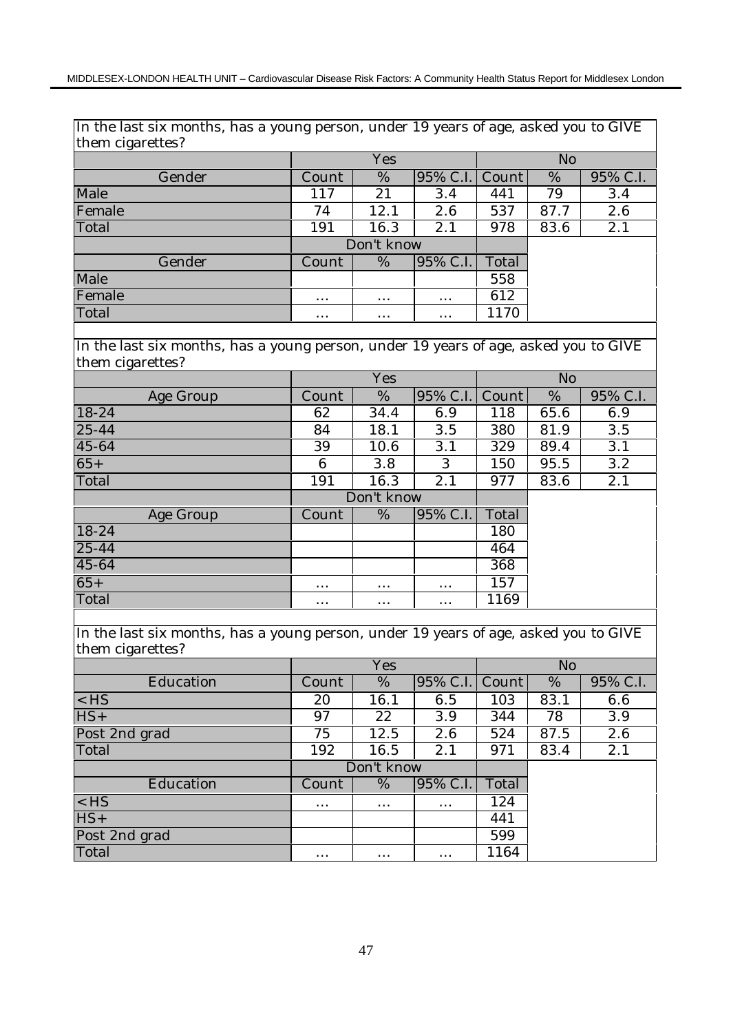In the last six months, has a young person, under 19 years of age, asked you to GIVE them cigarettes?

|        |          | Yes        |          |                | No   |          |  |  |
|--------|----------|------------|----------|----------------|------|----------|--|--|
| Gender | Count    | %          |          | 95% C.I. Count | %    | 95% C.I. |  |  |
| Male   | 117      | 21         | 3.4      | 441            | 79   | 3.4      |  |  |
| Female | 74       | 12.1       | 2.6      | 537            | 87.7 | 2.6      |  |  |
| Total  | 191      | 16.3       | 2.1      | 978            | 83.6 | 2.1      |  |  |
|        |          | Don't know |          |                |      |          |  |  |
| Gender | Count    | %          | 95% C.I. | Total          |      |          |  |  |
| Male   |          |            |          | 558            |      |          |  |  |
| Female | $\cdots$ | $\cdots$   | $\cdots$ | 612            |      |          |  |  |
| Total  | $\cdots$ | $\cdots$   | $\cdots$ | 1170           |      |          |  |  |

In the last six months, has a young person, under 19 years of age, asked you to GIVE them cigarettes?

|           |          | Yes        |          |       | N <sub>o</sub> |          |
|-----------|----------|------------|----------|-------|----------------|----------|
| Age Group | Count    | %          | 95% C.I. | Count | %              | 95% C.I. |
| 18-24     | 62       | 34.4       | 6.9      | 118   | 65.6           | 6.9      |
| $25 - 44$ | 84       | 18.1       | 3.5      | 380   | 81.9           | 3.5      |
| 45-64     | 39       | 10.6       | 3.1      | 329   | 89.4           | 3.1      |
| $65+$     | 6        | 3.8        | 3        | 150   | 95.5           | 3.2      |
| Total     | 191      | 16.3       | 2.1      | 977   | 83.6           | 2.1      |
|           |          | Don't know |          |       |                |          |
| Age Group | Count    | %          | 95% C.I. | Total |                |          |
| $18-24$   |          |            |          | 180   |                |          |
| $25 - 44$ |          |            |          | 464   |                |          |
| 45-64     |          |            |          | 368   |                |          |
| $65+$     | $\cdots$ | $\cdots$   | $\cdots$ | 157   |                |          |
| Total     | $\cdots$ | $\cdots$   | $\cdots$ | 1169  |                |          |
|           |          |            |          |       |                |          |

In the last six months, has a young person, under 19 years of age, asked you to GIVE them cigarettes?

|               |          | Yes        |                | N <sub>o</sub> |      |          |  |
|---------------|----------|------------|----------------|----------------|------|----------|--|
| Education     | Count    | %          | 95% C.I. Count |                | %    | 95% C.I. |  |
| $<$ HS        | 20       | 16.1       | 6.5            | 103            | 83.1 | 6.6      |  |
| $HS+$         | 97       | 22         | 3.9            | 344            | 78   | 3.9      |  |
| Post 2nd grad | 75       | 12.5       | 2.6            | 524            | 87.5 | 2.6      |  |
| Total         | 192      | 16.5       | 2.1            | 971            | 83.4 | 2.1      |  |
|               |          |            |                |                |      |          |  |
|               |          | Don't know |                |                |      |          |  |
| Education     | Count    | %          | 95% C.I.       | Total          |      |          |  |
| $<$ HS        | $\cdots$ | $\cdots$   | $\cdots$       | 124            |      |          |  |
| $HS+$         |          |            |                | 441            |      |          |  |
| Post 2nd grad |          |            |                | 599            |      |          |  |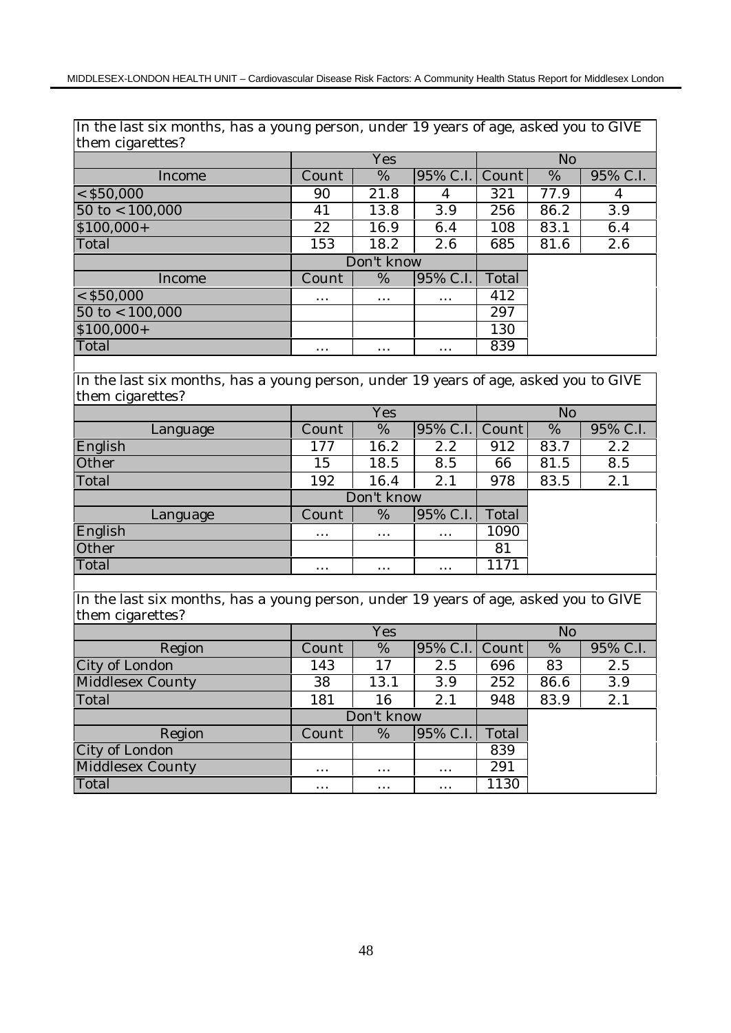In the last six months, has a young person, under 19 years of age, asked you to GIVE them cigarettes?

|                           |          | Yes        |                |       | N <sub>o</sub> |          |  |  |
|---------------------------|----------|------------|----------------|-------|----------------|----------|--|--|
| Income                    | Count    | %          | 95% C.I. Count |       | %              | 95% C.I. |  |  |
| $<$ \$50,000              | 90       | 21.8       | 4              | 321   | 77.9           | 4        |  |  |
| $50$ to $< 100,000$       | 41       | 13.8       | 3.9            | 256   | 86.2           | 3.9      |  |  |
| $$100,000+$               | 22       | 16.9       | 6.4            | 108   | 83.1           | 6.4      |  |  |
| Total                     | 153      | 18.2       | 2.6            | 685   | 81.6           | 2.6      |  |  |
|                           |          | Don't know |                |       |                |          |  |  |
| Income                    | Count    | %          | 95% C.I.       | Total |                |          |  |  |
| $<$ \$50,000              | $\cdots$ | $\cdots$   | $\cdots$       | 412   |                |          |  |  |
| $50 \text{ to} < 100,000$ |          |            |                | 297   |                |          |  |  |
| $$100,000+$               |          |            |                | 130   |                |          |  |  |
| Total                     | $\cdots$ | $\cdots$   | $\cdots$       | 839   |                |          |  |  |

In the last six months, has a young person, under 19 years of age, asked you to GIVE them cigarettes?

|          |          | Yes        |                | N <sub>o</sub> |      |          |  |
|----------|----------|------------|----------------|----------------|------|----------|--|
| Language | Count    | %          | 95% C.I. Count |                | %    | 95% C.I. |  |
| English  | 177      | 16.2       | 2.2            | 912            | 83.7 | 2.2      |  |
| Other    | 15       | 18.5       | 8.5            | 66             | 81.5 | 8.5      |  |
| Total    | 192      | 16.4       | 2.1            | 978            | 83.5 | 2.1      |  |
|          |          | Don't know |                |                |      |          |  |
| Language | Count    | %          | 95% C.I.       | Total          |      |          |  |
| English  | $\cdots$ | $\cdots$   | $\cdots$       | 1090           |      |          |  |
| Other    |          |            |                | 81             |      |          |  |
| Total    | $\cdots$ | $\cdots$   | $\cdots$       | 1171           |      |          |  |

In the last six months, has a young person, under 19 years of age, asked you to GIVE them cigarettes?

|                  |          | Yes        |                |       | N <sub>o</sub> |          |  |  |
|------------------|----------|------------|----------------|-------|----------------|----------|--|--|
| Region           | Count    | %          | 95% C.I. Count |       | %              | 95% C.I. |  |  |
| City of London   | 143      | 17         | 2.5            | 696   | 83             | 2.5      |  |  |
| Middlesex County | 38       | 13.1       | 3.9            | 252   | 86.6           | 3.9      |  |  |
| Total            | 181      | 16         | 2.1            | 948   | 83.9           | 2.1      |  |  |
|                  |          | Don't know |                |       |                |          |  |  |
| Region           | Count    | %          | 95% C.I.       | Total |                |          |  |  |
| City of London   |          |            |                | 839   |                |          |  |  |
| Middlesex County | $\cdots$ | $\cdots$   | $\cdots$       | 291   |                |          |  |  |
| Total            |          |            |                | 1130  |                |          |  |  |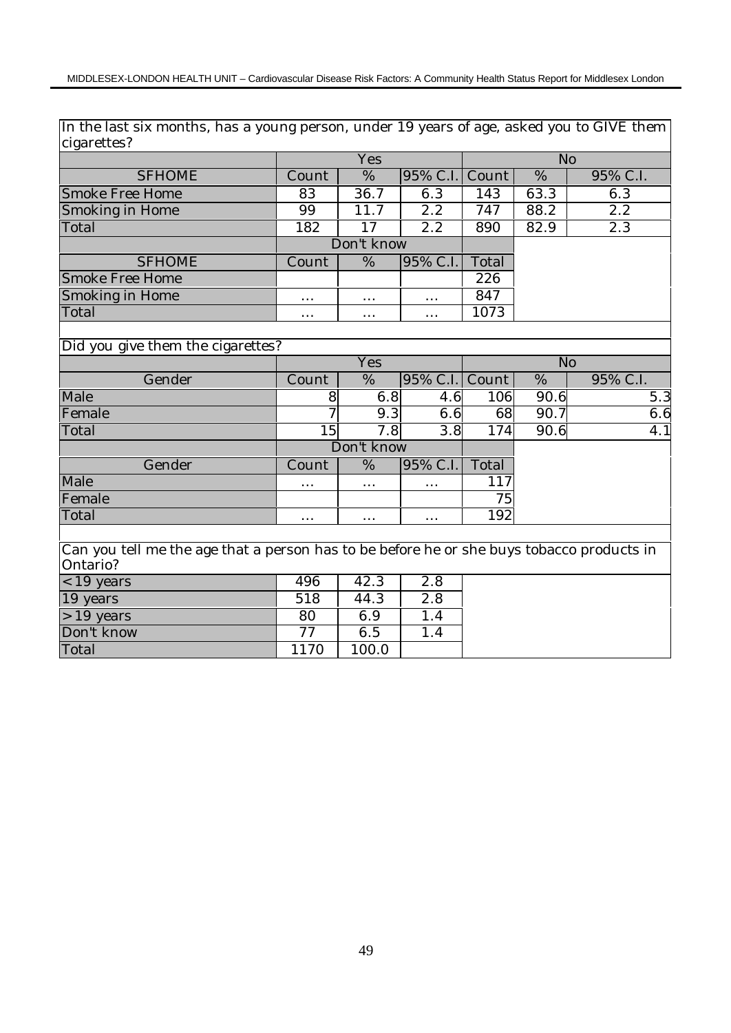In the last six months, has a young person, under 19 years of age, asked you to GIVE them cigarettes?

|                 |          | Yes        |                |       | No   |          |
|-----------------|----------|------------|----------------|-------|------|----------|
| <b>SFHOME</b>   | Count    | %          | 95% C.I. Count |       | %    | 95% C.I. |
| Smoke Free Home | 83       | 36.7       | 6.3            | 143   | 63.3 | 6.3      |
| Smoking in Home | 99       | 11.7       | 2.2            | 747   | 88.2 | 2.2      |
| Total           | 182      | 17         | 2.2            | 890   | 82.9 | 2.3      |
|                 |          | Don't know |                |       |      |          |
| <b>SFHOME</b>   | Count    | %          | 95% C.I.       | Total |      |          |
| Smoke Free Home |          |            |                | 226   |      |          |
| Smoking in Home | $\cdots$ | $\cdots$   | $\cdots$       | 847   |      |          |
| Total           | $\cdots$ | $\cdots$   | $\cdots$       | 1073  |      |          |

# Did you give them the cigarettes?

|        |          | Yes        |                |       | No   |          |  |  |
|--------|----------|------------|----------------|-------|------|----------|--|--|
| Gender | Count    | %          | 95% C.I. Count |       | %    | 95% C.I. |  |  |
| Male   |          | 6.8        | 4.6            | 106   | 90.6 | 5.3      |  |  |
| Female |          | 9.3        | 6.6            | 68    | 90.7 | 6.6      |  |  |
| Total  | 15       | 7.8        | 3.8            | 174   | 90.6 | 4.1      |  |  |
|        |          | Don't know |                |       |      |          |  |  |
| Gender | Count    | %          | 95% C.I.       | Total |      |          |  |  |
| Male   | $\cdots$ | $\cdots$   | $\cdots$       | 117   |      |          |  |  |
| Female |          |            |                | 75    |      |          |  |  |
| Total  | $\cdots$ | $\cdots$   | $\cdots$       | 192   |      |          |  |  |

Can you tell me the age that a person has to be before he or she buys tobacco products in Ontario?

| $<$ 19 years | 496 | 42.3    | $2.8\,$ |
|--------------|-----|---------|---------|
| 19 years     | 518 | 44.3    | 2.8     |
| $>19$ years  | 80  | $6.9\,$ | . . 4   |
| Don't know   | 77  | 6.5     |         |
| Total        |     |         |         |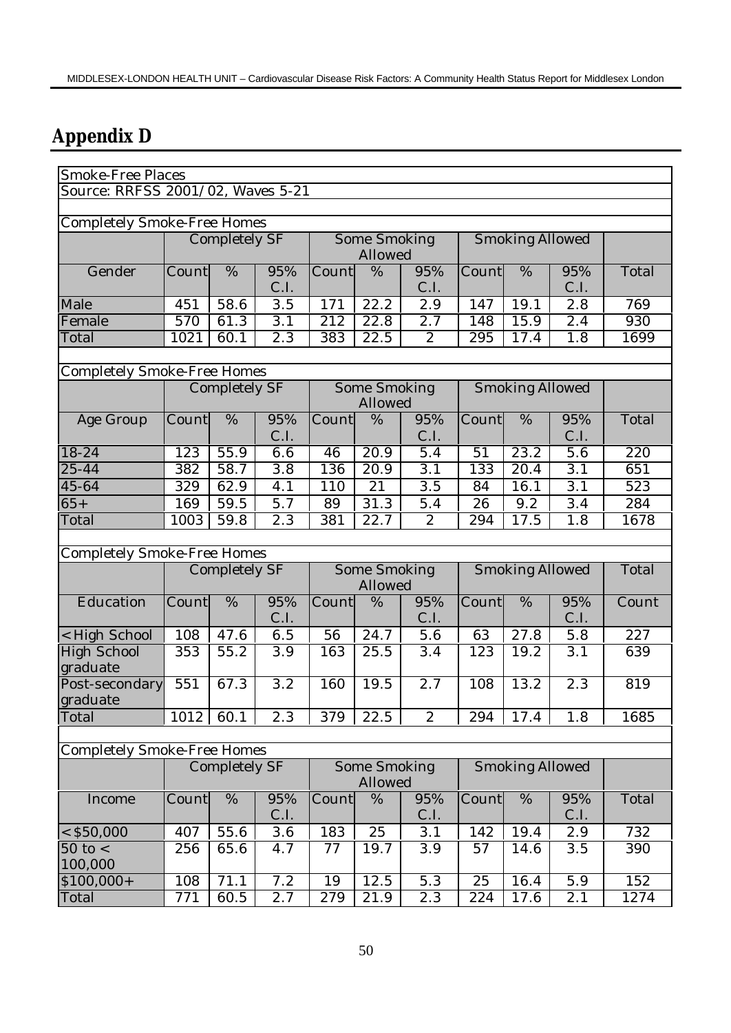# **Appendix D**

| Smoke-Free Places                  |       |                      |                  |                  |                                |                  |                        |                        |                  |       |  |  |
|------------------------------------|-------|----------------------|------------------|------------------|--------------------------------|------------------|------------------------|------------------------|------------------|-------|--|--|
| Source: RRFSS 2001/02, Waves 5-21  |       |                      |                  |                  |                                |                  |                        |                        |                  |       |  |  |
|                                    |       |                      |                  |                  |                                |                  |                        |                        |                  |       |  |  |
| <b>Completely Smoke-Free Homes</b> |       |                      |                  |                  |                                |                  |                        |                        |                  |       |  |  |
|                                    |       | <b>Completely SF</b> |                  |                  | Some Smoking                   |                  |                        | <b>Smoking Allowed</b> |                  |       |  |  |
|                                    |       |                      |                  |                  | Allowed                        |                  |                        |                        |                  |       |  |  |
| Gender                             | Count | %                    | 95%<br>C.I.      | Count            | %                              | 95%<br>C.I.      | Count                  | %                      | 95%<br>C.I.      | Total |  |  |
| Male                               | 451   | 58.6                 | 3.5              | 171              | 22.2                           | 2.9              | 147                    | 19.1                   | 2.8              | 769   |  |  |
| Female                             | 570   | 61.3                 | 3.1              | $\overline{212}$ | 22.8                           | 2.7              | 148                    | $\overline{15.9}$      | 2.4              | 930   |  |  |
| Total                              | 1021  | 60.1                 | $\overline{2.3}$ | 383              | 22.5                           | $\overline{2}$   | 295                    | 17.4                   | 1.8              | 1699  |  |  |
|                                    |       |                      |                  |                  |                                |                  |                        |                        |                  |       |  |  |
| <b>Completely Smoke-Free Homes</b> |       |                      |                  |                  |                                |                  |                        |                        |                  |       |  |  |
|                                    |       | <b>Completely SF</b> |                  |                  | Some Smoking<br>Allowed        |                  |                        | <b>Smoking Allowed</b> |                  |       |  |  |
| Age Group                          | Count | %                    | 95%              | Count            | %                              | 95%              | Count                  | %                      | 95%              | Total |  |  |
|                                    |       |                      | C.I.             |                  |                                | C.I.             |                        |                        | C.I.             |       |  |  |
| 18-24                              | 123   | 55.9                 | 6.6              | 46               | 20.9                           | 5.4              | 51                     | 23.2                   | 5.6              | 220   |  |  |
| 25-44                              | 382   | 58.7                 | $\overline{3.8}$ | 136              | 20.9                           | $\overline{3.1}$ | 133                    | $\overline{20.4}$      | $\overline{3.1}$ | 651   |  |  |
| 45-64                              | 329   | 62.9                 | 4.1              | 110              | 21                             | 3.5              | 84                     | 16.1                   | 3.1              | 523   |  |  |
| $65+$                              | 169   | 59.5                 | 5.7              | 89               | 31.3                           | 5.4              | 26                     | 9.2                    | 3.4              | 284   |  |  |
| Total                              | 1003  | 59.8                 | $\overline{2.3}$ | 381              | 22.7                           | $\overline{2}$   | 294                    | 17.5                   | 1.8              | 1678  |  |  |
|                                    |       |                      |                  |                  |                                |                  |                        |                        |                  |       |  |  |
| <b>Completely Smoke-Free Homes</b> |       |                      |                  |                  |                                |                  |                        |                        |                  |       |  |  |
|                                    |       | Completely SF        |                  |                  | Some Smoking<br>Allowed        |                  | <b>Smoking Allowed</b> | Total                  |                  |       |  |  |
| Education                          | Count | %                    | 95%<br>C.I.      | Count            | %                              | 95%<br>C.I.      | Count                  | %                      | 95%<br>C.I.      | Count |  |  |
| < High School                      | 108   | 47.6                 | 6.5              | 56               | 24.7                           | 5.6              | 63                     | 27.8                   | 5.8              | 227   |  |  |
| <b>High School</b>                 | 353   | 55.2                 | 3.9              | 163              | 25.5                           | 3.4              | 123                    | 19.2                   | 3.1              | 639   |  |  |
| graduate                           |       |                      |                  |                  |                                |                  |                        |                        |                  |       |  |  |
| Post-secondary<br>graduate         | 551   | 67.3                 | $\overline{3.2}$ | 160              | 19.5                           | 2.7              | 108                    | 13.2                   | $\overline{2.3}$ | 819   |  |  |
| Total                              | 1012  | 60.1                 | 2.3              | 379              | 22.5                           | 2                | 294                    | 17.4                   | 1.8              | 1685  |  |  |
|                                    |       |                      |                  |                  |                                |                  |                        |                        |                  |       |  |  |
| <b>Completely Smoke-Free Homes</b> |       |                      |                  |                  |                                |                  |                        |                        |                  |       |  |  |
|                                    |       | Completely SF        |                  |                  | <b>Some Smoking</b><br>Allowed |                  |                        | <b>Smoking Allowed</b> |                  |       |  |  |
| Income                             | Count | $\%$                 | 95%              | Count            | $\%$                           | 95%              | Count                  | %                      | 95%              | Total |  |  |
|                                    |       |                      | C.I.             |                  |                                | C.I.             |                        |                        | C.I.             |       |  |  |
| $<$ \$50,000                       | 407   | 55.6                 | 3.6              | 183              | 25                             | 3.1              | 142                    | 19.4                   | 2.9              | 732   |  |  |
| $50$ to $<$<br>100,000             | 256   | 65.6                 | 4.7              | 77               | 19.7                           | 3.9              | 57                     | 14.6                   | 3.5              | 390   |  |  |
| $$100,000+$                        | 108   | 71.1                 | 7.2              | $\overline{1}9$  | 12.5                           | 5.3              | 25                     | 16.4                   | $\overline{5.9}$ | 152   |  |  |
| Total                              | 771   | 60.5                 | 2.7              | 279              | 21.9                           | 2.3              | 224                    | 17.6                   | 2.1              | 1274  |  |  |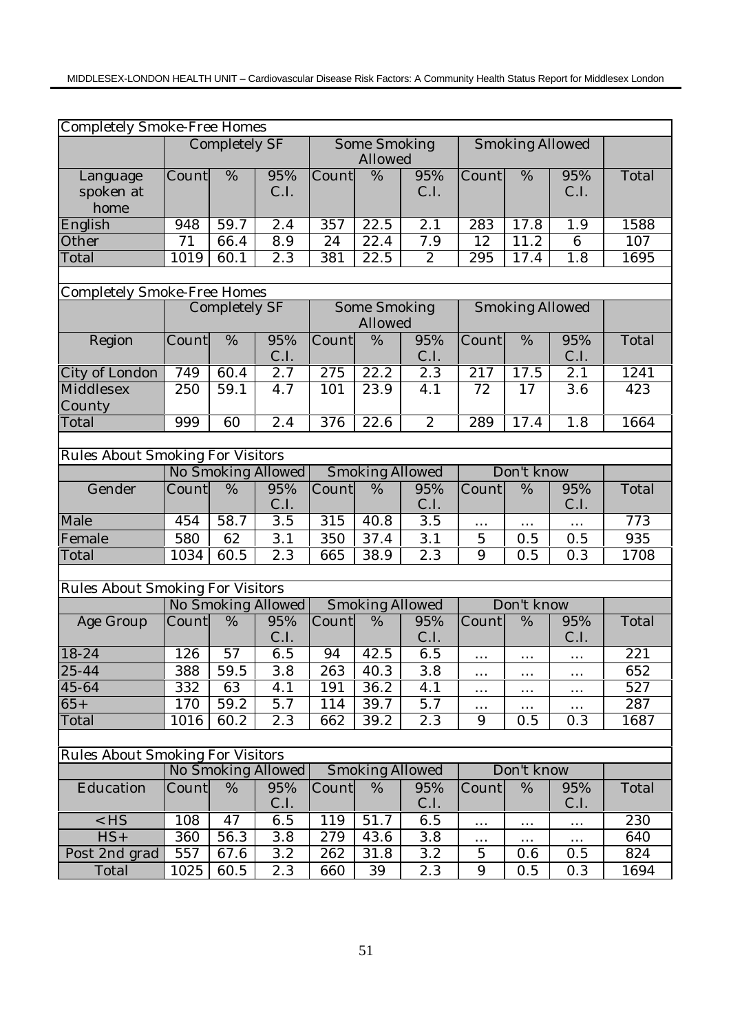| <b>Completely Smoke-Free Homes</b>      |                 |                      |                    |                           |                        |                  |                           |                        |                |       |
|-----------------------------------------|-----------------|----------------------|--------------------|---------------------------|------------------------|------------------|---------------------------|------------------------|----------------|-------|
|                                         |                 | <b>Completely SF</b> |                    |                           | Some Smoking           |                  |                           | <b>Smoking Allowed</b> |                |       |
|                                         |                 |                      |                    |                           | Allowed                |                  |                           |                        |                |       |
| Language                                | Count           | %                    | 95%                | $\overline{\text{Count}}$ | %                      | 95%              | $\overline{\text{Count}}$ | $\%$                   | 95%            | Total |
| spoken at<br>home                       |                 |                      | C.I.               |                           |                        | C.I.             |                           |                        | C.I.           |       |
| English                                 | 948             | 59.7                 | $\overline{2.4}$   | $\overline{357}$          | 22.5                   | $\overline{2.1}$ | 283                       | 17.8                   | 1.9            | 1588  |
| Other                                   | $\overline{71}$ | 66.4                 | $\overline{8.9}$   | 24                        | 22.4                   | 7.9              | $\overline{12}$           | 11.2                   | $\overline{6}$ | 107   |
| Total                                   | 1019            | 60.1                 | 2.3                | 381                       | 22.5                   | $\boldsymbol{2}$ | 295                       | 17.4                   | 1.8            | 1695  |
|                                         |                 |                      |                    |                           |                        |                  |                           |                        |                |       |
| <b>Completely Smoke-Free Homes</b>      |                 |                      |                    |                           |                        |                  |                           |                        |                |       |
|                                         |                 | <b>Completely SF</b> |                    |                           | Some Smoking           |                  |                           | <b>Smoking Allowed</b> |                |       |
|                                         |                 |                      |                    |                           | Allowed                |                  |                           |                        |                |       |
| Region                                  | Count           | $\%$                 | 95%                | Count                     | %                      | 95%              | Count                     | %                      | 95%            | Total |
|                                         |                 |                      | C.I.               |                           |                        | C.I.             |                           |                        | C.I.           |       |
| City of London                          | 749             | 60.4                 | $\overline{2.7}$   | 275                       | 22.2                   | 2.3              | 217                       | 17.5                   | 2.1            | 1241  |
| Middlesex                               | 250             | 59.1                 | 4.7                | 101                       | 23.9                   | 4.1              | 72                        | 17                     | 3.6            | 423   |
| County                                  |                 |                      |                    |                           |                        |                  |                           |                        |                |       |
| Total                                   | 999             | 60                   | $\overline{2.4}$   | 376                       | 22.6                   | $\overline{2}$   | 289                       | 17.4                   | 1.8            | 1664  |
|                                         |                 |                      |                    |                           |                        |                  |                           |                        |                |       |
| <b>Rules About Smoking For Visitors</b> |                 |                      |                    |                           |                        |                  |                           |                        |                |       |
|                                         |                 |                      | No Smoking Allowed | <b>Smoking Allowed</b>    |                        |                  |                           | Don't know             |                |       |
| Gender                                  | Count           | %                    | 95%<br>C.I.        | Count                     | %                      | 95%<br>C.I.      | Count                     | %                      | 95%<br>C.I.    | Total |
| Male                                    | 454             | 58.7                 | $\overline{3.5}$   | 315                       | 40.8                   | $\overline{3.5}$ | $\cdots$                  | $\cdots$               | .              | 773   |
| Female                                  | 580             | 62                   | 3.1                | 350                       | 37.4                   | 3.1              | $\mathbf 5$               | 0.5                    | 0.5            | 935   |
| Total                                   | 1034            | $\overline{6}0.5$    | 2.3                | 665                       | 38.9                   | 2.3              | 9                         | 0.5                    | 0.3            | 1708  |
|                                         |                 |                      |                    |                           |                        |                  |                           |                        |                |       |
| <b>Rules About Smoking For Visitors</b> |                 |                      |                    |                           |                        |                  |                           |                        |                |       |
|                                         |                 |                      | No Smoking Allowed |                           | <b>Smoking Allowed</b> |                  |                           | Don't know             |                |       |
| Age Group                               | Count           | %                    | 95%<br>C.I.        | Count                     | %                      | 95%<br>C.I.      | Count                     | %                      | 95%<br>C.I.    | Total |
| 18-24                                   | 126             | $\overline{57}$      | 6.5                | 94                        | 42.5                   | 6.5              | $\cdots$                  | $\cdots$               | $\cdots$       | 221   |
| $25 - 44$                               | 388             | 59.5                 | 3.8                | 263                       | 40.3                   | 3.8              | $\cdots$                  | $\cdots$               | $\cdots$       | 652   |
| 45-64                                   | 332             | 63                   | 4.1                | 191                       | 36.2                   | 4.1              | $\cdots$                  | $\cdots$               | $\ldots$       | 527   |
| $65+$                                   | 170             | 59.2                 | 5.7                | 114                       | 39.7                   | 5.7              |                           |                        | $\cdots$       | 287   |
| Total                                   | 1016            | 60.2                 | 2.3                | 662                       | 39.2                   | 2.3              | 9                         | 0.5                    | 0.3            | 1687  |
|                                         |                 |                      |                    |                           |                        |                  |                           |                        |                |       |
| <b>Rules About Smoking For Visitors</b> |                 |                      |                    |                           |                        |                  |                           |                        |                |       |
|                                         |                 |                      | No Smoking Allowed |                           | <b>Smoking Allowed</b> |                  |                           | Don't know             |                |       |
| Education                               | Count           | %                    | 95%<br>C.I.        | Count                     | %                      | 95%<br>C.I.      | Count                     | %                      | 95%<br>C.I.    | Total |
| $<$ HS                                  | 108             | 47                   | 6.5                | 119                       | 51.7                   | 6.5              |                           |                        |                | 230   |
| $\overline{HS}$ +                       | 360             | 56.3                 | $\overline{3.8}$   | 279                       | 43.6                   | 3.8              | $\cdots$                  | $\cdots$               | $\cdots$       | 640   |
| Post 2nd grad                           | 557             | 67.6                 | 3.2                | 262                       | 31.8                   | 3.2              | $\overline{5}$            | $\cdots$<br>0.6        | 0.5            | 824   |
| Total                                   | 1025            | 60.5                 | 2.3                | 660                       | 39                     | 2.3              | 9                         | 0.5                    | 0.3            | 1694  |
|                                         |                 |                      |                    |                           |                        |                  |                           |                        |                |       |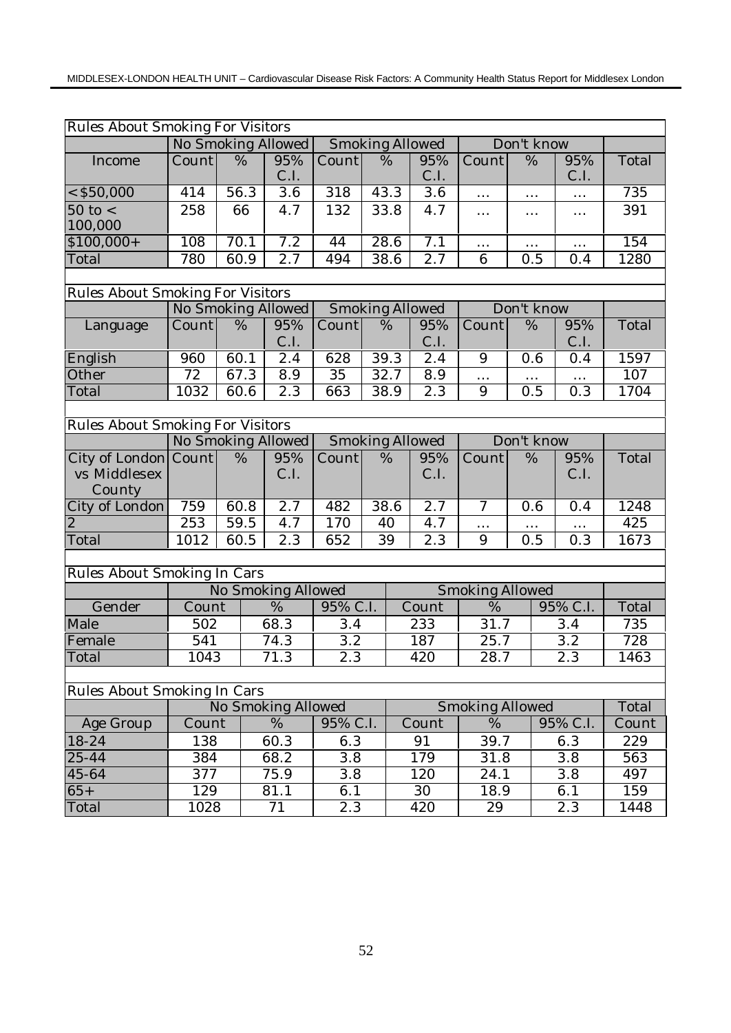| <b>Rules About Smoking For Visitors</b> |                                              |                    |                    |                  |      |                        |                           |                 |          |       |
|-----------------------------------------|----------------------------------------------|--------------------|--------------------|------------------|------|------------------------|---------------------------|-----------------|----------|-------|
|                                         | No Smoking Allowed                           |                    |                    |                  |      | <b>Smoking Allowed</b> |                           | Don't know      |          |       |
| Income                                  | Count                                        | $\frac{0}{6}$      | 95%                | Count            | %    | 95%                    | $\overline{\text{Count}}$ | $\overline{\%}$ | 95%      | Total |
|                                         |                                              |                    | C.I.               |                  |      | C.I.                   |                           |                 | C.I.     |       |
| $<$ \$50,000                            | 414                                          | 56.3               | $\overline{3.6}$   | $\overline{318}$ | 43.3 | $\overline{3.6}$       | $\ldots$                  | $\cdots$        | $\ldots$ | 735   |
| $50$ to $<$                             | 258                                          | 66                 | 4.7                | 132              | 33.8 | 4.7                    | $\cdots$                  | $\cdots$        | $\cdots$ | 391   |
| 100,000                                 |                                              |                    |                    |                  |      |                        |                           |                 |          |       |
| $$100,000+$                             | 108                                          | 70.1               | 7.2                | 44               | 28.6 | 7.1                    | $\cdots$                  | .               | $\cdots$ | 154   |
| Total                                   | 780                                          | 60.9               | 2.7                | 494              | 38.6 | 2.7                    | 6                         | 0.5             | 0.4      | 1280  |
|                                         |                                              |                    |                    |                  |      |                        |                           |                 |          |       |
| <b>Rules About Smoking For Visitors</b> |                                              |                    |                    |                  |      |                        |                           |                 |          |       |
|                                         | No Smoking Allowed<br><b>Smoking Allowed</b> |                    |                    |                  |      |                        |                           | Don't know      |          |       |
| Language                                | Count                                        | %                  | 95%                | Count            | %    | 95%                    | Count                     | %               | 95%      | Total |
|                                         |                                              |                    | C.I.               |                  |      | C.I.                   |                           |                 | C.I.     |       |
| English                                 | 960                                          | $\overline{60}$ .1 | 2.4                | 628              | 39.3 | $\overline{2.4}$       | 9                         | 0.6             | 0.4      | 1597  |
| Other                                   | $\overline{72}$                              | 67.3               | 8.9                | $\overline{35}$  | 32.7 | $\overline{8.9}$       | $\cdots$                  |                 |          | 107   |
| Total                                   | 1032                                         | 60.6               | 2.3                | 663              | 38.9 | 2.3                    | 9                         | 0.5             | 0.3      | 1704  |
|                                         |                                              |                    |                    |                  |      |                        |                           |                 |          |       |
| <b>Rules About Smoking For Visitors</b> |                                              |                    |                    |                  |      |                        |                           |                 |          |       |
|                                         |                                              |                    | No Smoking Allowed |                  |      | <b>Smoking Allowed</b> |                           | Don't know      |          |       |
| City of London Count                    |                                              | %                  | 95%                | Count            | $\%$ | 95%                    | Count                     | %               | 95%      | Total |
| vs Middlesex                            |                                              |                    | C.I.               |                  |      | C.I.                   |                           |                 | C.I.     |       |
| County                                  |                                              |                    |                    |                  |      |                        |                           |                 |          |       |
| City of London                          | 759                                          | 60.8               | 2.7                | 482              | 38.6 | 2.7                    | $\overline{7}$            | 0.6             | 0.4      | 1248  |
| $\overline{2}$                          | $\overline{253}$                             | 59.5               | 4.7                | 170              | 40   | 4.7                    | $\cdots$                  | $\cdots$        | $\cdots$ | 425   |
| Total                                   | 1012                                         | 60.5               | 2.3                | 652              | 39   | 2.3                    | 9                         | 0.5             | 0.3      | 1673  |
|                                         |                                              |                    |                    |                  |      |                        |                           |                 |          |       |
| Rules About Smoking In Cars             |                                              |                    |                    |                  |      |                        |                           |                 |          |       |
|                                         |                                              |                    | No Smoking Allowed |                  |      |                        | <b>Smoking Allowed</b>    |                 |          |       |
| Gender                                  | Count                                        |                    | %                  | 95% C.I.         |      | Count                  | %                         |                 | 95% C.I. | Total |
| Male                                    | 502                                          |                    | 68.3               | 3.4              |      | 233                    | 31.7                      |                 | 3.4      | 735   |
| Female                                  | 541                                          |                    | 74.3               | $\overline{3.2}$ |      | 187                    | 25.7                      |                 | 3.2      | 728   |
| Total                                   | 1043                                         |                    | $71.\overline{3}$  | 2.3              |      | 420                    | 28.7                      |                 | 2.3      | 1463  |
|                                         |                                              |                    |                    |                  |      |                        |                           |                 |          |       |
| Rules About Smoking In Cars             |                                              |                    |                    |                  |      |                        |                           |                 |          |       |
|                                         |                                              |                    | No Smoking Allowed |                  |      |                        | <b>Smoking Allowed</b>    |                 |          | Total |
| Age Group                               | Count                                        |                    | $\%$               | 95% C.I.         |      | Count                  | $\overline{\%}$           |                 | 95% C.I. | Count |
| 18-24                                   | 138                                          |                    | 60.3               | 6.3              |      | 91                     | 39.7                      |                 | 6.3      | 229   |
| 25-44                                   | 384                                          |                    | 68.2               | 3.8              |      | 179                    | 31.8                      |                 | 3.8      | 563   |
| 45-64                                   | 377                                          |                    | $\overline{75.9}$  | 3.8              |      | 120                    | 24.1                      |                 | 3.8      | 497   |
| $65+$                                   | 129                                          |                    | 81.1               | 6.1              |      | 30                     | 18.9                      |                 | 6.1      | 159   |
| Total                                   | 1028                                         |                    | $\overline{71}$    | 2.3              |      | 420                    | 29                        |                 | 2.3      | 1448  |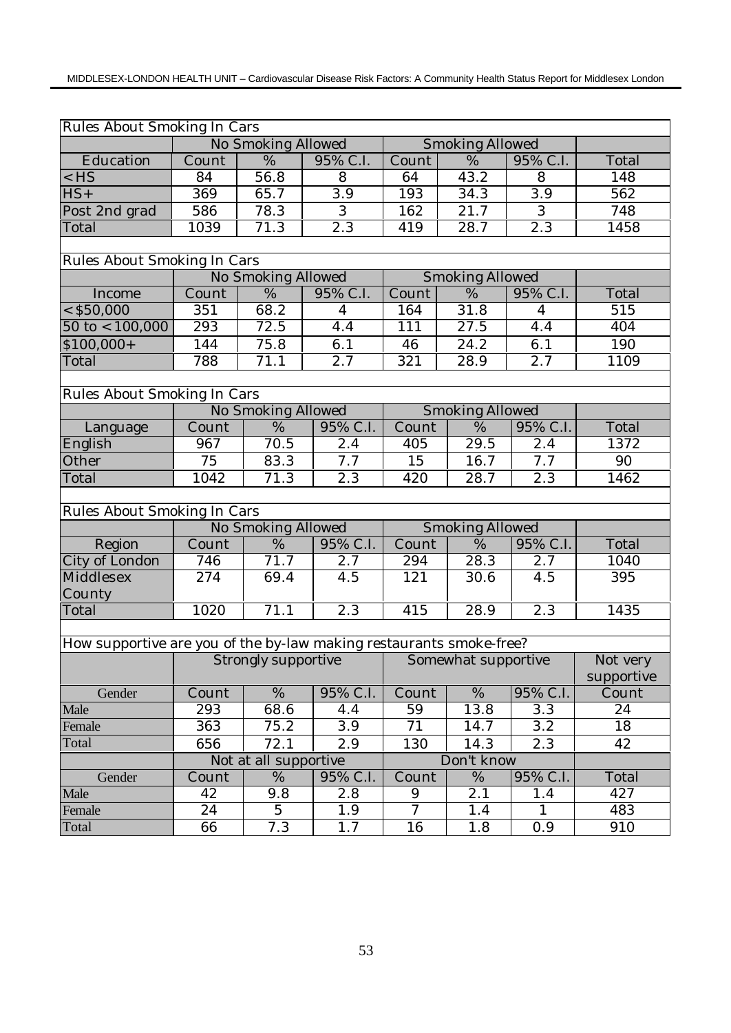| Rules About Smoking In Cars                                         |       |                       |                  |                |                        |                  |                  |  |  |  |
|---------------------------------------------------------------------|-------|-----------------------|------------------|----------------|------------------------|------------------|------------------|--|--|--|
|                                                                     |       | No Smoking Allowed    |                  |                | <b>Smoking Allowed</b> |                  |                  |  |  |  |
| Education                                                           | Count | %                     | 95% C.I.         | Count          | %                      | 95% C.I.         | Total            |  |  |  |
| $<$ HS                                                              | 84    | $\overline{56.8}$     | 8                | 64             | 43.2                   | 8                | 148              |  |  |  |
| $HS+$                                                               | 369   | 65.7                  | $\overline{3.9}$ | 193            | 34.3                   | $\overline{3.9}$ | $\overline{562}$ |  |  |  |
| Post 2nd grad                                                       | 586   | 78.3                  | 3                | 162            | $\overline{2}1.7$      | 3                | 748              |  |  |  |
| Total                                                               | 1039  | 71.3                  | $\overline{2.3}$ | 419            | 28.7                   | $\overline{2.3}$ | 1458             |  |  |  |
|                                                                     |       |                       |                  |                |                        |                  |                  |  |  |  |
| Rules About Smoking In Cars                                         |       |                       |                  |                |                        |                  |                  |  |  |  |
|                                                                     |       | No Smoking Allowed    |                  |                | <b>Smoking Allowed</b> |                  |                  |  |  |  |
| Income                                                              | Count | %                     | 95% C.I.         | Count          | %                      | 95% C.I.         | Total            |  |  |  |
| $<$ \$50,000                                                        | 351   | 68.2                  | $\overline{4}$   | 164            | 31.8                   | $\overline{4}$   | 515              |  |  |  |
| $50 \text{ to} < 100,000$                                           | 293   | 72.5                  | 4.4              | 111            | 27.5                   | 4.4              | 404              |  |  |  |
| $$100,000+$                                                         | 144   | 75.8                  | 6.1              | 46             | 24.2                   | 6.1              | 190              |  |  |  |
| Total                                                               | 788   | 71.1                  | 2.7              | 321            | 28.9                   | 2.7              | 1109             |  |  |  |
|                                                                     |       |                       |                  |                |                        |                  |                  |  |  |  |
| Rules About Smoking In Cars                                         |       |                       |                  |                |                        |                  |                  |  |  |  |
|                                                                     |       | No Smoking Allowed    |                  |                | <b>Smoking Allowed</b> |                  |                  |  |  |  |
| Language                                                            | Count | %                     | 95% C.I.         | Count          | %                      | 95% C.I.         | Total            |  |  |  |
| English                                                             | 967   | 70.5                  | 2.4              | 405            | $\overline{29.5}$      | 2.4              | 1372             |  |  |  |
| Other                                                               | 75    | 83.3                  | 7.7              | 15             | 16.7                   | 7.7              | 90               |  |  |  |
| Total                                                               | 1042  | 71.3                  | 2.3              | 420            | 28.7                   | 2.3              | 1462             |  |  |  |
|                                                                     |       |                       |                  |                |                        |                  |                  |  |  |  |
| Rules About Smoking In Cars                                         |       |                       |                  |                |                        |                  |                  |  |  |  |
|                                                                     |       | No Smoking Allowed    |                  |                | <b>Smoking Allowed</b> |                  |                  |  |  |  |
| Region                                                              | Count | %                     | 95% C.I.         | Count          | %                      | 95% C.I.         | Total            |  |  |  |
| City of London                                                      | 746   | 71.7                  | 2.7              | 294            | 28.3                   | 2.7              | 1040             |  |  |  |
| Middlesex                                                           | 274   | 69.4                  | 4.5              | 121            | 30.6                   | 4.5              | 395              |  |  |  |
| County                                                              |       |                       |                  |                |                        |                  |                  |  |  |  |
| Total                                                               | 1020  | 71.1                  | 2.3              | 415            | 28.9                   | 2.3              | 1435             |  |  |  |
|                                                                     |       |                       |                  |                |                        |                  |                  |  |  |  |
| How supportive are you of the by-law making restaurants smoke-free? |       |                       |                  |                |                        |                  |                  |  |  |  |
|                                                                     |       | Strongly supportive   |                  |                | Somewhat supportive    |                  | Not very         |  |  |  |
|                                                                     |       |                       |                  |                |                        |                  | supportive       |  |  |  |
| Gender                                                              | Count | %                     | 95% C.I.         | Count          | %                      | 95% C.I.         | Count            |  |  |  |
| Male                                                                | 293   | 68.6                  | 4.4              | 59             | 13.8                   | 3.3              | 24               |  |  |  |
| Female                                                              | 363   | 75.2                  | 3.9              | 71             | 14.7                   | 3.2              | 18               |  |  |  |
| Total                                                               | 656   | 72.1                  | 2.9              | 130            | 14.3                   | 2.3              | 42               |  |  |  |
|                                                                     |       | Not at all supportive |                  |                | Don't know             |                  |                  |  |  |  |
| Gender                                                              | Count | $\overline{\%}$       | 95% C.I.         | Count          | $\overline{\%}$        | 95% C.I.         | Total            |  |  |  |
| Male                                                                | 42    | 9.8                   | 2.8              | 9              | 2.1                    | 1.4              | 427              |  |  |  |
| Female                                                              | 24    | $\overline{5}$        | 1.9              | $\overline{7}$ | 1.4                    | $\mathbf{1}$     | 483              |  |  |  |
| Total                                                               | 66    | 7.3                   | 1.7              | 16             | 1.8                    | 0.9              | 910              |  |  |  |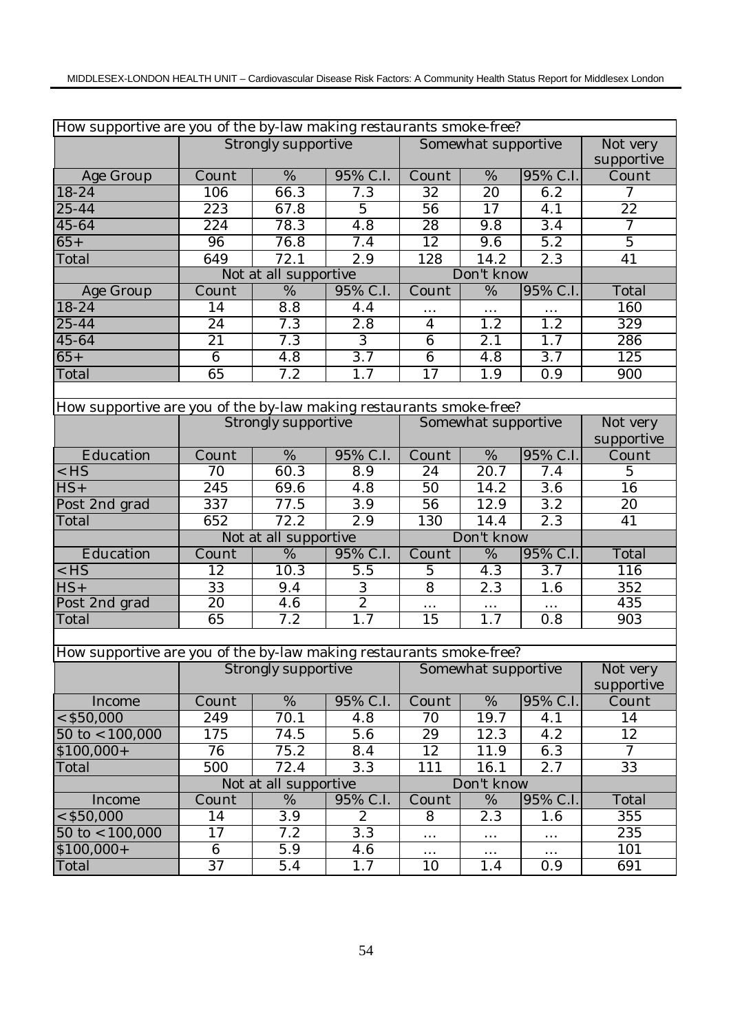|                                                                     | How supportive are you of the by-law making restaurants smoke-free? |                            |                  |                     |                     |                  |                 |  |  |  |
|---------------------------------------------------------------------|---------------------------------------------------------------------|----------------------------|------------------|---------------------|---------------------|------------------|-----------------|--|--|--|
|                                                                     |                                                                     | <b>Strongly supportive</b> |                  |                     | Somewhat supportive |                  | Not very        |  |  |  |
|                                                                     |                                                                     |                            |                  |                     |                     |                  | supportive      |  |  |  |
| Age Group                                                           | Count                                                               | $\overline{\%}$            | 95% C.I.         | Count               | $\frac{0}{6}$       | 95% C.I.         | Count           |  |  |  |
| 18-24                                                               | 106                                                                 | 66.3                       | 7.3              | 32                  | 20                  | 6.2              | 7               |  |  |  |
| $25 - 44$                                                           | $\overline{223}$                                                    | 67.8                       | $\overline{5}$   | $\overline{56}$     | $\overline{17}$     | 4.1              | $\overline{22}$ |  |  |  |
| 45-64                                                               | 224                                                                 | 78.3                       | 4.8              | $\overline{28}$     | 9.8                 | 3.4              | 7               |  |  |  |
| $65+$                                                               | 96                                                                  | 76.8                       | 7.4              | 12                  | 9.6                 | 5.2              | $\overline{5}$  |  |  |  |
| Total                                                               | 649                                                                 | 72.1                       | 2.9              | 128                 | 14.2                | 2.3              | 41              |  |  |  |
|                                                                     |                                                                     | Not at all supportive      |                  |                     | Don't know          |                  |                 |  |  |  |
| Age Group                                                           | Count                                                               | $\overline{\%}$            | 95% C.I.         | Count               | $\overline{\%}$     | 95% C.I.         | Total           |  |  |  |
| $18-24$                                                             | 14                                                                  | 8.8                        | 4.4              | $\cdots$            | $\cdots$            | $\cdots$         | 160             |  |  |  |
| 25-44                                                               | 24                                                                  | 7.3                        | 2.8              | $\overline{4}$      | 1.2                 | 1.2              | 329             |  |  |  |
| 45-64                                                               | 21                                                                  | 7.3                        | $\overline{3}$   | $6\phantom{1}$      | 2.1                 | 1.7              | 286             |  |  |  |
| $65+$                                                               | $6\phantom{1}6$                                                     | 4.8                        | $\overline{3.7}$ | $\overline{6}$      | 4.8                 | $\overline{3.7}$ | 125             |  |  |  |
| Total                                                               | 65                                                                  | 7.2                        | 1.7              | 17                  | 1.9                 | 0.9              | 900             |  |  |  |
|                                                                     |                                                                     |                            |                  |                     |                     |                  |                 |  |  |  |
| How supportive are you of the by-law making restaurants smoke-free? |                                                                     |                            |                  |                     |                     |                  |                 |  |  |  |
|                                                                     |                                                                     | Strongly supportive        |                  | Somewhat supportive | Not very            |                  |                 |  |  |  |
|                                                                     |                                                                     |                            |                  | supportive          |                     |                  |                 |  |  |  |
| Education                                                           | Count                                                               | %                          | 95% C.I.         | Count               | $\%$                | 95% C.I.         | Count           |  |  |  |
| $<$ HS                                                              | 70                                                                  | 60.3                       | 8.9              | 24                  | 20.7                | 7.4              | $\overline{5}$  |  |  |  |
| $HS+$                                                               | 245                                                                 | 69.6                       | 4.8              | 50                  | 14.2                | 3.6              | 16              |  |  |  |
| Post 2nd grad                                                       | $\overline{337}$                                                    | 77.5                       | $\overline{3.9}$ | $\overline{56}$     | $\overline{12.9}$   | 3.2              | 20              |  |  |  |
| Total                                                               | 652                                                                 | 72.2                       | 2.9              | 130                 | 14.4                | 2.3              | 41              |  |  |  |
|                                                                     |                                                                     | Not at all supportive      |                  |                     | Don't know          |                  |                 |  |  |  |
| Education                                                           | Count                                                               | %                          | 95% C.I.         | Count               | $\%$                | 95% C.I.         | Total           |  |  |  |
| $<$ HS                                                              | 12                                                                  | 10.3                       | 5.5              | $\overline{5}$      | 4.3                 | 3.7              | <sup>116</sup>  |  |  |  |
| $HS+$                                                               | 33                                                                  | 9.4                        | $\,3$            | $\overline{8}$      | 2.3                 | 1.6              | 352             |  |  |  |
| Post 2nd grad                                                       | 20                                                                  | $\overline{4.6}$           | $\overline{2}$   | $\ldots$            | $\ldots$            | $\ldots$         | 435             |  |  |  |
| Total                                                               | 65                                                                  | 7.2                        | $\overline{1.7}$ | 15                  | 1.7                 | 0.8              | 903             |  |  |  |
|                                                                     |                                                                     |                            |                  |                     |                     |                  |                 |  |  |  |
| How supportive are you of the by-law making restaurants smoke-free? |                                                                     |                            |                  |                     |                     |                  |                 |  |  |  |
|                                                                     |                                                                     | Strongly supportive        |                  | Somewhat supportive |                     |                  | Not very        |  |  |  |
|                                                                     |                                                                     |                            |                  |                     |                     |                  | supportive      |  |  |  |
| Income                                                              | Count                                                               | %                          | 95% C.I.         | Count               | %                   | 95% C.I.         | Count           |  |  |  |
| $<$ \$50,000                                                        | 249                                                                 | 70.1                       | 4.8              | 70                  | 19.7                | 4.1              | 14              |  |  |  |
| $50 \text{ to} < 100,000$                                           | 175                                                                 | 74.5                       | $\overline{5.6}$ | 29                  | 12.3                | 4.2              | 12              |  |  |  |
| $$100,000+$                                                         | 76                                                                  | 75.2                       | 8.4              | 12                  | 11.9                | 6.3              | $\overline{7}$  |  |  |  |
| Total                                                               | 500                                                                 | 72.4                       | 3.3              | 111                 | 16.1                | 2.7              | 33              |  |  |  |
|                                                                     |                                                                     | Not at all supportive      |                  |                     | Don't know          |                  |                 |  |  |  |
| Income                                                              | Count                                                               | $\overline{\%}$            | 95% C.I.         | Count               | $\%$                | 95% C.I.         | Total           |  |  |  |
| $<$ \$50,000                                                        | 14                                                                  | 3.9                        | $\overline{c}$   | 8                   | 2.3                 | 1.6              | 355             |  |  |  |
| $50$ to < 100,000                                                   | 17                                                                  | 7.2                        | 3.3              | .                   | $\cdots$            | $\cdots$         | 235             |  |  |  |
| $$100,000+$                                                         | 6                                                                   | 5.9                        | 4.6              | $\cdots$            | $\cdots$            | $\cdots$         | 101             |  |  |  |
| Total                                                               | $\overline{37}$                                                     | 5.4                        | 1.7              | 10                  | 1.4                 | 0.9              | 691             |  |  |  |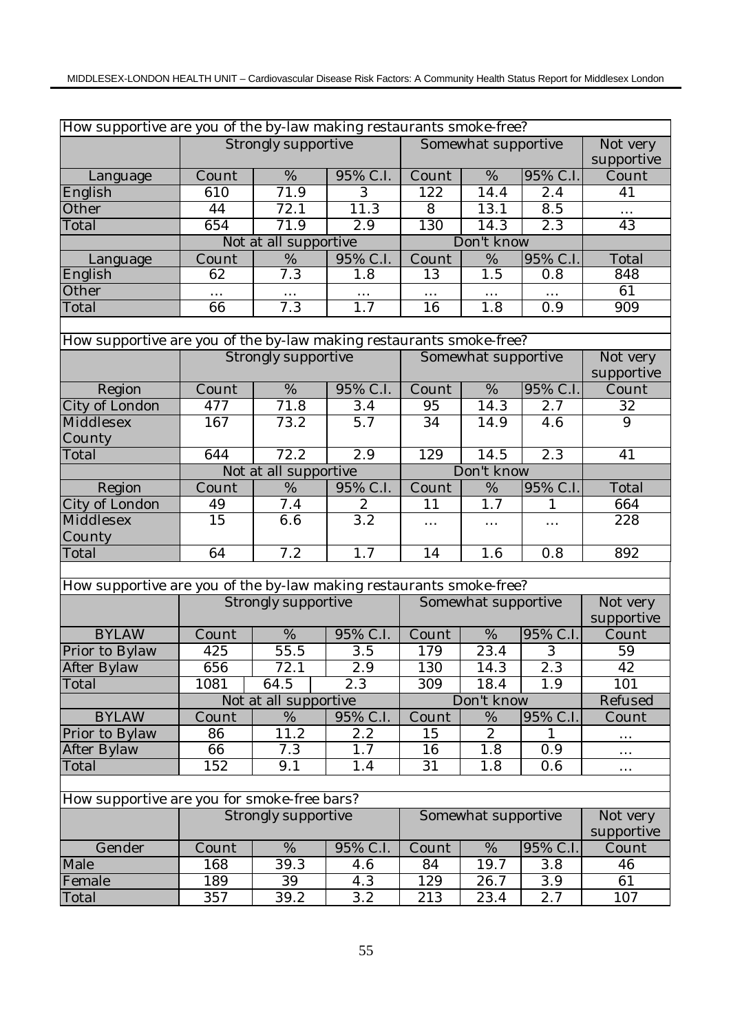| How supportive are you of the by-law making restaurants smoke-free? |                 |                            |                  |                     |                     |                  |                        |  |  |
|---------------------------------------------------------------------|-----------------|----------------------------|------------------|---------------------|---------------------|------------------|------------------------|--|--|
|                                                                     |                 | <b>Strongly supportive</b> |                  |                     | Somewhat supportive |                  | Not very               |  |  |
|                                                                     |                 |                            |                  |                     |                     |                  | supportive             |  |  |
| Language                                                            | Count           | $\overline{\%}$            | 95% C.I.         | Count               | $\overline{\%}$     | 95% C.I.         | Count                  |  |  |
| English                                                             | 610             | 71.9                       | $\overline{3}$   | 122                 | 14.4                | 2.4              | 41                     |  |  |
| Other                                                               | 44              | 72.1                       | 11.3             | $\overline{8}$      | 13.1                | $\overline{8.5}$ | $\cdots$               |  |  |
| Total                                                               | 654             | 71.9                       | 2.9              | 130                 | 14.3                | 2.3              | 43                     |  |  |
|                                                                     |                 | Not at all supportive      |                  |                     | Don't know          |                  |                        |  |  |
| Language                                                            | Count           | %                          | 95% C.I.         | Count               | %                   | 95% C.I.         | Total                  |  |  |
| English                                                             | 62              | 7.3                        | 1.8              | 13                  | $1.\overline{5}$    | 0.8              | 848                    |  |  |
| Other                                                               | $\cdots$        | $\cdots$                   |                  | $\cdots$            |                     |                  | 61                     |  |  |
| Total                                                               | 66              | 7.3                        | 1.7              | 16                  | 1.8                 | 0.9              | 909                    |  |  |
|                                                                     |                 |                            |                  |                     |                     |                  |                        |  |  |
| How supportive are you of the by-law making restaurants smoke-free? |                 |                            |                  |                     |                     |                  |                        |  |  |
|                                                                     |                 | Strongly supportive        |                  |                     | Somewhat supportive |                  | Not very<br>supportive |  |  |
| Region                                                              | Count           | $\%$                       | 95% C.I.         | Count               | $\%$                | 95% C.I.         | Count                  |  |  |
| City of London                                                      | 477             | 71.8                       | 3.4              | 95                  | 14.3                | 2.7              | 32                     |  |  |
| Middlesex<br>County                                                 | 167             | 73.2                       | $\overline{5.7}$ | 34                  | 14.9                | 4.6              | $\overline{9}$         |  |  |
| Total                                                               | 644             | 72.2                       | 2.9              | 129                 | 14.5                | 2.3              | 41                     |  |  |
|                                                                     |                 | Not at all supportive      |                  |                     |                     |                  |                        |  |  |
| Region                                                              | Count           | %                          | 95% C.I.         | Count               | Don't know<br>$\%$  | 95% C.I          | Total                  |  |  |
| City of London                                                      | 49              | 7.4                        | $\boldsymbol{2}$ | 11                  | 1.7                 | 1                | 664                    |  |  |
| Middlesex                                                           | $\overline{15}$ | 6.6                        | 3.2              | $\cdots$            | $\cdots$            | $\cdots$         | 228                    |  |  |
| County                                                              |                 |                            |                  |                     |                     |                  |                        |  |  |
| Total                                                               | 64              | 7.2                        | 1.7              | 14                  | 1.6                 | 0.8              | 892                    |  |  |
|                                                                     |                 |                            |                  |                     |                     |                  |                        |  |  |
| How supportive are you of the by-law making restaurants smoke-free? |                 |                            |                  |                     |                     |                  |                        |  |  |
|                                                                     |                 | Strongly supportive        |                  | Somewhat supportive | Not very            |                  |                        |  |  |
|                                                                     |                 |                            |                  |                     |                     |                  | supportive             |  |  |
| <b>BYLAW</b>                                                        | Count           | $\%$                       | 95% C.I.         | Count               | $\%$                | 95% C.I.         | Count                  |  |  |
| Prior to Bylaw                                                      | 425             | 55.5                       | $\overline{3.5}$ | 179                 | 23.4                | 3                | 59                     |  |  |
| After Bylaw                                                         | 656             | 72.1                       | $\overline{2.9}$ | 130                 | 14.3                | 2.3              | 42                     |  |  |
| Total                                                               | 1081            | 64.5                       | 2.3              | 309                 | 18.4                | 1.9              | 101                    |  |  |
|                                                                     |                 | Not at all supportive      |                  |                     | Don't know          |                  | Refused                |  |  |
| <b>BYLAW</b>                                                        | Count           | %                          | 95% C.I.         | Count               | $\%$                | 95% C.I.         | Count                  |  |  |
| Prior to Bylaw                                                      | 86              | 11.2                       | 2.2              | 15                  | $\overline{c}$      | 1                | $\cdots$               |  |  |
| After Bylaw                                                         | 66              | 7.3                        | 1.7              | 16                  | 1.8                 | 0.9              | $\ldots$               |  |  |
| Total                                                               | 152             | 9.1                        | 1.4              | 31                  | 1.8                 | 0.6              | $\cdots$               |  |  |
| How supportive are you for smoke-free bars?                         |                 |                            |                  |                     |                     |                  |                        |  |  |
|                                                                     |                 | Strongly supportive        |                  |                     | Somewhat supportive |                  | Not very               |  |  |
|                                                                     |                 |                            |                  |                     |                     |                  | supportive             |  |  |
| Gender                                                              | Count           | %                          | 95% C.I.         | Count               | $\%$                | 95% C.I.         | Count                  |  |  |
| Male                                                                | 168             | 39.3                       | 4.6              | 84                  | 19.7                | 3.8              | 46                     |  |  |
| Female                                                              | 189             | 39                         | 4.3              | 129                 | 26.7                | $\overline{3.9}$ | 61                     |  |  |
| Total                                                               | 357             | 39.2                       | 3.2              | 213                 | 23.4                | 2.7              | 107                    |  |  |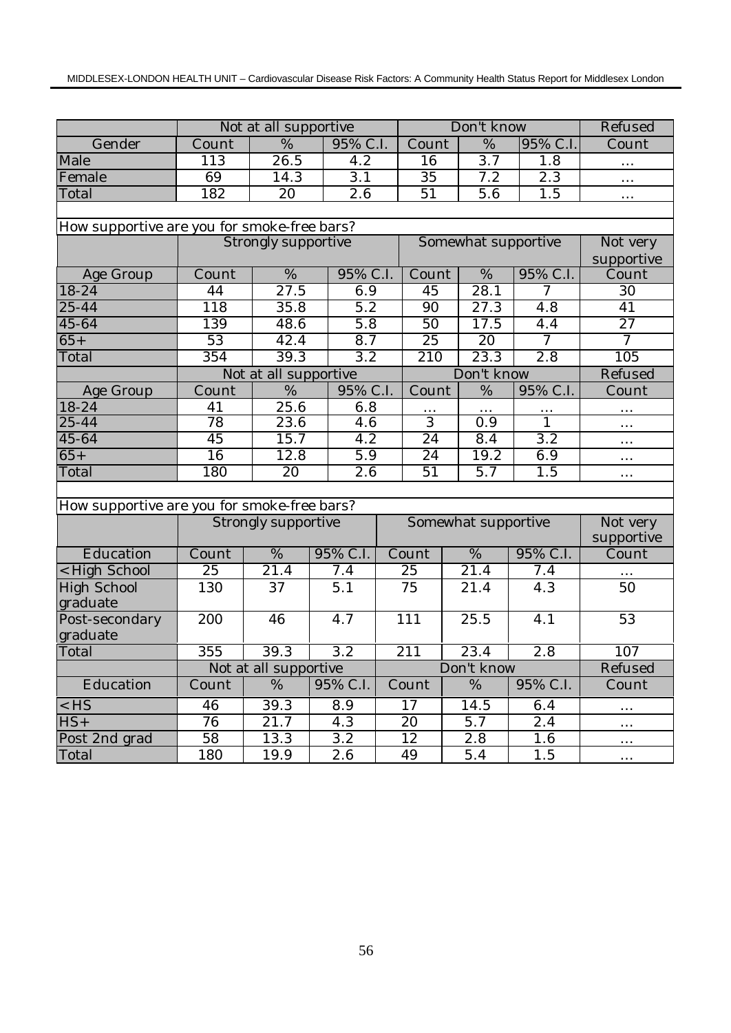|                                             |                              | Not at all supportive |                  |          | Don't know          |                          |            |                     | Refused         |  |
|---------------------------------------------|------------------------------|-----------------------|------------------|----------|---------------------|--------------------------|------------|---------------------|-----------------|--|
| Gender                                      | Count                        | $\frac{0}{6}$         | 95% C.I.         |          | Count               | $\frac{0}{6}$            |            | 95% C.I.            | Count           |  |
| Male                                        | 113                          | $\frac{26.5}{ }$      | 4.2              |          | 16                  | $\overline{3.7}$         |            | 1.8                 | .               |  |
| Female                                      | 69                           | 14.3                  | $\overline{3.1}$ |          | $\overline{35}$     | 7.2                      |            | $\overline{2.3}$    | $\cdots$        |  |
| Total                                       | 182                          | $\overline{20}$       | $\overline{2.6}$ |          | 51                  | $\overline{5.6}$         |            | $\overline{1.5}$    | $\cdots$        |  |
|                                             |                              |                       |                  |          |                     |                          |            |                     |                 |  |
| How supportive are you for smoke-free bars? |                              |                       |                  |          |                     |                          |            |                     |                 |  |
|                                             |                              | Strongly supportive   |                  |          |                     |                          |            | Somewhat supportive | Not very        |  |
|                                             |                              |                       |                  |          |                     |                          | supportive |                     |                 |  |
| Age Group                                   | Count                        | $\%$                  |                  | 95% C.I. |                     | $\overline{\%}$<br>Count |            | 95% C.I.            | Count           |  |
| 18-24                                       | 44                           | $\overline{27.5}$     | 6.9              |          | 45                  | $\overline{28.1}$        |            | $\tau$              | 30              |  |
| 25-44                                       | 118                          | 35.8                  | 5.2              |          | 90                  | 27.3                     |            | 4.8                 | 41              |  |
| 45-64                                       | 139                          | 48.6                  | 5.8              |          | 50                  | 17.5                     |            | 4.4                 | $\overline{27}$ |  |
| $65+$                                       | $\overline{53}$              | 42.4                  | 8.7              |          | $\overline{25}$     | 20                       |            | $\overline{7}$      | $\overline{7}$  |  |
| Total                                       | 354                          | 39.3                  | $\overline{3.2}$ |          | $\overline{210}$    | 23.3                     |            | 2.8                 | 105             |  |
|                                             |                              | Not at all supportive |                  |          |                     | Don't know               |            |                     | Refused         |  |
| Age Group                                   | Count                        | %                     | 95% C.I.         |          | Count               | %                        |            | 95% C.I.            | Count           |  |
| 18-24                                       | 41                           | 25.6                  | 6.8              |          |                     |                          |            |                     |                 |  |
| 25-44                                       | $\overline{78}$              | 23.6                  |                  | 4.6      |                     | $\overline{0.9}$         |            | $\overline{1}$      | $\cdots$        |  |
| 45-64                                       | 45                           | 15.7                  | 4.2              |          | $\overline{24}$     | 8.4                      |            | $\overline{3.2}$    | $\ldots$        |  |
| $65+$                                       | 16                           | 12.8                  | 5.9              |          | 24                  | 19.2                     |            | 6.9                 | $\cdots$        |  |
| Total                                       | 180                          | 20                    | $\overline{2.6}$ |          | $\overline{51}$     | 5.7                      |            | 1.5                 | $\cdots$        |  |
|                                             |                              |                       |                  |          |                     |                          |            |                     |                 |  |
| How supportive are you for smoke-free bars? |                              |                       |                  |          |                     |                          |            |                     |                 |  |
|                                             |                              | Strongly supportive   |                  |          | Somewhat supportive |                          |            |                     | Not very        |  |
|                                             |                              |                       |                  |          |                     |                          |            |                     | supportive      |  |
| Education                                   | $\overline{\mathrm{C}}$ ount | $\overline{\%}$       | 95% C.I.         |          | Count               | $\overline{\%}$          |            | 95% C.I.            | Count           |  |
| < High School                               | 25                           | 21.4                  | 7.4              |          | 25                  | 21.4                     |            | 7.4                 |                 |  |
| <b>High School</b>                          | 130                          | 37                    | 5.1              |          | 75                  | 21.4                     |            | 4.3                 | 50              |  |
| graduate                                    |                              |                       |                  |          |                     |                          |            |                     |                 |  |
| Post-secondary                              | 200                          | 46                    | 4.7              |          | 111                 | 25.5                     |            | 4.1                 | 53              |  |
| graduate                                    |                              |                       |                  |          |                     |                          |            |                     |                 |  |
| Total                                       | 355                          | 39.3                  | 3.2              |          | 211                 | 23.4                     |            | $\overline{2.8}$    | 107             |  |
|                                             |                              | Not at all supportive |                  |          |                     | Don't know               |            |                     | Refused         |  |
| Education                                   | Count                        | $\%$                  | 95% C.I.         |          | Count               | %                        |            | 95% C.I.            | Count           |  |
| $<$ HS                                      | 46                           | 39.3                  | 8.9              |          | 17                  | 14.5                     |            | 6.4                 | $\cdots$        |  |
| $HS+$                                       | 76                           | 21.7                  | 4.3              |          | 20                  | 5.7                      |            | 2.4                 | $\cdots$        |  |
| Post 2nd grad                               | 58                           | 13.3                  | 3.2              |          | 12                  | 2.8                      |            | 1.6                 | $\cdots$        |  |
| Total                                       | 180                          | 19.9                  | 2.6              |          | 49                  | 5.4                      |            | 1.5                 | $\cdots$        |  |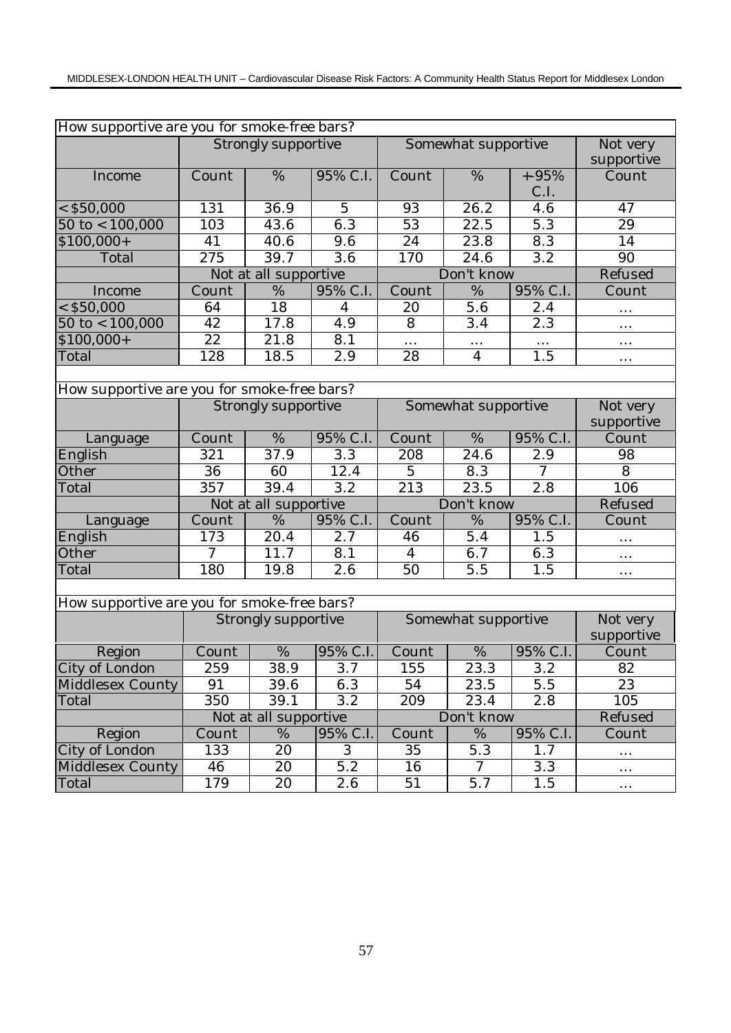| How supportive are you for smoke-free bars? |                  |                            |                  |                 |                     |                  |                 |
|---------------------------------------------|------------------|----------------------------|------------------|-----------------|---------------------|------------------|-----------------|
|                                             |                  | <b>Strongly supportive</b> |                  |                 | Somewhat supportive |                  | Not very        |
|                                             |                  |                            |                  |                 |                     |                  | supportive      |
| Income                                      | Count            | $\%$                       | 95% C.I.         | Count           | $\%$                | $+ -95%$<br>C.I. | Count           |
| $<$ \$50,000                                | 131              | 36.9                       | $\overline{5}$   | 93              | 26.2                | $4.\overline{6}$ | 47              |
| $50$ to < $100,000$                         | 103              | 43.6                       | 6.3              | $\overline{53}$ | 22.5                | $\overline{5.3}$ | $\overline{29}$ |
| $$100,000+$                                 | 41               | 40.6                       | $\overline{9.6}$ | $\overline{24}$ | 23.8                | 8.3              | 14              |
| Total                                       | $\overline{2}75$ | 39.7                       | $\overline{3.6}$ | 170             | 24.6                | 3.2              | 90              |
|                                             |                  | Not at all supportive      |                  |                 | Don't know          |                  | Refused         |
| Income                                      | Count            | %                          | 95% C.I.         | Count           | %                   | 95% C.I.         | Count           |
| $<$ \$50,000                                | 64               | 18                         | 4                | 20              | 5.6                 | 2.4              |                 |
| $50$ to $< 100,000$                         | 42               | 17.8                       | 4.9              | 8               | 3.4                 | 2.3              | $\cdots$        |
| $$100,000+$                                 | 22               | 21.8                       | 8.1              |                 | $\cdots$            | $\cdots$         | $\cdots$        |
| Total                                       | 128              | 18.5                       | 2.9              | 28              | $\overline{4}$      | $\overline{1.5}$ | $\cdots$        |
|                                             |                  |                            |                  |                 |                     |                  |                 |
| How supportive are you for smoke-free bars? |                  |                            |                  |                 |                     |                  |                 |
|                                             |                  | Strongly supportive        |                  |                 | Somewhat supportive |                  | Not very        |
|                                             |                  |                            |                  |                 |                     |                  | supportive      |
| Language                                    | Count            | %                          | 95% C.I.         | Count           | %                   | 95% C.I.         | Count           |
| English                                     | 321              | 37.9                       | $\overline{3.3}$ | 208             | 24.6                | 2.9              | 98              |
| Other                                       | 36               | 60                         | 12.4             | $\overline{5}$  | 8.3                 | $\overline{7}$   | 8               |
| Total                                       | 357              | 39.4                       | 3.2              | 213             | 23.5                | 2.8              | 106             |
|                                             |                  | Not at all supportive      |                  | Don't know      | Refused             |                  |                 |
| Language                                    | Count            | %                          | 95% C.I.         | Count           | %                   | 95% C.I.         | Count           |
| English                                     | 173              | 20.4                       | 2.7              | 46              | 5.4                 | 1.5              | $\cdots$        |
| Other                                       | 7                | 11.7                       | 8.1              | 4               | 6.7                 | 6.3              | .               |
| Total                                       | 180              | 19.8                       | 2.6              | 50              | 5.5                 | 1.5              | $\cdots$        |
|                                             |                  |                            |                  |                 |                     |                  |                 |
| How supportive are you for smoke-free bars? |                  |                            |                  |                 |                     |                  |                 |
|                                             |                  | Strongly supportive        |                  |                 | Somewhat supportive |                  | Not very        |
|                                             |                  |                            |                  |                 |                     |                  | supportive      |
| Region                                      | Count            | $\%$                       | 95% C.I.         | Count           | %                   | 95% C.I.         | Count           |
| City of London                              | 259              | 38.9                       | 3.7              | 155             | 23.3                | 3.2              | 82              |
| Middlesex County                            | 91               | 39.6                       | 6.3              | 54              | 23.5                | 5.5              | 23              |
| Total                                       | 350              | 39.1                       | 3.2              | 209             | 23.4                | 2.8              | 105             |
|                                             |                  | Not at all supportive      |                  |                 | Don't know          |                  | Refused         |
| Region                                      | Count            | %                          | 95% C.I.         | Count           | %                   | 95% C.I.         | Count           |
| City of London                              | 133              | 20                         | 3                | 35              | 5.3                 | 1.7              | $\cdots$        |
| Middlesex County                            | 46               | 20                         | 5.2              | 16              | $\tau$              | 3.3              | $\cdots$        |
| Total                                       | 179              | 20                         | 2.6              | 51              | 5.7                 | 1.5              | $\cdots$        |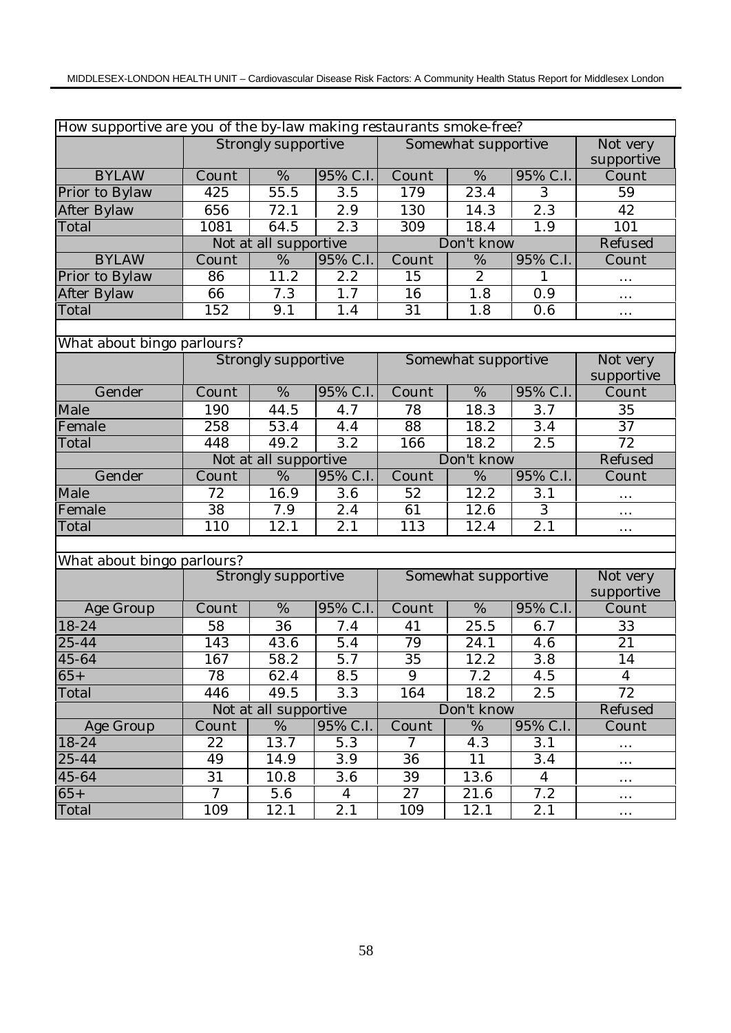|                            | How supportive are you of the by-law making restaurants smoke-free? |                            |                   |                                              |                     |                  |                        |  |  |  |  |
|----------------------------|---------------------------------------------------------------------|----------------------------|-------------------|----------------------------------------------|---------------------|------------------|------------------------|--|--|--|--|
|                            |                                                                     | <b>Strongly supportive</b> |                   |                                              | Somewhat supportive |                  | Not very               |  |  |  |  |
|                            |                                                                     |                            |                   |                                              |                     |                  | supportive             |  |  |  |  |
| <b>BYLAW</b>               | $\overline{\mathrm{C}}$ ount                                        | $\overline{\%}$            | 95% C.I.          | Count                                        | $\frac{0}{6}$       | 95% C.I.         | Count                  |  |  |  |  |
| Prior to Bylaw             | 425                                                                 | 55.5                       | 3.5               | 179                                          | 23.4                | 3                | 59                     |  |  |  |  |
| After Bylaw                | 656                                                                 | 72.1                       | $\overline{2.9}$  | 130                                          | 14.3                | 2.3              | 42                     |  |  |  |  |
| Total                      | 1081                                                                | 64.5                       | $\overline{2.3}$  | $\overline{309}$<br>$\overline{1.9}$<br>18.4 |                     |                  | 101                    |  |  |  |  |
|                            |                                                                     | Not at all supportive      |                   |                                              | Don't know          |                  | Refused                |  |  |  |  |
| <b>BYLAW</b>               | Count                                                               | %                          | 95% C.I.          | Count                                        | %                   | 95% C.I.         | Count                  |  |  |  |  |
| Prior to Bylaw             | 86                                                                  | 11.2                       | 2.2               | 15                                           | $\overline{2}$      | 1                | .                      |  |  |  |  |
| After Bylaw                | 66                                                                  | 7.3                        | 1.7               | 16                                           | 1.8                 | 0.9              | $\cdots$               |  |  |  |  |
| Total                      | 152                                                                 | 9.1                        | 1.4               | 31                                           | 1.8                 | 0.6              | $\cdots$               |  |  |  |  |
|                            |                                                                     |                            |                   |                                              |                     |                  |                        |  |  |  |  |
| What about bingo parlours? |                                                                     |                            |                   |                                              |                     |                  |                        |  |  |  |  |
|                            |                                                                     | Strongly supportive        |                   |                                              | Somewhat supportive |                  | Not very<br>supportive |  |  |  |  |
| Gender                     | Count                                                               | %                          | 95% C.I.          | $\overline{\mathrm{C}}$ ount                 | %                   | 95% C.I.         | Count                  |  |  |  |  |
| Male                       | 190                                                                 | 44.5                       | 4.7               | 78                                           | 18.3                | 3.7              | 35                     |  |  |  |  |
| Female                     | 258                                                                 | 53.4                       | 4.4               | 88                                           | 18.2                | 3.4              | 37                     |  |  |  |  |
| Total                      | 448                                                                 | 49.2                       | 3.2               | 166                                          | 18.2                | 2.5              | $\overline{72}$        |  |  |  |  |
|                            |                                                                     | Not at all supportive      |                   |                                              | Don't know          |                  | Refused                |  |  |  |  |
| Gender                     | Count                                                               | %                          | 95% C.I.          | Count                                        | %                   | 95% C.I.         | Count                  |  |  |  |  |
| Male                       | 72                                                                  | 16.9                       | 3.6               | 52                                           | 12.2                | 3.1              |                        |  |  |  |  |
| Female                     | $\overline{38}$                                                     | 7.9                        | 2.4               | 61                                           | 12.6                | $\overline{3}$   | $\cdots$               |  |  |  |  |
| Total                      | 110                                                                 | 12.1                       | $\overline{2}$ .1 | 113                                          | 12.4                | $\overline{2.1}$ | $\cdots$               |  |  |  |  |
|                            |                                                                     |                            |                   |                                              |                     |                  |                        |  |  |  |  |
| What about bingo parlours? |                                                                     |                            |                   |                                              |                     |                  |                        |  |  |  |  |
|                            |                                                                     | <b>Strongly supportive</b> |                   |                                              | Somewhat supportive |                  | Not very               |  |  |  |  |
|                            |                                                                     |                            |                   |                                              |                     |                  | supportive             |  |  |  |  |
| Age Group                  | Count                                                               | $\%$                       | 95% C.I.          | Count                                        | $\%$                | 95% C.I.         | Count                  |  |  |  |  |
| 18-24                      | 58                                                                  | 36                         | 7.4               | 41                                           | 25.5                | 6.7              | 33                     |  |  |  |  |
| $\overline{25-44}$         | $\overline{143}$                                                    | 43.6                       | 5.4               | 79                                           | 24.1                | 4.6              | 21                     |  |  |  |  |
| 45-64                      | 167                                                                 | 58.2                       | $\overline{5.7}$  | $\overline{35}$                              | 12.2                | $\overline{3.8}$ | 14                     |  |  |  |  |
| $65+$                      | 78                                                                  | 62.4                       | 8.5               | 9                                            | 7.2                 | 4.5              | $\overline{4}$         |  |  |  |  |
| Total                      | 446                                                                 | 49.5                       | 3.3               | 164                                          | 18.2                | 2.5              | 72                     |  |  |  |  |
|                            |                                                                     | Not at all supportive      |                   |                                              | Don't know          |                  | Refused                |  |  |  |  |
| Age Group                  | Count                                                               | $\frac{0}{6}$              | 95% C.I.          | Count                                        | %                   | 95% C.I.         | Count                  |  |  |  |  |
| 18-24                      | 22                                                                  | 13.7                       | 5.3               | $\tau$                                       | 4.3                 | 3.1              |                        |  |  |  |  |
| 25-44                      | 49                                                                  | 14.9                       | 3.9               | 36                                           | 11                  | 3.4              | $\cdots$               |  |  |  |  |
| 45-64                      | 31                                                                  | 10.8                       | 3.6               | 39                                           | 13.6                | $\overline{4}$   | $\cdots$               |  |  |  |  |
| $65+$                      | $\overline{7}$                                                      | $5.\overline{6}$           | $\overline{4}$    | 27                                           | 21.6                | 7.2              | $\cdots$               |  |  |  |  |
| Total                      | 109                                                                 | 12.1                       | 2.1               | 109                                          | 12.1                | 2.1              | $\cdots$               |  |  |  |  |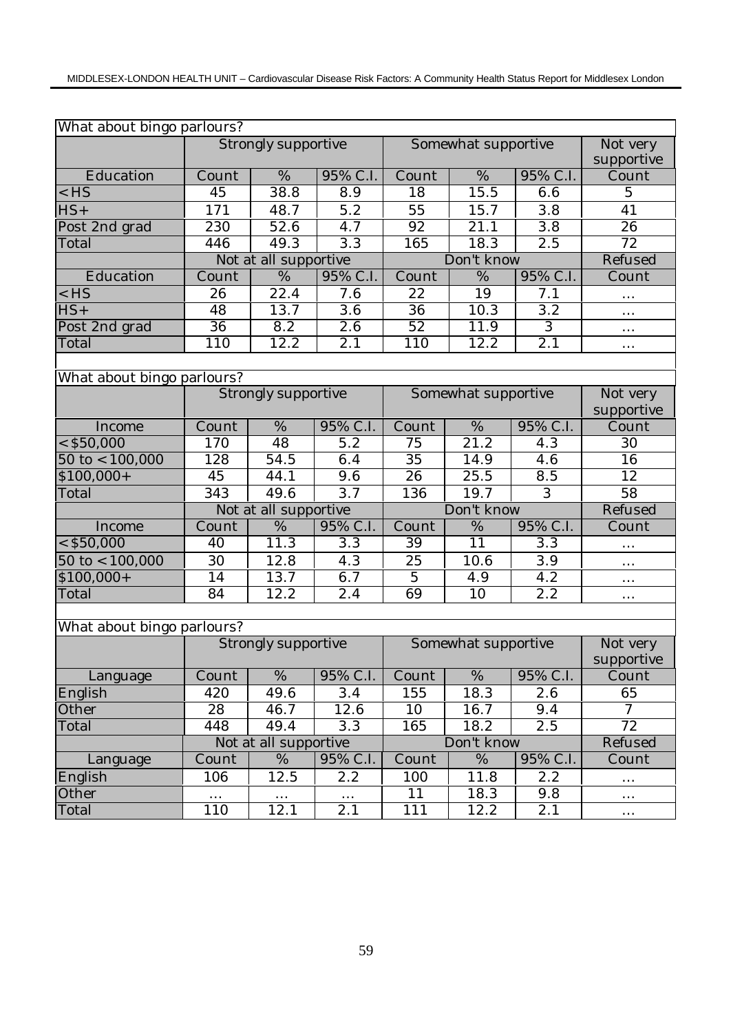| What about bingo parlours? |                 |                       |                  |                           |                     |                  |                        |  |  |  |
|----------------------------|-----------------|-----------------------|------------------|---------------------------|---------------------|------------------|------------------------|--|--|--|
|                            |                 | Strongly supportive   |                  |                           | Somewhat supportive |                  | Not very<br>supportive |  |  |  |
| Education                  | Count           | $\overline{\%}$       | 95% C.I.         | $\overline{\text{Count}}$ | $\overline{\%}$     | 95% C.I.         | Count                  |  |  |  |
| $<$ HS                     | $\overline{45}$ | 38.8                  | 8.9              | $\overline{18}$           | 15.5                | 6.6              | $\overline{5}$         |  |  |  |
| $HS+$                      | 171             | 48.7                  | 5.2              | 55                        | 15.7                | 3.8              | 41                     |  |  |  |
| Post 2nd grad              | 230             | 52.6                  | 4.7              | 92                        | $\overline{21.1}$   | 3.8              | $\overline{26}$        |  |  |  |
| Total                      | 446             | 49.3                  | $\overline{3.3}$ | 165                       | 18.3                | $\overline{2.5}$ | $\overline{72}$        |  |  |  |
|                            |                 | Not at all supportive |                  | Don't know                | Refused             |                  |                        |  |  |  |
| Education                  | Count           | %                     | 95% C.I.         | Count                     | %                   | 95% C.I.         | Count                  |  |  |  |
| $<$ HS                     | 26              | 22.4                  | 7.6              | 22                        | 19                  | 7.1              | $\cdots$               |  |  |  |
| $\overline{HS}$ +          | 48              | 13.7                  | 3.6              | $\overline{36}$           | 10.3                | $\overline{3.2}$ | $\cdots$               |  |  |  |
| Post 2nd grad              | 36              | 8.2                   | 2.6              | $\overline{52}$           | 11.9                | $\overline{3}$   | $\cdots$               |  |  |  |
| Total                      | 110             | 12.2                  | $\overline{2.1}$ | 110                       | 12.2                | $\overline{2.1}$ | $\cdots$               |  |  |  |
|                            |                 |                       |                  |                           |                     |                  |                        |  |  |  |
| What about bingo parlours? |                 |                       |                  |                           |                     |                  |                        |  |  |  |
|                            |                 | Strongly supportive   |                  | Somewhat supportive       | Not very            |                  |                        |  |  |  |
|                            |                 |                       |                  |                           |                     |                  | supportive             |  |  |  |
| Income                     | Count           | %                     | 95% C.I.         | Count                     | %                   | 95% C.I.         | Count                  |  |  |  |
| $<$ \$50,000               | 170             | 48                    | 5.2              | 75                        | $\overline{21.2}$   | 4.3              | 30                     |  |  |  |
| $50$ to $< 100,000$        | 128             | 54.5                  | 6.4              | 35                        | 14.9                | 4.6              | 16                     |  |  |  |
| $$100,000+$                | 45              | 44.1                  | 9.6              | 26                        | 25.5                | 8.5              | $\overline{12}$        |  |  |  |
| Total                      | 343             | 49.6                  | 3.7              | 136                       | 19.7                | 3                | 58                     |  |  |  |
|                            |                 | Not at all supportive |                  |                           | Don't know          |                  | Refused                |  |  |  |
| Income                     | Count           | %                     | 95% C.I.         | Count                     | %                   | 95% C.I.         | Count                  |  |  |  |
| $<$ \$50,000               | 40              | 11.3                  | 3.3              | 39                        | 11                  | 3.3              | $\cdots$               |  |  |  |
| $50$ to $< 100,000$        | 30              | 12.8                  | 4.3              | 25                        | 10.6                | 3.9              | $\ldots$               |  |  |  |
| $$100,000+$                | 14              | 13.7                  | 6.7              | $\overline{5}$            | 4.9                 | 4.2              | $\cdots$               |  |  |  |
| Total                      | 84              | 12.2                  | 2.4              | 69                        | 10                  | 2.2              | $\cdots$               |  |  |  |
|                            |                 |                       |                  |                           |                     |                  |                        |  |  |  |
| What about bingo parlours? |                 |                       |                  |                           |                     |                  |                        |  |  |  |
|                            |                 | Strongly supportive   |                  |                           | Somewhat supportive |                  | Not very               |  |  |  |
|                            |                 |                       |                  |                           |                     |                  | supportive             |  |  |  |
| Language                   | Count           | $\overline{\%}$       | 95% C.I.         | Count                     | $\overline{\%}$     | 95% C.I.         | Count                  |  |  |  |
| English                    | 420             | 49.6                  | 3.4              | 155                       | 18.3                | 2.6              | 65                     |  |  |  |
| Other                      | 28              | 46.7                  | 12.6             | 10                        | 16.7                | 9.4              | $\overline{7}$         |  |  |  |
| Total                      | 448             | 49.4                  | 3.3              | 165                       | 18.2                | 2.5              | $\overline{72}$        |  |  |  |
|                            |                 | Not at all supportive |                  |                           | Don't know          |                  | Refused                |  |  |  |
| Language                   | Count           | $\%$                  | 95% C.I.         | Count                     | $\%$                | 95% C.I.         | Count                  |  |  |  |
| English                    | 106             | 12.5                  | $2.2\,$          | 100                       | 11.8                | 2.2              | $\cdots$               |  |  |  |
| Other                      |                 |                       | $\cdots$         | 11                        | 18.3                | 9.8              | $\cdots$               |  |  |  |
| Total                      | 110             | 12.1                  | 2.1              | 111                       | 12.2                | 2.1              | $\cdots$               |  |  |  |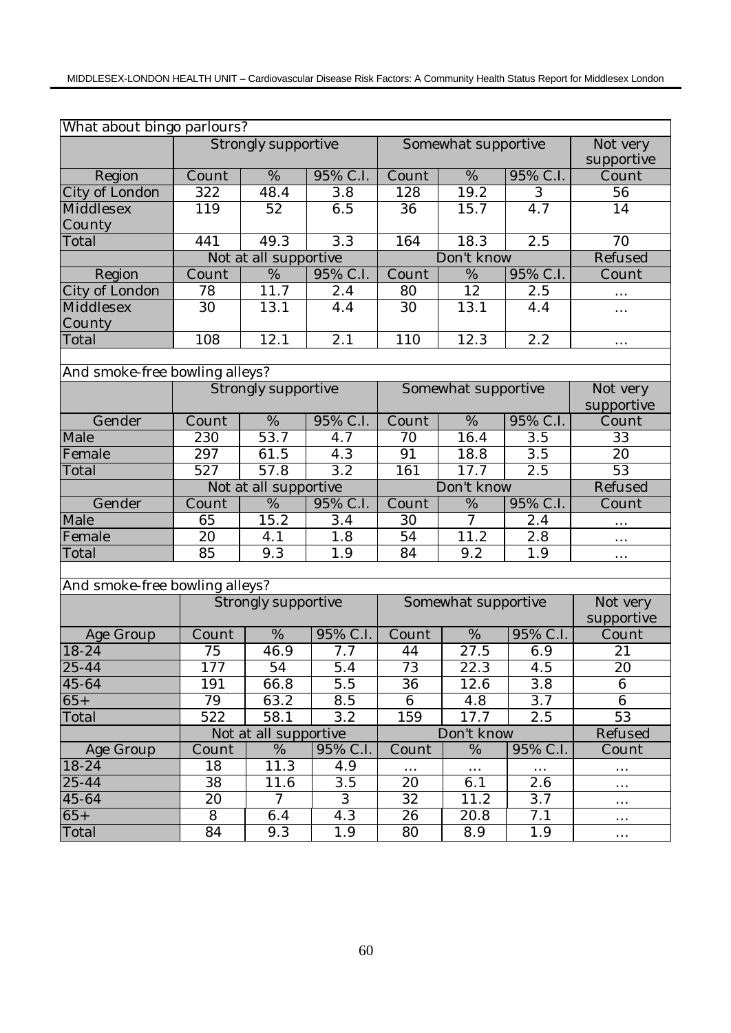| What about bingo parlours?     |         |                            |                  |                        |                     |                  |                        |  |  |
|--------------------------------|---------|----------------------------|------------------|------------------------|---------------------|------------------|------------------------|--|--|
|                                |         | Strongly supportive        |                  |                        | Somewhat supportive |                  | Not very<br>supportive |  |  |
| Region                         | Count   | $\%$                       | 95% C.I.         | Count                  | $\overline{\%}$     | 95% C.I.         | Count                  |  |  |
| City of London                 | 322     | 48.4                       | 3.8              | 128                    | $\overline{19.2}$   | $\overline{3}$   | 56                     |  |  |
| Middlesex                      | 119     | 52                         | 6.5              | 36                     | 15.7                | 4.7              | 14                     |  |  |
| County                         |         |                            |                  |                        |                     |                  |                        |  |  |
| Total                          | 441     | 49.3                       | $\overline{3.3}$ | 164                    | 18.3                | $\overline{2.5}$ | $\overline{70}$        |  |  |
|                                |         | Not at all supportive      |                  |                        | Don't know          | Refused          |                        |  |  |
| Region                         | Count   | %                          | 95% C.I.         | Count<br>95% C.I.<br>% |                     |                  | Count                  |  |  |
| City of London                 | 78      | 11.7                       | 2.4              | 80                     | 12                  | 2.5              | $\cdots$               |  |  |
| Middlesex                      | 30      | 13.1                       | 4.4              | 30                     | 13.1                | 4.4              | .                      |  |  |
| County                         |         |                            |                  |                        |                     |                  |                        |  |  |
| Total                          | 108     | 12.1                       | 2.1              | 110                    | 12.3                | 2.2              | .                      |  |  |
|                                |         |                            |                  |                        |                     |                  |                        |  |  |
| And smoke-free bowling alleys? |         |                            |                  |                        |                     |                  |                        |  |  |
|                                |         | <b>Strongly supportive</b> |                  |                        | Somewhat supportive |                  | Not very               |  |  |
|                                |         |                            |                  |                        |                     |                  | supportive             |  |  |
| Gender                         | Count   | %                          | 95% C.I.         | Count                  | %                   | 95% C.I.         | Count                  |  |  |
| Male                           | 230     | $\overline{53.7}$          | 4.7              | 70                     | 16.4                | 3.5              | 33                     |  |  |
| Female                         | 297     | 61.5                       | 4.3              | 91                     | 18.8                | $\overline{3.5}$ | 20                     |  |  |
| Total                          | 527     | 57.8                       | $\overline{3.2}$ | 161                    | 17.7                | 2.5              | $\overline{53}$        |  |  |
|                                |         | Not at all supportive      |                  |                        | Don't know          |                  | Refused                |  |  |
| Gender                         | Count   | %                          | 95% C.I.         | Count                  | $\%$                | 95% C.I.         | Count                  |  |  |
|                                |         |                            |                  |                        |                     |                  |                        |  |  |
| Male                           | 65      | 15.2                       | 3.4              | 30                     | 7                   | 2.4              |                        |  |  |
| Female                         | 20      | 4.1                        | 1.8              | 54                     | 11.2                | 2.8              | .                      |  |  |
| Total                          | 85      | 9.3                        | 1.9              | 84                     | 9.2                 | 1.9              | $\cdots$               |  |  |
|                                |         |                            |                  |                        |                     |                  |                        |  |  |
| And smoke-free bowling alleys? |         |                            |                  |                        |                     |                  |                        |  |  |
|                                |         | <b>Strongly supportive</b> |                  |                        | Somewhat supportive |                  | Not very               |  |  |
|                                |         |                            |                  |                        |                     |                  | supportive             |  |  |
| Age Group                      | Count   | $\%$                       | 95% C.I.         | Count                  | $\%$                | 95% C.I.         | Count                  |  |  |
| 18-24                          | 75      | 46.9                       | 7.7              | 44                     | 27.5                | 6.9              | 21                     |  |  |
| $25 - 44$                      | 177     | $\overline{54}$            | 5.4              | 73                     | 22.3                | 4.5              | $\overline{20}$        |  |  |
| $45 - 64$                      | 191     | 66.8                       | 5.5              | 36                     | 12.6                | 3.8              | 6                      |  |  |
| $65+$                          | 79      | 63.2                       | 8.5              | 6                      | 4.8                 | 3.7              | 6                      |  |  |
| Total                          | 522     | 58.1                       | 3.2              | 159                    | 17.7                | 2.5              | 53                     |  |  |
|                                |         | Not at all supportive      |                  |                        | Don't know          |                  | Refused                |  |  |
| Age Group                      | Count   | $\frac{0}{6}$              | 95% C.I.         | Count                  | %                   | 95% C.I.         | Count                  |  |  |
| $18 - 24$                      | 18      | 11.3                       | 4.9              | $\cdots$               | $\ldots$            | $\ldots$         | $\cdots$               |  |  |
| 25-44                          | 38      | 11.6                       | 3.5              | 20                     | 6.1                 | 2.6              |                        |  |  |
| $\overline{4}5 - 64$           | 20      | $\mathcal I$               | 3                | 32                     | 11.2                | 3.7              | $\cdots$               |  |  |
| $65+$<br>Total                 | 8<br>84 | 6.4<br>9.3                 | 4.3<br>1.9       | 26<br>80               | 20.8<br>8.9         | 7.1<br>1.9       | $\cdots$               |  |  |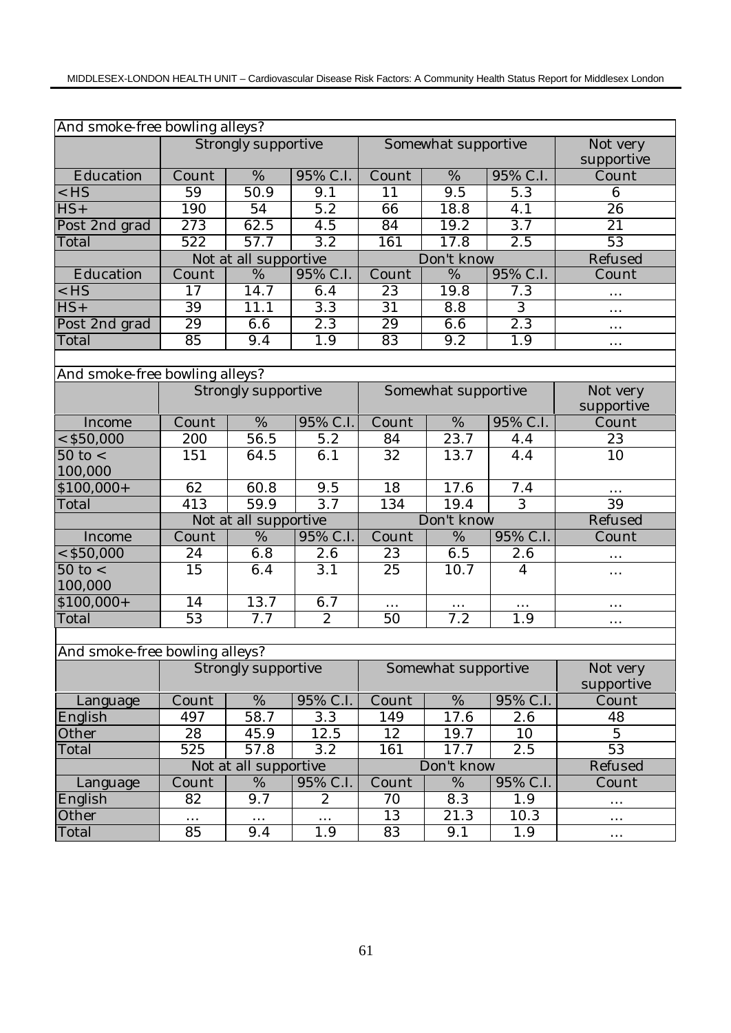|                                | And smoke-free bowling alleys? |                            |                  |                        |                     |                  |                 |  |  |  |  |
|--------------------------------|--------------------------------|----------------------------|------------------|------------------------|---------------------|------------------|-----------------|--|--|--|--|
|                                |                                | <b>Strongly supportive</b> |                  |                        | Somewhat supportive |                  | Not very        |  |  |  |  |
|                                |                                |                            |                  |                        |                     |                  | supportive      |  |  |  |  |
| Education                      | Count                          | $\overline{\%}$            | 95% C.I.         | Count                  | $\overline{\%}$     | 95% C.I.         | Count           |  |  |  |  |
| $<$ HS                         | 59                             | 50.9                       | 9.1              | 11                     | $\overline{9.5}$    | $\overline{5.3}$ | 6               |  |  |  |  |
| $HS+$                          | 190                            | 54                         | $\overline{5.2}$ | 66                     | 18.8                | 4.1              | $\overline{26}$ |  |  |  |  |
| Post 2nd grad                  | 273                            | 62.5                       | $\overline{4.5}$ | $\overline{84}$        | 19.2                | 3.7              | 21              |  |  |  |  |
| Total                          | 522                            | 57.7                       | $\overline{3.2}$ | 161                    | 17.8                | 2.5              | 53              |  |  |  |  |
|                                |                                | Not at all supportive      |                  |                        | Don't know          |                  | Refused         |  |  |  |  |
| Education                      | Count                          | %                          | 95% C.I.         | 95% C.I.<br>Count<br>% |                     |                  | Count           |  |  |  |  |
| $<$ HS                         | 17                             | 14.7                       | 6.4              | 23                     | 19.8                | 7.3              | $\cdots$        |  |  |  |  |
| $HS+$                          | 39                             | 11.1                       | $\overline{3.3}$ | 31                     | 8.8                 | $\overline{3}$   | $\cdots$        |  |  |  |  |
| Post 2nd grad                  | 29                             | 6.6                        | 2.3              | 29                     | 6.6                 | $\overline{2.3}$ | $\ddotsc$       |  |  |  |  |
| Total                          | 85                             | 9.4                        | 1.9              | 83                     | 9.2                 | 1.9              | $\cdots$        |  |  |  |  |
|                                |                                |                            |                  |                        |                     |                  |                 |  |  |  |  |
| And smoke-free bowling alleys? |                                |                            |                  |                        |                     |                  |                 |  |  |  |  |
|                                |                                | Strongly supportive        |                  |                        | Somewhat supportive |                  | Not very        |  |  |  |  |
|                                |                                |                            |                  |                        | supportive          |                  |                 |  |  |  |  |
| Income                         | Count                          | %                          | 95% C.I.         | Count                  | $\overline{\%}$     | 95% C.I.         | Count           |  |  |  |  |
| $<$ \$50,000                   | 200                            | 56.5                       | 5.2              | 84                     | 23.7                | 4.4              | 23              |  |  |  |  |
| $50$ to $<$                    | 151                            | 64.5                       | 6.1              | 32                     | 13.7                | 4.4              | 10              |  |  |  |  |
| 100,000                        |                                |                            |                  |                        |                     |                  |                 |  |  |  |  |
| $$100,000+$                    | 62                             | 60.8                       | 9.5              | 18                     | 17.6                | 7.4              |                 |  |  |  |  |
| Total                          | 413                            | 59.9                       | $\overline{3.7}$ | 134                    | 19.4                | $\overline{3}$   | 39              |  |  |  |  |
|                                |                                | Not at all supportive      |                  |                        | Don't know          |                  | Refused         |  |  |  |  |
| Income                         | Count                          | %                          | 95% C.I.         | Count                  | $\%$                | 95% C.I.         | Count           |  |  |  |  |
| $<$ \$50,000                   | 24                             | 6.8                        | 2.6              | 23                     | 6.5                 | 2.6              | $\cdots$        |  |  |  |  |
| $50$ to $<$                    | $\overline{15}$                | 6.4                        | $\overline{3.1}$ | $\overline{25}$        | 10.7                | $\overline{4}$   | $\cdots$        |  |  |  |  |
| 100,000                        |                                |                            |                  |                        |                     |                  |                 |  |  |  |  |
| $$100,000+$                    | 14                             | 13.7                       | 6.7              | $\cdots$               | $\cdots$            | .                | $\cdots$        |  |  |  |  |
| Total                          | $\overline{53}$                | 7.7                        | $\mathbf{2}$     | 50                     | 7.2                 | 1.9              | $\ddotsc$       |  |  |  |  |
|                                |                                |                            |                  |                        |                     |                  |                 |  |  |  |  |
| And smoke-free bowling alleys? |                                |                            |                  |                        |                     |                  |                 |  |  |  |  |
|                                |                                | Strongly supportive        |                  |                        | Somewhat supportive |                  | Not very        |  |  |  |  |
|                                |                                |                            |                  |                        |                     |                  | supportive      |  |  |  |  |
| Language                       | Count                          | $\%$                       | 95% C.I.         | Count                  | $\%$                | 95% C.I.         | Count           |  |  |  |  |
| English                        | 497                            | 58.7                       | 3.3              | 149                    | 17.6                | 2.6              | 48              |  |  |  |  |
| Other                          | 28                             | 45.9                       | 12.5             | 12                     | 19.7                | 10               | $\overline{5}$  |  |  |  |  |
| Total                          | 525                            | 57.8                       | 3.2              | 161                    | 17.7                | 2.5              | 53              |  |  |  |  |
|                                |                                | Not at all supportive      |                  |                        | Don't know          |                  | Refused         |  |  |  |  |
| Language                       | Count                          | %                          | 95% C.I.         | Count                  | $\%$                | 95% C.I.         | Count           |  |  |  |  |
| English                        | 82                             | 9.7                        | 2                | 70                     | 8.3                 | 1.9              | .               |  |  |  |  |
| Other                          | $\cdots$                       | $\cdots$                   | $\cdots$         | 13                     | $\overline{21.3}$   | 10.3             | $\cdots$        |  |  |  |  |
| Total                          | 85                             | 9.4                        | 1.9              | 83                     | 9.1                 | 1.9              | $\cdots$        |  |  |  |  |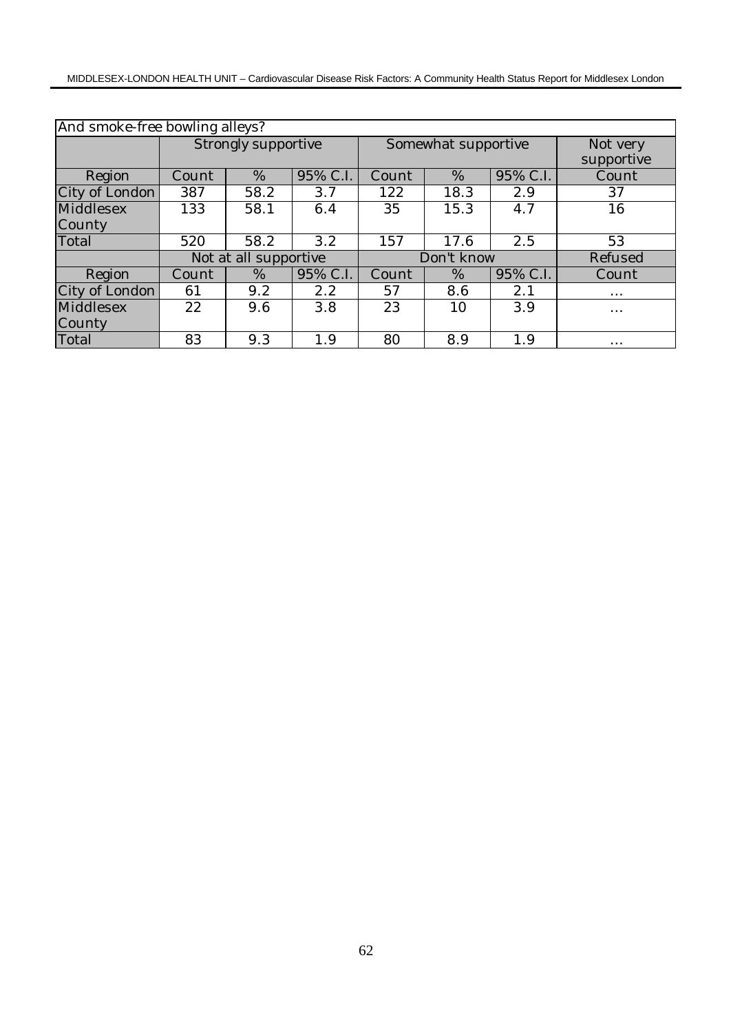| And smoke-free bowling alleys? |       |                       |          |       |                     |            |          |  |  |
|--------------------------------|-------|-----------------------|----------|-------|---------------------|------------|----------|--|--|
|                                |       | Strongly supportive   |          |       | Somewhat supportive |            | Not very |  |  |
|                                |       |                       |          |       |                     | supportive |          |  |  |
| Region                         | Count | $\%$                  | 95% C.I. | Count | %                   | 95% C.I.   | Count    |  |  |
| City of London                 | 387   | 58.2                  | 3.7      | 122   | 18.3                | 2.9        | 37       |  |  |
| Middlesex                      | 133   | 58.1                  | 6.4      | 35    | 15.3                | 4.7        | 16       |  |  |
| County                         |       |                       |          |       |                     |            |          |  |  |
| Total                          | 520   | 58.2                  | 3.2      | 157   | 17.6                | 2.5        | 53       |  |  |
|                                |       | Not at all supportive |          |       | Don't know          | Refused    |          |  |  |
| Region                         | Count | $\%$                  | 95% C.I. | Count | %                   | 95% C.I.   | Count    |  |  |
| City of London                 | 61    | 9.2                   | 2.2      | 57    | 8.6                 | 2.1        | $\cdots$ |  |  |
| Middlesex                      | 22    | 9.6                   | 3.8      | 23    | 10                  | 3.9        | $\cdots$ |  |  |
| County                         |       |                       |          |       |                     |            |          |  |  |
| Total                          | 83    | 9.3                   | 1.9      | 80    | 8.9                 | 1.9        | $\cdots$ |  |  |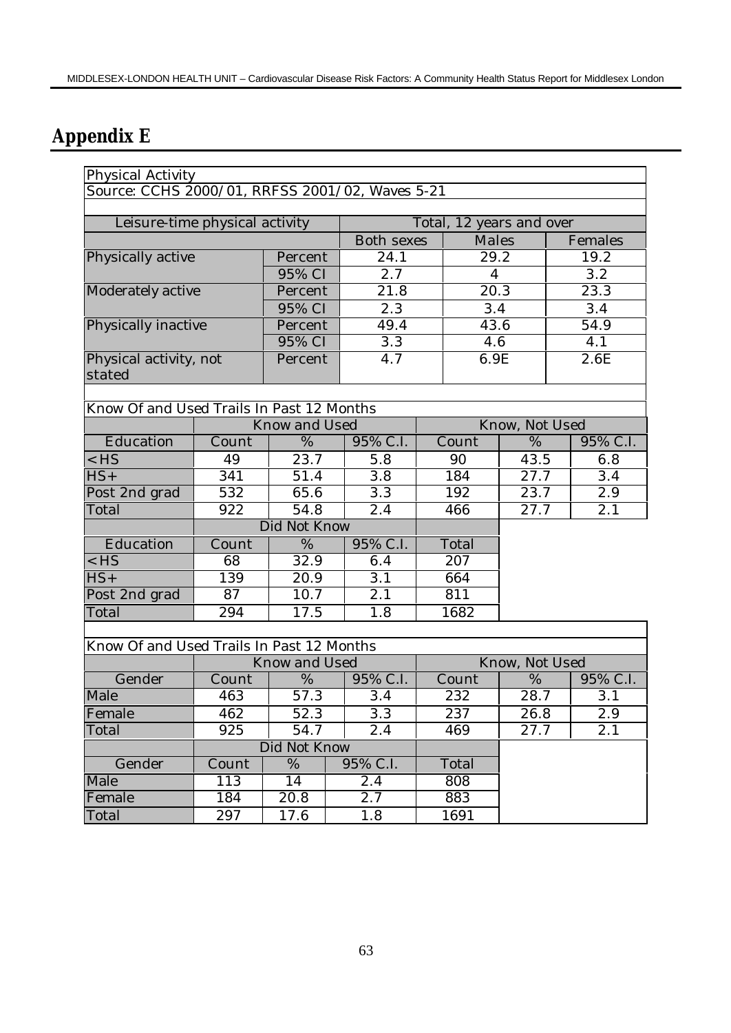# **Appendix E**

| Physical Activity                               |                  |                   |                   |  |                |                          |                   |
|-------------------------------------------------|------------------|-------------------|-------------------|--|----------------|--------------------------|-------------------|
| Source: CCHS 2000/01, RRFSS 2001/02, Waves 5-21 |                  |                   |                   |  |                |                          |                   |
|                                                 |                  |                   |                   |  |                |                          |                   |
| Leisure-time physical activity                  |                  |                   |                   |  |                | Total, 12 years and over |                   |
|                                                 |                  |                   | <b>Both sexes</b> |  | <b>Males</b>   |                          | Females           |
| Physically active                               |                  | Percent           | 24.1              |  | 29.2           |                          | 19.2              |
|                                                 |                  | 95% CI            | 2.7               |  | $\overline{4}$ |                          | 3.2               |
| Moderately active                               |                  | Percent           | 21.8              |  | 20.3           |                          | 23.3              |
|                                                 |                  | 95% CI            | 2.3               |  | 3.4            |                          | 3.4               |
| Physically inactive                             |                  | Percent           | 49.4              |  | 43.6           |                          | 54.9              |
|                                                 |                  | 95% CI            | 3.3               |  | 4.6            |                          | 4.1               |
| Physical activity, not<br>stated                |                  | Percent           | 4.7               |  | 6.9E           |                          | $\overline{2}.6E$ |
|                                                 |                  |                   |                   |  |                |                          |                   |
| Know Of and Used Trails In Past 12 Months       |                  |                   |                   |  |                |                          |                   |
|                                                 |                  | Know and Used     |                   |  |                | Know, Not Used           |                   |
| Education                                       | Count            | %                 | 95% C.I.          |  | Count          | %                        | 95% C.I.          |
| $<$ HS                                          | 49               | 23.7              | 5.8               |  | 43.5<br>90     |                          | 6.8               |
| $\overline{HS}$ +                               | $\overline{341}$ | 51.4              | 3.8               |  | 184            | 27.7                     | 3.4               |
| Post 2nd grad                                   | 532              | 65.6              | 3.3               |  | 192            | 23.7                     | 2.9               |
| Total                                           | 922              | $54.\overline{8}$ | 2.4               |  | 466            | 27.7                     | 2.1               |
|                                                 |                  | Did Not Know      |                   |  |                |                          |                   |
| Education                                       | Count            | $\%$              | 95% C.I.          |  | Total          |                          |                   |
| $<$ HS                                          | 68               | 32.9              | 6.4               |  | 207            |                          |                   |
| $\overline{HS}$ +                               | 139              | 20.9              | 3.1               |  | 664            |                          |                   |
| Post 2nd grad                                   | 87               | 10.7              | 2.1               |  | 811            |                          |                   |
| Total                                           | 294              | 17.5              | 1.8               |  | 1682           |                          |                   |
|                                                 |                  |                   |                   |  |                |                          |                   |
| Know Of and Used Trails In Past 12 Months       |                  |                   |                   |  |                |                          |                   |
|                                                 |                  | Know and Used     |                   |  |                | Know, Not Used           |                   |
| Gender                                          | Count            | %                 | 95% C.I.          |  | Count          | %                        | 95% C.I.          |
| Male                                            | 463              | 57.3              | 3.4               |  | 232            | 28.7                     | 3.1               |
| Female                                          | 462              | 52.3              | $\overline{3.3}$  |  | 237            | 26.8                     | $2.9\,$           |
| Total                                           | 925              | 54.7              | 2.4               |  | 469            | 27.7                     | 2.1               |
|                                                 |                  | Did Not Know      |                   |  |                |                          |                   |
| Gender                                          | Count            | %                 | 95% C.I.          |  | Total          |                          |                   |
| Male                                            | 113              | 14                | 2.4               |  | 808            |                          |                   |
| Female                                          | 184              | 20.8              | 2.7               |  | 883            |                          |                   |
| Total                                           | 297              | 17.6              | 1.8               |  | 1691           |                          |                   |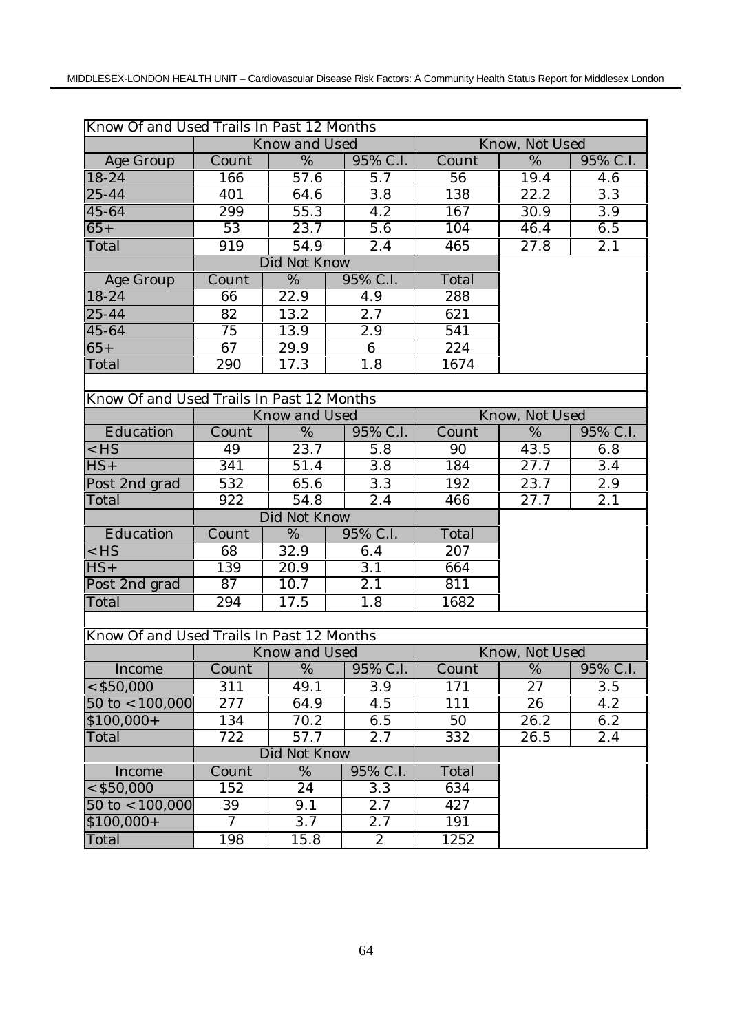| Know Of and Used Trails In Past 12 Months |                  |                      |  |                      |       |                   |                  |
|-------------------------------------------|------------------|----------------------|--|----------------------|-------|-------------------|------------------|
|                                           |                  | Know and Used        |  |                      |       | Know, Not Used    |                  |
| <b>Age Group</b>                          | Count            | $\overline{\%}$      |  | 95% C.I.             | Count | $\overline{\%}$   | 95% C.I.         |
| $18 - 24$                                 | 166              | $\overline{57.6}$    |  | 5.7                  | 56    | 19.4              | 4.6              |
| $25 - 44$                                 | 401              | 64.6                 |  | $\overline{3.8}$     | 138   | 22.2              | $\overline{3.3}$ |
| 45-64                                     | 299              | 55.3                 |  | $\overline{4.2}$     | 167   | 30.9              | 3.9              |
| $65+$                                     | $\overline{53}$  | 23.7                 |  | $\overline{5.6}$     | 104   | 46.4              | 6.5              |
| Total                                     | $\overline{919}$ | 54.9                 |  | 2.4                  | 465   | 27.8              | $\overline{2.1}$ |
|                                           |                  | Did Not Know         |  |                      |       |                   |                  |
| Age Group                                 | Count            | %                    |  | 95% C.I.             | Total |                   |                  |
| 18-24                                     | 66               | 22.9                 |  | 4.9                  | 288   |                   |                  |
| 25-44                                     | 82               | 13.2                 |  | 2.7                  | 621   |                   |                  |
| 45-64                                     | $\overline{75}$  | 13.9                 |  | $\overline{2.9}$     | 541   |                   |                  |
| $65+$                                     | 67               | 29.9                 |  | 6                    | 224   |                   |                  |
| Total                                     | 290              | 17.3                 |  | 1.8                  | 1674  |                   |                  |
|                                           |                  |                      |  |                      |       |                   |                  |
| Know Of and Used Trails In Past 12 Months |                  |                      |  |                      |       |                   |                  |
|                                           |                  | <b>Know and Used</b> |  |                      |       | Know, Not Used    |                  |
| Education                                 | Count            | $\overline{\%}$      |  | 95% C.I.             | Count | $\overline{\%}$   | 95% C.I.         |
| $<$ HS                                    | 49               | 23.7                 |  | 5.8                  | 90    | 43.5              | 6.8              |
| $HS+$                                     | 341              | 51.4                 |  | 3.8                  | 184   | 27.7              | 3.4              |
| Post 2nd grad                             | 532              | 65.6                 |  | 3.3                  | 192   | 23.7              | 2.9              |
| Total                                     | 922              | 54.8                 |  | 2.4                  | 466   | $\overline{27.7}$ | $\overline{2.1}$ |
|                                           |                  | Did Not Know         |  |                      |       |                   |                  |
| Education                                 | Count            | %                    |  | 95% C.I.             | Total |                   |                  |
| $<$ HS                                    | 68               | 32.9                 |  | 6.4                  | 207   |                   |                  |
| $\overline{HS}$ +                         | 139              | 20.9                 |  | 3.1                  | 664   |                   |                  |
| Post 2nd grad                             | 87               | 10.7                 |  | 2.1                  | 811   |                   |                  |
| Total                                     | 294              | 17.5                 |  | 1.8                  | 1682  |                   |                  |
|                                           |                  |                      |  |                      |       |                   |                  |
| Know Of and Used Trails In Past 12 Months |                  |                      |  |                      |       |                   |                  |
|                                           |                  | Know and Used        |  |                      |       | Know, Not Used    |                  |
| Income                                    |                  |                      |  | Count   %   95% C.I. | Count |                   | % 95% C.I.       |
| $<$ \$50,000                              | 311              | 49.1                 |  | 3.9                  | 171   | 27                | 3.5              |
| $50$ to < $100,000$                       | 277              | 64.9                 |  | 4.5                  | 111   | 26                | 4.2              |
| $$100,000+$                               | 134              | 70.2                 |  | 6.5                  | 50    | 26.2              | 6.2              |
| Total                                     | 722              | 57.7                 |  | 2.7                  | 332   | 26.5              | 2.4              |
|                                           | Did Not Know     |                      |  |                      |       |                   |                  |
| Income                                    | Count            | $\overline{\%}$      |  | 95% C.I.             | Total |                   |                  |
| $<$ \$50,000                              | 152              | 24                   |  | 3.3                  | 634   |                   |                  |
| $50 \text{ to} < 100,000$                 | 39               | 9.1                  |  | 2.7                  | 427   |                   |                  |
| $$100,000+$                               | $\mathcal I$     | 3.7                  |  | 2.7                  | 191   |                   |                  |
| Total                                     | 198              | 15.8                 |  | $\boldsymbol{2}$     | 1252  |                   |                  |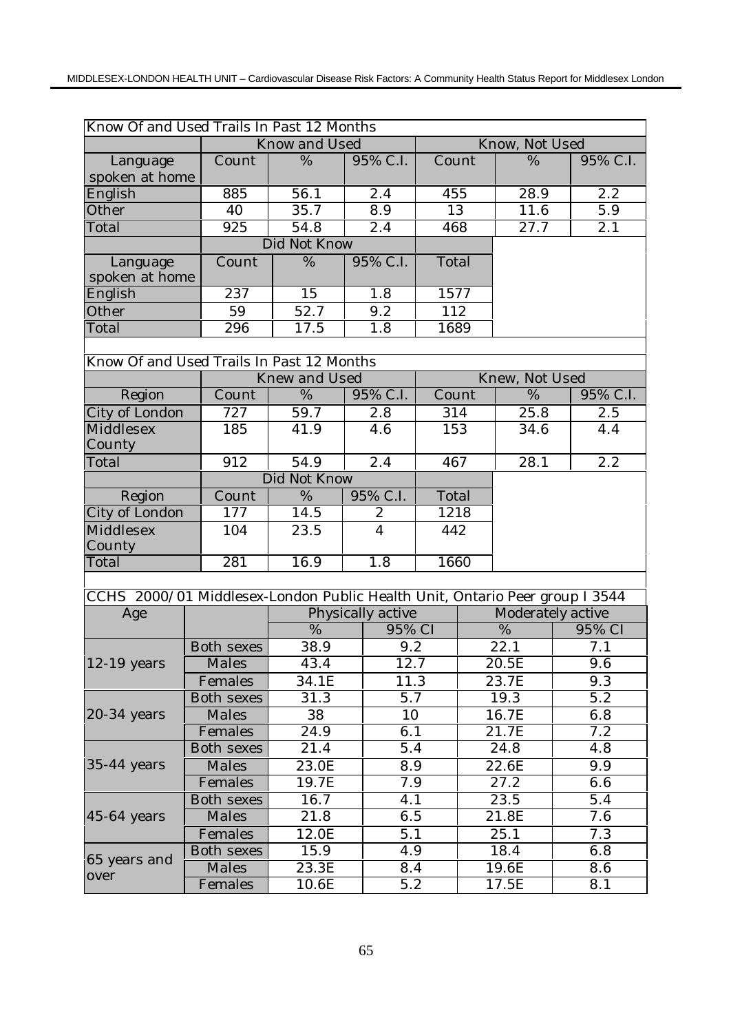| Know Of and Used Trails In Past 12 Months                                   |                   |                             |                   |                          |                |                   |                  |  |
|-----------------------------------------------------------------------------|-------------------|-----------------------------|-------------------|--------------------------|----------------|-------------------|------------------|--|
|                                                                             |                   | <b>Know and Used</b>        |                   |                          |                | Know, Not Used    |                  |  |
| Language<br>spoken at home                                                  | Count             | %                           | 95% C.I.          | Count                    |                | %                 | 95% C.I.         |  |
| English                                                                     | 885               | 56.1                        | 2.4               | 455                      |                | 28.9              | 2.2              |  |
| Other                                                                       | 40                | 35.7                        | 8.9               | 13                       |                | 11.6              | 5.9              |  |
| Total                                                                       | $\overline{925}$  | 54.8                        | 2.4               | 468                      |                | 27.7              | $\overline{2.1}$ |  |
|                                                                             |                   | Did Not Know                |                   |                          |                |                   |                  |  |
| Language<br>spoken at home                                                  | Count             | $\overline{\%}$<br>95% C.I. |                   | Total                    |                |                   |                  |  |
| English                                                                     | 237               | 15                          | 1.8               | 1577                     |                |                   |                  |  |
| Other                                                                       | 59                | 52.7                        | 9.2               |                          | 112            |                   |                  |  |
| Total                                                                       | 296               | 17.5                        | 1.8               | 1689                     |                |                   |                  |  |
|                                                                             |                   |                             |                   |                          |                |                   |                  |  |
| Know Of and Used Trails In Past 12 Months                                   |                   |                             |                   |                          |                |                   |                  |  |
|                                                                             |                   | Knew and Used               |                   |                          | Knew, Not Used |                   |                  |  |
| Region                                                                      | Count             | %                           | 95% C.I.          | Count                    |                | $\overline{\%}$   | 95% C.I.         |  |
| City of London                                                              | 727               | 59.7                        | 2.8               | 314                      |                | 25.8              | 2.5              |  |
| Middlesex<br>County                                                         | 185               | 41.9                        | 4.6               | 153                      |                | 34.6              | 4.4              |  |
| Total                                                                       | 912               | 54.9                        | 2.4               | 467                      |                | 28.1              | 2.2              |  |
|                                                                             |                   | Did Not Know                |                   |                          |                |                   |                  |  |
| Region                                                                      | Count             | %                           | 95% C.I.          | Total                    |                |                   |                  |  |
| City of London                                                              | 177               | $\overline{1}$ 4.5          |                   | 1218<br>$\boldsymbol{2}$ |                |                   |                  |  |
| Middlesex                                                                   | 104               | 23.5                        | $\overline{4}$    | 442                      |                |                   |                  |  |
| County                                                                      |                   |                             |                   |                          |                |                   |                  |  |
| Total                                                                       | 281               | 16.9                        | 1.8               | 1660                     |                |                   |                  |  |
|                                                                             |                   |                             |                   |                          |                |                   |                  |  |
| CCHS 2000/01 Middlesex-London Public Health Unit, Ontario Peer group I 3544 |                   |                             |                   |                          |                |                   |                  |  |
| Age                                                                         |                   |                             | Physically active |                          |                | Moderately active |                  |  |
|                                                                             |                   | $\overline{\%}$             | 95% CI            |                          |                | $\overline{\%}$   | 95% CI           |  |
|                                                                             | <b>Both sexes</b> | 38.9                        | 9.2               |                          | 22.1           |                   | 7.1              |  |
| 12-19 years                                                                 | Males             | 43.4                        |                   | 12.7                     |                | 20.5E             | 9.6              |  |
|                                                                             | Females           | 34.1E                       |                   | 11.3                     |                | 23.7E             | 9.3              |  |
|                                                                             | Both sexes        | 31.3                        |                   | 5.7                      |                | 19.3              | $\overline{5.2}$ |  |
| $20-34$ years                                                               | Males             | 38                          | 10                |                          | 16.7E          |                   | 6.8              |  |
|                                                                             | Females           | 24.9                        |                   | 6.1                      |                | 21.7E             | 7.2              |  |
|                                                                             | Both sexes        | 21.4                        | 5.4               |                          | 24.8           |                   | 4.8              |  |
| $35-44$ years                                                               | Males             | 23.0E                       | 8.9               |                          | 22.6E          |                   | 9.9              |  |
|                                                                             | Females           | 19.7E                       |                   | 7.9                      |                | 27.2              | 6.6              |  |
|                                                                             | Both sexes        | 16.7                        | 4.1               |                          | 23.5           |                   | 5.4              |  |
| $45-64$ years                                                               | Males             | 21.8                        | 6.5               |                          | 21.8E          |                   | 7.6              |  |
|                                                                             | Females           | 12.0E                       |                   | 5.1                      |                | 25.1              | 7.3              |  |
|                                                                             | Both sexes        | 15.9                        | 4.9               |                          | 18.4           |                   | 6.8              |  |
| 65 years and<br>over                                                        | Males             | 23.3E                       |                   | 8.4                      |                | 19.6E             | 8.6              |  |
|                                                                             | Females           | 10.6E                       |                   | 5.2                      |                | 17.5E             | 8.1              |  |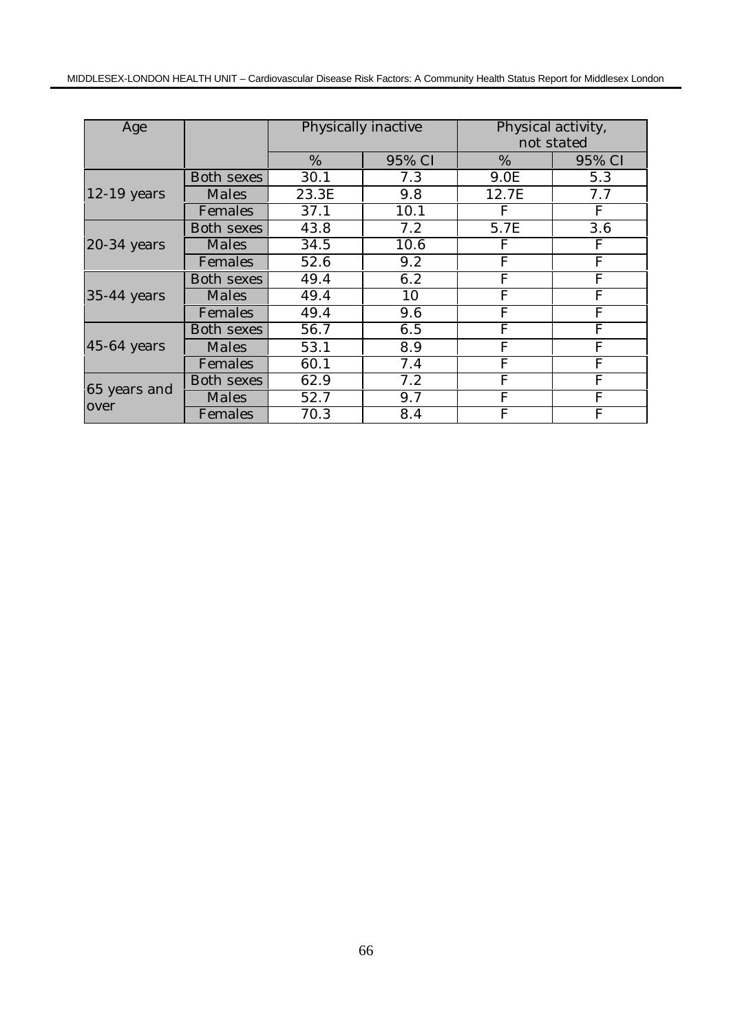| Age           |                   | Physically inactive |        | Physical activity,<br>not stated                                                                                                                                                                                               |        |  |
|---------------|-------------------|---------------------|--------|--------------------------------------------------------------------------------------------------------------------------------------------------------------------------------------------------------------------------------|--------|--|
|               |                   | %                   | 95% CI | %                                                                                                                                                                                                                              | 95% CI |  |
|               | Both sexes        | 30.1                | 7.3    | 9.0E                                                                                                                                                                                                                           | 5.3    |  |
| $12-19$ years | Males             | 23.3E               | 9.8    | 12.7E                                                                                                                                                                                                                          | 7.7    |  |
|               | Females           | 37.1                | 10.1   | $\mathbf{F}$<br>F<br>5.7E<br>F<br>F<br>$\overline{F}$<br>F<br>$\overline{F}$<br>F<br>$\overline{F}$<br>$\overline{F}$<br>$\mathbf{F}$<br>F<br>$\overline{F}$<br>$\overline{F}$<br>F<br>F<br>F<br>${\bf F}$<br>F<br>F<br>F<br>F |        |  |
| 20-34 years   | Both sexes        | 43.8                | 7.2    |                                                                                                                                                                                                                                | 3.6    |  |
|               | Males             | 34.5                | 10.6   |                                                                                                                                                                                                                                |        |  |
|               | Females           | 52.6                | 9.2    |                                                                                                                                                                                                                                |        |  |
|               | <b>Both sexes</b> | 49.4                | 6.2    |                                                                                                                                                                                                                                |        |  |
| $35-44$ years | Males             | 49.4                | 10     |                                                                                                                                                                                                                                |        |  |
|               | Females           | 49.4                | 9.6    |                                                                                                                                                                                                                                |        |  |
|               | <b>Both sexes</b> | 56.7                | 6.5    |                                                                                                                                                                                                                                |        |  |
| $45-64$ years | Males             | 53.1                | 8.9    |                                                                                                                                                                                                                                |        |  |
|               | Females           | 60.1                | 7.4    |                                                                                                                                                                                                                                |        |  |
| 65 years and  | Both sexes        | 62.9                | 7.2    |                                                                                                                                                                                                                                |        |  |
|               | Males             | 52.7                | 9.7    |                                                                                                                                                                                                                                |        |  |
| over          | Females           | 70.3                | 8.4    | F                                                                                                                                                                                                                              | F      |  |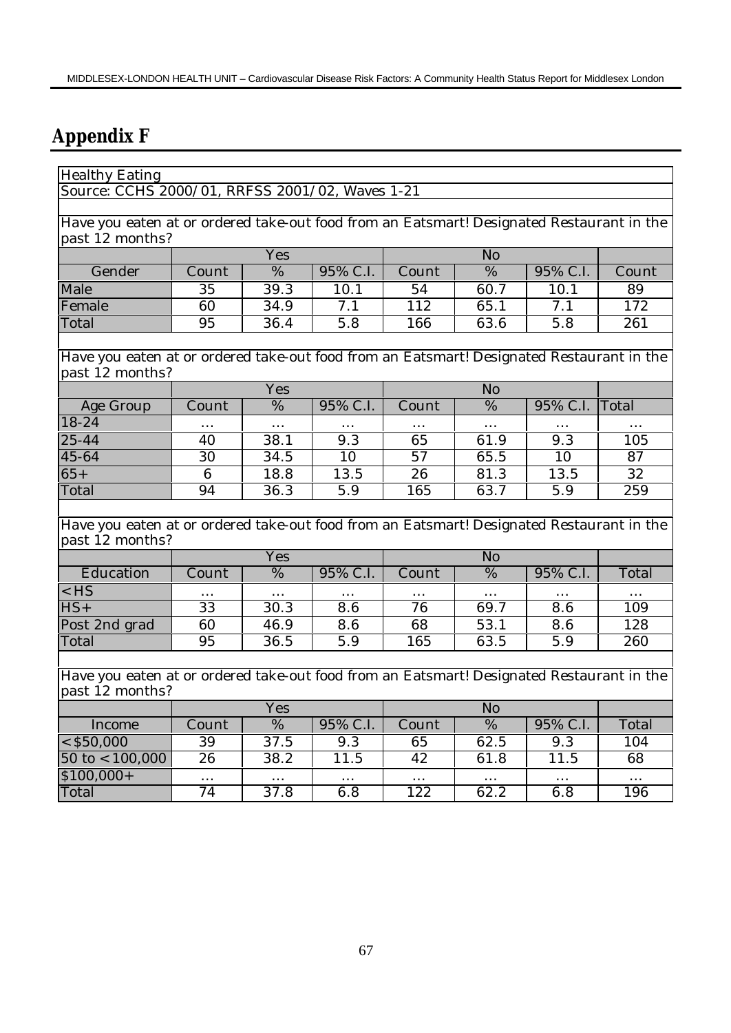# **Appendix F**

| <b>Healthy Eating</b>                                                                     |                 |                   |                  |                 |                   |                  |          |
|-------------------------------------------------------------------------------------------|-----------------|-------------------|------------------|-----------------|-------------------|------------------|----------|
| Source: CCHS 2000/01, RRFSS 2001/02, Waves 1-21                                           |                 |                   |                  |                 |                   |                  |          |
|                                                                                           |                 |                   |                  |                 |                   |                  |          |
| Have you eaten at or ordered take-out food from an Eatsmart! Designated Restaurant in the |                 |                   |                  |                 |                   |                  |          |
| past 12 months?                                                                           |                 |                   |                  |                 |                   |                  |          |
|                                                                                           | Yes             |                   |                  |                 |                   |                  |          |
| Gender                                                                                    | Count           | $\frac{0}{6}$     | 95% C.I.         | Count           | $\frac{0}{6}$     | 95% C.I.         | Count    |
| Male                                                                                      | 35              | 39.3              | 10.1             | 54              | 60.7              | 10.1             | 89       |
| Female                                                                                    | 60              | 34.9              | $\overline{7.1}$ | 112             | 65.1              | $\overline{7.1}$ | 172      |
| Total                                                                                     | 95              | 36.4              | 5.8              | 166             | 63.6              | 5.8              | 261      |
|                                                                                           |                 |                   |                  |                 |                   |                  |          |
| Have you eaten at or ordered take-out food from an Eatsmart! Designated Restaurant in the |                 |                   |                  |                 |                   |                  |          |
| past 12 months?                                                                           |                 |                   |                  |                 |                   |                  |          |
|                                                                                           |                 | Yes               |                  |                 | N <sub>o</sub>    |                  |          |
| Age Group                                                                                 | Count           | $\frac{0}{6}$     | 95% C.I.         | Count           | $\frac{0}{6}$     | 95% C.I.         | Total    |
| $18 - 24$                                                                                 | .               | $\cdots$          |                  |                 | $\cdots$          |                  |          |
| $25 - 44$                                                                                 | 40              | 38.1              | 9.3              | 65              | 61.9              | 9.3              | 105      |
| 45-64                                                                                     | 30              | 34.5              | 10               | $\overline{57}$ | 65.5              | 10               | 87       |
| $65+$                                                                                     | $6\phantom{1}6$ | 18.8              | 13.5             | 26              | 81.3              | 13.5             | 32       |
| Total                                                                                     | 94              | $\overline{3}6.3$ | 5.9              | 165             | 63.7              | 5.9              | 259      |
|                                                                                           |                 |                   |                  |                 |                   |                  |          |
| Have you eaten at or ordered take-out food from an Eatsmart! Designated Restaurant in the |                 |                   |                  |                 |                   |                  |          |
| past 12 months?                                                                           |                 |                   |                  |                 | No                |                  |          |
|                                                                                           |                 | Yes               |                  |                 |                   |                  |          |
| Education                                                                                 | Count           | $\%$              | 95% C.I.         | Count           | %                 | 95% C.I.         | Total    |
| $<$ HS                                                                                    |                 | $\cdots$          |                  |                 | $\cdots$          |                  |          |
| $HS+$                                                                                     | 33              | 30.3              | 8.6              | 76              | 69.7              | 8.6              | 109      |
| Post 2nd grad                                                                             | 60              | 46.9              | 8.6              | 68              | 53.1              | 8.6              | 128      |
| Total                                                                                     | 95              | 36.5              | 5.9              | 165             | 63.5              | 5.9              | 260      |
|                                                                                           |                 |                   |                  |                 |                   |                  |          |
| Have you eaten at or ordered take-out food from an Eatsmart! Designated Restaurant in the |                 |                   |                  |                 |                   |                  |          |
| past 12 months?<br>N <sub>o</sub>                                                         |                 |                   |                  |                 |                   |                  |          |
|                                                                                           | Yes             |                   |                  |                 |                   |                  |          |
| Income                                                                                    | Count           | $\overline{\%}$   | 95% C.I.         | Count           | $\frac{0}{6}$     | 95% C.I.         | Total    |
| $ <$ \$50,000                                                                             | 39              | 37.5              | 9.3              | 65              | 62.5              | 9.3              | 104      |
| $50 \text{ to} < 100,000$                                                                 | $\overline{26}$ | 38.2              | 11.5             | 42              | $61.\overline{8}$ | 11.5             | 68       |
| $$100,000+$                                                                               | $\cdots$        |                   | $\ddotsc$        | $\cdots$        |                   |                  | $\cdots$ |
| Total                                                                                     | $\overline{74}$ | 37.8              | 6.8              | 122             | 62.2              | 6.8              | 196      |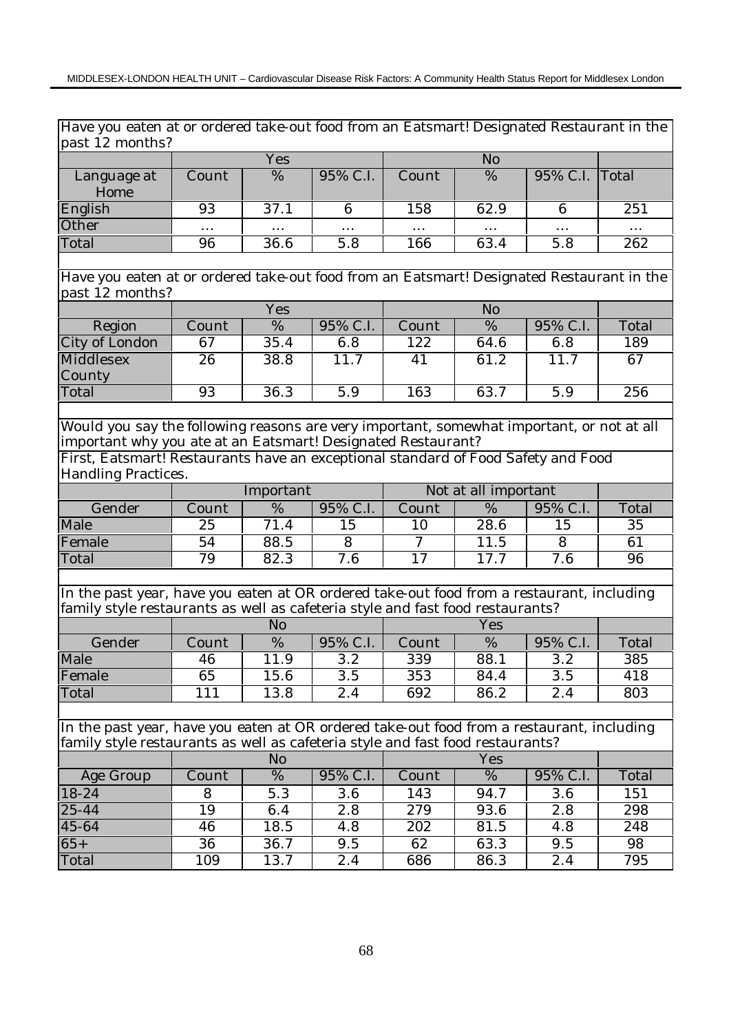| Have you eaten at or ordered take-out food from an Eatsmart! Designated Restaurant in the                                                                                   |       |                 |                  |                  |                      |                  |       |
|-----------------------------------------------------------------------------------------------------------------------------------------------------------------------------|-------|-----------------|------------------|------------------|----------------------|------------------|-------|
| past 12 months?                                                                                                                                                             |       |                 |                  |                  |                      |                  |       |
|                                                                                                                                                                             |       | Yes             |                  |                  | N <sub>o</sub>       |                  |       |
| Language at<br>Home                                                                                                                                                         | Count | %               | 95% C.I.         | Count            | %                    | 95% C.I.         | Total |
| English                                                                                                                                                                     | 93    | 37.1            | 6                | 158              | 62.9                 | 6                | 251   |
| Other                                                                                                                                                                       | .     |                 | .                |                  |                      |                  | .     |
| Total                                                                                                                                                                       | 96    | 36.6            | $\overline{5.8}$ | 166              | 63.4                 | $\overline{5.8}$ | 262   |
|                                                                                                                                                                             |       |                 |                  |                  |                      |                  |       |
| Have you eaten at or ordered take-out food from an Eatsmart! Designated Restaurant in the<br>past 12 months?                                                                |       |                 |                  |                  |                      |                  |       |
|                                                                                                                                                                             |       | Yes             |                  |                  | N <sub>o</sub>       |                  |       |
| Region                                                                                                                                                                      | Count | $\overline{\%}$ | 95% C.I.         | Count            | $\overline{\%}$      | 95% C.I.         | Total |
| City of London                                                                                                                                                              | 67    | 35.4            | 6.8              | 122              | 64.6                 | 6.8              | 189   |
| Middlesex                                                                                                                                                                   | 26    | 38.8            | 11.7             | 41               | 61.2                 | 11.7             | 67    |
| County                                                                                                                                                                      |       |                 |                  |                  |                      |                  |       |
| Total                                                                                                                                                                       | 93    | 36.3            | $\overline{5.9}$ | 163              | 63.7                 | $\overline{5.9}$ | 256   |
|                                                                                                                                                                             |       |                 |                  |                  |                      |                  |       |
| Would you say the following reasons are very important, somewhat important, or not at all                                                                                   |       |                 |                  |                  |                      |                  |       |
| important why you ate at an Eatsmart! Designated Restaurant?                                                                                                                |       |                 |                  |                  |                      |                  |       |
| First, Eatsmart! Restaurants have an exceptional standard of Food Safety and Food                                                                                           |       |                 |                  |                  |                      |                  |       |
| Handling Practices.                                                                                                                                                         |       |                 |                  |                  |                      |                  |       |
|                                                                                                                                                                             |       | Important       |                  |                  | Not at all important |                  |       |
| Gender                                                                                                                                                                      | Count | %               | 95% C.I.         | Count            | %                    | 95% C.I.         | Total |
| Male                                                                                                                                                                        | 25    | 71.4            | 15               | 10               | $\overline{2}8.6$    | 15               | 35    |
| Female                                                                                                                                                                      | 54    | 88.5            | 8                | 7                | 11.5                 | 8                | 61    |
| Total                                                                                                                                                                       | 79    | 82.3            | 7.6              | 17               | 17.7                 | 7.6              | 96    |
|                                                                                                                                                                             |       |                 |                  |                  |                      |                  |       |
| In the past year, have you eaten at OR ordered take-out food from a restaurant, including<br>family style restaurants as well as cafeteria style and fast food restaurants? |       |                 |                  |                  |                      |                  |       |
|                                                                                                                                                                             |       | No              |                  |                  | Yes                  |                  |       |
| Gender                                                                                                                                                                      | Count | %               | 95% C.I.         | Count            | $\%$                 | 95% C.I.         | Total |
| Male                                                                                                                                                                        | 46    | 11.9            | 3.2              | 339              | 88.1                 | 3.2              | 385   |
| Female                                                                                                                                                                      | 65    | 15.6            | 3.5              | 353              | 84.4                 | 3.5              | 418   |
| Total                                                                                                                                                                       | 111   | 13.8            | 2.4              | 692              | 86.2                 | 2.4              | 803   |
|                                                                                                                                                                             |       |                 |                  |                  |                      |                  |       |
| In the past year, have you eaten at OR ordered take-out food from a restaurant, including                                                                                   |       |                 |                  |                  |                      |                  |       |
| family style restaurants as well as cafeteria style and fast food restaurants?                                                                                              |       |                 |                  |                  |                      |                  |       |
|                                                                                                                                                                             |       | N <sub>o</sub>  |                  |                  | Yes                  |                  |       |
| Age Group                                                                                                                                                                   | Count | $\%$            | 95% C.I.         | Count            | $\%$                 | 95% C.I.         | Total |
| 18-24                                                                                                                                                                       | 8     | 5.3             | 3.6              | 143              | 94.7                 | 3.6              | 151   |
| 25-44                                                                                                                                                                       | 19    | 6.4             | 2.8              | $\overline{2}79$ | 93.6                 | 2.8              | 298   |
| 45-64                                                                                                                                                                       | 46    | 18.5            | 4.8              | 202              | 81.5                 | 4.8              | 248   |
| $65+$                                                                                                                                                                       | 36    | 36.7            | 9.5              | 62               | 63.3                 | 9.5              | 98    |
| Total                                                                                                                                                                       | 109   | 13.7            | 2.4              | 686              | 86.3                 | 2.4              | 795   |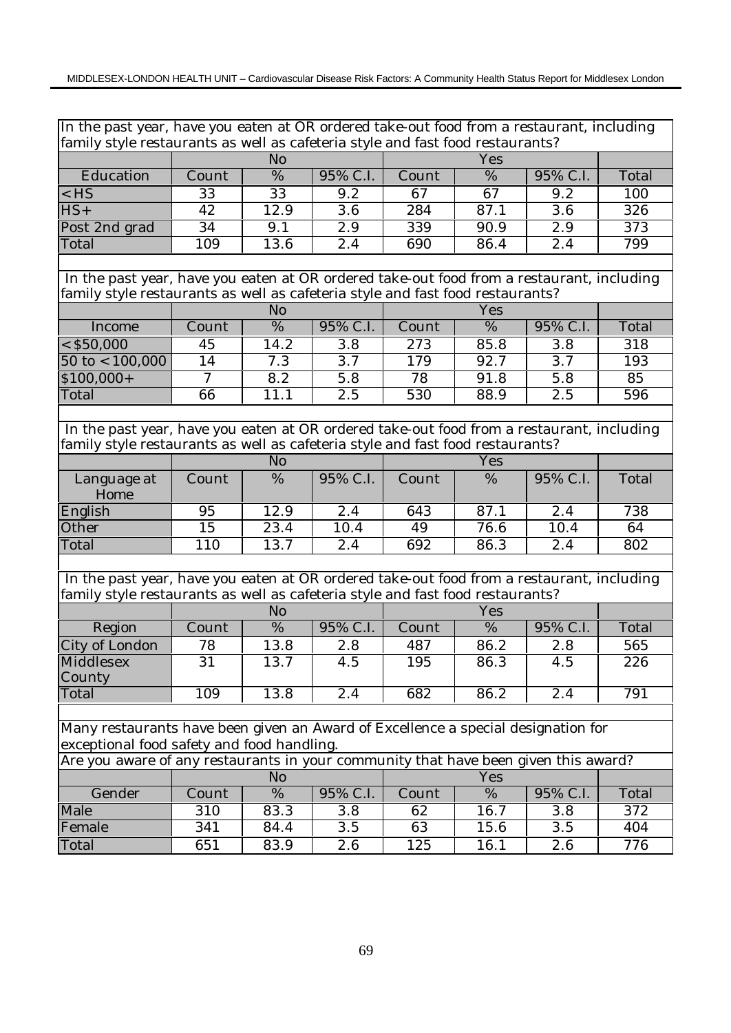|                                                                                           | In the past year, have you eaten at OR ordered take-out food from a restaurant, including<br>family style restaurants as well as cafeteria style and fast food restaurants? |                |                  |                  |                 |                  |                  |  |  |  |  |
|-------------------------------------------------------------------------------------------|-----------------------------------------------------------------------------------------------------------------------------------------------------------------------------|----------------|------------------|------------------|-----------------|------------------|------------------|--|--|--|--|
|                                                                                           |                                                                                                                                                                             |                |                  |                  |                 |                  |                  |  |  |  |  |
|                                                                                           |                                                                                                                                                                             | N <sub>o</sub> |                  |                  | Yes             |                  |                  |  |  |  |  |
| Education                                                                                 | Count                                                                                                                                                                       | %              | 95% C.I.         | Count            | %               | 95% C.I.         | Total            |  |  |  |  |
| $<$ HS                                                                                    | $\overline{33}$                                                                                                                                                             | 33             | $\overline{9.2}$ | $\overline{67}$  | $\overline{67}$ | $\overline{9.2}$ | 100              |  |  |  |  |
| $HS+$                                                                                     | 42                                                                                                                                                                          | 12.9           | $\overline{3.6}$ | $\overline{284}$ | 87.1            | $\overline{3.6}$ | $\overline{326}$ |  |  |  |  |
| Post 2nd grad                                                                             | 34                                                                                                                                                                          | 9.1            | 2.9              | 339              | 90.9            | 2.9              | 373              |  |  |  |  |
| Total                                                                                     | 109                                                                                                                                                                         | 13.6           | 2.4              | 690              | 86.4            | 2.4              | 799              |  |  |  |  |
|                                                                                           |                                                                                                                                                                             |                |                  |                  |                 |                  |                  |  |  |  |  |
| In the past year, have you eaten at OR ordered take-out food from a restaurant, including |                                                                                                                                                                             |                |                  |                  |                 |                  |                  |  |  |  |  |
| family style restaurants as well as cafeteria style and fast food restaurants?            |                                                                                                                                                                             |                |                  |                  |                 |                  |                  |  |  |  |  |
|                                                                                           |                                                                                                                                                                             | N <sub>o</sub> |                  |                  | Yes             |                  |                  |  |  |  |  |
| Income                                                                                    | Count                                                                                                                                                                       | %              | 95% C.I.         | Count            | %               | 95% C.I.         | Total            |  |  |  |  |
| $<$ \$50,000                                                                              | 45                                                                                                                                                                          | 14.2           | 3.8              | 273              | 85.8            | 3.8              | 318              |  |  |  |  |
| $50 \text{ to} < 100,000$                                                                 | 14                                                                                                                                                                          | 7.3            | $\overline{3.7}$ | 179              | 92.7            | $\overline{3.7}$ | 193              |  |  |  |  |
| $$100,000+$                                                                               | 7                                                                                                                                                                           | 8.2            | 5.8              | 78               | 91.8            | 5.8              | 85               |  |  |  |  |
| Total                                                                                     | 66                                                                                                                                                                          | 11.1           | 2.5              | 530              | 88.9            | 2.5              | 596              |  |  |  |  |
|                                                                                           |                                                                                                                                                                             |                |                  |                  |                 |                  |                  |  |  |  |  |
| In the past year, have you eaten at OR ordered take-out food from a restaurant, including |                                                                                                                                                                             |                |                  |                  |                 |                  |                  |  |  |  |  |
| family style restaurants as well as cafeteria style and fast food restaurants?            |                                                                                                                                                                             |                |                  |                  |                 |                  |                  |  |  |  |  |
|                                                                                           |                                                                                                                                                                             | N <sub>o</sub> |                  |                  | Yes             |                  |                  |  |  |  |  |
| Language at<br>Home                                                                       | Count                                                                                                                                                                       | %              | 95% C.I.         | Count            | %               | 95% C.I.         | Total            |  |  |  |  |
| English                                                                                   | 95                                                                                                                                                                          | 12.9           | 2.4              | 643              | 87.1            | 2.4              | 738              |  |  |  |  |
| Other                                                                                     | 15                                                                                                                                                                          | 23.4           | 10.4             | 49               | 76.6            | 10.4             | 64               |  |  |  |  |
| Total                                                                                     | 110                                                                                                                                                                         | 13.7           | 2.4              | 692              | 86.3            | 2.4              | 802              |  |  |  |  |
|                                                                                           |                                                                                                                                                                             |                |                  |                  |                 |                  |                  |  |  |  |  |
| In the past year, have you eaten at OR ordered take-out food from a restaurant, including |                                                                                                                                                                             |                |                  |                  |                 |                  |                  |  |  |  |  |
| family style restaurants as well as cafeteria style and fast food restaurants?            |                                                                                                                                                                             |                |                  |                  |                 |                  |                  |  |  |  |  |
|                                                                                           |                                                                                                                                                                             | No             |                  |                  | Yes             |                  |                  |  |  |  |  |
| Region                                                                                    | Count                                                                                                                                                                       | $\%$           | 95% C.I.         | Count            | %               | 95% C.I.         | Total            |  |  |  |  |
| City of London                                                                            | 78                                                                                                                                                                          | 13.8           | 2.8              | 487              | 86.2            | 2.8              | 565              |  |  |  |  |
| Middlesex                                                                                 | 31                                                                                                                                                                          | 13.7           | 4.5              | 195              | 86.3            | 4.5              | 226              |  |  |  |  |
| County                                                                                    |                                                                                                                                                                             |                |                  |                  |                 |                  |                  |  |  |  |  |
| Total                                                                                     | 109                                                                                                                                                                         | 13.8           | 2.4              | 682              | 86.2            | 2.4              | 791              |  |  |  |  |
|                                                                                           |                                                                                                                                                                             |                |                  |                  |                 |                  |                  |  |  |  |  |
| Many restaurants have been given an Award of Excellence a special designation for         |                                                                                                                                                                             |                |                  |                  |                 |                  |                  |  |  |  |  |
| exceptional food safety and food handling.                                                |                                                                                                                                                                             |                |                  |                  |                 |                  |                  |  |  |  |  |
| Are you aware of any restaurants in your community that have been given this award?       |                                                                                                                                                                             |                |                  |                  |                 |                  |                  |  |  |  |  |
|                                                                                           |                                                                                                                                                                             | N <sub>o</sub> |                  |                  | Yes             |                  |                  |  |  |  |  |
| Gender                                                                                    | Count                                                                                                                                                                       | %              | 95% C.I.         | Count            | %               | 95% C.I.         | Total            |  |  |  |  |
| Male                                                                                      | 310                                                                                                                                                                         | 83.3           | 3.8              | 62               | 16.7            | 3.8              | 372              |  |  |  |  |
| Female                                                                                    | 341                                                                                                                                                                         | 84.4           | 3.5              | 63               | 15.6            | 3.5              | 404              |  |  |  |  |
| Total                                                                                     | 651                                                                                                                                                                         | 83.9           | 2.6              | 125              | 16.1            | 2.6              | 776              |  |  |  |  |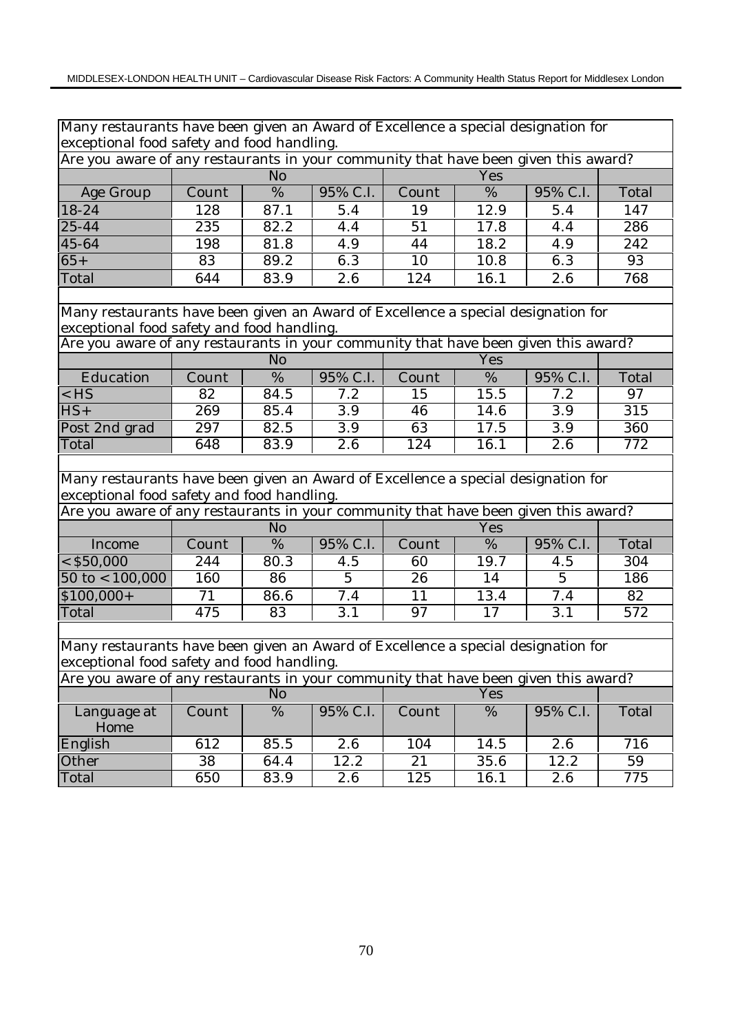| Many restaurants have been given an Award of Excellence a special designation for   |       |                |                  |       |      |          |       |
|-------------------------------------------------------------------------------------|-------|----------------|------------------|-------|------|----------|-------|
| exceptional food safety and food handling.                                          |       |                |                  |       |      |          |       |
| Are you aware of any restaurants in your community that have been given this award? |       |                |                  |       |      |          |       |
|                                                                                     |       | N <sub>o</sub> |                  |       | Yes  |          |       |
| Age Group                                                                           | Count | %              | $95\%$ C.I.      | Count | %    | 95% C.I. | Total |
| 18-24                                                                               | 128   | 87.1           | 5.4              | 19    | 12.9 | 5.4      | 147   |
| $25 - 44$                                                                           | 235   | 82.2           | 4.4              | 51    | 17.8 | 4.4      | 286   |
| 45-64                                                                               | 198   | 81.8           | 4.9              | 44    | 18.2 | 4.9      | 242   |
| $65+$                                                                               | 83    | 89.2           | 6.3              | 10    | 10.8 | 6.3      | 93    |
| Total                                                                               | 644   | 83.9           | 2.6              | 124   | 16.1 | 2.6      | 768   |
|                                                                                     |       |                |                  |       |      |          |       |
| Many restaurants have been given an Award of Excellence a special designation for   |       |                |                  |       |      |          |       |
| exceptional food safety and food handling.                                          |       |                |                  |       |      |          |       |
| Are you aware of any restaurants in your community that have been given this award? |       |                |                  |       |      |          |       |
|                                                                                     |       | N <sub>o</sub> |                  |       | Yes  |          |       |
| Education                                                                           | Count | %              | 95% C.I.         | Count | %    | 95% C.I. | Total |
| $<$ HS                                                                              | 82    | 84.5           | 7.2              | 15    | 15.5 | 7.2      | 97    |
| $\overline{HS}$ +                                                                   | 269   | 85.4           | 3.9              | 46    | 14.6 | 3.9      | 315   |
| Post 2nd grad                                                                       | 297   | 82.5           | 3.9              | 63    | 17.5 | 3.9      | 360   |
| Total                                                                               | 648   | 83.9           | $\overline{2.6}$ | 124   | 16.1 | 2.6      | 772   |
|                                                                                     |       |                |                  |       |      |          |       |
| Many restaurants have been given an Award of Excellence a special designation for   |       |                |                  |       |      |          |       |
| exceptional food safety and food handling.                                          |       |                |                  |       |      |          |       |
| Are you aware of any restaurants in your community that have been given this award? |       |                |                  |       |      |          |       |
|                                                                                     |       | N <sub>o</sub> |                  |       | Yes  |          |       |
| Income                                                                              | Count | %              | 95% C.I.         | Count | %    | 95% C.I. | Total |
| $<$ \$50,000                                                                        | 244   | 80.3           | 4.5              | 60    | 19.7 | 4.5      | 304   |
| $50 \text{ to} < 100,000$                                                           | 160   | 86             | $\overline{5}$   | 26    | 14   | 5        | 186   |
| $$100,000+$                                                                         | 71    | 86.6           | 7.4              | 11    | 13.4 | 7.4      | 82    |
| Total                                                                               | 475   | 83             | 3.1              | 97    | 17   | 3.1      | 572   |
|                                                                                     |       |                |                  |       |      |          |       |
| Many restaurants have been given an Award of Excellence a special designation for   |       |                |                  |       |      |          |       |
| exceptional food safety and food handling.                                          |       |                |                  |       |      |          |       |
| Are you aware of any restaurants in your community that have been given this award? |       |                |                  |       |      |          |       |
|                                                                                     |       | N <sub>o</sub> |                  |       | Yes  |          |       |
| Language at<br>Home                                                                 | Count | %              | 95% C.I.         | Count | %    | 95% C.I. | Total |
| English                                                                             | 612   | 85.5           | 2.6              | 104   | 14.5 | 2.6      | 716   |
| Other                                                                               | 38    | 64.4           | 12.2             | 21    | 35.6 | 12.2     | 59    |
| Total                                                                               | 650   | 83.9           | 2.6              | 125   | 16.1 | 2.6      | 775   |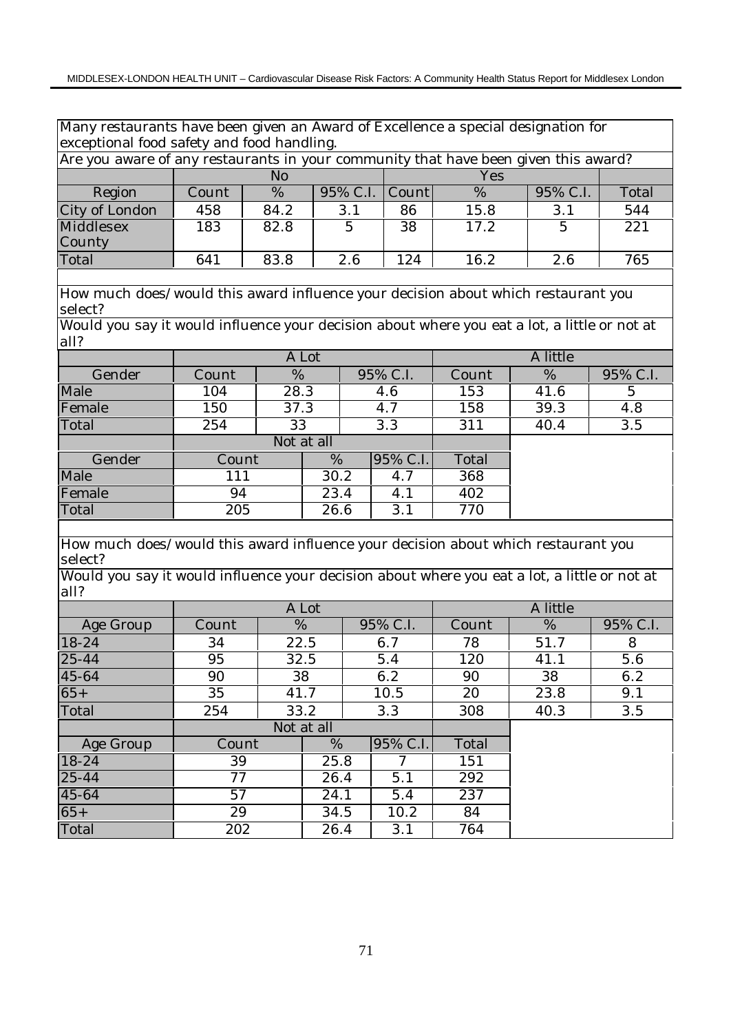Many restaurants have been given an Award of Excellence a special designation for exceptional food safety and food handling.

| Are you aware of any restaurants in your community that have been given this award? |       |           |                   |     |      |          |       |  |  |  |  |
|-------------------------------------------------------------------------------------|-------|-----------|-------------------|-----|------|----------|-------|--|--|--|--|
|                                                                                     |       | Yes<br>No |                   |     |      |          |       |  |  |  |  |
| Region                                                                              | Count | %         | $95\%$ C.I. Count |     | %    | 95% C.I. | Total |  |  |  |  |
| City of London                                                                      | 458   | 84.2      | 3.1               | 86  | 15.8 | 3.1      | 544   |  |  |  |  |
| Middlesex                                                                           | 183   | 82.8      |                   | 38  | 17.2 |          | 221   |  |  |  |  |
| County                                                                              |       |           |                   |     |      |          |       |  |  |  |  |
| Total                                                                               | 641   | 83.8      | 2.6               | 124 | 16.2 | 2.6      | 765   |  |  |  |  |

How much does/would this award influence your decision about which restaurant you select?

Would you say it would influence your decision about where you eat a lot, a little or not at all?

|        |       |      | A Lot      |          | A little |  |      |          |
|--------|-------|------|------------|----------|----------|--|------|----------|
| Gender | Count | %    |            | 95% C.I. | Count    |  | %    | 95% C.I. |
| Male   | 104   | 28.3 |            | 4.6      | 153      |  | 41.6 | 5        |
| Female | 150   | 37.3 |            | 4.7      | 158      |  | 39.3 | 4.8      |
| Total  | 254   | 33   |            | 3.3      | 311      |  | 40.4 | 3.5      |
|        |       |      | Not at all |          |          |  |      |          |
| Gender | Count |      | %          | 95% C.I. | Total    |  |      |          |
| Male   | 111   |      | 30.2       | 4.7      | 368      |  |      |          |
| Female | 94    |      | 23.4       | 4.1      | 402      |  |      |          |
| Total  | 205   |      | 26.6       | 3.1      | 770      |  |      |          |

How much does/would this award influence your decision about which restaurant you select?

Would you say it would influence your decision about where you eat a lot, a little or not at all?

|           |       |      | A Lot      |          | A little |      |          |  |
|-----------|-------|------|------------|----------|----------|------|----------|--|
| Age Group | Count | %    |            | 95% C.I. | Count    | %    | 95% C.I. |  |
| 18-24     | 34    |      | 22.5       | 6.7      | 78       | 51.7 | 8        |  |
| $25 - 44$ | 95    |      | 32.5       | 5.4      | 120      | 41.1 | 5.6      |  |
| 45-64     | 90    |      | 38         | 6.2      | 90       | 38   | 6.2      |  |
| $65+$     | 35    | 41.7 |            | 10.5     | 20       | 23.8 | 9.1      |  |
| Total     | 254   |      | 33.2       | 3.3      | 308      | 40.3 | 3.5      |  |
|           |       |      | Not at all |          |          |      |          |  |
| Age Group | Count |      | %          | 95% C.I. | Total    |      |          |  |
| 18-24     | 39    |      | 25.8       |          | 151      |      |          |  |
| 25-44     | 77    |      | 26.4       | 5.1      | 292      |      |          |  |
| 45-64     | 57    |      | 24.1       | 5.4      | 237      |      |          |  |
| $65+$     | 29    |      | 34.5       | 10.2     | 84       |      |          |  |
| Total     | 202   |      | 26.4       | 3.1      | 764      |      |          |  |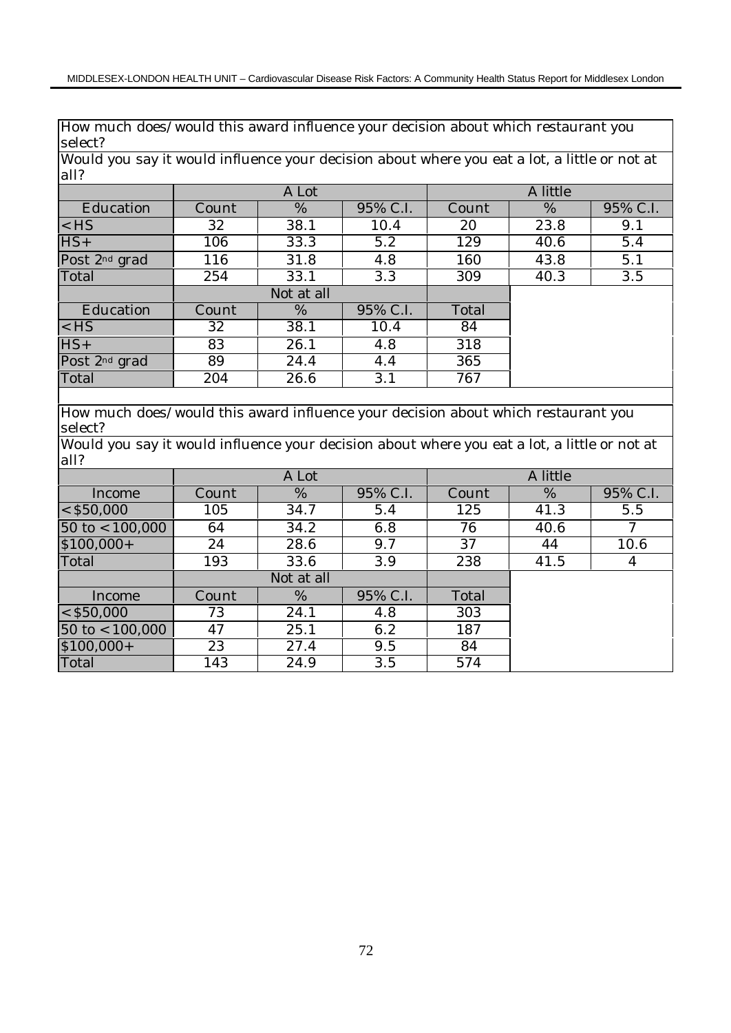How much does/would this award influence your decision about which restaurant you select?

Would you say it would influence your decision about where you eat a lot, a little or not at all?

|                           |       | A Lot      |          | A little |      |          |  |
|---------------------------|-------|------------|----------|----------|------|----------|--|
| Education                 | Count | %          | 95% C.I. | Count    | %    | 95% C.I. |  |
| $<$ HS                    | 32    | 38.1       | 10.4     | 20       | 23.8 | 9.1      |  |
| $HS+$                     | 106   | 33.3       | 5.2      | 129      | 40.6 | 5.4      |  |
| Post 2 <sup>nd</sup> grad | 116   | 31.8       | 4.8      | 160      | 43.8 | 5.1      |  |
| Total                     | 254   | 33.1       | 3.3      | 309      | 40.3 | 3.5      |  |
|                           |       | Not at all |          |          |      |          |  |
| Education                 | Count | $\%$       | 95% C.I. | Total    |      |          |  |
| $<$ HS                    | 32    | 38.1       | 10.4     | 84       |      |          |  |
| $HS+$                     | 83    | 26.1       | 4.8      | 318      |      |          |  |
| Post 2 <sup>nd</sup> grad | 89    | 24.4       | 4.4      | 365      |      |          |  |
| Total                     | 204   | 26.6       | 3.1      | 767      |      |          |  |

How much does/would this award influence your decision about which restaurant you select?

Would you say it would influence your decision about where you eat a lot, a little or not at all?

|                           |       | A Lot      |          | A little |      |          |  |
|---------------------------|-------|------------|----------|----------|------|----------|--|
| Income                    | Count | %          | 95% C.I. | Count    | %    | 95% C.I. |  |
| $<$ \$50,000              | 105   | 34.7       | 5.4      | 125      | 41.3 | 5.5      |  |
| $50 \text{ to} < 100,000$ | 64    | 34.2       | 6.8      | 76       | 40.6 | 7        |  |
| $$100,000+$               | 24    | 28.6       | 9.7      | 37       | 44   | 10.6     |  |
| Total                     | 193   | 33.6       | 3.9      | 238      | 41.5 | 4        |  |
|                           |       | Not at all |          |          |      |          |  |
| Income                    | Count | %          | 95% C.I. | Total    |      |          |  |
| $<$ \$50,000              | 73    | 24.1       | 4.8      | 303      |      |          |  |
| $50$ to < $100,000$       | 47    | 25.1       | 6.2      | 187      |      |          |  |
| $$100,000+$               | 23    | 27.4       | 9.5      | 84       |      |          |  |
| Total                     | 143   | 24.9       | 3.5      | 574      |      |          |  |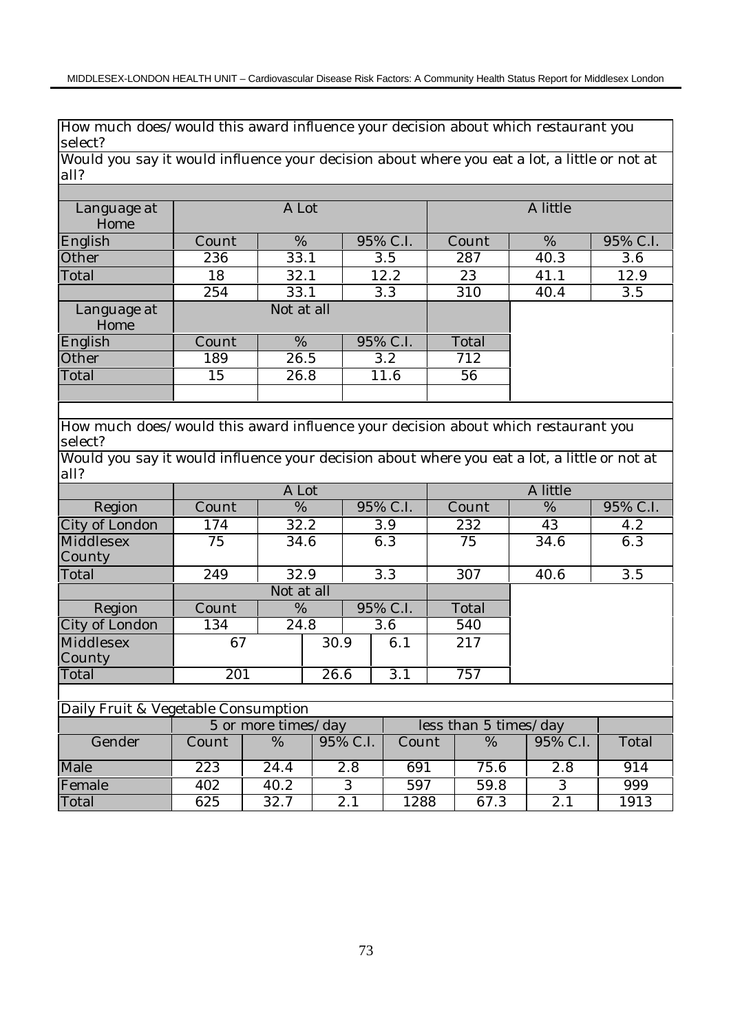How much does/would this award influence your decision about which restaurant you select?

Would you say it would influence your decision about where you eat a lot, a little or not at all?

| Language at<br>Home |       | A Lot      |          | A little |      |          |  |
|---------------------|-------|------------|----------|----------|------|----------|--|
| English             | Count | $\%$       | 95% C.I. | Count    | $\%$ | 95% C.I. |  |
| Other               | 236   | 33.1       | 3.5      | 287      | 40.3 | 3.6      |  |
| Total               | 18    | 32.1       | 12.2     | 23       | 41.1 | 12.9     |  |
|                     | 254   | 33.1       | 3.3      | 310      | 40.4 | 3.5      |  |
| Language at<br>Home |       | Not at all |          |          |      |          |  |
| English             | Count | $\%$       | 95% C.I. | Total    |      |          |  |
| Other               | 189   | 26.5       | 3.2      | 712      |      |          |  |
| Total               | 15    | 26.8       | 11.6     | 56       |      |          |  |
|                     |       |            |          |          |      |          |  |

How much does/would this award influence your decision about which restaurant you select?

Would you say it would influence your decision about where you eat a lot, a little or not at all?

|                       |       | A Lot      |      |  |          | A little |      |          |  |
|-----------------------|-------|------------|------|--|----------|----------|------|----------|--|
| Region                | Count | %          |      |  | 95% C.I. | Count    | %    | 95% C.I. |  |
| City of London        | 174   | 32.2       |      |  | 3.9      | 232      | 43   | 4.2      |  |
| Middlesex             | 75    | 34.6       |      |  | 6.3      | 75       | 34.6 | 6.3      |  |
| County                |       |            |      |  |          |          |      |          |  |
| Total                 | 249   | 32.9       |      |  | 3.3      | 307      | 40.6 | 3.5      |  |
|                       |       | Not at all |      |  |          |          |      |          |  |
| Region                | Count | %          |      |  | 95% C.I. | Total    |      |          |  |
| <b>City of London</b> | 134   | 24.8       |      |  | 3.6      | 540      |      |          |  |
| Middlesex             | 67    |            | 30.9 |  | 6.1      | 217      |      |          |  |
| County                |       |            |      |  |          |          |      |          |  |
| Total                 | 201   |            | 26.6 |  | 3.1      | 757      |      |          |  |

| Daily Fruit & Vegetable Consumption |       |                                              |          |       |      |          |       |  |  |  |  |
|-------------------------------------|-------|----------------------------------------------|----------|-------|------|----------|-------|--|--|--|--|
|                                     |       | less than 5 times/day<br>5 or more times/day |          |       |      |          |       |  |  |  |  |
| Gender                              | Count | %                                            | 95% C.I. | Count | %    | 95% C.I. | Total |  |  |  |  |
| Male                                | 223   | 24.4                                         | 2.8      | 691   | 75.6 | 2.8      | 914   |  |  |  |  |
| Female                              | 402   | 40.2                                         |          | 597   | 59.8 |          | 999   |  |  |  |  |
| Total                               | 625   | 32.7                                         | 2.1      | 1288  | 67.3 | 2.       | 1913  |  |  |  |  |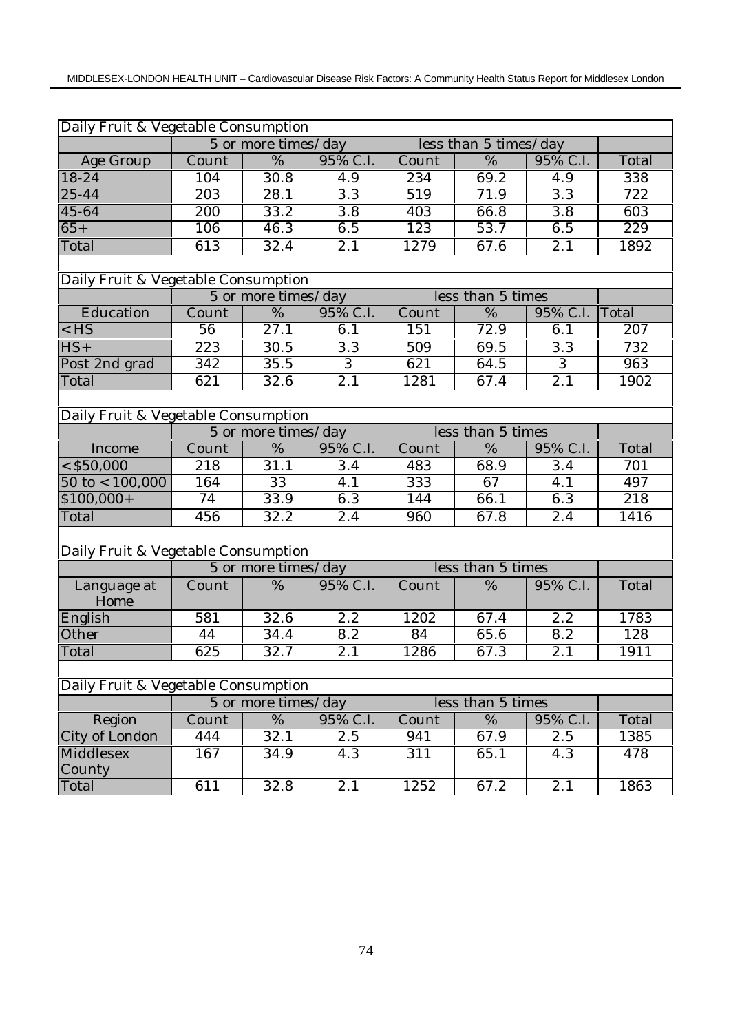| Daily Fruit & Vegetable Consumption |                                          |                     |                  |                  |                       |                  |                  |
|-------------------------------------|------------------------------------------|---------------------|------------------|------------------|-----------------------|------------------|------------------|
|                                     |                                          | 5 or more times/day |                  |                  | less than 5 times/day |                  |                  |
| <b>Age Group</b>                    | Count                                    | $\frac{0}{6}$       | 95% C.I.         | Count            | $\overline{\%}$       | 95% C.I.         | Total            |
| 18-24                               | 104                                      | $\overline{3}0.8$   | 4.9              | 234              | 69.2                  | 4.9              | 338              |
| $25 - 44$                           | $\overline{203}$                         | 28.1                | $\overline{3.3}$ | $\overline{519}$ | 71.9                  | $\overline{3.3}$ | $\overline{722}$ |
| 45-64                               | $\overline{200}$                         | 33.2                | $\overline{3.8}$ | 403              | 66.8                  | $\overline{3.8}$ | 603              |
| $65+$                               | 106                                      | 46.3                | 6.5              | $\overline{123}$ | 53.7                  | 6.5              | 229              |
| Total                               | 613                                      | 32.4                | $\overline{2.1}$ | 1279             | 67.6                  | $\overline{2.1}$ | 1892             |
|                                     |                                          |                     |                  |                  |                       |                  |                  |
| Daily Fruit & Vegetable Consumption |                                          |                     |                  |                  |                       |                  |                  |
|                                     |                                          | 5 or more times/day |                  |                  | less than 5 times     |                  |                  |
| Education                           | Count                                    | %                   | 95% C.I.         | Count            | %                     | 95% C.I.         | Total            |
| $<$ HS                              | 56                                       | 27.1                | 6.1              | 151              | 72.9                  | 6.1              | 207              |
| $HS+$                               | 223                                      | 30.5                | 3.3              | 509              | 69.5                  | 3.3              | 732              |
| Post 2nd grad                       | $\overline{342}$                         | 35.5                | $\overline{3}$   | 621              | 64.5                  | $\overline{3}$   | 963              |
| Total                               | 621                                      | 32.6                | 2.1              | 1281             | 67.4                  | 2.1              | 1902             |
|                                     |                                          |                     |                  |                  |                       |                  |                  |
| Daily Fruit & Vegetable Consumption |                                          |                     |                  |                  |                       |                  |                  |
|                                     | less than 5 times<br>5 or more times/day |                     |                  |                  |                       |                  |                  |
| Income                              | Count                                    | %                   | 95% C.I.         | Count            | %                     | 95% C.I.         | Total            |
| $<$ \$50,000                        | 218                                      | 31.1                | 3.4              | 483              | 68.9                  | 3.4              | 701              |
| $50$ to < 100,000                   | 164                                      | $\overline{33}$     | 4.1              | 333              | 67                    | 4.1              | 497              |
| $$100,000+$                         | 74                                       | 33.9                | 6.3              | 144              | 66.1                  | 6.3              | $\overline{218}$ |
| Total                               | 456                                      | 32.2                | 2.4              | 960              | 67.8                  | 2.4              | 1416             |
|                                     |                                          |                     |                  |                  |                       |                  |                  |
| Daily Fruit & Vegetable Consumption |                                          |                     |                  |                  |                       |                  |                  |
|                                     |                                          | 5 or more times/day |                  |                  | less than 5 times     |                  |                  |
| Language at<br>Home                 | Count                                    | %                   | 95% C.I.         | Count            | %                     | 95% C.I.         | Total            |
| English                             | 581                                      | 32.6                | 2.2              | 1202             | 67.4                  | 2.2              | 1783             |
| Other                               | 44                                       | 34.4                | 8.2              | 84               | 65.6                  | 8.2              | 128              |
| Total                               | 625                                      | 32.7                | 2.1              | 1286             | 67.3                  | 2.1              | 1911             |
|                                     |                                          |                     |                  |                  |                       |                  |                  |
| Daily Fruit & Vegetable Consumption |                                          |                     |                  |                  |                       |                  |                  |
|                                     |                                          | 5 or more times/day |                  |                  | less than 5 times     |                  |                  |
| Region                              | Count                                    | $\%$                | 95% C.I.         | Count            | $\%$                  | 95% C.I.         | Total            |
| City of London                      | 444                                      | 32.1                | 2.5              | 941              | 67.9                  | 2.5              | 1385             |
| Middlesex                           | 167                                      | 34.9                | 4.3              | 311              | 65.1                  | 4.3              | 478              |
| County                              |                                          |                     |                  |                  |                       |                  |                  |
| Total                               | 611                                      | 32.8                | 2.1              | 1252             | 67.2                  | $\overline{2.1}$ | 1863             |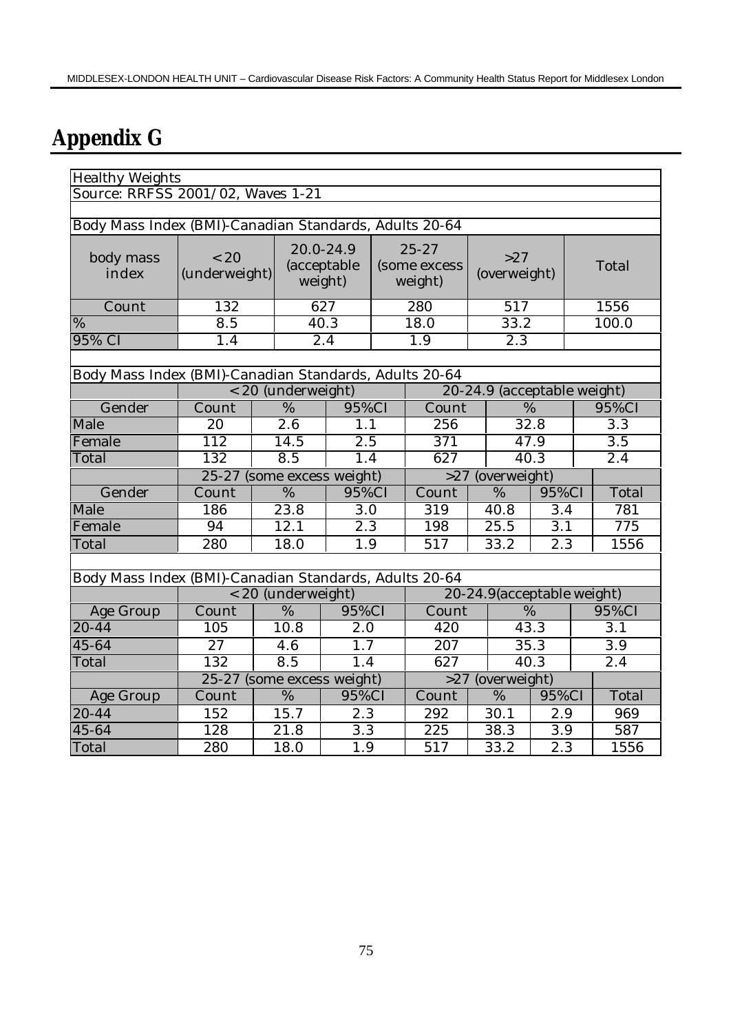## **Appendix G**

| <b>Healthy Weights</b>                                 |                                                            |                            |                                                |  |                                      |                            |                  |  |                  |
|--------------------------------------------------------|------------------------------------------------------------|----------------------------|------------------------------------------------|--|--------------------------------------|----------------------------|------------------|--|------------------|
| Source: RRFSS 2001/02, Waves 1-21                      |                                                            |                            |                                                |  |                                      |                            |                  |  |                  |
|                                                        |                                                            |                            |                                                |  |                                      |                            |                  |  |                  |
| Body Mass Index (BMI)-Canadian Standards, Adults 20-64 |                                                            |                            |                                                |  |                                      |                            |                  |  |                  |
| body mass<br>index                                     | < 20<br>(underweight)                                      |                            | 20.0-24.9<br>(acceptable<br>weight)            |  | $25 - 27$<br>(some excess<br>weight) | >27<br>(overweight)        |                  |  | Total            |
| Count                                                  | 132                                                        |                            | 627                                            |  | 280                                  | 517                        |                  |  | 1556             |
| %                                                      | 8.5                                                        |                            | 40.3                                           |  | 18.0                                 | 33.2                       |                  |  | 100.0            |
| 95% CI                                                 | 1.4                                                        |                            | $\overline{2.4}$                               |  | $\overline{1.9}$                     | $\overline{2.3}$           |                  |  |                  |
|                                                        |                                                            |                            |                                                |  |                                      |                            |                  |  |                  |
| Body Mass Index (BMI)-Canadian Standards, Adults 20-64 |                                                            |                            |                                                |  |                                      |                            |                  |  |                  |
|                                                        | 20-24.9 (acceptable weight)<br>< 20 (underweight)<br>95%CI |                            |                                                |  |                                      |                            |                  |  |                  |
| Gender                                                 | Count                                                      | $\overline{\%}$            | 95%CI                                          |  | Count                                | $\overline{\%}$            |                  |  |                  |
| Male                                                   | 20                                                         | $\overline{2.6}$           | 1.1                                            |  |                                      | 32.8<br>256                |                  |  | $\overline{3}.3$ |
| Female                                                 | 112                                                        | 14.5                       | 2.5                                            |  | 371                                  |                            | 47.9             |  | 3.5              |
| Total                                                  | 132                                                        | $\overline{8.5}$           | 1.4                                            |  | 627                                  |                            | 40.3             |  | $\overline{2.4}$ |
|                                                        |                                                            |                            | 25-27 (some excess weight)<br>>27 (overweight) |  |                                      |                            |                  |  |                  |
| Gender                                                 | Count                                                      | $\frac{0}{6}$              | $95\%$ CI                                      |  | Count                                | $\overline{\%}$            | 95%CI            |  | Total            |
| Male                                                   | 186                                                        | 23.8                       | 3.0                                            |  | 319                                  | 40.8                       | 3.4              |  | 781              |
| Female                                                 | 94                                                         | 12.1                       | 2.3                                            |  | 198                                  | 25.5                       | 3.1              |  | 775              |
| Total                                                  | 280                                                        | 18.0                       | 1.9                                            |  | 517                                  | 33.2                       | 2.3              |  | 1556             |
|                                                        |                                                            |                            |                                                |  |                                      |                            |                  |  |                  |
| Body Mass Index (BMI)-Canadian Standards, Adults 20-64 |                                                            |                            |                                                |  |                                      |                            |                  |  |                  |
|                                                        |                                                            | < 20 (underweight)         |                                                |  |                                      | 20-24.9(acceptable weight) |                  |  |                  |
| Age Group                                              | Count                                                      | $\frac{0}{6}$              | 95%CI                                          |  | Count                                |                            | %                |  | 95%CI            |
| $20 - 44$                                              | 105                                                        | 10.8                       | $\overline{2.0}$                               |  | 420                                  |                            | 43.3             |  | $\overline{3.1}$ |
| 45-64                                                  | $\overline{27}$                                            | 4.6                        | 1.7                                            |  | $\overline{207}$                     |                            | 35.3             |  | $\overline{3.9}$ |
| Total                                                  | 132                                                        | 8.5                        | 1.4                                            |  | 627                                  |                            | 40.3             |  | 2.4              |
|                                                        |                                                            | 25-27 (some excess weight) |                                                |  | >27                                  | (overweight)               |                  |  |                  |
| Age Group                                              | Count                                                      | %                          | 95%CI                                          |  | Count                                | %                          | 95%CI            |  | Total            |
| 20-44                                                  | 152                                                        | 15.7                       | 2.3                                            |  | 292                                  | 30.1                       | 2.9              |  | 969              |
| 45-64                                                  | 128                                                        | $\overline{2}1.8$          | $\overline{3.3}$                               |  | 225                                  | 38.3                       | $\overline{3.9}$ |  | 587              |
| Total                                                  | 280                                                        | 18.0                       | 1.9                                            |  | 517                                  | 33.2                       | 2.3              |  | 1556             |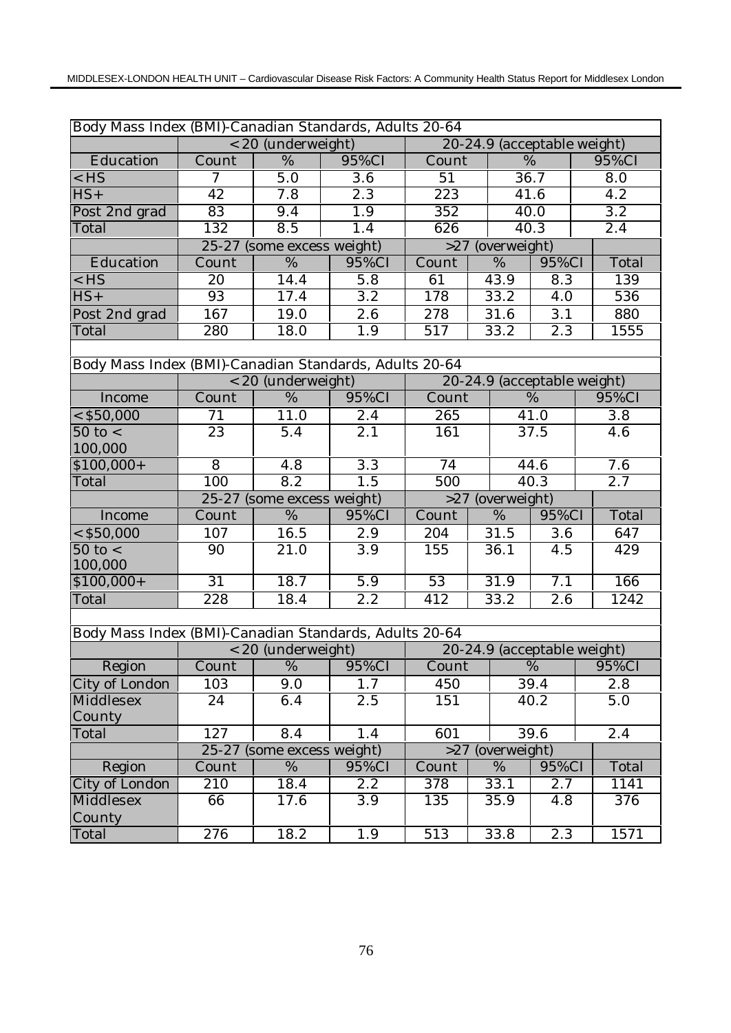| Body Mass Index (BMI)-Canadian Standards, Adults 20-64 |                 |                            |                                       |                 |                             |                  |                  |  |  |
|--------------------------------------------------------|-----------------|----------------------------|---------------------------------------|-----------------|-----------------------------|------------------|------------------|--|--|
|                                                        |                 | < 20 (underweight)         |                                       |                 | 20-24.9 (acceptable weight) |                  |                  |  |  |
| Education                                              | Count           | $\%$                       | 95%CI                                 | Count           |                             | %                | 95%CI            |  |  |
| $<$ HS                                                 | $\overline{7}$  | 5.0                        | $\overline{3.6}$                      | $\overline{51}$ |                             | 36.7             | $\overline{8.0}$ |  |  |
| $HS+$                                                  | 42              | 7.8                        | 2.3                                   | 223             |                             | 41.6             | 4.2              |  |  |
| Post 2nd grad                                          | $\overline{83}$ | 9.4                        | 1.9                                   | 352             |                             | 40.0             | $\overline{3.2}$ |  |  |
| Total                                                  | 132             | 8.5                        | 1.4                                   | 626             |                             | 40.3             | 2.4              |  |  |
|                                                        |                 | 25-27 (some excess weight) |                                       | >27             | (overweight)                |                  |                  |  |  |
| Education                                              | Count           | $\overline{\%}$            | 95%CI                                 | Count           | %                           | 95%CI            | Total            |  |  |
| $<$ HS                                                 | 20              | 14.4                       | 5.8                                   | 61              | 43.9                        | 8.3              | 139              |  |  |
| $HS+$                                                  | 93              | 17.4                       | $\overline{3.2}$                      | 178             | 33.2                        | 4.0              | 536              |  |  |
| Post 2nd grad                                          | 167             | 19.0                       | 2.6                                   | 278             | 31.6                        | 3.1              | 880              |  |  |
| Total                                                  | 280             | 18.0                       | 1.9                                   | 517             | 33.2                        | 2.3              | 1555             |  |  |
|                                                        |                 |                            |                                       |                 |                             |                  |                  |  |  |
| Body Mass Index (BMI)-Canadian Standards, Adults 20-64 |                 |                            |                                       |                 |                             |                  |                  |  |  |
|                                                        |                 | < 20 (underweight)         |                                       |                 | 20-24.9 (acceptable weight) |                  |                  |  |  |
| Income                                                 | Count           | %                          | 95%CI                                 | Count           |                             | $\%$             | 95%CI            |  |  |
| $<$ \$50,000                                           | 71              | 11.0                       | 2.4                                   | 265             |                             | 41.0             | $\overline{3.8}$ |  |  |
| $50$ to $<$                                            | 23              | 5.4                        | 2.1                                   | 161             |                             | 37.5             | 4.6              |  |  |
| 100,000                                                |                 |                            |                                       |                 |                             |                  |                  |  |  |
| $$100,000+$                                            | $\overline{8}$  | 4.8                        | $\overline{3.3}$                      | 74              |                             | 44.6             | 7.6              |  |  |
| Total                                                  | 100             | 8.2                        | 1.5                                   | 500             |                             | 40.3             | $\overline{2.7}$ |  |  |
|                                                        |                 | 25-27 (some excess weight) |                                       | >27             |                             | (overweight)     |                  |  |  |
| Income                                                 | Count           | %                          | 95%CI                                 | Count           | %                           | 95%CI            | Total            |  |  |
| $<$ \$50,000                                           | 107             | 16.5                       | 2.9                                   | 204             | 31.5                        | 3.6              | 647              |  |  |
| $50$ to $<$<br>100,000                                 | 90              | 21.0                       | $\overline{3.9}$                      | 155             | 36.1                        | 4.5              | 429              |  |  |
| $$100,000+$                                            | $\overline{31}$ | 18.7                       | 5.9                                   | 53              | $\overline{31}$ .9          | $\overline{7}.1$ | 166              |  |  |
| Total                                                  | 228             | 18.4                       | $\overline{2.2}$                      | 412             | 33.2                        | $\overline{2.6}$ | 1242             |  |  |
|                                                        |                 |                            |                                       |                 |                             |                  |                  |  |  |
| Body Mass Index (BMI)-Canadian Standards, Adults 20-64 |                 |                            |                                       |                 |                             |                  |                  |  |  |
|                                                        |                 | < 20 (underweight)         |                                       |                 | 20-24.9 (acceptable weight) |                  |                  |  |  |
| Region                                                 |                 |                            | Count   %   95%CI   Count   %   95%CI |                 |                             |                  |                  |  |  |
| City of London                                         | 103             | 9.0                        | 1.7                                   | 450             |                             | 39.4             | 2.8              |  |  |
| Middlesex                                              | 24              | 6.4                        | 2.5                                   | 151             |                             | 40.2             | 5.0              |  |  |
| County                                                 |                 |                            |                                       |                 |                             |                  |                  |  |  |
| Total                                                  | 127             | 8.4                        | 1.4                                   | 601             |                             | 39.6             | 2.4              |  |  |
|                                                        |                 | 25-27 (some excess weight) |                                       | >27             | (overweight)                |                  |                  |  |  |
| Region                                                 | Count           | %                          | 95%CI                                 | Count           | %                           | 95%CI            | Total            |  |  |
| City of London                                         | 210             | 18.4                       | 2.2                                   | 378             | 33.1                        | 2.7              | 1141             |  |  |
| Middlesex                                              | 66              | 17.6                       | 3.9                                   | 135             | 35.9                        | 4.8              | 376              |  |  |
| County                                                 |                 |                            |                                       |                 |                             |                  |                  |  |  |
| Total                                                  | 276             | 18.2                       | 1.9                                   | 513             | 33.8                        | 2.3              | 1571             |  |  |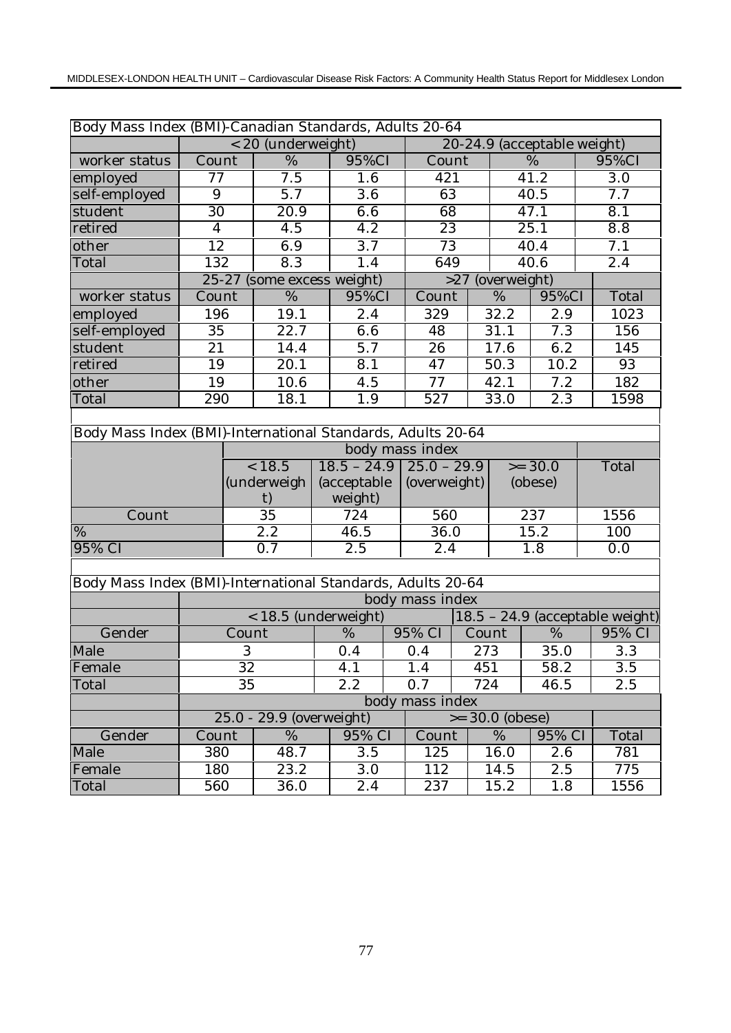| Body Mass Index (BMI)-Canadian Standards, Adults 20-64      |                 |                  |                            |             |                  |              |                 |     |                             |                   |  |                                 |
|-------------------------------------------------------------|-----------------|------------------|----------------------------|-------------|------------------|--------------|-----------------|-----|-----------------------------|-------------------|--|---------------------------------|
|                                                             |                 |                  | < 20 (underweight)         |             |                  |              |                 |     | 20-24.9 (acceptable weight) |                   |  |                                 |
| worker status                                               | Count           |                  | $\frac{0}{6}$              |             | 95%CI            |              | Count           |     |                             | $\frac{0}{6}$     |  | 95%CI                           |
| employed                                                    | $\overline{77}$ |                  | 7.5                        |             | 1.6              |              | 421             |     |                             | 41.2              |  | $\overline{3.0}$                |
| self-employed                                               | 9               |                  | $\overline{5.7}$           |             | $\overline{3.6}$ |              | 63              |     |                             | 40.5              |  | 7.7                             |
| student                                                     | $\overline{30}$ |                  | $\overline{20.9}$          |             | 6.6              |              | 68              |     |                             | $\overline{47.1}$ |  | 8.1                             |
| retired                                                     | $\overline{4}$  |                  | $\overline{4.5}$           |             | $\overline{4.2}$ |              | 23              |     |                             | 25.1              |  | 8.8                             |
| other                                                       | $\overline{12}$ |                  | 6.9                        |             | $\overline{3.7}$ |              | $\overline{73}$ |     |                             | 40.4              |  | 7.1                             |
| Total                                                       | 132             |                  | 8.3                        |             | 1.4              |              | 649             |     |                             | 40.6              |  | $\overline{2.4}$                |
|                                                             |                 |                  | 25-27 (some excess weight) |             |                  |              |                 | >27 | (overweight)                |                   |  |                                 |
| worker status                                               | Count           |                  | $\overline{\%}$            |             | 95%CI            |              | Count           |     | $\%$                        | 95%CI             |  | Total                           |
| employed                                                    | 196             |                  | 19.1                       |             | 2.4              |              | 329             |     | 32.2                        | 2.9               |  | 1023                            |
| self-employed                                               | 35              |                  | $\overline{22.7}$          |             | 6.6              |              | 48              |     | 31.1                        | 7.3               |  | 156                             |
| student                                                     | 21              |                  | 14.4                       |             | 5.7              |              | 26              |     | 17.6                        | 6.2               |  | 145                             |
| retired                                                     | 19              |                  | $\overline{20.1}$          |             | $\overline{8.1}$ |              | 47              |     | 50.3                        | 10.2              |  | 93                              |
| other                                                       | 19              |                  | 10.6                       |             | 4.5              |              | 77              |     | 42.1                        | 7.2               |  | 182                             |
| Total                                                       | 290             |                  | 18.1                       |             | 1.9              |              | 527             |     | 33.0                        | 2.3               |  | 1598                            |
|                                                             |                 |                  |                            |             |                  |              |                 |     |                             |                   |  |                                 |
| Body Mass Index (BMI)-International Standards, Adults 20-64 |                 |                  |                            |             |                  |              |                 |     |                             |                   |  |                                 |
| body mass index                                             |                 |                  |                            |             |                  |              |                 |     |                             |                   |  |                                 |
| < 18.5<br>$18.5 - 24.9$<br>$25.0 - 29.9$<br>$>= 30.0$       |                 |                  |                            |             |                  | Total        |                 |     |                             |                   |  |                                 |
|                                                             |                 |                  | (underweigh                | (acceptable |                  | (overweight) |                 |     | (obese)                     |                   |  |                                 |
|                                                             |                 |                  | t)                         |             | weight)          |              |                 |     |                             |                   |  |                                 |
| Count                                                       |                 |                  | 35                         |             | 724              |              | 560             |     |                             | 237               |  | 1556                            |
| %                                                           |                 |                  | 2.2                        |             | 46.5             |              | 36.0            |     |                             | 15.2              |  | 100                             |
| 95% CI                                                      |                 |                  | $\overline{0.7}$           |             | 2.5              |              | 2.4             |     |                             | 1.8               |  | 0.0                             |
|                                                             |                 |                  |                            |             |                  |              |                 |     |                             |                   |  |                                 |
| Body Mass Index (BMI)-International Standards, Adults 20-64 |                 |                  |                            |             |                  |              |                 |     |                             |                   |  |                                 |
|                                                             |                 |                  |                            |             |                  |              | body mass index |     |                             |                   |  |                                 |
|                                                             |                 |                  | < 18.5 (underweight)       |             |                  |              |                 |     |                             |                   |  | 18.5 - 24.9 (acceptable weight) |
| Gender                                                      |                 | Count            |                            |             | %                |              | 95% CI          |     | Count                       | %                 |  | 95% CI                          |
| Male                                                        |                 | $\boldsymbol{3}$ |                            |             | 0.4              |              | 0.4             |     | 273                         | 35.0              |  | 3.3                             |
| Female                                                      |                 | $\overline{32}$  |                            |             | 4.1              |              | 1.4             |     | 451                         | 58.2              |  | $\overline{3.5}$                |
| Total                                                       |                 | 35               |                            |             | 2.2              |              | 0.7             |     | 724                         | 46.5              |  | 2.5                             |
|                                                             |                 |                  |                            |             |                  |              | body mass index |     |                             |                   |  |                                 |
|                                                             |                 |                  | 25.0 - 29.9 (overweight)   |             |                  |              |                 |     | $>= 30.0$ (obese)           |                   |  |                                 |
| Gender                                                      | Count           |                  | %                          |             | 95% CI           |              | Count           |     | %                           | 95% CI            |  | Total                           |
| Male                                                        | 380             |                  | 48.7                       |             | 3.5              |              | 125             |     | 16.0                        | 2.6               |  | 781                             |
| Female                                                      | 180             |                  | 23.2                       |             | 3.0              |              | 112             |     | 14.5                        | 2.5               |  | 775                             |
| Total                                                       | 560             |                  | 36.0                       |             | 2.4              |              | 237             |     | 15.2                        | 1.8               |  | 1556                            |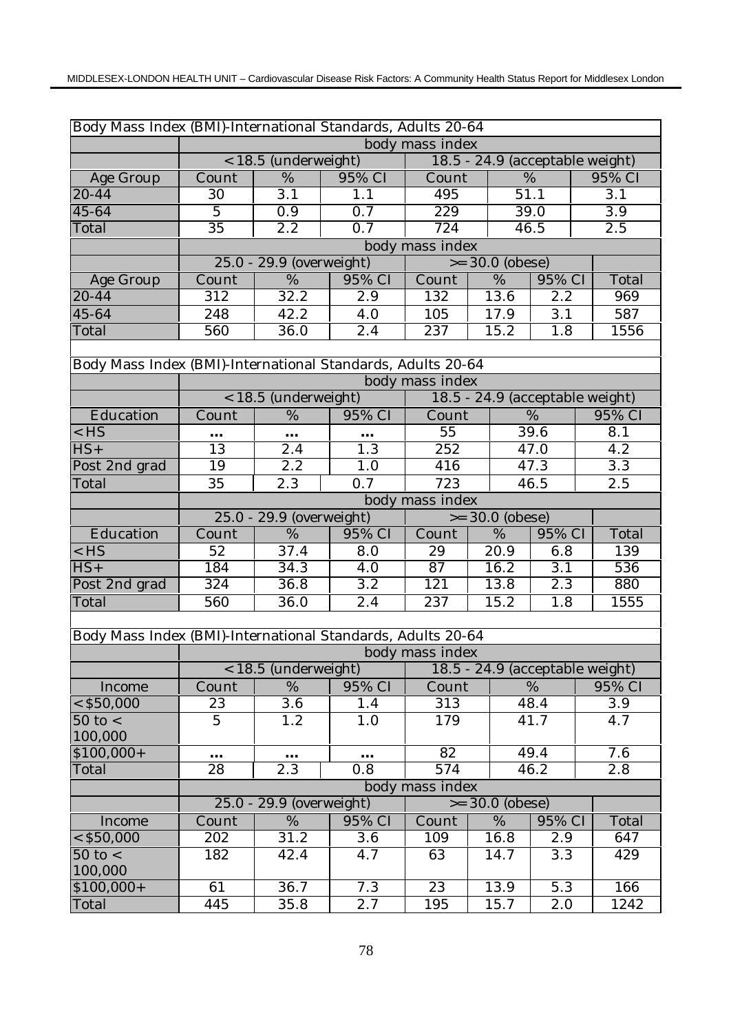| Body Mass Index (BMI)-International Standards, Adults 20-64 |                 |                          |                  |                           |                                 |                  |  |                  |  |                  |  |
|-------------------------------------------------------------|-----------------|--------------------------|------------------|---------------------------|---------------------------------|------------------|--|------------------|--|------------------|--|
|                                                             |                 |                          |                  | body mass index           |                                 |                  |  |                  |  |                  |  |
|                                                             |                 | < 18.5 (underweight)     |                  |                           | 18.5 - 24.9 (acceptable weight) |                  |  |                  |  |                  |  |
| Age Group                                                   | Count           | %                        | 95% CI           | Count                     | %                               |                  |  | 95% CI           |  |                  |  |
| $20 - 44$                                                   | $\overline{30}$ | $\overline{3.1}$         | 1.1              | 495                       | 51.1                            |                  |  | 3.1              |  |                  |  |
| 45-64                                                       | $\overline{5}$  | $\overline{0.9}$         | 0.7              | 229                       |                                 | 39.0             |  | $\overline{3.9}$ |  |                  |  |
| Total                                                       | $\overline{35}$ | $\overline{2.2}$         | $\overline{0.7}$ | 724                       |                                 | 46.5             |  | $\overline{2.5}$ |  |                  |  |
|                                                             |                 |                          |                  | body mass index           |                                 |                  |  |                  |  |                  |  |
|                                                             |                 | 25.0 - 29.9 (overweight) |                  |                           | $>= 30.0$ (obese)               |                  |  |                  |  |                  |  |
| Age Group                                                   | Count           | %                        | 95% CI           | Count                     | %                               | 95% CI           |  | Total            |  |                  |  |
| $20 - 44$                                                   | 312             | 32.2                     | $\overline{2.9}$ | 132                       | 13.6                            | 2.2              |  | 969              |  |                  |  |
| 45-64                                                       | 248             | 42.2                     | 4.0              | 105                       | 17.9                            | 3.1              |  | 587              |  |                  |  |
| Total                                                       | 560             | 36.0                     | 2.4              | 237                       | 15.2                            | 1.8              |  | 1556             |  |                  |  |
|                                                             |                 |                          |                  |                           |                                 |                  |  |                  |  |                  |  |
| Body Mass Index (BMI)-International Standards, Adults 20-64 |                 |                          |                  |                           |                                 |                  |  |                  |  |                  |  |
|                                                             |                 |                          |                  | body mass index           |                                 |                  |  |                  |  |                  |  |
|                                                             |                 | < 18.5 (underweight)     |                  |                           | 18.5 - 24.9 (acceptable weight) |                  |  |                  |  |                  |  |
| Education                                                   | Count           | $\overline{\%}$          | 95% CI           | $\overline{\text{Count}}$ |                                 | $\overline{\%}$  |  | 95% CI           |  |                  |  |
| $<$ HS                                                      | $\cdots$        | $\cdots$                 | $\cdots$         | 55                        |                                 | 39.6             |  | 8.1              |  |                  |  |
| $HS+$                                                       | 13              | $\overline{2.4}$         | $\overline{1.3}$ | $\overline{252}$          |                                 | 47.0             |  |                  |  | 4.2              |  |
| Post 2nd grad                                               | 19              | $\overline{2.2}$         | 1.0              | 416                       |                                 | 47.3             |  |                  |  | $\overline{3.3}$ |  |
| Total                                                       | 35              | 2.3                      | 0.7              | 723                       |                                 | 46.5             |  | 2.5              |  |                  |  |
|                                                             |                 |                          |                  | body mass index           |                                 |                  |  |                  |  |                  |  |
|                                                             |                 | 25.0 - 29.9 (overweight) |                  | $>= 30.0$ (obese)         |                                 |                  |  |                  |  |                  |  |
| Education                                                   | Count           | %                        | 95% CI           | Count                     | %                               | 95% CI           |  | Total            |  |                  |  |
| $<$ HS                                                      | 52              | 37.4                     | 8.0              | 29                        | 20.9                            | 6.8              |  | 139              |  |                  |  |
| $HS+$                                                       | 184             | 34.3                     | 4.0              | 87                        | 16.2                            | $\overline{3}.1$ |  | 536              |  |                  |  |
| Post 2nd grad                                               | 324             | 36.8                     | $\overline{3.2}$ | 121                       | 13.8                            | 2.3              |  | 880              |  |                  |  |
| Total                                                       | 560             | 36.0                     | 2.4              | 237                       | 15.2                            | 1.8              |  | 1555             |  |                  |  |
|                                                             |                 |                          |                  |                           |                                 |                  |  |                  |  |                  |  |
| Body Mass Index (BMI)-International Standards, Adults 20-64 |                 |                          |                  |                           |                                 |                  |  |                  |  |                  |  |
|                                                             |                 |                          |                  | body mass index           |                                 |                  |  |                  |  |                  |  |
|                                                             |                 | < 18.5 (underweight)     |                  |                           | 18.5 - 24.9 (acceptable weight) |                  |  |                  |  |                  |  |
| Income                                                      | Count           | %                        | 95% CI           | Count                     |                                 | %                |  | 95% CI           |  |                  |  |
| $<$ \$50,000                                                | 23              | $\overline{3.6}$         | 1.4              | 313                       |                                 | 48.4             |  | 3.9              |  |                  |  |
| $50$ to $\lt$                                               | $\overline{5}$  | 1.2                      | 1.0              | 179                       |                                 | 41.7             |  | 4.7              |  |                  |  |
| 100,000                                                     |                 |                          |                  |                           |                                 |                  |  |                  |  |                  |  |
| $$100,000+$                                                 | $\ddotsc$       | $\cdots$                 | $\ddotsc$        | $\overline{82}$           |                                 | 49.4             |  | 7.6              |  |                  |  |
| Total                                                       | 28              | 2.3                      | 0.8              | 574                       |                                 | 46.2             |  | 2.8              |  |                  |  |
|                                                             |                 |                          |                  | body mass index           |                                 |                  |  |                  |  |                  |  |
|                                                             |                 | 25.0 - 29.9 (overweight) |                  |                           | $>= 30.0$ (obese)               |                  |  |                  |  |                  |  |
| Income                                                      | Count           | %                        | 95% CI           | Count                     | %                               | 95% CI           |  | Total            |  |                  |  |
| $<$ \$50,000                                                | 202             | 31.2                     | 3.6              | 109                       | 16.8                            | 2.9              |  | 647              |  |                  |  |
| $50$ to $<$<br>100,000                                      | 182             | 42.4                     | 4.7              | 63                        | 14.7                            | 3.3              |  | 429              |  |                  |  |
| $$100,000+$                                                 | 61              | 36.7                     | 7.3              | 23                        | 13.9                            | $\overline{5.3}$ |  | 166              |  |                  |  |
| Total                                                       | 445             | 35.8                     | 2.7              | 195                       | 15.7                            | 2.0              |  | 1242             |  |                  |  |
|                                                             |                 |                          |                  |                           |                                 |                  |  |                  |  |                  |  |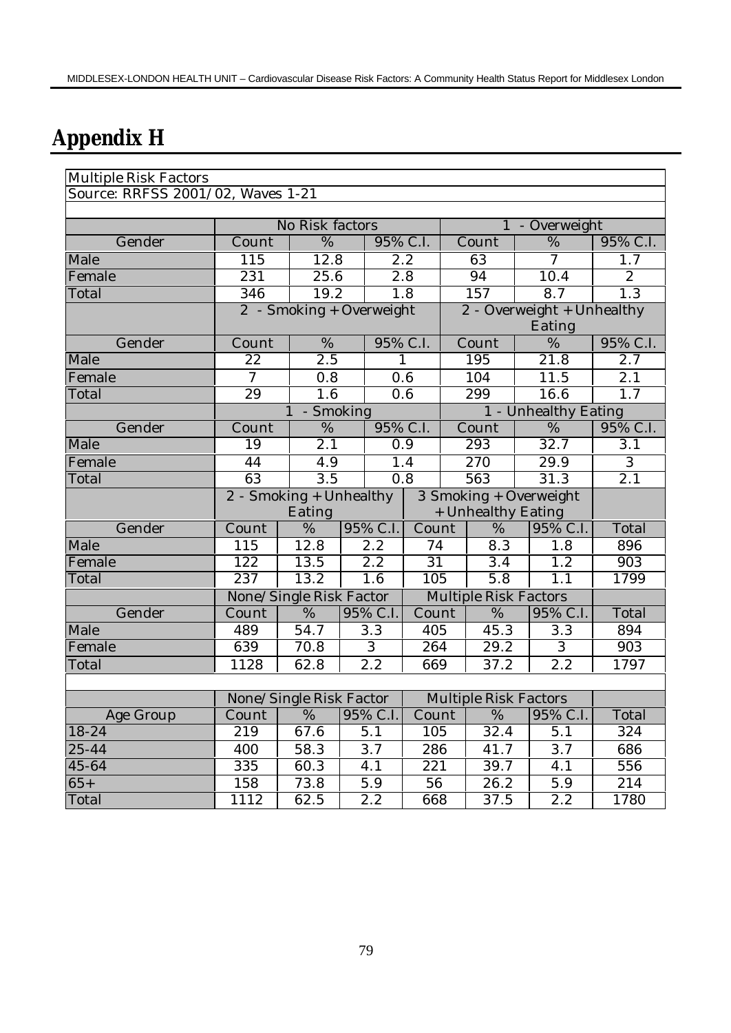## **Appendix H**

| Multiple Risk Factors             |                                                        |                         |          |                    |                                  |                              |                  |  |  |
|-----------------------------------|--------------------------------------------------------|-------------------------|----------|--------------------|----------------------------------|------------------------------|------------------|--|--|
| Source: RRFSS 2001/02, Waves 1-21 |                                                        |                         |          |                    |                                  |                              |                  |  |  |
|                                   |                                                        |                         |          |                    |                                  |                              |                  |  |  |
|                                   | No Risk factors                                        |                         |          |                    |                                  | - Overweight<br>$\mathbf{1}$ |                  |  |  |
| Gender                            | $\overline{\mathrm{C}}$ ount                           | %                       |          | 95% C.I.           | $\overline{\mathrm{C}}$ ount     | %                            | 95% C.I.         |  |  |
| Male                              | 115                                                    | 12.8                    |          | 2.2                | 63                               | 7                            | 1.7              |  |  |
| Female                            | 231                                                    | 25.6                    |          | $\overline{2.8}$   | 94                               | 10.4                         | $\mathbf{2}$     |  |  |
| Total                             | 346                                                    | 19.2                    |          | 1.8                | 157                              | 8.7                          | 1.3              |  |  |
|                                   | 2 - Smoking + Overweight<br>2 - Overweight + Unhealthy |                         |          |                    |                                  |                              |                  |  |  |
|                                   |                                                        |                         |          |                    |                                  | Eating                       |                  |  |  |
| Gender                            | Count                                                  | $\%$                    | 95% C.I. |                    | Count                            | %                            | 95% C.I.         |  |  |
| Male                              | 22                                                     | 2.5                     |          | $\mathbf{1}$       | 195                              | $\overline{21.8}$            | 2.7              |  |  |
| Female                            | $\overline{7}$                                         | 0.8                     |          | 0.6                | 104                              | 11.5                         | 2.1              |  |  |
| Total                             | 29                                                     | 1.6                     |          | 0.6                | 299                              | 16.6                         | $\overline{1}.7$ |  |  |
|                                   |                                                        | - Smoking               |          |                    |                                  | 1 - Unhealthy Eating         |                  |  |  |
| Gender                            | Count                                                  | $\overline{\%}$         |          | 95% C.I.           | Count                            | $\overline{\%}$              | 95% C.I.         |  |  |
| Male                              | 19                                                     | 2.1                     |          | 0.9                | 293                              | 32.7                         | 3.1              |  |  |
| Female                            | 44                                                     | 4.9                     |          | 1.4                | 270                              | 29.9                         | 3                |  |  |
| Total                             | 63                                                     | $\overline{3.5}$        | 0.8      |                    | 563                              | 31.3                         | $\overline{2.1}$ |  |  |
|                                   | $2$ - Smoking + Unhealthy                              |                         |          |                    | 3 Smoking + Overweight           |                              |                  |  |  |
|                                   |                                                        | Eating                  |          | + Unhealthy Eating |                                  |                              |                  |  |  |
| Gender                            | Count                                                  | %                       | 95% C.I. | Count              | %                                | 95% C.I.                     | Total            |  |  |
| Male                              | 115                                                    | 12.8                    | 2.2      | 74                 | 8.3                              | 1.8                          | 896              |  |  |
| Female                            | 122                                                    | 13.5                    | 2.2      | $\overline{31}$    | 3.4                              | 1.2                          | 903              |  |  |
| Total                             | 237                                                    | 13.2                    | 1.6      | 105                | $\overline{5.8}$                 | 1.1                          | 1799             |  |  |
|                                   |                                                        | None/Single Risk Factor |          |                    | <b>Multiple Risk Factors</b>     |                              |                  |  |  |
| Gender                            | Count                                                  | %                       | 95% C.I. | Count              | %                                | 95% C.I.                     | Total            |  |  |
| Male                              | 489                                                    | 54.7                    | 3.3      | 405                | 45.3                             | 3.3                          | 894              |  |  |
| Female                            | 639                                                    | 70.8                    | 3        | 264                | 29.2                             | $\overline{3}$               | 903              |  |  |
| Total                             | 1128                                                   | 62.8                    | 2.2      | 669                | 37.2                             | 2.2                          | 1797             |  |  |
|                                   |                                                        |                         |          |                    |                                  |                              |                  |  |  |
|                                   |                                                        | None/Single Risk Factor |          |                    | <b>Multiple Risk Factors</b>     |                              |                  |  |  |
| Age Group                         |                                                        |                         |          |                    | Count   %   95% C.I.   Count   % | 95% C.I.                     | Total            |  |  |
| $18 - 24$                         | 219                                                    | 67.6                    | 5.1      | 105                | 32.4                             | 5.1                          | 324              |  |  |
| $25 - 44$                         | 400                                                    | 58.3                    | 3.7      | 286                | 41.7                             | 3.7                          | 686              |  |  |
| 45-64                             | 335                                                    | 60.3                    | 4.1      | 221                | 39.7                             | 4.1                          | 556              |  |  |
| $65+$                             | 158                                                    | 73.8                    | 5.9      | 56                 | 26.2                             | 5.9                          | 214              |  |  |
| Total                             | 1112                                                   | 62.5                    | 2.2      | 668                | 37.5                             | 2.2                          | 1780             |  |  |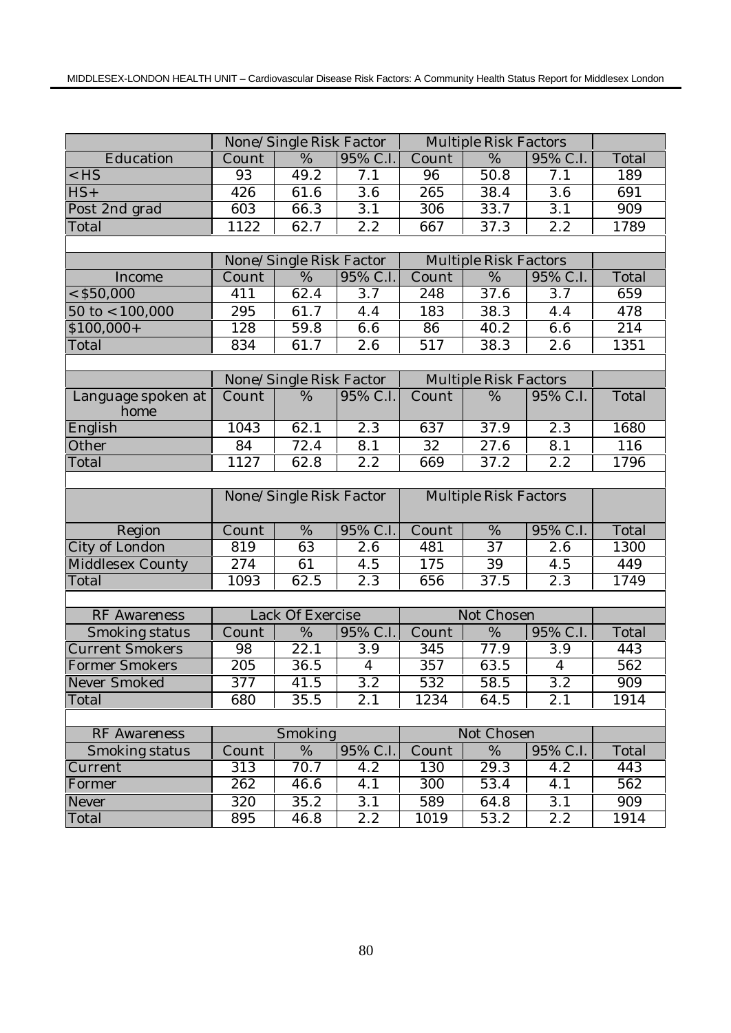|                            | None/Single Risk Factor |                         |                | <b>Multiple Risk Factors</b> |                              |                  |                  |
|----------------------------|-------------------------|-------------------------|----------------|------------------------------|------------------------------|------------------|------------------|
| Education                  | Count                   | $\overline{\%}$         | 95% C.I.       | Count                        | %                            | 95% C.I.         | Total            |
| $<$ HS                     | 93                      | 49.2                    | 7.1            | 96                           | $\overline{50}$ .8           | $\overline{7}.1$ | 189              |
| $HS+$                      | 426                     | 61.6                    | 3.6            | 265                          | 38.4                         | 3.6              | 691              |
| Post 2nd grad              | 603                     | 66.3                    | 3.1            | $\overline{306}$             | 33.7                         | 3.1              | 909              |
| Total                      | 1122                    | 62.7                    | 2.2            | 667                          | 37.3                         | 2.2              | 1789             |
|                            |                         |                         |                |                              |                              |                  |                  |
|                            |                         | None/Single Risk Factor |                |                              | <b>Multiple Risk Factors</b> |                  |                  |
| Income                     | Count                   | %                       | 95% C.I.       | Count                        | %                            | 95% C.I.         | Total            |
| $<$ \$50,000               | 411                     | 62.4                    | 3.7            | 248                          | 37.6                         | 3.7              | 659              |
| $50 \text{ to} < 100,000$  | 295                     | 61.7                    | 4.4            | 183                          | 38.3                         | 4.4              | 478              |
| $$100,000+$                | 128                     | 59.8                    | 6.6            | 86                           | 40.2                         | 6.6              | $\overline{2}14$ |
| Total                      | 834                     | 61.7                    | 2.6            | 517                          | 38.3                         | 2.6              | 1351             |
|                            |                         |                         |                |                              |                              |                  |                  |
|                            |                         | None/Single Risk Factor |                |                              | <b>Multiple Risk Factors</b> |                  |                  |
| Language spoken at<br>home | Count                   | $\%$                    | 95% C.I.       | Count                        | %                            | 95% C.I.         | Total            |
| English                    | 1043                    | 62.1                    | 2.3            | 637                          | $\overline{37.9}$            | 2.3              | 1680             |
| Other                      | 84                      | 72.4                    | 8.1            | 32                           | 27.6                         | 8.1              | 116              |
| Total                      | 1127                    | 62.8                    | 2.2            | 669                          | 37.2                         | 2.2              | 1796             |
|                            |                         |                         |                |                              |                              |                  |                  |
|                            | None/Single Risk Factor |                         |                | <b>Multiple Risk Factors</b> |                              |                  |                  |
| Region                     | Count                   | $\%$                    | 95% C.I.       | Count                        | $\%$                         | 95% C.I.         | Total            |
| City of London             | 819                     | 63                      | 2.6            | 481                          | $\overline{37}$              | 2.6              | 1300             |
| Middlesex County           | $\overline{2}74$        | 61                      | 4.5            | 175                          | 39                           | 4.5              | 449              |
| Total                      | 1093                    | 62.5                    | 2.3            | 656                          | 37.5                         | 2.3              | 1749             |
|                            |                         |                         |                |                              |                              |                  |                  |
| <b>RF</b> Awareness        |                         | Lack Of Exercise        |                |                              | Not Chosen                   |                  |                  |
| Smoking status             | Count                   | %                       | 95% C.I.       | Count                        | $\%$                         | 95% C.I.         | Total            |
| <b>Current Smokers</b>     | 98                      | $\overline{22.1}$       | 3.9            | 345                          | 77.9                         | 3.9              | 443              |
| Former Smokers             | $\overline{2}05$        | 36.5                    | $\overline{4}$ | 357                          | 63.5                         | $\overline{4}$   | 562              |
| Never Smoked               | 377                     | 41.5                    | 3.2            | 532                          | 58.5                         | $\overline{3.2}$ | 909              |
| Total                      | 680                     | 35.5                    | 2.1            | 1234                         | 64.5                         | 2.1              | 1914             |
|                            |                         |                         |                |                              |                              |                  |                  |
| <b>RF</b> Awareness        |                         | Smoking                 |                | Not Chosen                   |                              |                  |                  |
| Smoking status             | Count                   | %                       | 95% C.I.       | Count                        | $\%$                         | 95% C.I.         | Total            |
| Current                    | 313                     | 70.7                    | 4.2            | 130                          | 29.3                         | 4.2              | 443              |
| Former                     | 262                     | 46.6                    | 4.1            | 300                          | 53.4                         | 4.1              | 562              |
| Never                      | 320                     | 35.2                    | 3.1            | 589                          | 64.8                         | 3.1              | 909              |
| Total                      | 895                     | 46.8                    | 2.2            | 1019                         | 53.2                         | 2.2              | 1914             |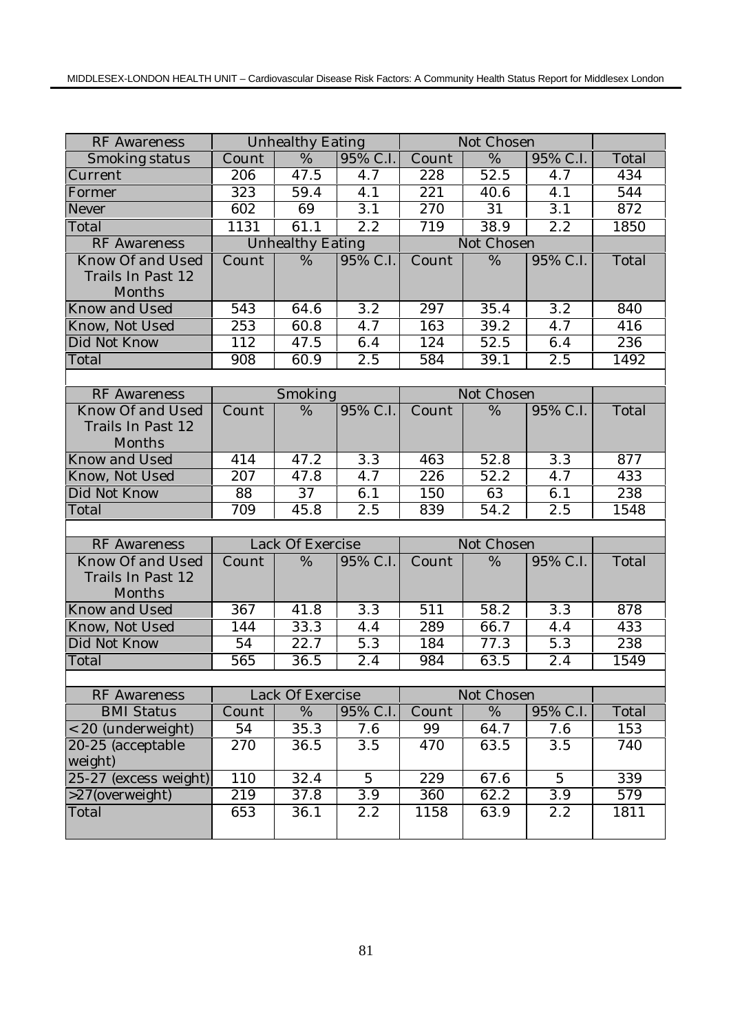| <b>RF</b> Awareness                             |         | <b>Unhealthy Eating</b> |                  |                  | Not Chosen        |                  |       |
|-------------------------------------------------|---------|-------------------------|------------------|------------------|-------------------|------------------|-------|
| Smoking status                                  | Count   | $\frac{0}{6}$           | 95% C.I.         | Count            | $\overline{\%}$   | 95% C.I.         | Total |
| Current                                         | 206     | 47.5                    | 4.7              | 228              | 52.5              | $4.\overline{7}$ | 434   |
| Former                                          | 323     | 59.4                    | 4.1              | $\overline{221}$ | 40.6              | 4.1              | 544   |
| Never                                           | 602     | 69                      | 3.1              | $\overline{270}$ | $\overline{31}$   | 3.1              | 872   |
| Total                                           | 1131    | 61.1                    | $\overline{2.2}$ | 719              | 38.9              | $\overline{2.2}$ | 1850  |
| <b>RF</b> Awareness                             |         | <b>Unhealthy Eating</b> |                  |                  | Not Chosen        |                  |       |
| Know Of and Used<br>Trails In Past 12<br>Months | Count   | %                       | 95% C.I.         | Count            | $\overline{\%}$   | 95% C.I.         | Total |
| <b>Know and Used</b>                            | 543     | 64.6                    | 3.2              | 297              | 35.4              | 3.2              | 840   |
| Know, Not Used                                  | 253     | 60.8                    | 4.7              | 163              | 39.2              | 4.7              | 416   |
| Did Not Know                                    | 112     | 47.5                    | 6.4              | 124              | 52.5              | 6.4              | 236   |
| Total                                           | 908     | 60.9                    | 2.5              | 584              | 39.1              | 2.5              | 1492  |
|                                                 |         |                         |                  |                  |                   |                  |       |
| <b>RF</b> Awareness                             | Smoking |                         |                  |                  | Not Chosen        |                  |       |
| Know Of and Used<br>Trails In Past 12<br>Months | Count   | $\%$                    | 95% C.I.         | Count            | %                 | 95% C.I.         | Total |
| Know and Used                                   | 414     | 47.2                    | $\overline{3.3}$ | 463              | 52.8              | $\overline{3.3}$ | 877   |
| Know, Not Used                                  | 207     | 47.8                    | 4.7              | 226              | 52.2              | 4.7              | 433   |
| Did Not Know                                    | 88      | 37                      | 6.1              | 150              | 63                | 6.1              | 238   |
| Total                                           | 709     | 45.8                    | 2.5              | 839              | $\overline{54.2}$ | 2.5              | 1548  |
|                                                 |         |                         |                  |                  |                   |                  |       |
| <b>RF</b> Awareness                             |         | Lack Of Exercise        |                  | Not Chosen       |                   |                  |       |
| Know Of and Used<br>Trails In Past 12<br>Months | Count   | %                       | 95% C.I.         | Count            | %                 | 95% C.I.         | Total |
| <b>Know and Used</b>                            | 367     | 41.8                    | 3.3              | 511              | 58.2              | 3.3              | 878   |
| Know, Not Used                                  | 144     | 33.3                    | 4.4              | 289              | 66.7              | 4.4              | 433   |
| Did Not Know                                    | 54      | 22.7                    | 5.3              | 184              | 77.3              | 5.3              | 238   |
| Total                                           | 565     | 36.5                    | 2.4              | 984              | 63.5              | 2.4              | 1549  |
|                                                 |         |                         |                  |                  |                   |                  |       |
| <b>RF</b> Awareness                             |         | Lack Of Exercise        |                  |                  | Not Chosen        |                  |       |
| <b>BMI</b> Status                               | Count   | %                       | 95% C.I.         | Count            | $\%$              | 95% C.I.         | Total |
| < 20 (underweight)                              | 54      | 35.3                    | 7.6              | 99               | 64.7              | 7.6              | 153   |
| 20-25 (acceptable                               | 270     | 36.5                    | 3.5              | 470              | 63.5              | 3.5              | 740   |
| weight)<br>25-27 (excess weight)                | 110     | 32.4                    | $\overline{5}$   | 229              | 67.6              | $\overline{5}$   | 339   |
| >27(overweight)                                 | 219     | 37.8                    | 3.9              | 360              | 62.2              | 3.9              | 579   |
| Total                                           | 653     | 36.1                    | 2.2              | 1158             | 63.9              | 2.2              | 1811  |
|                                                 |         |                         |                  |                  |                   |                  |       |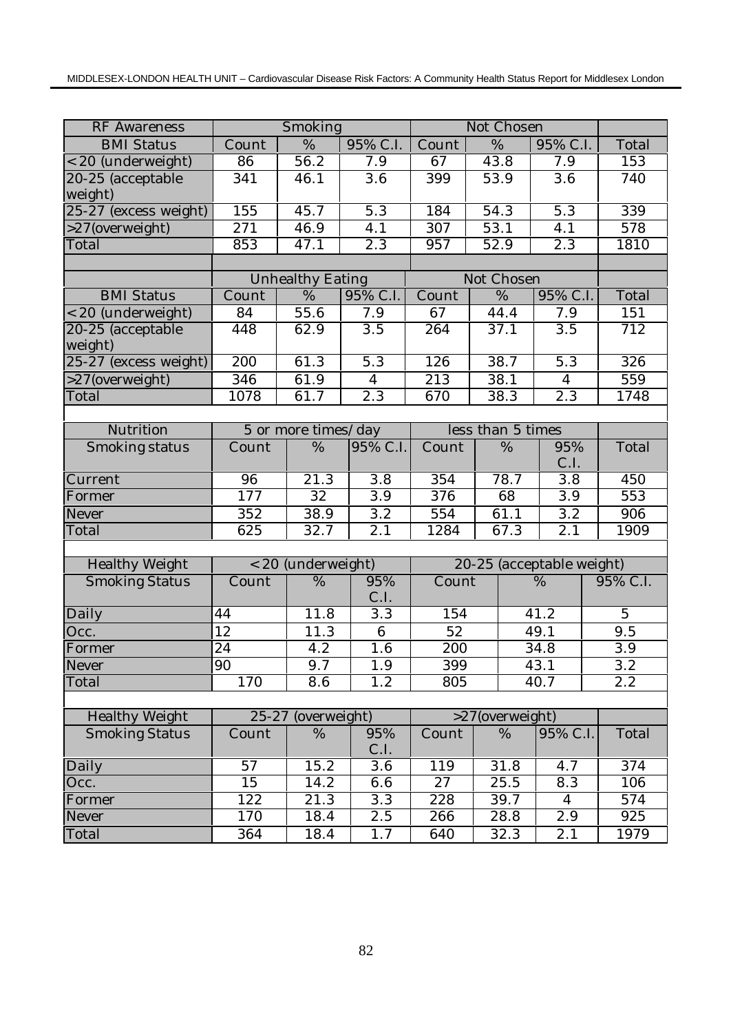| <b>RF</b> Awareness   |                  | Smoking                 |                  |       |                   | Not Chosen      |                           |  |                |
|-----------------------|------------------|-------------------------|------------------|-------|-------------------|-----------------|---------------------------|--|----------------|
| <b>BMI</b> Status     | Count            | %                       | 95% C.I.         | Count | $\overline{\%}$   |                 | 95% C.I.                  |  | Total          |
| < 20 (underweight)    | 86               | 56.2                    | 7.9              | 67    | 43.8              |                 | 7.9                       |  | 153            |
| 20-25 (acceptable     | 341              | 46.1                    | 3.6              | 399   | 53.9              |                 | 3.6                       |  | 740            |
| weight)               |                  |                         |                  |       |                   |                 |                           |  |                |
| 25-27 (excess weight) | 155              | 45.7                    | 5.3              | 184   | 54.3              |                 | 5.3                       |  | 339            |
| >27(overweight)       | 271              | 46.9                    | 4.1              | 307   | 53.1              |                 | 4.1                       |  | 578            |
| Total                 | 853              | $\overline{47.1}$       | $\overline{2.3}$ | 957   | 52.9              |                 | $\overline{2.3}$          |  | 1810           |
|                       |                  |                         |                  |       |                   |                 |                           |  |                |
|                       |                  | <b>Unhealthy Eating</b> |                  |       |                   | Not Chosen      |                           |  |                |
| <b>BMI Status</b>     | Count            | %                       | 95% C.I.         | Count |                   | $\%$            | 95% C.I.                  |  | Total          |
| < 20 (underweight)    | 84               | 55.6                    | 7.9              | 67    |                   | 44.4            | 7.9                       |  | 151            |
| 20-25 (acceptable     | 448              | 62.9                    | 3.5              | 264   |                   | 37.1            | 3.5                       |  | 712            |
| weight)               |                  |                         |                  |       |                   |                 |                           |  |                |
| 25-27 (excess weight) | 200              | 61.3                    | 5.3              | 126   |                   | 38.7            | 5.3                       |  | 326            |
| >27(overweight)       | $\overline{346}$ | 61.9                    | $\overline{4}$   | 213   |                   | 38.1            | $\overline{4}$            |  | 559            |
| Total                 | 1078             | 61.7                    | 2.3              | 670   |                   | 38.3            | 2.3                       |  | 1748           |
|                       |                  |                         |                  |       |                   |                 |                           |  |                |
| Nutrition             |                  | 5 or more times/day     |                  |       | less than 5 times |                 |                           |  |                |
| Smoking status        | Count            | $\%$                    | 95% C.I.         | Count |                   | 95%<br>$\%$     |                           |  | Total          |
|                       |                  |                         |                  |       |                   | C.I.            |                           |  |                |
| Current               | 96               | 21.3                    | 3.8              | 354   |                   | 78.7            | 3.8                       |  | 450            |
| Former                | 177              | $\overline{32}$         | $\overline{3.9}$ | 376   |                   | 68              | $\overline{3.9}$          |  | 553            |
| Never                 | $\overline{3}52$ | 38.9                    | 3.2              | 554   |                   | 61.1            | 3.2                       |  | 906            |
| Total                 | 625              | 32.7                    | 2.1              | 1284  |                   | 67.3            | 2.1                       |  | 1909           |
|                       |                  |                         |                  |       |                   |                 |                           |  |                |
| <b>Healthy Weight</b> |                  | < 20 (underweight)      |                  |       |                   |                 | 20-25 (acceptable weight) |  |                |
| <b>Smoking Status</b> | Count            | %                       | 95%              | Count |                   |                 | $\%$                      |  | 95% C.I.       |
|                       |                  |                         | C.I.             |       |                   |                 |                           |  |                |
| Daily                 | 44               | 11.8                    | $\overline{3.3}$ | 154   |                   |                 | 41.2                      |  | $\overline{5}$ |
| Occ.                  | 12               | 11.3                    | $6\phantom{1}$   | 52    |                   |                 | 49.1                      |  | 9.5            |
| Former                | $\overline{24}$  | 4.2                     | 1.6              | 200   |                   |                 | 34.8                      |  | 3.9            |
| Never                 | 90               | $9.7\,$                 | $1.9\,$          | 399   |                   |                 | 43.1                      |  | 3.2            |
| Total                 | 170              | 8.6                     | 1.2              | 805   |                   |                 | 40.7                      |  | 2.2            |
|                       |                  |                         |                  |       |                   |                 |                           |  |                |
| <b>Healthy Weight</b> | $25 - 27$        | (overweight)            |                  |       |                   | >27(overweight) |                           |  |                |
| <b>Smoking Status</b> | Count            | %                       | 95%<br>C.I.      | Count |                   | %               | 95% C.I.                  |  | Total          |
| Daily                 | 57               | 15.2                    | 3.6              | 119   |                   | 31.8            | 4.7                       |  | 374            |
| Occ.                  | 15               | 14.2                    | 6.6              | 27    |                   | 25.5            | 8.3                       |  | 106            |
| Former                | 122              | 21.3                    | $\overline{3.3}$ | 228   |                   | 39.7            | $\overline{4}$            |  | 574            |
| Never                 | 170              | 18.4                    | 2.5              | 266   |                   | 28.8            | 2.9                       |  | 925            |
| Total                 | 364              | 18.4                    | 1.7              | 640   |                   | 32.3            | 2.1                       |  | 1979           |